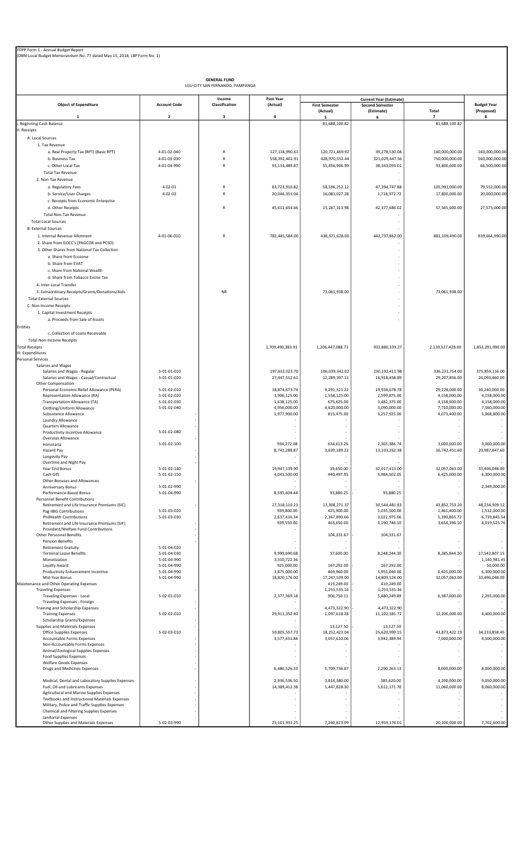| FDPP Form 1 - Annual Budget Report<br>(DBM Local Budget Memorandum No. 77 dated May 15, 2018, LBP Form No. 1) |                            |                                                        |                               |                                   |                                                                        |                               |                                  |
|---------------------------------------------------------------------------------------------------------------|----------------------------|--------------------------------------------------------|-------------------------------|-----------------------------------|------------------------------------------------------------------------|-------------------------------|----------------------------------|
|                                                                                                               |                            |                                                        |                               |                                   |                                                                        |                               |                                  |
|                                                                                                               |                            | <b>GENERAL FUND</b><br>LGU:CITY SAN FERNANDO, PAMPANGA |                               |                                   |                                                                        |                               |                                  |
| <b>Object of Expenditure</b>                                                                                  | <b>Account Code</b>        | Income<br>Classification                               | Past Year<br>(Actual)         | <b>First Semester</b><br>(Actual) | <b>Current Year (Estimate)</b><br><b>Second Semester</b><br>(Estimate) | Total                         | <b>Budget Year</b><br>(Proposed) |
| 1                                                                                                             | $\overline{\mathbf{2}}$    | 3                                                      | 4                             | 5                                 | 6                                                                      | $\overline{7}$                | 8                                |
| Beginning Cash Balance<br>II. Receipts                                                                        |                            |                                                        |                               | 81,688,100.82                     |                                                                        | 81,688,100.82                 |                                  |
| A. Local Sources                                                                                              |                            |                                                        |                               |                                   |                                                                        |                               |                                  |
| 1. Tax Revenue                                                                                                |                            |                                                        |                               |                                   |                                                                        |                               |                                  |
| a. Real Property Tax (RPT) (Basic RPT)                                                                        | 4-01-02-040                | $\mathsf{R}$                                           | 127,134,990.61                | 120,721,469.92                    | 39,278,530.08                                                          | 160,000,000.00                | 160,000,000.00                   |
| b. Business Tax                                                                                               | 4-01-03-030                | ${\sf R}$<br>R                                         | 558,392,402.91                | 428,970,552.44                    | 321,029,447.56                                                         | 750,000,000.00                | 560,000,000.00                   |
| c. Other Local Tax<br><b>Total Tax Revenue</b>                                                                | 4-01-04-990                |                                                        | 93,134,489.87                 | 55,456,906.99                     | 38,343,093.01                                                          | 93,800,000.00                 | 66,500,000.00                    |
| 2. Non-Tax Revenue                                                                                            |                            |                                                        |                               |                                   |                                                                        |                               |                                  |
| a. Regulatory Fees                                                                                            | $4 - 02 - 01$              | R                                                      | 83,723,910.82                 | 58,596,252.12                     | 47,394,747.88                                                          | 105,991,000.00                | 79,552,000.00                    |
| b. Service/User Charges                                                                                       | $4 - 02 - 02$              | R                                                      | 20,046,351.04                 | 16,081,027.28                     | 1,718,972.72                                                           | 17,800,000.00                 | 20,000,000.00                    |
| c. Receipts from Economic Enterprise                                                                          |                            |                                                        |                               |                                   |                                                                        |                               |                                  |
| d. Other Receipts<br><b>Total Non-Tax Revenue</b>                                                             |                            | R                                                      | 45,612,654.66                 | 15, 187, 313. 98                  | 42,377,686.02                                                          | 57,565,000.00                 | 27,575,000.00                    |
| <b>Total Local Sources</b>                                                                                    |                            |                                                        |                               |                                   | ä,                                                                     |                               |                                  |
| <b>B. External Sources</b>                                                                                    |                            |                                                        |                               |                                   |                                                                        |                               |                                  |
| 1. Internal Revenue Allotment                                                                                 | 4-01-06-010                | $\mathsf{R}$                                           | 781,445,584.00                | 438,371,628.00                    | 442,737,862.00                                                         | 881,109,490.00                | 939,664,990.00                   |
| 2. Share from GOCC's (PAGCOR and PCSO)                                                                        |                            |                                                        |                               |                                   |                                                                        |                               |                                  |
| 3. Other Shares from National Tax Collection<br>a. Share from Ecozone                                         |                            |                                                        |                               |                                   |                                                                        |                               |                                  |
| b. Share from EVAT                                                                                            |                            |                                                        |                               |                                   |                                                                        |                               |                                  |
| c. Share from National Wealth                                                                                 |                            |                                                        |                               |                                   |                                                                        |                               |                                  |
| d. Share from Tobacco Excise Tax                                                                              |                            |                                                        |                               |                                   |                                                                        |                               |                                  |
| 4. Inter-Local Transfer                                                                                       |                            |                                                        |                               |                                   | ä,                                                                     |                               |                                  |
| 5. Extraordinary Receipts/Grants/Donations/Aids<br><b>Total External Sources</b>                              |                            | <b>NR</b>                                              |                               | 73,061,938.00                     |                                                                        | 73,061,938.00                 |                                  |
| C. Non-Income Receipts                                                                                        |                            |                                                        |                               |                                   |                                                                        |                               |                                  |
| 1. Capital Investment Receipts                                                                                |                            |                                                        |                               |                                   |                                                                        |                               |                                  |
| a. Proceeds from Sale of Assets                                                                               |                            |                                                        |                               |                                   |                                                                        |                               |                                  |
| <b>Entities</b>                                                                                               |                            |                                                        |                               |                                   |                                                                        |                               |                                  |
| c. Collection of Loans Receivable<br><b>Total Non-Income Receipts</b>                                         |                            |                                                        |                               |                                   |                                                                        |                               |                                  |
| <b>Total Receipts</b>                                                                                         |                            |                                                        | 1,709,490,383.91              | 1,206,447,088.73                  | 932,880,339.27                                                         | 2,139,327,428.00              | 1,853,291,990.00                 |
| III. Expenditures                                                                                             |                            |                                                        |                               |                                   |                                                                        |                               |                                  |
| <b>Personal Services</b><br>Salaries and Wages                                                                |                            |                                                        |                               |                                   |                                                                        |                               |                                  |
| Salaries and Wages - Regular                                                                                  | 5-01-01-010                |                                                        | 197,632,023.70                | 106,039,342.02                    | 230,192,411.98                                                         | 336,231,754.00                | 375,859,116.00                   |
| Salaries and Wages - Casual/Contractual                                                                       | 5-01-01-020                |                                                        | 27,447,512.61                 | 12,289,397.11                     | 16,918,458.89                                                          | 29,207,856.00                 | 26,093,460.00                    |
| Other Compensation<br>Personal Economic Relief Allowance (PERA)                                               | 5-01-02-010                |                                                        | 18,874,673.74                 | 9,291,321.22                      | 19,936,678.78                                                          | 29,228,000.00                 | 30,240,000.00                    |
| Representation Allowance (RA)                                                                                 | 5-01-02-020                |                                                        | 3,906,125.00                  | 1,558,125.00                      | 2,599,875.00                                                           | 4,158,000.00                  | 4,158,000.00                     |
| Transportation Allowance (TA)                                                                                 | 5-01-02-030                |                                                        | 1,638,125.00                  | 675,625.00                        | 3,482,375.00                                                           | 4,158,000.00<br>7,710,000.00  | 4,158,000.00                     |
| Clothing/Uniform Allowance<br>Subsistence Allowance                                                           | 5-01-02-040                |                                                        | 4,956,000.00<br>1,977,900.00  | 4,620,000.00<br>815,475.00        | 3,090,000.00<br>3,257,925.00                                           | 4,073,400.00                  | 7,560,000.00<br>5,068,800.00     |
| Laundry Allowance                                                                                             |                            |                                                        |                               |                                   |                                                                        |                               |                                  |
| Quarters Allowance<br>Productivity Incentive Allowance                                                        | 5-01-02-080                |                                                        |                               | ä,                                | ä,                                                                     |                               |                                  |
| Overseas Allowance                                                                                            |                            |                                                        |                               |                                   |                                                                        |                               |                                  |
| Honoraria                                                                                                     | 5-01-02-100                |                                                        | 934,272.08                    | 634,613.26                        | 2,365,386.74                                                           | 3,000,000.00                  | 3,000,000.00                     |
| Hazard Pay<br>Longevity Pay                                                                                   |                            |                                                        | 8,741,288.87                  | 3,639,189.22                      | 13,103,262.38                                                          | 16,742,451.60                 | 20,987,847.60                    |
| Overtime and Night Pay                                                                                        |                            |                                                        |                               |                                   |                                                                        |                               |                                  |
| Year End Bonus<br>Cash Gift                                                                                   | 5-01-02-140<br>5-01-02-150 |                                                        | 19,947,139.90<br>4,041,500.00 | 39,650.00<br>440,497.95           | 32,017,413.00<br>5,984,502.05                                          | 32,057,063.00<br>6,425,000.00 | 33,496,048.00<br>6,300,000.00    |
| Other Bonuses and Allowances                                                                                  |                            |                                                        |                               |                                   |                                                                        |                               |                                  |
| Anniversary Bonus                                                                                             | 5-01-02-990                |                                                        |                               |                                   |                                                                        | $\sim$                        | 2,349,000.00                     |
| Performance-Based Bonus<br>Personnel Benefit Contributions                                                    | 5-01-04-990                |                                                        | 8,595,604.44                  | 93,880.25                         | 93,880.25                                                              |                               |                                  |
| Retirement and Life Insurance Premiums (SIC)                                                                  |                            |                                                        | 27,318,110.21                 | 13,308,271.37                     | 30,544,481.83                                                          | 43,852,753.20                 | 48,234,309.12                    |
| Pag-IBIG Contributions                                                                                        | 5-01-03-020<br>5-01-03-030 |                                                        | 939,800.00<br>2,637,416.34    | 425,900.00                        | 1,035,500.00<br>3,022,975.06                                           | 1,461,400.00                  | 1,512,000.00<br>6,739,845.54     |
| <b>PhilHealth Contributions</b><br>Retirement and Life Insurance Premiums (SIF)                               |                            |                                                        | 939,550.00                    | 2,367,890.66<br>463,650.00        | 3,190,746.10                                                           | 5,390,865.72<br>3,654,396.10  | 4,019,525.76                     |
| Provident/Welfare Fund Contributions                                                                          |                            |                                                        |                               |                                   |                                                                        |                               |                                  |
| Other Personnel Benefits<br>Pension Benefits                                                                  |                            |                                                        |                               | 104,331.67                        | 104,331.67                                                             |                               |                                  |
| <b>Retirement Gratuity</b>                                                                                    | 5-01-04-020                |                                                        |                               |                                   |                                                                        |                               |                                  |
| <b>Terminal Leave Benefits</b>                                                                                | 5-01-04-030                |                                                        | 9,999,690.68                  | 37,600.00                         | 8,248,244.30                                                           | 8,285,844.30                  | 17,542,807.15                    |
| Monetization<br>Loyalty Award                                                                                 | 5-01-04-990<br>5-01-04-990 |                                                        | 3,310,722.36<br>925,000.00    | 167,292.00                        | 167,292.00                                                             |                               | 1,140,981.45<br>50,000.00        |
| Productivity Enhancement Incentive                                                                            | 5-01-04-990                |                                                        | 3,875,000.00                  | 469,960.00                        | 5,955,040.00                                                           | 6,425,000.00                  | 6,300,000.00                     |
| Mid-Year Bonus<br>Maintenance and Other Operating Expenses                                                    | 5-01-04-990                |                                                        | 18,820,176.00                 | 17,247,539.00<br>419,249.00       | 14,809,524.00<br>419,249.00                                            | 32,057,063.00                 | 33,496,048.00                    |
| <b>Traveling Expenses</b>                                                                                     |                            |                                                        |                               | 1,253,535.16                      | 1,253,535.16                                                           |                               |                                  |
| Traveling Expenses - Local                                                                                    | 5-02-01-010                |                                                        | 2,377,369.18                  | 906,750.11                        | 5,480,249.89                                                           | 6,387,000.00                  | 2,293,000.00                     |
| Traveling Expenses - Foreign<br>Training and Scholarship Expenses                                             |                            |                                                        |                               | 4,473,322.90                      | 4,473,322.90                                                           |                               |                                  |
| <b>Training Expenses</b>                                                                                      | 5-02-02-010                |                                                        | 29,911,352.40                 | 1,097,618.28                      | 11,102,381.72                                                          | 12,200,000.00                 | 4,400,000.00                     |
| Scholarship Grants/Expenses                                                                                   |                            |                                                        |                               |                                   |                                                                        |                               |                                  |
| Supplies and Materials Expenses<br>Office Supplies Expenses                                                   | 5-02-03-010                |                                                        | 59,805,557.73                 | 13,127.50<br>18,252,423.04        | 13,127.50<br>25,620,999.15                                             | 43,873,422.19                 | 34,233,858.45                    |
| Accountable Forms Expenses                                                                                    |                            |                                                        | 3,577,431.84                  | 3,057,610.06                      | 3,942,389.94                                                           | 7,000,000.00                  | 4,500,000.00                     |
| Non-Accountable Forms Expenses                                                                                |                            |                                                        |                               |                                   |                                                                        |                               |                                  |
| Animal/Zoological Supplies Expenses<br><b>Food Supplies Expenses</b>                                          |                            |                                                        |                               |                                   |                                                                        |                               |                                  |
| <b>Welfare Goods Expenses</b>                                                                                 |                            |                                                        |                               |                                   |                                                                        |                               |                                  |
| Drugs and Medicines Expenses                                                                                  |                            |                                                        | 6,480,526.33                  | 5,709,736.87                      | 2,290,263.13                                                           | 8,000,000.00                  | 8,000,000.00                     |
| Medical, Dental and Laboratory Supplies Expenses                                                              |                            |                                                        | 2,936,536.50                  | 3,814,380.00                      | 385,620.00                                                             | 4,200,000.00                  | 9,050,000.00                     |
| Fuel, Oil and Lubricants Expenses                                                                             |                            |                                                        | 14,389,412.38                 | 5,447,828.30                      | 5,612,171.70                                                           | 11,060,000.00                 | 8,060,000.00                     |
| Agricultural and Marine Supplies Expenses<br>Textbooks and Instructional Materials Expenses                   |                            |                                                        |                               |                                   |                                                                        |                               |                                  |
| Military, Police and Traffic Supplies Expenses                                                                |                            |                                                        |                               |                                   |                                                                        |                               |                                  |
| Chemical and Filtering Supplies Expenses                                                                      |                            |                                                        |                               |                                   |                                                                        |                               |                                  |
| Janitorial Expenses<br>Other Supplies and Materials Expenses                                                  | 5-02-03-990                |                                                        | 25,101,933.25                 | 7,240,823.99                      | 12,959,176.01                                                          | 20,200,000.00                 | 7,702,600.00                     |
|                                                                                                               |                            |                                                        |                               |                                   |                                                                        |                               |                                  |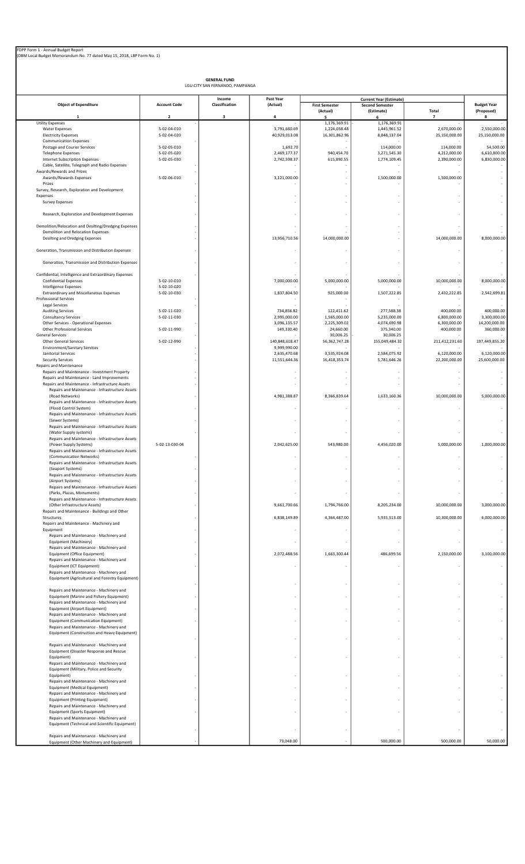|                                                                                                    |                            | <b>GENERAL FUND</b><br>LGU:CITY SAN FERNANDO, PAMPANGA |                               |                                   |                                                                        |                               |                                  |
|----------------------------------------------------------------------------------------------------|----------------------------|--------------------------------------------------------|-------------------------------|-----------------------------------|------------------------------------------------------------------------|-------------------------------|----------------------------------|
| <b>Object of Expenditure</b>                                                                       | <b>Account Code</b>        | Income<br>Classification                               | Past Year<br>(Actual)         | <b>First Semester</b><br>(Actual) | <b>Current Year (Estimate)</b><br><b>Second Semester</b><br>(Estimate) | Total                         | <b>Budget Year</b><br>(Proposed) |
| 1<br><b>Utility Expenses</b>                                                                       | 2                          | 3                                                      | 4                             | 5<br>1,176,369.91                 | 6<br>1,176,369.91                                                      | $\overline{\phantom{a}}$      | 8                                |
| <b>Water Expenses</b><br><b>Electricity Expenses</b>                                               | 5-02-04-010<br>5-02-04-020 |                                                        | 3,791,660.69<br>40,929,013.08 | 1,224,038.48<br>16,301,862.96     | 1,445,961.52<br>8,848,137.04                                           | 2,670,000.00<br>25,150,000.00 | 2,550,000.00<br>25,150,000.00    |
| <b>Communication Expenses</b><br>Postage and Courier Services                                      | 5-02-05-010                |                                                        | 1,692.70                      |                                   | 114,000.00                                                             | 114,000.00                    | 54,500.00                        |
| <b>Telephone Expenses</b>                                                                          | 5-02-05-020                |                                                        | 2,469,177.37                  | 940,454.70                        | 3,271,545.30                                                           | 4,212,000.00                  | 6,610,800.00                     |
| <b>Internet Subscription Expenses</b><br>Cable, Satellite, Telegraph and Radio Expenses            | 5-02-05-030                |                                                        | 2,742,598.37                  | 615,890.55                        | 1,774,109.45                                                           | 2,390,000.00                  | 6,830,000.00                     |
| Awards/Rewards and Prizes                                                                          |                            |                                                        |                               |                                   |                                                                        |                               |                                  |
| Awards/Rewards Expenses<br>Prizes                                                                  | 5-02-06-010                |                                                        | 3,121,000.00                  |                                   | 1,500,000.00                                                           | 1,500,000.00                  |                                  |
| Survey, Research, Exploration and Development<br>Expenses                                          |                            |                                                        |                               |                                   |                                                                        |                               |                                  |
| <b>Survey Expenses</b>                                                                             |                            |                                                        | $\overline{\phantom{a}}$      |                                   |                                                                        |                               |                                  |
| Research, Exploration and Development Expenses                                                     |                            |                                                        |                               |                                   | ٠                                                                      |                               |                                  |
| Demolition/Relocation and Desilting/Dredging Expenses                                              |                            |                                                        |                               |                                   |                                                                        |                               |                                  |
| Demolition and Relocation Expenses                                                                 |                            |                                                        |                               |                                   |                                                                        |                               |                                  |
| Desilting and Dredging Expenses                                                                    |                            |                                                        | 13,956,710.56                 | 14,000,000.00                     |                                                                        | 14,000,000.00                 | 8,000,000.00                     |
| Generation, Transmission and Distribution Expenses                                                 |                            |                                                        |                               |                                   |                                                                        |                               |                                  |
| Generation, Transmission and Distribution Expenses                                                 |                            |                                                        |                               |                                   |                                                                        |                               |                                  |
| Confidential, Intelligence and Extraordinary Expenses                                              |                            |                                                        |                               |                                   |                                                                        |                               |                                  |
| <b>Confidential Expenses</b>                                                                       | 5-02-10-010                |                                                        | 7,000,000.00                  | 5,000,000.00                      | 5,000,000.00                                                           | 10,000,000.00                 | 8,000,000.00                     |
| Intelligence Expenses<br><b>Extraordinary and Miscellaneous Expenses</b>                           | 5-02-10-020<br>5-02-10-030 |                                                        | 1,837,804.50                  | 925,000.00                        | 1,507,222.85                                                           | 2,432,222.85                  | 2,542,699.81                     |
| Professional Services                                                                              |                            |                                                        |                               |                                   |                                                                        |                               |                                  |
| Legal Services<br><b>Auditing Services</b>                                                         | 5-02-11-020                |                                                        | 734,856.82                    | 122,411.62                        | 277,588.38                                                             | 400,000.00                    | 400,000.00                       |
| <b>Consultancy Services</b>                                                                        | 5-02-11-030                |                                                        | 2,995,000.00<br>3,096,135.57  | 1,565,000.00<br>2,225,309.02      | 5,235,000.00<br>4,074,690.98                                           | 6,800,000.00<br>6,300,000.00  | 3,300,000.00<br>14,200,000.00    |
| Other Services - Operational Expenses<br>Other Professional Services                               | 5-02-11-990                |                                                        | 149,330.40                    | 24,660.00                         | 375,340.00                                                             | 400,000.00                    | 360,000.00                       |
| <b>General Services</b><br><b>Other General Services</b>                                           | 5-02-12-990                |                                                        | 140,848,618.47                | 30,006.25<br>56, 362, 747. 28     | 30,006.25<br>155,049,484.32                                            | 211,412,231.60                | 197,449,855.20                   |
| <b>Environment/Sanitary Services</b>                                                               |                            |                                                        | 9,999,990.00                  |                                   |                                                                        |                               |                                  |
| Janitorial Services<br><b>Security Services</b>                                                    |                            |                                                        | 2,635,470.68<br>11,551,644.36 | 3,535,924.08<br>16,418,353.74     | 2,584,075.92<br>5,781,646.26                                           | 6,120,000.00<br>22,200,000.00 | 6,120,000.00<br>25,600,000.00    |
| Repairs and Maintenance                                                                            |                            |                                                        |                               |                                   |                                                                        |                               |                                  |
| Repairs and Maintenance - Investment Property<br>Repairs and Maintenance - Land Improvements       |                            |                                                        |                               |                                   |                                                                        |                               |                                  |
| Repairs and Maintenance - Infrastructure Assets<br>Repairs and Maintenance - Infrastructure Assets |                            |                                                        |                               |                                   |                                                                        |                               |                                  |
| (Road Networks)                                                                                    |                            |                                                        | 4,981,388.87                  | 8,366,839.64                      | 1,633,160.36                                                           | 10,000,000.00                 | 5,000,000.00                     |
| Repairs and Maintenance - Infrastructure Assets<br>(Flood Control System)                          |                            |                                                        |                               |                                   |                                                                        |                               |                                  |
| Repairs and Maintenance - Infrastructure Assets                                                    |                            |                                                        |                               |                                   |                                                                        |                               |                                  |
| (Sewer Systems)<br>Repairs and Maintenance - Infrastructure Assets                                 |                            |                                                        |                               |                                   |                                                                        |                               |                                  |
| (Water Supply systems)                                                                             |                            |                                                        |                               |                                   |                                                                        |                               |                                  |
| Repairs and Maintenance - Infrastructure Assets<br>(Power Supply Systems)                          | 5-02-13-030-04             |                                                        | 2,042,625.00                  | 543,980.00                        | 4,456,020.00                                                           | 5,000,000.00                  | 1,000,000.00                     |
| Repairs and Maintenance - Infrastructure Assets<br>(Communication Networks)                        |                            |                                                        |                               |                                   |                                                                        |                               |                                  |
| Repairs and Maintenance - Infrastructure Assets                                                    |                            |                                                        |                               |                                   |                                                                        |                               |                                  |
| (Seaport Systems)<br>Repairs and Maintenance - Infrastructure Assets                               |                            |                                                        |                               |                                   |                                                                        |                               |                                  |
| (Airport Systems)                                                                                  |                            |                                                        |                               |                                   |                                                                        |                               |                                  |
| Repairs and Maintenance - Infrastructure Assets<br>(Parks, Plazas, Monuments)                      |                            |                                                        |                               |                                   |                                                                        |                               |                                  |
| Repairs and Maintenance - Infrastructure Assets<br>(Other Infrastructure Assets)                   |                            |                                                        | 9,661,700.66                  | 1,794,766.00                      | 8,205,234.00                                                           | 10,000,000.00                 | 3,000,000.00                     |
| Repairs and Maintenance - Buildings and Other                                                      |                            |                                                        |                               |                                   |                                                                        |                               |                                  |
| Structures<br>Repairs and Maintenance - Machinery and                                              |                            |                                                        | 6,838,149.89                  | 4,364,487.00                      | 5,935,513.00                                                           | 10,300,000.00                 | 6,000,000.00                     |
| Equipment                                                                                          |                            |                                                        |                               |                                   |                                                                        |                               |                                  |
| Repairs and Maintenance - Machinery and<br>Equipment (Machinery)                                   |                            |                                                        |                               |                                   |                                                                        |                               |                                  |
| Repairs and Maintenance - Machinery and<br>Equipment (Office Equipment)                            |                            |                                                        | 2,072,488.56                  | 1,663,300.44                      | 486,699.56                                                             | 2,150,000.00                  | 3,100,000.00                     |
| Repairs and Maintenance - Machinery and                                                            |                            |                                                        |                               |                                   |                                                                        |                               |                                  |
| Equipment (ICT Equipment)<br>Repairs and Maintenance - Machinery and                               |                            |                                                        |                               |                                   |                                                                        |                               |                                  |
| Equipment (Agricultural and Forestry Equipment)                                                    |                            |                                                        |                               |                                   |                                                                        |                               |                                  |
| Repairs and Maintenance - Machinery and                                                            |                            |                                                        |                               |                                   |                                                                        |                               |                                  |
| Equipment (Marine and Fishery Equipment)                                                           |                            |                                                        |                               |                                   |                                                                        |                               |                                  |
| Repairs and Maintenance - Machinery and<br>Equipment (Airport Equipment)                           |                            |                                                        |                               |                                   |                                                                        |                               |                                  |
| Repairs and Maintenance - Machinery and<br>Equipment (Communication Equipment)                     |                            |                                                        |                               |                                   |                                                                        |                               |                                  |
| Repairs and Maintenance - Machinery and                                                            |                            |                                                        |                               |                                   |                                                                        |                               |                                  |
| Equipment (Construction and Heavy Equipment)                                                       |                            |                                                        |                               |                                   |                                                                        |                               |                                  |
| Repairs and Maintenance - Machinery and                                                            |                            |                                                        |                               |                                   |                                                                        |                               |                                  |
| Equipment (Disaster Response and Rescue<br>Equipment)                                              |                            |                                                        |                               |                                   |                                                                        |                               |                                  |
| Repairs and Maintenance - Machinery and                                                            |                            |                                                        |                               |                                   |                                                                        |                               |                                  |
| Equipment (Military, Police and Security<br>Equipment)                                             |                            |                                                        |                               |                                   |                                                                        |                               |                                  |
| Repairs and Maintenance - Machinery and                                                            |                            |                                                        |                               |                                   |                                                                        |                               |                                  |
| Equipment (Medical Equipment)<br>Repairs and Maintenance - Machinery and                           |                            |                                                        |                               |                                   |                                                                        |                               |                                  |
| <b>Equipment (Printing Equipment)</b><br>Repairs and Maintenance - Machinery and                   |                            |                                                        |                               |                                   |                                                                        |                               |                                  |
| Equipment (Sports Equipment)                                                                       |                            |                                                        |                               |                                   |                                                                        |                               |                                  |
| Repairs and Maintenance - Machinery and<br>Equipment (Technical and Scientific Equipment)          |                            |                                                        |                               |                                   |                                                                        |                               |                                  |

- - - - - -

Repairs and Maintenance - Machinery and structure and the structure of the structure of the structure of the structure of the structure of the structure of the structure of the structure of the structure of the structure o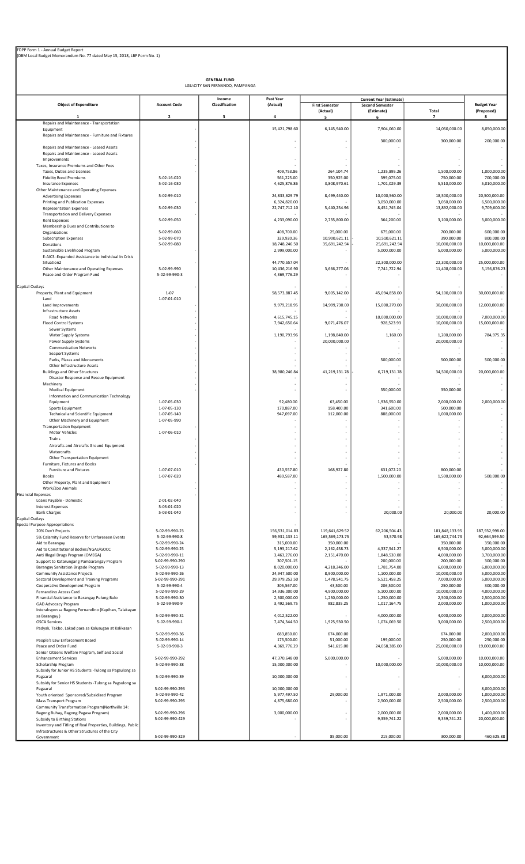| FDPP Form 1 - Annual Budget Report<br>(DBM Local Budget Memorandum No. 77 dated May 15, 2018, LBP Form No. 1) |                                    |                                                        |                                |                                   |                                      |                               |                                  |
|---------------------------------------------------------------------------------------------------------------|------------------------------------|--------------------------------------------------------|--------------------------------|-----------------------------------|--------------------------------------|-------------------------------|----------------------------------|
|                                                                                                               |                                    |                                                        |                                |                                   |                                      |                               |                                  |
|                                                                                                               |                                    | <b>GENERAL FUND</b><br>LGU:CITY SAN FERNANDO, PAMPANGA |                                |                                   |                                      |                               |                                  |
|                                                                                                               |                                    | Income                                                 | Past Year                      |                                   | <b>Current Year (Estimate)</b>       |                               |                                  |
| <b>Object of Expenditure</b>                                                                                  | <b>Account Code</b>                | Classification                                         | (Actual)                       | <b>First Semester</b><br>(Actual) | <b>Second Semester</b><br>(Estimate) | Total                         | <b>Budget Year</b><br>(Proposed) |
| -1<br>Repairs and Maintenance - Transportation                                                                | $\overline{2}$                     | 3                                                      | 4                              | 5                                 | 6                                    | $\overline{ }$                | 8                                |
| Equipment<br>Repairs and Maintenance - Furniture and Fixtures                                                 |                                    |                                                        | 15,421,798.60                  | 6,145,940.00                      | 7,904,060.00                         | 14,050,000.00                 | 8,050,000.00                     |
| Repairs and Maintenance - Leased Assets                                                                       |                                    |                                                        |                                |                                   | 300,000.00                           | 300,000.00                    | 200,000.00                       |
| Repairs and Maintenance - Leased Assets<br>Improvements                                                       |                                    |                                                        |                                |                                   |                                      |                               |                                  |
| Taxes, Insurance Premiums and Other Fees<br>Taxes, Duties and Licenses                                        |                                    |                                                        | 409,753.86                     | 264,104.74                        | 1,235,895.26                         | 1,500,000.00                  | 1,000,000.00                     |
| <b>Fidelity Bond Premiums</b><br><b>Insurance Expenses</b>                                                    | 5-02-16-020<br>5-02-16-030         |                                                        | 561,225.00<br>4,625,876.86     | 350,925.00<br>3,808,970.61        | 399,075.00<br>1,701,029.39           | 750,000.00<br>5,510,000.00    | 700,000.00<br>5,010,000.00       |
| Other Maintenance and Operating Expenses<br><b>Advertising Expenses</b>                                       | 5-02-99-010                        |                                                        | 24,833,629.79                  | 8,499,440.00                      | 10,000,560.00                        | 18,500,000.00                 | 20,500,000.00                    |
| Printing and Publication Expenses<br><b>Representation Expenses</b>                                           | 5-02-99-030                        |                                                        | 6,324,820.00<br>22,747,712.10  | 5,440,254.96                      | 3,050,000.00<br>8,451,745.04         | 3,050,000.00<br>13,892,000.00 | 6,500,000.00<br>9,709,600.00     |
| <b>Transportation and Delivery Expenses</b><br><b>Rent Expenses</b>                                           | 5-02-99-050                        |                                                        | 4,233,090.00                   | 2,735,800.00                      | 364,200.00                           | 3,100,000.00                  | 3,000,000.00                     |
| Membership Dues and Contributions to                                                                          |                                    |                                                        |                                |                                   |                                      |                               |                                  |
| Organizations<br><b>Subscription Expenses</b>                                                                 | 5-02-99-060<br>5-02-99-070         |                                                        | 408,700.00<br>329,920.36       | 25,000.00<br>10,900,621.11        | 675,000.00<br>10,510,621.11          | 700,000.00<br>390,000.00      | 600,000.00<br>800,000.00         |
| Donations<br>Sustainable Livelihood Program                                                                   | 5-02-99-080                        |                                                        | 18,748,246.50<br>2,999,000.00  | 35,691,242.94                     | 25,691,242.94<br>5,000,000.00        | 10,000,000.00<br>5,000,000.00 | 10,000,000.00<br>5,000,000.00    |
| E-AICS -Expanded Assistance to Individual In Crisis<br>Situation2                                             |                                    |                                                        | 44,770,557.04                  |                                   | 22,300,000.00                        | 22,300,000.00                 | 25,000,000.00                    |
| Other Maintenance and Operating Expenses<br>Peace and Order Program Fund                                      | 5-02-99-990<br>5-02-99-990-3       |                                                        | 10,436,216.90<br>4,369,776.29  | 3,666,277.06                      | 7,741,722.94                         | 11,408,000.00                 | 5,156,876.23                     |
|                                                                                                               |                                    |                                                        |                                |                                   |                                      |                               |                                  |
| Capital Outlays<br>Property, Plant and Equipment                                                              | $1 - 07$                           |                                                        | 58,573,887.45                  | 9,005,142.00                      | 45,094,858.00                        | 54,100,000.00                 | 30,000,000.00                    |
| Land<br>Land Improvements                                                                                     | 1-07-01-010                        |                                                        | 9,979,218.95                   | 14,999,730.00                     | 15,000,270.00                        | 30,000,000.00                 | 12,000,000.00                    |
| Infrastructure Assets<br>Road Networks                                                                        |                                    |                                                        | 4,615,745.15                   |                                   | 10,000,000.00                        | 10,000,000.00                 | 7,000,000.00                     |
| Flood Control Systems<br>Sewer Systems                                                                        |                                    |                                                        | 7,942,650.64                   | 9,071,476.07                      | 928,523.93                           | 10,000,000.00                 | 15,000,000.00                    |
| Water Supply Systems<br>Power Supply Systems                                                                  |                                    |                                                        | 1,190,793.96                   | 1,198,840.00<br>20,000,000.00     | 1,160.00                             | 1,200,000.00<br>20,000,000.00 | 784,975.35                       |
| <b>Communication Networks</b>                                                                                 |                                    |                                                        |                                |                                   |                                      |                               |                                  |
| Seaport Systems<br>Parks, Plazas and Monuments                                                                |                                    |                                                        |                                |                                   | 500,000.00                           | 500,000.00                    | 500,000.00                       |
| Other Infrastructure Assets<br><b>Buildings and Other Structures</b>                                          |                                    |                                                        | 38,980,246.84                  | 41,219,131.78                     | 6,719,131.78                         | 34,500,000.00                 | 20,000,000.00                    |
| Disaster Response and Rescue Equipment<br>Machinery                                                           |                                    |                                                        |                                |                                   |                                      |                               |                                  |
| Medical Equipment<br>Information and Communication Technology                                                 |                                    |                                                        |                                | ä,                                | 350,000.00                           | 350,000.00                    |                                  |
| Equipment<br>Sports Equipment                                                                                 | 1-07-05-030<br>1-07-05-130         |                                                        | 92,480.00<br>170,887.00        | 63,450.00<br>158,400.00           | 1,936,550.00<br>341,600.00           | 2,000,000.00<br>500,000.00    | 2,000,000.00                     |
| <b>Technical and Scientific Equipment</b>                                                                     | 1-07-05-140                        |                                                        | 947,097.00                     | 112,000.00                        | 888,000.00                           | 1,000,000.00                  |                                  |
| Other Machinery and Equipment<br><b>Transportation Equipment</b>                                              | 1-07-05-990                        |                                                        |                                |                                   |                                      |                               |                                  |
| Motor Vehicles<br>Trains                                                                                      | 1-07-06-010                        |                                                        |                                |                                   |                                      |                               |                                  |
| Aircrafts and Aircrafts Ground Equipment<br>Watercrafts                                                       |                                    |                                                        |                                |                                   |                                      |                               |                                  |
| Other Transportation Equipment<br>Furniture, Fixtures and Books                                               |                                    |                                                        |                                |                                   |                                      |                               |                                  |
| Furniture and Fixtures<br><b>Books</b>                                                                        | 1-07-07-010<br>1-07-07-020         |                                                        | 430,557.80<br>489,587.00       | 168,927.80                        | 631,072.20<br>1,500,000.00           | 800,000.00<br>1,500,000.00    | 500,000.00                       |
| Other Property, Plant and Equipment                                                                           |                                    |                                                        |                                | ×,                                |                                      |                               |                                  |
| Work/Zoo Animals<br><b>Financial Expenses</b>                                                                 |                                    |                                                        |                                | ÷                                 |                                      |                               |                                  |
| Loans Payable - Domestic<br><b>Interest Expenses</b>                                                          | 2-01-02-040<br>5-03-01-020         |                                                        |                                | ä,                                |                                      |                               |                                  |
| <b>Bank Charges</b><br>Capital Outlays                                                                        | 5-03-01-040                        |                                                        |                                | ×,                                | 20,000.00                            | 20,000.00                     | 20,000.00                        |
| <b>Special Purpose Appropriations</b><br>20% Dev't Projects                                                   | 5-02-99-990-23                     |                                                        | 156,531,014.83                 | 119,641,629.52                    | 62,206,504.43                        | 181,848,133.95                | 187,932,998.00                   |
| 5% Calamity Fund Reserve for Unforeseen Events<br>Aid to Barangay                                             | 5-02-99-990-8<br>5-02-99-990-24    |                                                        | 59,931,133.11<br>315,000.00    | 165,569,173.75<br>350,000.00      | 53,570.98                            | 165,622,744.73<br>350,000.00  | 92,664,599.50<br>350,000.00      |
| Aid to Constitutional Bodies/NGAs/GOCC                                                                        | 5-02-99-990-25                     |                                                        | 5,193,217.62                   | 2,162,458.73                      | 4,337,541.27                         | 6,500,000.00                  | 5,000,000.00                     |
| Anti Illegal Drugs Program (OMEGA)<br>Support to Katarungang Pambarangay Program                              | 5-02-99-990-11<br>5-02-99-990-290  |                                                        | 3,463,276.00<br>307,501.15     | 2,151,470.00                      | 1,848,530.00<br>200,000.00           | 4,000,000.00<br>200,000.00    | 3,700,000.00<br>300,000.00       |
| Barangay Sanitation Brigade Program<br><b>Community Assistance Projects</b>                                   | 5-02-99-990-13<br>5-02-99-990-26   |                                                        | 8,020,000.00<br>24,947,500.00  | 4,218,246.00<br>8,900,000.00      | 1,781,754.00<br>1,100,000.00         | 6,000,000.00<br>10,000,000.00 | 6,000,000.00<br>5,000,000.00     |
| Sectoral Development and Training Programs<br>Cooperative Development Program                                 | 5-02-99-990-291<br>5-02-99-990-4   |                                                        | 29,979,252.50<br>305,567.00    | 1,478,541.75<br>43,500.00         | 5,521,458.25<br>206,500.00           | 7,000,000.00<br>250,000.00    | 5,000,000.00<br>300,000.00       |
| Fernandino Access Card<br>Financial Assistance to Barangay Pulung Bulo                                        | 5-02-99-990-29<br>5-02-99-990-30   |                                                        | 14,936,000.00<br>2,500,000.00  | 4,900,000.00<br>1,250,000.00      | 5,100,000.00<br>1,250,000.00         | 10,000,000.00<br>2,500,000.00 | 4,000,000.00<br>2,500,000.00     |
| GAD Advocacy Program                                                                                          | 5-02-99-990-9                      |                                                        | 3,492,569.75                   | 982,835.25                        | 1,017,164.75                         | 2,000,000.00                  | 1,000,000.00                     |
| Interaksyon sa Bagong Fernandino (Kapihan, Talakayan<br>sa Barangay)                                          | 5-02-99-990-31                     |                                                        | 4,012,522.00                   |                                   | 4,000,000.00                         | 4,000,000.00                  | 2,000,000.00                     |
| <b>OSCA Services</b><br>Padyak, Takbo, Lakad para sa Kalusugan at Kalikasan                                   | 5-02-99-990-1                      |                                                        | 7,474,344.50                   | 1,925,930.50                      | 1,074,069.50                         | 3,000,000.00                  | 2,500,000.00                     |
| People's Law Enforcement Board                                                                                | 5-02-99-990-36<br>5-02-99-990-14   |                                                        | 683,850.00<br>175,500.00       | 674,000.00<br>51,000.00           | 199,000.00                           | 674,000.00<br>250,000.00      | 2,000,000.00<br>250,000.00       |
| Peace and Order Fund<br>Senior Citizens Welfare Program, Self and Social                                      | 5-02-99-990-3                      |                                                        | 4,369,776.29                   | 941,615.00                        | 24,058,385.00                        | 25,000,000.00                 | 19,000,000.00                    |
| <b>Enhancement Services</b><br>Scholarship Program                                                            | 5-02-99-990-292<br>5-02-99-990-38  |                                                        | 47,370,648.00<br>15,000,000.00 | 5,000,000.00<br>ä,                | 10,000,000.00                        | 5,000,000.00<br>10,000,000.00 | 10,000,000.00<br>10,000,000.00   |
| Subsidy for Junior HS Students -Tulong sa Pagsulong sa                                                        | 5-02-99-990-39                     |                                                        | 10,000,000.00                  | ä,                                |                                      |                               | 8,000,000.00                     |
| Pagaaral<br>Subsidy for Senior HS Students - Tulong sa Pagsulong sa                                           |                                    |                                                        |                                |                                   |                                      |                               |                                  |
| Pagaaral<br>Youth oriented Sponsored/Subsidized Program                                                       | 5-02-99-990-293<br>5-02-99-990-42  |                                                        | 10,000,000.00<br>5,977,497.50  | 29,000.00                         | 1,971,000.00                         | 2,000,000.00                  | 8,000,000.00<br>1,000,000.00     |
| Mass Transport Program<br>Community Transformation Program(Northville 14:                                     | 5-02-99-990-295                    |                                                        | 4,875,680.00                   |                                   | 2,500,000.00                         | 2,500,000.00                  | 2,500,000.00                     |
| Bagong Buhay, Bagong Pagasa Program)<br>Subsidy to Birthing Stations                                          | 5-02-99-990-296<br>5-02-99-990-429 |                                                        | 3,000,000.00                   | ł,                                | 2,000,000.00<br>9,359,741.22         | 2,000,000.00<br>9,359,741.22  | 1,400,000.00<br>20,000,000.00    |
| Inventory and Titling of Real Properties, Buildings, Public<br>Infrastructures & Other Structures of the City |                                    |                                                        |                                |                                   |                                      |                               |                                  |
| Government                                                                                                    | 5-02-99-990-329                    |                                                        |                                | 85,000.00                         | 215,000.00                           | 300,000.00                    | 460,625.88                       |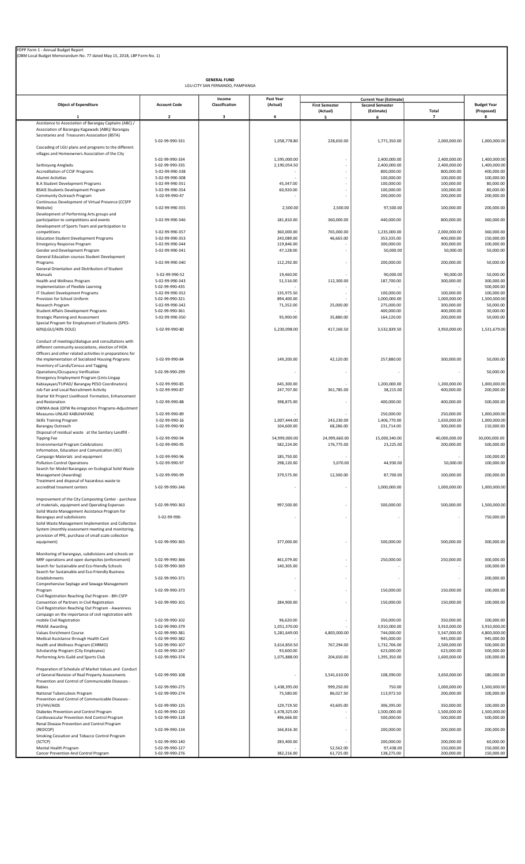| FDPP Form 1 - Annual Budget Report                                      |
|-------------------------------------------------------------------------|
| (DBM Local Budget Memorandum No. 77 dated May 15, 2018, LBP Form No. 1) |

|                                                                                                              |                                    | <b>GENERAL FUND</b><br>LGU:CITY SAN FERNANDO, PAMPANGA |                         |                                   |                                                                        |                            |                                  |
|--------------------------------------------------------------------------------------------------------------|------------------------------------|--------------------------------------------------------|-------------------------|-----------------------------------|------------------------------------------------------------------------|----------------------------|----------------------------------|
| <b>Object of Expenditure</b>                                                                                 | <b>Account Code</b>                | Income<br>Classification                               | Past Year<br>(Actual)   | <b>First Semester</b><br>(Actual) | <b>Current Year (Estimate)</b><br><b>Second Semester</b><br>(Estimate) | Total                      | <b>Budget Year</b><br>(Proposed) |
|                                                                                                              | $\overline{\mathbf{2}}$            | $\overline{\mathbf{3}}$                                | 4                       | 5                                 | 6                                                                      | 7                          | 8                                |
| Assistance to Association of Barangay Captains (ABC) /<br>Association of Barangay Kagawads (ABK)/ Barangay   |                                    |                                                        |                         |                                   |                                                                        |                            |                                  |
| Secretaries and Treasurers Association (BSTA)                                                                |                                    |                                                        |                         |                                   |                                                                        |                            |                                  |
| Cascading of LGU plans and programs to the different                                                         | 5-02-99-990-331                    |                                                        | 1,058,778.80            | 228,650.00                        | 1,771,350.00                                                           | 2,000,000.00               | 1,000,000.00                     |
| villages and Homeowners Association of the City                                                              |                                    |                                                        |                         |                                   |                                                                        |                            |                                  |
|                                                                                                              | 5-02-99-990-334                    |                                                        | 1.595.000.00            |                                   | 2,400,000.00                                                           | 2.400.000.00               | 1,400,000.00                     |
| Serbisyung Aregladu<br>Accreditation of CCSF Programs                                                        | 5-02-99-990-335<br>5-02-99-990-338 |                                                        | 2,190,054.50            |                                   | 2,400,000.00<br>800,000.00                                             | 2,400,000.00<br>800,000.00 | 1,400,000.00<br>400,000.00       |
| Alumni Activities                                                                                            | 5-02-99-990-308                    |                                                        |                         |                                   | 100,000.00                                                             | 100,000.00                 | 100,000.00                       |
| <b>B.A Student Development Programs</b>                                                                      | 5-02-99-990-351                    |                                                        | 45,347.00               |                                   | 100,000.00                                                             | 100,000.00                 | 80,000.00                        |
| BSAIS Students Development Program                                                                           | 5-02-99-990-354<br>5-02-99-990-47  |                                                        | 60,920.00               |                                   | 100,000.00<br>200,000.00                                               | 100,000.00<br>200,000.00   | 80,000.00<br>200,000.00          |
| Community Outreach Program<br>Continuous Development of Virtual Presence (CCSFP                              |                                    |                                                        |                         |                                   |                                                                        |                            |                                  |
| Website)                                                                                                     | 5-02-99-990-355                    |                                                        | 2,500.00                | 2,500.00                          | 97,500.00                                                              | 100,000.00                 | 200,000.00                       |
| Development of Performing Arts groups and                                                                    |                                    |                                                        |                         |                                   |                                                                        |                            |                                  |
| participation to competitions and events<br>Development of Sports Team and participation to                  | 5-02-99-990-346                    |                                                        | 181,810.00              | 360,000.00                        | 440,000.00                                                             | 800,000.00                 | 360,000.00                       |
| competitions                                                                                                 | 5-02-99-990-357                    |                                                        | 360,000.00              | 765,000.00                        | 1,235,000.00                                                           | 2,000,000.00               | 360,000.00                       |
| <b>Education Student Development Programs</b>                                                                | 5-02-99-990-353                    |                                                        | 243,089.00              | 46,665.00                         | 353,335.00                                                             | 400,000.00                 | 150,000.00                       |
| <b>Emergency Response Program</b>                                                                            | 5-02-99-990-344                    |                                                        | 119,846.00              |                                   | 300,000.00                                                             | 300,000.00                 | 100,000.00                       |
| Gender and Development Program<br>General Education courses Student Development                              | 5-02-99-990-341                    |                                                        | 47,128.00               |                                   | 50,000.00                                                              | 50,000.00                  | 50,000.00                        |
| Programs                                                                                                     | 5-02-99-990-340                    |                                                        | 112,292.00              |                                   | 200,000.00                                                             | 200,000.00                 | 50.000.00                        |
| General Orientation and Distribution of Student                                                              |                                    |                                                        |                         |                                   |                                                                        |                            |                                  |
| Manuals<br>Health and Wellness Program                                                                       | 5-02-99-990-52<br>5-02-99-990-343  |                                                        | 19,460.00<br>51,516.00  | 112,300.00                        | 90,000.00<br>187,700.00                                                | 90,000.00<br>300,000.00    | 50,000.00<br>300,000.00          |
| Implementation of Flexible Learning                                                                          | 5-02-99-990-435                    |                                                        |                         |                                   |                                                                        |                            | 500,000.00                       |
| IT Student Development Programs                                                                              | 5-02-99-990-352                    |                                                        | 135,975.50              |                                   | 100,000.00                                                             | 100,000.00                 | 100,000.00                       |
| Provision for School Uniform<br>Research Program                                                             | 5-02-99-990-321<br>5-02-99-990-342 |                                                        | 894,400.00<br>71,352.00 | 25,000.00                         | 1,000,000.00<br>275,000.00                                             | 1,000,000.00<br>300,000.00 | 1,500,000.00<br>50,000.00        |
| <b>Student Affairs Development Programs</b>                                                                  | 5-02-99-990-361                    |                                                        |                         |                                   | 400,000.00                                                             | 400,000.00                 | 30,000.00                        |
| <b>Strategic Planning and Assessment</b>                                                                     | 5-02-99-990-350                    |                                                        | 95,900.00               | 35,880.00                         | 164,120.00                                                             | 200,000.00                 | 50,000.00                        |
| Special Program for Employment of Students (SPES-                                                            |                                    |                                                        |                         |                                   |                                                                        |                            |                                  |
| 60%(LGU)/40% DOLE)                                                                                           | 5-02-99-990-80                     |                                                        | 5,230,098.00            | 417,160.50                        | 3,532,839.50                                                           | 3,950,000.00               | 1,531,679.00                     |
| Conduct of meetings/dialogue and consultations with                                                          |                                    |                                                        |                         |                                   |                                                                        |                            |                                  |
| different community associations, election of HOA                                                            |                                    |                                                        |                         |                                   |                                                                        |                            |                                  |
| Officers and other related activities in preparations for                                                    |                                    |                                                        |                         |                                   |                                                                        |                            |                                  |
| the implementation of Socialized Housing Programs<br>Inventory of Lands/Census and Tagging                   | 5-02-99-990-84                     |                                                        | 149,200.00              | 42,120.00                         | 257,880.00                                                             | 300,000.00                 | 50,000.00                        |
| Operations/Occupancy Verification                                                                            | 5-02-99-990-299                    |                                                        |                         |                                   |                                                                        | $\overline{\phantom{a}}$   | 50,000.00                        |
| Emergency Employment Program (Linis-Lingap                                                                   |                                    |                                                        |                         |                                   |                                                                        |                            |                                  |
| Kabiayayan/TUPAD/ Barangay PESO Coordinators)                                                                | 5-02-99-990-85<br>5-02-99-990-87   |                                                        | 645,300.00              |                                   | 1,200,000.00                                                           | 1,200,000.00               | 1,000,000.00                     |
| Job Fair and Local Recruitment Activity<br>Starter Kit Project Livelihood Formation, Enhancement             |                                    |                                                        | 247,707.00              | 361,785.00                        | 38,215.00                                                              | 400,000.00                 | 200,000.00                       |
| and Restoration                                                                                              | 5-02-99-990-88                     |                                                        | 398,875.00              |                                   | 400,000.00                                                             | 400,000.00                 | 500,000.00                       |
| OWWA desk (OFW Re-integration Programs-Adjustment                                                            |                                    |                                                        |                         |                                   |                                                                        |                            |                                  |
| Measures-UNLAD KABUHAYAN)<br><b>Skills Training Program</b>                                                  | 5-02-99-990-89<br>5-02-99-990-16   |                                                        | 1,007,444.00            | 243,230.00                        | 250,000.00<br>1,406,770.00                                             | 250,000.00<br>1,650,000.00 | 1.000.000.00<br>1,000,000.00     |
| Barangay Outreach                                                                                            | 5-02-99-990-90                     |                                                        | 104,600.00              | 68,286.00                         | 231,714.00                                                             | 300,000.00                 | 210,000.00                       |
| Disposal of residual waste at the Sanitary Landfill -                                                        |                                    |                                                        |                         |                                   |                                                                        |                            |                                  |
| <b>Tipping Fee</b>                                                                                           | 5-02-99-990-94                     |                                                        | 54,999,000.00           | 24.999.660.00                     | 15,000,340.00                                                          | 40,000,000.00              | 30,000,000.00                    |
| <b>Environmental Program Celebrations</b><br>Information, Education and Comunication (IEC)                   | 5-02-99-990-95                     |                                                        | 582,224.00              | 176,775.00                        | 23,225.00                                                              | 200,000.00                 | 500,000.00                       |
| Campaign Materials and equipment                                                                             | 5-02-99-990-96                     |                                                        | 185,750.00              |                                   |                                                                        |                            | 100,000.00                       |
| <b>Pollution Control Operations</b>                                                                          | 5-02-99-990-97                     |                                                        | 298,120.00              | 5,070.00                          | 44,930.00                                                              | 50,000.00                  | 100,000.00                       |
| Search for Model Barangays on Ecological Solid Waste<br>Management (Awarding)                                | 5-02-99-990-99                     |                                                        | 379,575.00              | 12,300.00                         | 87,700.00                                                              | 100.000.00                 | 200.000.00                       |
| Treatment and disposal of hazardous waste to                                                                 |                                    |                                                        |                         |                                   |                                                                        |                            |                                  |
| accredited treament centers                                                                                  | 5-02-99-990-246                    |                                                        |                         |                                   | 1,000,000.00                                                           | 1,000,000.00               | 1,000,000.00                     |
|                                                                                                              |                                    |                                                        |                         |                                   |                                                                        |                            |                                  |
| Improvement of the City Composting Center - purchase<br>of materials, equipment and Operating Expenses       | 5-02-99-990-363                    |                                                        | 997,500.00              | $\sim$                            | 500.000.00                                                             | 500.000.00                 | 1,500,000.00                     |
| Solid Waste Management Assistance Program for                                                                |                                    |                                                        |                         |                                   |                                                                        |                            |                                  |
| Barangays and subdivisions                                                                                   | 5-02-99-990-                       |                                                        |                         |                                   |                                                                        |                            | 750,000.00                       |
| Solid Waste Management Implemention and Collection                                                           |                                    |                                                        |                         |                                   |                                                                        |                            |                                  |
| System (monthly assessment meeting and monitoring,<br>provision of PPE, purchase of small scale collection   |                                    |                                                        |                         |                                   |                                                                        |                            |                                  |
| equipment)                                                                                                   | 5-02-99-990-365                    |                                                        | 377,000.00              |                                   | 500,000.00                                                             | 500.000.00                 | 300,000.00                       |
|                                                                                                              |                                    |                                                        |                         |                                   |                                                                        |                            |                                  |
| Monitoring of barangays, subdivisions and schools on<br>MRF operations and open dumpsites (enforcement)      | 5-02-99-990-366                    |                                                        | 461,079.00              |                                   | 250,000.00                                                             | 250,000.00                 | 300,000.00                       |
| Search for Sustainable and Eco-friendly Schools                                                              | 5-02-99-990-369                    |                                                        | 140,305.00              |                                   |                                                                        |                            | 100,000.00                       |
| Search for Sustainable and Eco-Friendly Business                                                             |                                    |                                                        |                         |                                   |                                                                        |                            |                                  |
| Establishments                                                                                               | 5-02-99-990-371                    |                                                        |                         |                                   |                                                                        |                            | 200,000.00                       |
| Comprehensive Septage and Sewage Management<br>Program                                                       | 5-02-99-990-373                    |                                                        |                         |                                   | 150,000.00                                                             | 150,000.00                 | 100,000.00                       |
| Civil Registration Reaching Out Program - 8th CSFP                                                           |                                    |                                                        |                         |                                   |                                                                        |                            |                                  |
| Convention of Partners in Civil Registration                                                                 | 5-02-99-990-101                    |                                                        | 284,900.00              |                                   | 150,000.00                                                             | 150,000.00                 | 100,000.00                       |
| Civil Registration Reaching Out Program - Awareness<br>campaign on the importance of civil registration with |                                    |                                                        |                         |                                   |                                                                        |                            |                                  |
| mobile Civil Registration                                                                                    | 5-02-99-990-102                    |                                                        | 96,620.00               |                                   | 350,000.00                                                             | 350,000.00                 | 100,000.00                       |
| <b>PRAISE Awarding</b>                                                                                       | 5-02-99-990-379                    |                                                        | 1,051,370.00            |                                   | 3,910,000.00                                                           | 3,910,000.00               | 3,910,000.00                     |
| Values Enrichment Course<br>Medical Assistance through Health Card                                           | 5-02-99-990-381<br>5-02-99-990-382 |                                                        | 5,281,649.00            | 4,803,000.00                      | 744,000.00<br>945,000.00                                               | 5,547,000.00<br>945,000.00 | 4,800,000.00<br>945,000.00       |
| Health and Wellness Program (CHRMO)                                                                          | 5-02-99-990-107                    |                                                        | 3,614,850.50            | 767,294.00                        | 1,732,706.00                                                           | 2,500,000.00               | 500,000.00                       |
| Scholarship Program (City Employees)                                                                         | 5-02-99-990-247                    |                                                        | 93,600.00               |                                   | 623,000.00                                                             | 623,000.00                 | 500,000.00                       |
| Performing Arts Guild and Sports Club                                                                        | 5-02-99-990-374                    |                                                        | 1,075,888.00            | 204,650.00                        | 1,395,350.00                                                           | 1,600,000.00               | 100,000.00                       |
| Preparation of Schedule of Market Values and Conduct                                                         |                                    |                                                        |                         |                                   |                                                                        |                            |                                  |
| of General Revision of Real Property Assessments                                                             | 5-02-99-990-108                    |                                                        |                         | 3,541,610.00                      | 108,390.00                                                             | 3,650,000.00               | 180,000.00                       |
| Prevention and Control of Communicable Diseases -                                                            |                                    |                                                        |                         |                                   |                                                                        |                            |                                  |
| Rabies                                                                                                       | 5-02-99-990-275<br>5-02-99-990-274 |                                                        | 1,438,395.00            | 999,250.00                        | 750.00<br>113,972.50                                                   | 1,000,000.00<br>200,000.00 | 1,500,000.00<br>100,000.00       |
| National Tuberculosis Program<br>Prevention and Control of Communicable Diseases -                           |                                    |                                                        | 75,580.00               | 86,027.50                         |                                                                        |                            |                                  |
| STI/HIV/AIDS                                                                                                 | 5-02-99-990-135                    |                                                        | 129,719.50              | 43,605.00                         | 306,395.00                                                             | 350,000.00                 | 100,000.00                       |
| Diabetes Prevention and Control Program                                                                      | 5-02-99-990-120                    |                                                        | 1,478,325.00            |                                   | 1,500,000.00                                                           | 1,500,000.00               | 1,500,000.00                     |
| Cardiovascular Prevention And Control Program<br>Renal Disease Prevention and Control Program                | 5-02-99-990-118                    |                                                        | 496,666.00              |                                   | 500,000.00                                                             | 500,000.00                 | 500,000.00                       |
| (REDCOP)                                                                                                     | 5-02-99-990-134                    |                                                        | 166,816.30              |                                   | 200,000.00                                                             | 200,000.00                 | 200,000.00                       |
| Smoking Cessation and Tobacco Control Program                                                                |                                    |                                                        |                         |                                   |                                                                        |                            |                                  |
| (SCTCP)<br>Mental Health Program                                                                             | 5-02-99-990-140<br>5-02-99-990-127 |                                                        | 283.400.00              | 52,562.00                         | 200,000.00<br>97,438.00                                                | 200.000.00<br>150,000.00   | 60,000.00<br>150,000.00          |
| Cancer Prevention And Control Program                                                                        | 5-02-99-990-276                    |                                                        | 382,216.00              | 61,725.00                         | 138,275.00                                                             | 200,000.00                 | 150,000.00                       |
|                                                                                                              |                                    |                                                        |                         |                                   |                                                                        |                            |                                  |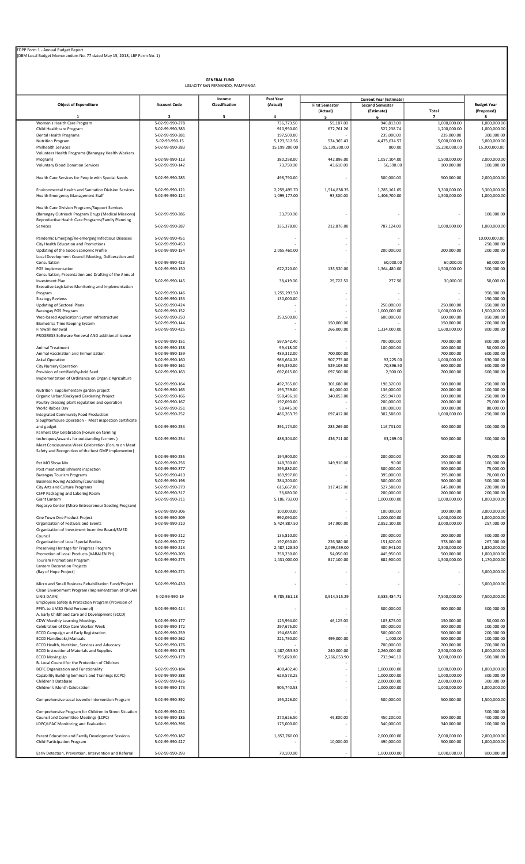|                                                                                           |                                    | <b>GENERAL FUND</b><br>LGU:CITY SAN FERNANDO, PAMPANGA |                            |                                   |                                      |                                |                                  |
|-------------------------------------------------------------------------------------------|------------------------------------|--------------------------------------------------------|----------------------------|-----------------------------------|--------------------------------------|--------------------------------|----------------------------------|
|                                                                                           |                                    | Income                                                 | Past Year                  |                                   | <b>Current Year (Estimate)</b>       |                                |                                  |
| <b>Object of Expenditure</b>                                                              | <b>Account Code</b>                | Classification                                         | (Actual)                   | <b>First Semester</b><br>(Actual) | <b>Second Semester</b><br>(Estimate) | <b>Total</b>                   | <b>Budget Year</b><br>(Proposed) |
| -1<br>Women's Health Care Program                                                         | $\overline{2}$<br>5-02-99-990-278  | $\overline{\mathbf{3}}$                                | $\Delta$<br>736,773.50     | 59,187.00                         | 6<br>940,813.00                      | $\overline{ }$<br>1,000,000.00 | 8<br>1,000,000.00                |
| Child Healthcare Program                                                                  | 5-02-99-990-383                    |                                                        | 910,950.00                 | 672,761.26                        | 527,238.74                           | 1,200,000.00                   | 1,000,000.00                     |
| Dental Health Programs<br><b>Nutrition Program</b>                                        | 5-02-99-990-281<br>5-02-99-990-15  |                                                        | 197,500.00<br>5,123,512.56 | 524,365.43                        | 235,000.00<br>4,475,634.57           | 235,000.00<br>5,000,000.00     | 300,000.00<br>5,000,000.00       |
| Philhealth Services                                                                       | 5-02-99-990-283                    |                                                        | 15,199,200.00              | 15,199,200.00                     | 800.00                               | 15,200,000.00                  | 15,200,000.00                    |
| Volunteer Health Programs (Barangay Health Workers                                        |                                    |                                                        |                            |                                   |                                      |                                |                                  |
| Program)<br>Voluntary Blood Donation Services                                             | 5-02-99-990-113<br>5-02-99-990-142 |                                                        | 380,298.00<br>73,750.00    | 442,896.00<br>43,610.00           | 1,057,104.00<br>56,390.00            | 1,500,000.00<br>100,000.00     | 2,000,000.00<br>100,000.00       |
| Health Care Services for People with Special Needs                                        | 5-02-99-990-285                    |                                                        | 498,790.00                 |                                   | 500,000.00                           | 500,000.00                     | 2,000,000.00                     |
| Environmental Health and Sanitation Division Services                                     | 5-02-99-990-121                    |                                                        | 2,259,495.70               | 1,514,838.35                      | 1,785,161.65                         | 3,300,000.00                   | 3,300,000.00                     |
| Health Emergency Management Staff                                                         | 5-02-99-990-124                    |                                                        | 1,099,177.00               | 93,300.00                         | 1,406,700.00                         | 1,500,000.00                   | 1,000,000.00                     |
| Health Care Division Programs/Support Services                                            |                                    |                                                        |                            |                                   |                                      |                                |                                  |
| (Barangay Outreach Program Drugs (Medical Missions)                                       | 5-02-99-990-286                    |                                                        | 33,750.00                  |                                   |                                      |                                | 100,000.00                       |
| Reproductive Health Care Programs/Family Planning<br>Services                             | 5-02-99-990-287                    |                                                        | 335,378.00                 | 212,876.00                        | 787,124.00                           | 1,000,000.00                   | 1,000,000.00                     |
|                                                                                           |                                    |                                                        |                            |                                   |                                      |                                |                                  |
| Pandemic Emerging/Re-emerging Infectious Diseases<br>City Health Education and Promotions | 5-02-99-990-451<br>5-02-99-990-453 |                                                        |                            |                                   |                                      |                                | 10,000,000.00<br>250,000.00      |
| Updating of the Socio Economic Profile                                                    | 5-02-99-990-154                    |                                                        | 2,055,460.00               |                                   | 200.000.00                           | 200,000.00                     | 200,000.00                       |
| Local Development Council Meeting, Deliberation and                                       |                                    |                                                        |                            |                                   |                                      |                                |                                  |
| Consultation<br>PGS Implementation                                                        | 5-02-99-990-423<br>5-02-99-990-150 |                                                        | 672,220.00                 | 135,520.00                        | 60,000.00<br>1,364,480.00            | 60,000.00<br>1,500,000.00      | 60,000.00<br>500,000.00          |
| Consultation, Presentation and Drafting of the Annual                                     |                                    |                                                        |                            |                                   |                                      |                                |                                  |
| <b>Investment Plan</b>                                                                    | 5-02-99-990-145                    |                                                        | 38,419.00                  | 29,722.50                         | 277.50                               | 30,000.00                      | 50,000.00                        |
| Executive-Legislative Monitoring and Implementation<br>Program                            | 5-02-99-990-146                    |                                                        | 1,255,293.50               |                                   |                                      |                                | 950,000.00                       |
| <b>Strategy Reviews</b>                                                                   | 5-02-99-990-153                    |                                                        | 130,000.00                 |                                   |                                      |                                | 150,000.00                       |
| Updating of Sectoral Plans<br>Barangay PGS Program                                        | 5-02-99-990-424<br>5-02-99-990-152 |                                                        |                            |                                   | 250,000.00<br>1,000,000.00           | 250,000.00<br>1,000,000.00     | 650,000.00<br>1,500,000.00       |
| Web-based Application System Infrastructure                                               | 5-02-99-990-250                    |                                                        | 253,500.00                 |                                   | 600,000.00                           | 600,000.00                     | 850,000.00                       |
| <b>Biometrics Time Keeping System</b>                                                     | 5-02-99-990-144                    |                                                        |                            | 150,000.00                        |                                      | 150,000.00                     | 200,000.00                       |
| Firewall Renewal<br>PROGRESS Software Renewal AND additional license                      | 5-02-99-990-425                    |                                                        | ٠                          | 266,000.00                        | 1,334,000.00                         | 1,600,000.00                   | 800,000.00                       |
|                                                                                           | 5-02-99-990-151                    |                                                        | 597,542.40                 |                                   | 700,000.00                           | 700,000.00                     | 800,000.00                       |
| Animal Treatment                                                                          | 5-02-99-990-158                    |                                                        | 99,418.00                  |                                   | 100,000.00                           | 100,000.00                     | 50,000.00                        |
| Animal vaccination and Immunization<br><b>Askal Operation</b>                             | 5-02-99-990-159<br>5-02-99-990-160 |                                                        | 489,312.00<br>986,664.28   | 700,000.00<br>907,775.00          | 92,225.00                            | 700,000.00<br>1,000,000.00     | 600,000.00<br>630,000.00         |
| City Nursery Operation                                                                    | 5-02-99-990-161                    |                                                        | 495,330.00                 | 529,103.50                        | 70,896.50                            | 600,000.00                     | 600,000.00                       |
| Provision of certified/hy-brid Seed                                                       | 5-02-99-990-163                    |                                                        | 697,015.00                 | 697,500.00                        | 2,500.00                             | 700,000.00                     | 600,000.00                       |
| Implementation of Ordinance on Organic Agriculture                                        | 5-02-99-990-164                    |                                                        | 492,765.00                 | 301,680.00                        | 198,320.00                           | 500,000.00                     | 250,000.00                       |
| Nutrition supplementary garden project                                                    | 5-02-99-990-165                    |                                                        | 195,759.00                 | 64,000.00                         | 136,000.00                           | 200,000.00                     | 100,000.00                       |
| Organic Urban/Backyard Gardening Project                                                  | 5-02-99-990-166                    |                                                        | 558,496.18                 | 340,053.00                        | 259,947.00                           | 600,000.00                     | 250,000.00                       |
| Poultry dressing plant regulation and operation<br>World Rabies Day                       | 5-02-99-990-167<br>5-02-99-990-251 |                                                        | 197,090.00<br>98,445.00    |                                   | 200,000.00<br>100,000.00             | 200,000.00<br>100,000.00       | 75,000.00<br>80,000.00           |
| Integrated Community Food Production                                                      | 5-02-99-990-252                    |                                                        | 486,263.79                 | 697,412.00                        | 302,588.00                           | 1,000,000.00                   | 250,000.00                       |
| Slaughterhouse Operation - Meat inspection certificate                                    |                                    |                                                        |                            |                                   |                                      |                                |                                  |
| and gadget<br>Farmers Day Celebration (Forum on farming                                   | 5-02-99-990-253                    |                                                        | 391.174.00                 | 283.269.00                        | 116,731.00                           | 400.000.00                     | 100,000.00                       |
| techniques/awards for outstanding farmers)                                                | 5-02-99-990-254                    |                                                        | 488,304.00                 | 436,711.00                        | 63,289.00                            | 500,000.00                     | 300,000.00                       |
| Meat Conciousness Week Celebration (Forum on Meat                                         |                                    |                                                        |                            |                                   |                                      |                                |                                  |
| Safety and Recognition of the best GMP implementor)                                       | 5-02-99-990-255                    |                                                        | 194,900.00                 |                                   | 200,000.00                           | 200,000.00                     | 75,000.00                        |
| Pet MO Show Mo                                                                            | 5-02-99-990-256                    |                                                        | 148,760.00                 | 149,910.00                        | 90.00                                | 150,000.00                     | 100,000.00                       |
| Post meat establishment inspection                                                        | 5-02-99-990-377                    |                                                        | 295,882.00                 |                                   | 300,000.00                           | 300,000.00                     | 75,000.00                        |
| <b>Barangay Tourism Programs</b><br><b>Business Roving Academy/Counseling</b>             | 5-02-99-990-410<br>5-02-99-990-198 |                                                        | 189,997.00<br>284,200.00   |                                   | 395,000.00<br>300,000.00             | 395,000.00<br>300,000.00       | 70,000.00<br>500,000.00          |
| City Arts and Culture Programs                                                            | 5-02-99-990-270                    |                                                        | 615,667.00                 | 117,412.00                        | 527,588.00                           | 645,000.00                     | 220,000.00                       |
| CSFP Packaging and Labeling Room<br>Giant Lantern                                         | 5-02-99-990-317<br>5-02-99-990-211 |                                                        | 36,680.00<br>5,186,732.00  |                                   | 200,000.00<br>1,000,000.00           | 200,000.00<br>1,000,000.00     | 200,000.00<br>1,000,000.00       |
| Negosyo Center (Micro Entrepreneur Seeding Program)                                       |                                    |                                                        |                            |                                   |                                      |                                |                                  |
|                                                                                           | 5-02-99-990-206                    |                                                        | 100,000.00                 |                                   | 100,000.00                           | 100,000.00                     | 3,000,000.00                     |
| One Town One Product Project<br>Organization of Festivals and Events                      | 5-02-99-990-209<br>5-02-99-990-210 |                                                        | 992,090.00<br>5,424,887.50 | 147,900.00                        | 1,000,000.00<br>2,852,100.00         | 1,000,000.00<br>3,000,000.00   | 1,000,000.00<br>257,000.00       |
| Organization of Investment Incentive Board/SMED                                           |                                    |                                                        |                            |                                   |                                      |                                |                                  |
| Council                                                                                   | 5-02-99-990-212                    |                                                        | 135,810.00                 |                                   | 200,000.00                           | 200,000.00                     | 500,000.00                       |
| Organization of Local Special Bodies<br>Preserving Heritage for Progress Program          | 5-02-99-990-272<br>5-02-99-990-213 |                                                        | 197,050.00<br>2,487,128.50 | 226,380.00<br>2,099,059.00        | 151,620.00<br>400,941.00             | 378,000.00<br>2,500,000.00     | 267,000.00<br>1,820,000.00       |
| Promotion of Local Products (KABALEN.PH)                                                  | 5-02-99-990-203                    |                                                        | 258,230.00                 | 54,050.00                         | 445,950.00                           | 500,000.00                     | 1,000,000.00                     |
| <b>Tourism Promotions Program</b><br>Lantern Decoration Projects                          | 5-02-99-990-273                    |                                                        | 1,431,000.00               | 817,100.00                        | 682,900.00                           | 1,500,000.00                   | 1,170,000.00                     |
| (Ray of Hope Project)                                                                     | 5-02-99-990-271                    |                                                        |                            |                                   |                                      |                                | 5,000,000.00                     |
| Micro and Small Business Rehabilitation Fund/Project                                      | 5-02-99-990-430                    |                                                        |                            |                                   |                                      |                                | 5,000,000.00                     |
| Clean Environment Program (Implementation of OPLAN                                        |                                    |                                                        |                            |                                   |                                      |                                |                                  |
| LINIS DAAN)<br>Employees Safety & Protection Program (Provision of                        | 5-02-99-990-19                     |                                                        | 9,785,361.18               | 3,914,515.29                      | 3,585,484.71                         | 7,500,000.00                   | 7,500,000.00                     |
| PPE's to UMSD Field Personnel)<br>A. Early Childhood Care and Development (ECCD)          | 5-02-99-990-414                    |                                                        | $\overline{\phantom{a}}$   |                                   | 300,000.00                           | 300,000.00                     | 300,000.00                       |
| CDW Monthly Learning Meetings                                                             | 5-02-99-990-177                    |                                                        | 125,994.00                 | 46,125.00                         | 103,875.00                           | 150,000.00                     | 50,000.00                        |
| Celebration of Day Care Worker Week                                                       | 5-02-99-990-172                    |                                                        | 297,675.00                 |                                   | 300,000.00                           | 300,000.00                     | 100,000.00                       |
| <b>ECCD Campaign and Early Registration</b><br><b>ECCD Handbooks/Manuals</b>              | 5-02-99-990-259<br>5-02-99-990-262 |                                                        | 194,685.00<br>221,760.00   | 499,000.00                        | 500,000.00<br>1,000.00               | 500,000.00<br>500,000.00       | 200,000.00<br>100,000.00         |
| ECCD Health, Nutrition, Services and Advocacy                                             | 5-02-99-990-176                    |                                                        |                            |                                   | 700,000.00                           | 700,000.00                     | 700,000.00                       |
| <b>ECCD Instructional Materials and Supplies</b>                                          | 5-02-99-990-178                    |                                                        | 1,487,053.50               | 240,000.00                        | 2,260,000.00                         | 2,500,000.00                   | 1,000,000.00                     |
| <b>ECCD Moving Up</b><br>B. Local Council for the Protection of Children                  | 5-02-99-990-179                    |                                                        | 795,020.00                 | 2,266,053.90                      | 733,946.10                           | 3,000,000.00                   | 500,000.00                       |
| <b>BCPC Organization and Functionality</b>                                                | 5-02-99-990-184                    |                                                        | 408,402.40                 |                                   | 1,000,000.00                         | 1,000,000.00                   | 1,000,000.00                     |
| Capability Building Seminars and Trainings (LCPC)                                         | 5-02-99-990-388                    |                                                        | 629,573.25                 | ä,                                | 1,000,000.00                         | 1,000,000.00                   | 300,000.00                       |
| Children's Database<br>Children's Month Celebration                                       | 5-02-99-990-426<br>5-02-99-990-173 |                                                        | 905,740.53                 |                                   | 2,000,000.00<br>1,000,000.00         | 2,000,000.00<br>1,000,000.00   | 300,000.00<br>1,000,000.00       |
|                                                                                           |                                    |                                                        |                            |                                   |                                      |                                |                                  |
| Comprehensive Local Juvenile Intervention Program                                         | 5-02-99-990-392                    |                                                        | 195,226.00                 |                                   | 500,000.00                           | 500,000.00                     | 1,500,000.00                     |
| Comprehensive Program for Children in Street Situation                                    | 5-02-99-990-431                    |                                                        |                            |                                   |                                      |                                | 500,000.00                       |
| Council and Committee Meetings (LCPC)                                                     | 5-02-99-990-186                    |                                                        | 270,626.50                 | 49,800.00                         | 450,200.00                           | 500,000.00                     | 400,000.00                       |
| LDPC/LPAC Monitoring and Evaluation                                                       | 5-02-99-990-396                    |                                                        | 175,000.00                 |                                   | 340,000.00                           | 340,000.00                     | 100,000.00                       |
| Parent Education and Family Development Sessions                                          | 5-02-99-990-187                    |                                                        | 1,857,760.00               |                                   | 2,000,000.00                         | 2,000,000.00                   | 2,000,000.00                     |
| Child Participation Program                                                               | 5-02-99-990-427                    |                                                        |                            | 10,000.00                         | 490,000.00                           | 500,000.00                     | 1,000,000.00                     |
| Early Detection, Prevention, Intervention and Referral                                    | 5-02-99-990-393                    |                                                        | 79,100.00                  |                                   | 1,000,000.00                         | 1,000,000.00                   | 800,000.00                       |
|                                                                                           |                                    |                                                        |                            |                                   |                                      |                                |                                  |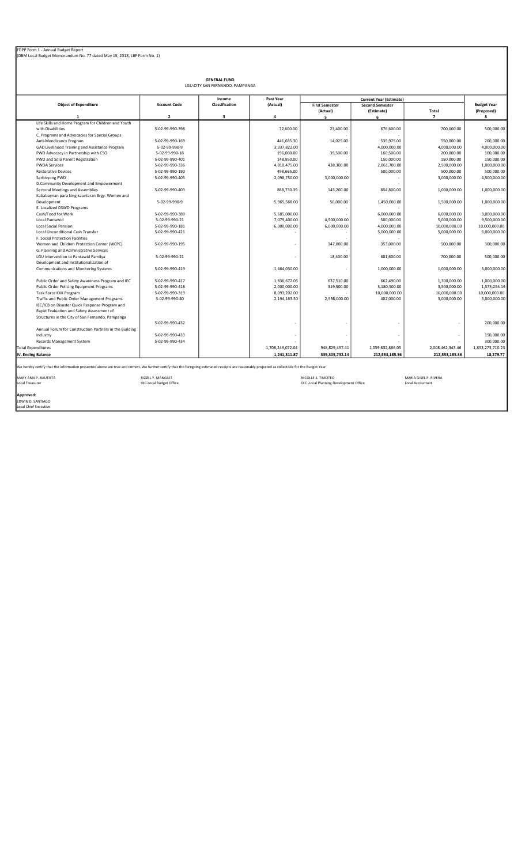|                                                                                                                                                                                                   |                         | <b>GENERAL FUND</b>             |                  |                                        |                                      |                       |                                  |
|---------------------------------------------------------------------------------------------------------------------------------------------------------------------------------------------------|-------------------------|---------------------------------|------------------|----------------------------------------|--------------------------------------|-----------------------|----------------------------------|
|                                                                                                                                                                                                   |                         | LGU:CITY SAN FERNANDO, PAMPANGA |                  |                                        |                                      |                       |                                  |
|                                                                                                                                                                                                   |                         | Income                          | Past Year        |                                        | <b>Current Year (Estimate)</b>       |                       |                                  |
| <b>Object of Expenditure</b>                                                                                                                                                                      | <b>Account Code</b>     | Classification                  | (Actual)         | <b>First Semester</b><br>(Actual)      | <b>Second Semester</b><br>(Estimate) | Total                 | <b>Budget Year</b><br>(Proposed) |
|                                                                                                                                                                                                   | $\overline{2}$          | 3                               | 4                | 5                                      | 6                                    | $\overline{7}$        | 8                                |
| Life Skills and Home Program for Children and Youth                                                                                                                                               |                         |                                 |                  |                                        |                                      |                       |                                  |
| with Disabilities                                                                                                                                                                                 | 5-02-99-990-398         |                                 | 72,600.00        | 23,400.00                              | 676,600.00                           | 700,000.00            | 500,000.00                       |
| C. Programs and Advocacies for Special Groups                                                                                                                                                     |                         |                                 |                  |                                        |                                      |                       |                                  |
| Anti-Mendicancy Program                                                                                                                                                                           | 5-02-99-990-169         |                                 | 441,685.30       | 14,025.00                              | 535,975.00                           | 550,000.00            | 200,000.00                       |
| GAD Livelihood Training and Assistance Program                                                                                                                                                    | 5-02-99-990-9           |                                 | 3,337,822.00     |                                        | 4,000,000.00                         | 4,000,000.00          | 4,000,000.00                     |
| PWD Advocacy in Partnership with CSO                                                                                                                                                              | 5-02-99-990-18          |                                 | 196,000.00       | 39,500.00                              | 160,500.00                           | 200,000.00            | 100,000.00                       |
| PWD and Solo Parent Registration                                                                                                                                                                  | 5-02-99-990-401         |                                 | 148,950.00       |                                        | 150,000.00                           | 150,000.00            | 150,000.00                       |
| <b>PWDA Services</b>                                                                                                                                                                              | 5-02-99-990-336         |                                 | 4,810,475.00     | 438,300.00                             | 2,061,700.00                         | 2,500,000.00          | 1,000,000.00                     |
| <b>Restorative Devices</b>                                                                                                                                                                        | 5-02-99-990-190         |                                 | 498,665.00       |                                        | 500,000.00                           | 500,000.00            | 500,000.00                       |
| Serbisyong PWD                                                                                                                                                                                    | 5-02-99-990-405         |                                 | 2,098,750.00     | 3,000,000.00                           |                                      | 3,000,000.00          | 4,500,000.00                     |
| D.Community Development and Empowerment                                                                                                                                                           |                         |                                 |                  |                                        |                                      |                       |                                  |
| Sectoral Meetings and Assemblies                                                                                                                                                                  | 5-02-99-990-403         |                                 | 888,730.39       | 145,200.00                             | 854,800.00                           | 1,000,000.00          | 1,000,000.00                     |
| Kababaynan para king kaunlaran Brgy. Women and                                                                                                                                                    |                         |                                 |                  |                                        |                                      |                       |                                  |
| Development                                                                                                                                                                                       | 5-02-99-990-9           |                                 | 5,965,568.00     | 50,000.00                              | 1,450,000.00                         | 1,500,000.00          | 1,000,000.00                     |
| E. Localized DSWD Programs                                                                                                                                                                        |                         |                                 |                  | $\sim$                                 |                                      |                       |                                  |
| Cash/Food for Work                                                                                                                                                                                | 5-02-99-990-389         |                                 | 5,685,000.00     |                                        | 6,000,000.00                         | 6,000,000.00          | 3,000,000.00                     |
| Local Pantawid                                                                                                                                                                                    | 5-02-99-990-21          |                                 | 7,079,400.00     | 4,500,000.00                           | 500,000.00                           | 5,000,000.00          | 9,500,000.00                     |
| <b>Local Social Pension</b>                                                                                                                                                                       | 5-02-99-990-181         |                                 | 6,000,000.00     | 6,000,000.00                           | 4,000,000.00                         | 10,000,000.00         | 10,000,000.00                    |
| <b>Local Unconditional Cash Transfer</b>                                                                                                                                                          | 5-02-99-990-421         |                                 |                  | ٠                                      | 5,000,000.00                         | 5,000,000.00          | 6,000,000.00                     |
| F. Social Protection Facilities                                                                                                                                                                   |                         |                                 |                  |                                        |                                      |                       |                                  |
| Women and Children Protection Center (WCPC)                                                                                                                                                       | 5-02-99-990-195         |                                 |                  | 147,000.00                             | 353,000.00                           | 500,000.00            | 300,000.00                       |
| G. Planning and Administrative Services                                                                                                                                                           |                         |                                 |                  |                                        |                                      |                       |                                  |
| LGU Intervention to Pantawid Pamilya                                                                                                                                                              | 5-02-99-990-21          |                                 |                  | 18,400.00                              | 681,600.00                           | 700,000.00            | 500,000.00                       |
| Development and institutionalization of                                                                                                                                                           |                         |                                 |                  |                                        |                                      |                       |                                  |
| Communications and Monitoring Systems                                                                                                                                                             | 5-02-99-990-419         |                                 | 1,464,030.00     | ٠                                      | 1,000,000.00                         | 1,000,000.00          | 3,000,000.00                     |
| Public Order and Safety Awareness Program and IEC                                                                                                                                                 | 5-02-99-990-417         |                                 | 1,836,672.05     | 637,510.00                             | 662,490.00                           | 1,300,000.00          | 1,000,000.00                     |
| Public Order Policing Equipment Programs                                                                                                                                                          | 5-02-99-990-418         |                                 | 2,000,000.00     | 319,500.00                             | 3,180,500.00                         | 3,500,000.00          | 1,575,254.19                     |
| Task Force KKK Program                                                                                                                                                                            | 5-02-99-990-319         |                                 | 8,093,202.00     |                                        | 10,000,000.00                        | 10,000,000.00         | 10,000,000.00                    |
| Traffic and Public Order Management Programs                                                                                                                                                      | 5-02-99-990-40          |                                 | 2,194,163.50     | 2,598,000.00                           | 402,000.00                           | 3,000,000.00          | 5,000,000.00                     |
| IEC/ICB on Disaster Quick Response Program and                                                                                                                                                    |                         |                                 |                  |                                        |                                      |                       |                                  |
| Rapid Evaluation and Safety Assessment of                                                                                                                                                         |                         |                                 |                  |                                        |                                      |                       |                                  |
| Structures in the City of San Fernando, Pampanga                                                                                                                                                  |                         |                                 |                  |                                        |                                      |                       |                                  |
|                                                                                                                                                                                                   | 5-02-99-990-432         |                                 |                  |                                        |                                      |                       | 200,000.00                       |
| Annual Forum for Construction Partners in the Building                                                                                                                                            |                         |                                 |                  |                                        |                                      |                       |                                  |
| Industry                                                                                                                                                                                          | 5-02-99-990-433         |                                 |                  |                                        |                                      |                       | 150,000.00                       |
| Records Management System                                                                                                                                                                         | 5-02-99-990-434         |                                 |                  |                                        |                                      |                       | 300,000.00                       |
| <b>Total Expenditures</b>                                                                                                                                                                         |                         |                                 | 1,708,249,072.04 | 948,829,457.41                         | 1,059,632,886.05                     | 2,008,462,343.46      | 1,853,273,710.23                 |
|                                                                                                                                                                                                   |                         |                                 | 1,241,311.87     | 339,305,732.14                         | 212,553,185.36                       |                       |                                  |
| IV. Ending Balance                                                                                                                                                                                |                         |                                 |                  |                                        |                                      | 212,553,185.36        | 18,279.77                        |
| We hereby certify that the information presented above are true and correct. We further certify that the foregoing estimated receipts are reasonably projected as collectible for the Budget Year |                         |                                 |                  |                                        |                                      |                       |                                  |
| MARY ANN P. BAUTISTA                                                                                                                                                                              | RIZZEL Y. MANGILIT      |                                 |                  | NICOLLE S. TIMOTEO                     |                                      | MARIA GISEL P. RIVERA |                                  |
| Local Treasurer                                                                                                                                                                                   | OIC-Local Budget Office |                                 |                  | OIC -Local Planning Development Office |                                      | Local Accountant      |                                  |
|                                                                                                                                                                                                   |                         |                                 |                  |                                        |                                      |                       |                                  |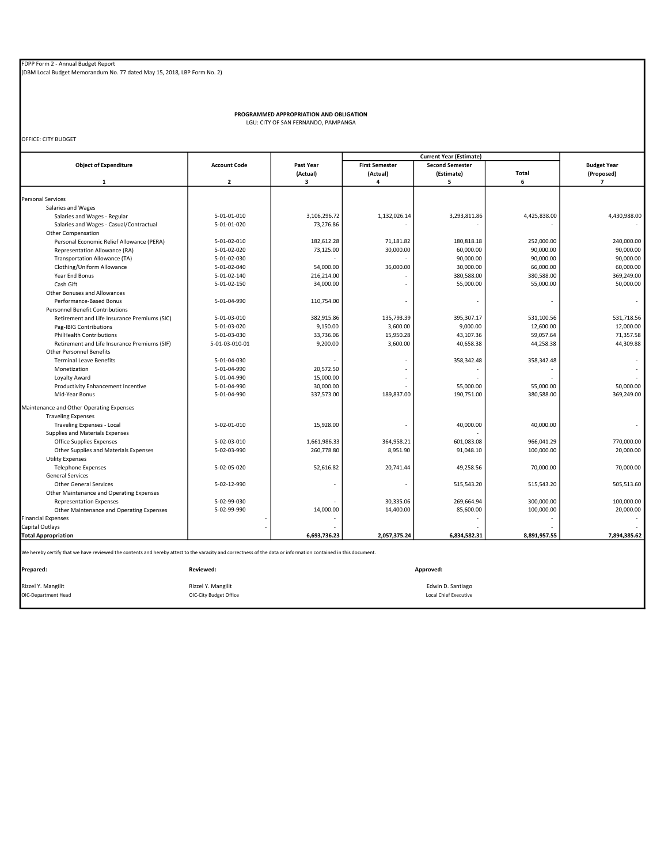(DBM Local Budget Memorandum No. 77 dated May 15, 2018, LBP Form No. 2)

PROGRAMMED APPROPRIATION AND OBLIGATION LGU: CITY OF SAN FERNANDO, PAMPANGA

OFFICE: CITY BUDGET

| Past Year<br>(Actual)<br>3<br>3,106,296.72<br>73,276.86<br>182,612.28<br>73,125.00<br>54,000.00<br>216,214.00<br>34,000.00<br>110,754.00<br>382,915.86<br>9,150.00<br>33,736.06<br>9,200.00 | <b>First Semester</b><br>(Actual)<br>4<br>1,132,026.14<br>71,181.82<br>30,000.00<br>36,000.00<br>135,793.39<br>3,600.00<br>15,950.28 | <b>Second Semester</b><br>(Estimate)<br>5<br>3,293,811.86<br>180,818.18<br>60,000.00<br>90,000.00<br>30,000.00<br>380,588.00<br>55,000.00<br>395,307.17 | <b>Total</b><br>6<br>4,425,838.00<br>252,000.00<br>90,000.00<br>90,000.00<br>66,000.00<br>380,588.00<br>55,000.00 | <b>Budget Year</b><br>(Proposed)<br>$\overline{7}$<br>4,430,988.00<br>240,000.00<br>90,000.00<br>90,000.00<br>60,000.00<br>369,249.00<br>50,000.00                            |
|---------------------------------------------------------------------------------------------------------------------------------------------------------------------------------------------|--------------------------------------------------------------------------------------------------------------------------------------|---------------------------------------------------------------------------------------------------------------------------------------------------------|-------------------------------------------------------------------------------------------------------------------|-------------------------------------------------------------------------------------------------------------------------------------------------------------------------------|
|                                                                                                                                                                                             |                                                                                                                                      |                                                                                                                                                         |                                                                                                                   |                                                                                                                                                                               |
|                                                                                                                                                                                             |                                                                                                                                      |                                                                                                                                                         |                                                                                                                   |                                                                                                                                                                               |
|                                                                                                                                                                                             |                                                                                                                                      |                                                                                                                                                         |                                                                                                                   |                                                                                                                                                                               |
|                                                                                                                                                                                             |                                                                                                                                      |                                                                                                                                                         |                                                                                                                   |                                                                                                                                                                               |
|                                                                                                                                                                                             |                                                                                                                                      |                                                                                                                                                         |                                                                                                                   |                                                                                                                                                                               |
|                                                                                                                                                                                             |                                                                                                                                      |                                                                                                                                                         |                                                                                                                   |                                                                                                                                                                               |
|                                                                                                                                                                                             |                                                                                                                                      |                                                                                                                                                         |                                                                                                                   |                                                                                                                                                                               |
|                                                                                                                                                                                             |                                                                                                                                      |                                                                                                                                                         |                                                                                                                   |                                                                                                                                                                               |
|                                                                                                                                                                                             |                                                                                                                                      |                                                                                                                                                         |                                                                                                                   |                                                                                                                                                                               |
|                                                                                                                                                                                             |                                                                                                                                      |                                                                                                                                                         |                                                                                                                   |                                                                                                                                                                               |
|                                                                                                                                                                                             |                                                                                                                                      |                                                                                                                                                         |                                                                                                                   |                                                                                                                                                                               |
|                                                                                                                                                                                             |                                                                                                                                      |                                                                                                                                                         |                                                                                                                   |                                                                                                                                                                               |
|                                                                                                                                                                                             |                                                                                                                                      |                                                                                                                                                         |                                                                                                                   |                                                                                                                                                                               |
|                                                                                                                                                                                             |                                                                                                                                      |                                                                                                                                                         |                                                                                                                   |                                                                                                                                                                               |
|                                                                                                                                                                                             |                                                                                                                                      |                                                                                                                                                         |                                                                                                                   |                                                                                                                                                                               |
|                                                                                                                                                                                             |                                                                                                                                      |                                                                                                                                                         |                                                                                                                   |                                                                                                                                                                               |
|                                                                                                                                                                                             |                                                                                                                                      |                                                                                                                                                         |                                                                                                                   |                                                                                                                                                                               |
|                                                                                                                                                                                             |                                                                                                                                      |                                                                                                                                                         |                                                                                                                   |                                                                                                                                                                               |
|                                                                                                                                                                                             |                                                                                                                                      |                                                                                                                                                         | 531,100.56                                                                                                        | 531,718.56                                                                                                                                                                    |
|                                                                                                                                                                                             |                                                                                                                                      | 9,000.00                                                                                                                                                | 12,600.00                                                                                                         | 12,000.00                                                                                                                                                                     |
|                                                                                                                                                                                             |                                                                                                                                      | 43,107.36                                                                                                                                               | 59,057.64                                                                                                         | 71,357.58                                                                                                                                                                     |
|                                                                                                                                                                                             | 3,600.00                                                                                                                             | 40,658.38                                                                                                                                               | 44,258.38                                                                                                         | 44,309.88                                                                                                                                                                     |
|                                                                                                                                                                                             |                                                                                                                                      |                                                                                                                                                         |                                                                                                                   |                                                                                                                                                                               |
|                                                                                                                                                                                             |                                                                                                                                      | 358,342.48                                                                                                                                              | 358,342.48                                                                                                        |                                                                                                                                                                               |
| 20,572.50                                                                                                                                                                                   |                                                                                                                                      |                                                                                                                                                         |                                                                                                                   |                                                                                                                                                                               |
| 15,000.00                                                                                                                                                                                   |                                                                                                                                      |                                                                                                                                                         |                                                                                                                   |                                                                                                                                                                               |
| 30,000.00                                                                                                                                                                                   |                                                                                                                                      | 55,000.00                                                                                                                                               | 55,000.00                                                                                                         | 50,000.00                                                                                                                                                                     |
| 337,573.00                                                                                                                                                                                  | 189,837.00                                                                                                                           | 190,751.00                                                                                                                                              | 380,588.00                                                                                                        | 369,249.00                                                                                                                                                                    |
|                                                                                                                                                                                             |                                                                                                                                      |                                                                                                                                                         |                                                                                                                   |                                                                                                                                                                               |
|                                                                                                                                                                                             |                                                                                                                                      |                                                                                                                                                         |                                                                                                                   |                                                                                                                                                                               |
| 15,928.00                                                                                                                                                                                   |                                                                                                                                      | 40,000.00                                                                                                                                               | 40,000.00                                                                                                         |                                                                                                                                                                               |
|                                                                                                                                                                                             |                                                                                                                                      |                                                                                                                                                         |                                                                                                                   |                                                                                                                                                                               |
| 1,661,986.33                                                                                                                                                                                | 364,958.21                                                                                                                           | 601,083.08                                                                                                                                              | 966,041.29                                                                                                        | 770,000.00                                                                                                                                                                    |
| 260,778.80                                                                                                                                                                                  | 8,951.90                                                                                                                             | 91,048.10                                                                                                                                               | 100,000.00                                                                                                        | 20,000.00                                                                                                                                                                     |
|                                                                                                                                                                                             |                                                                                                                                      |                                                                                                                                                         |                                                                                                                   |                                                                                                                                                                               |
| 52,616.82                                                                                                                                                                                   | 20,741.44                                                                                                                            | 49,258.56                                                                                                                                               | 70,000.00                                                                                                         | 70,000.00                                                                                                                                                                     |
|                                                                                                                                                                                             |                                                                                                                                      |                                                                                                                                                         |                                                                                                                   |                                                                                                                                                                               |
|                                                                                                                                                                                             |                                                                                                                                      | 515,543.20                                                                                                                                              | 515,543.20                                                                                                        | 505,513.60                                                                                                                                                                    |
|                                                                                                                                                                                             |                                                                                                                                      |                                                                                                                                                         |                                                                                                                   |                                                                                                                                                                               |
|                                                                                                                                                                                             | 30,335.06                                                                                                                            | 269,664.94                                                                                                                                              | 300,000.00                                                                                                        | 100,000.00                                                                                                                                                                    |
| 14,000.00                                                                                                                                                                                   | 14,400.00                                                                                                                            | 85,600.00                                                                                                                                               | 100,000.00                                                                                                        | 20,000.00                                                                                                                                                                     |
|                                                                                                                                                                                             |                                                                                                                                      |                                                                                                                                                         |                                                                                                                   |                                                                                                                                                                               |
|                                                                                                                                                                                             |                                                                                                                                      |                                                                                                                                                         |                                                                                                                   |                                                                                                                                                                               |
|                                                                                                                                                                                             |                                                                                                                                      |                                                                                                                                                         |                                                                                                                   | 7,894,385.62                                                                                                                                                                  |
|                                                                                                                                                                                             | 6,693,736.23                                                                                                                         | 2,057,375.24                                                                                                                                            | 6,834,582.31                                                                                                      | 8,891,957.55<br>We hereby certify that we have reviewed the contents and hereby attest to the varacity and correctness of the data or information contained in this document. |

Prepared: Reviewed: Approved: Rizzel Y. Mangilit Rizzel Y. Mangilit Edwin D. Santiago (Edwin D. Santiago (Rizzel Y. Mangilit Edwin D. Santiago (Rizzel Y. Mangilit Executive D. Santiago (Rizzel Y. Mangilit Chief Executive D. Santiago (Rical Chief Execut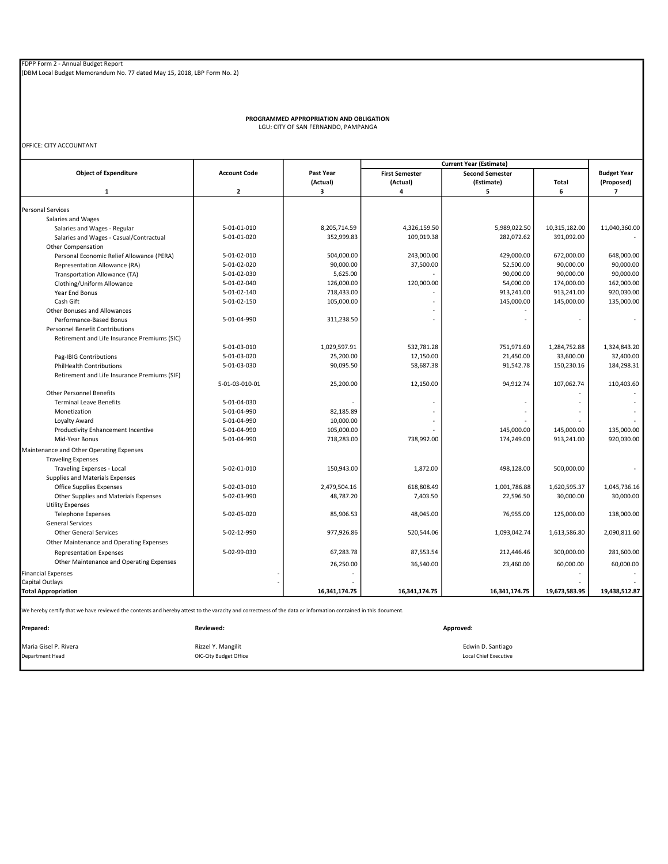PROGRAMMED APPROPRIATION AND OBLIGATION LGU: CITY OF SAN FERNANDO, PAMPANGA

OFFICE: CITY ACCOUNTANT

| <b>Current Year (Estimate)</b>                                                                                                                                |                        |               |                       |                              |               |                          |
|---------------------------------------------------------------------------------------------------------------------------------------------------------------|------------------------|---------------|-----------------------|------------------------------|---------------|--------------------------|
| <b>Object of Expenditure</b>                                                                                                                                  | <b>Account Code</b>    | Past Year     | <b>First Semester</b> | <b>Second Semester</b>       |               | <b>Budget Year</b>       |
|                                                                                                                                                               |                        | (Actual)      | (Actual)              | (Estimate)                   | Total         | (Proposed)               |
| $\mathbf{1}$                                                                                                                                                  | $\mathbf 2$            | 3             | 4                     | 5                            | 6             | $\overline{\phantom{a}}$ |
|                                                                                                                                                               |                        |               |                       |                              |               |                          |
| <b>Personal Services</b>                                                                                                                                      |                        |               |                       |                              |               |                          |
| Salaries and Wages                                                                                                                                            |                        |               |                       |                              |               |                          |
| Salaries and Wages - Regular                                                                                                                                  | 5-01-01-010            | 8,205,714.59  | 4,326,159.50          | 5,989,022.50                 | 10,315,182.00 | 11,040,360.00            |
| Salaries and Wages - Casual/Contractual                                                                                                                       | 5-01-01-020            | 352,999.83    | 109,019.38            | 282,072.62                   | 391,092.00    |                          |
| <b>Other Compensation</b>                                                                                                                                     |                        |               |                       |                              |               |                          |
| Personal Economic Relief Allowance (PERA)                                                                                                                     | 5-01-02-010            | 504,000.00    | 243,000.00            | 429,000.00                   | 672,000.00    | 648,000.00               |
| Representation Allowance (RA)                                                                                                                                 | 5-01-02-020            | 90,000.00     | 37,500.00             | 52,500.00                    | 90,000.00     | 90,000.00                |
| Transportation Allowance (TA)                                                                                                                                 | 5-01-02-030            | 5,625.00      |                       | 90,000.00                    | 90,000.00     | 90,000.00                |
| Clothing/Uniform Allowance                                                                                                                                    | 5-01-02-040            | 126,000.00    | 120,000.00            | 54,000.00                    | 174,000.00    | 162,000.00               |
| Year End Bonus                                                                                                                                                | 5-01-02-140            | 718,433.00    |                       | 913,241.00                   | 913,241.00    | 920,030.00               |
| Cash Gift                                                                                                                                                     | 5-01-02-150            | 105,000.00    |                       | 145,000.00                   | 145,000.00    | 135,000.00               |
| Other Bonuses and Allowances                                                                                                                                  |                        |               |                       |                              |               |                          |
| Performance-Based Bonus                                                                                                                                       | 5-01-04-990            | 311,238.50    |                       |                              |               |                          |
| Personnel Benefit Contributions                                                                                                                               |                        |               |                       |                              |               |                          |
| Retirement and Life Insurance Premiums (SIC)                                                                                                                  |                        |               |                       |                              |               |                          |
|                                                                                                                                                               | 5-01-03-010            | 1,029,597.91  | 532,781.28            | 751,971.60                   | 1,284,752.88  | 1,324,843.20             |
| Pag-IBIG Contributions                                                                                                                                        | 5-01-03-020            | 25,200.00     | 12,150.00             | 21,450.00                    | 33,600.00     | 32,400.00                |
| <b>PhilHealth Contributions</b>                                                                                                                               | 5-01-03-030            | 90,095.50     | 58,687.38             | 91,542.78                    | 150,230.16    | 184,298.31               |
| Retirement and Life Insurance Premiums (SIF)                                                                                                                  |                        |               |                       |                              |               |                          |
|                                                                                                                                                               | 5-01-03-010-01         | 25,200.00     | 12,150.00             | 94,912.74                    | 107,062.74    | 110,403.60               |
| <b>Other Personnel Benefits</b>                                                                                                                               |                        |               |                       |                              |               |                          |
| <b>Terminal Leave Benefits</b>                                                                                                                                | 5-01-04-030            |               |                       |                              |               |                          |
| Monetization                                                                                                                                                  | 5-01-04-990            | 82,185.89     |                       |                              |               |                          |
| Loyalty Award                                                                                                                                                 | 5-01-04-990            | 10,000.00     |                       |                              |               |                          |
| Productivity Enhancement Incentive                                                                                                                            | 5-01-04-990            | 105,000.00    |                       | 145,000.00                   | 145,000.00    | 135,000.00               |
| Mid-Year Bonus                                                                                                                                                | 5-01-04-990            | 718,283.00    | 738,992.00            | 174,249.00                   | 913,241.00    | 920,030.00               |
|                                                                                                                                                               |                        |               |                       |                              |               |                          |
| Maintenance and Other Operating Expenses                                                                                                                      |                        |               |                       |                              |               |                          |
| <b>Traveling Expenses</b>                                                                                                                                     |                        |               |                       |                              |               |                          |
| Traveling Expenses - Local                                                                                                                                    | 5-02-01-010            | 150,943.00    | 1,872.00              | 498,128.00                   | 500,000.00    |                          |
| Supplies and Materials Expenses                                                                                                                               |                        |               |                       |                              |               |                          |
| Office Supplies Expenses                                                                                                                                      | 5-02-03-010            | 2,479,504.16  | 618,808.49            | 1,001,786.88                 | 1,620,595.37  | 1,045,736.16             |
| Other Supplies and Materials Expenses                                                                                                                         | 5-02-03-990            | 48,787.20     | 7,403.50              | 22,596.50                    | 30,000.00     | 30,000.00                |
| <b>Utility Expenses</b>                                                                                                                                       |                        |               |                       |                              |               |                          |
| <b>Telephone Expenses</b>                                                                                                                                     | 5-02-05-020            | 85,906.53     | 48,045.00             | 76,955.00                    | 125,000.00    | 138,000.00               |
| <b>General Services</b>                                                                                                                                       |                        |               |                       |                              |               |                          |
| <b>Other General Services</b>                                                                                                                                 | 5-02-12-990            | 977,926.86    | 520,544.06            | 1,093,042.74                 | 1,613,586.80  | 2,090,811.60             |
| Other Maintenance and Operating Expenses                                                                                                                      |                        |               |                       |                              |               |                          |
| <b>Representation Expenses</b>                                                                                                                                | 5-02-99-030            | 67,283.78     | 87,553.54             | 212,446.46                   | 300,000.00    | 281,600.00               |
| Other Maintenance and Operating Expenses                                                                                                                      |                        | 26,250.00     | 36,540.00             | 23,460.00                    | 60,000.00     | 60,000.00                |
| <b>Financial Expenses</b>                                                                                                                                     |                        |               |                       |                              |               |                          |
| Capital Outlays                                                                                                                                               |                        |               |                       |                              |               |                          |
| <b>Total Appropriation</b>                                                                                                                                    |                        | 16,341,174.75 | 16,341,174.75         | 16,341,174.75                | 19,673,583.95 | 19,438,512.87            |
|                                                                                                                                                               |                        |               |                       |                              |               |                          |
| We hereby certify that we have reviewed the contents and hereby attest to the varacity and correctness of the data or information contained in this document. |                        |               |                       |                              |               |                          |
| Prepared:                                                                                                                                                     | Reviewed:              |               |                       | Approved:                    |               |                          |
| Maria Gisel P. Rivera                                                                                                                                         | Rizzel Y. Mangilit     |               |                       | Edwin D. Santiago            |               |                          |
| Department Head                                                                                                                                               | OIC-City Budget Office |               |                       | <b>Local Chief Executive</b> |               |                          |
|                                                                                                                                                               |                        |               |                       |                              |               |                          |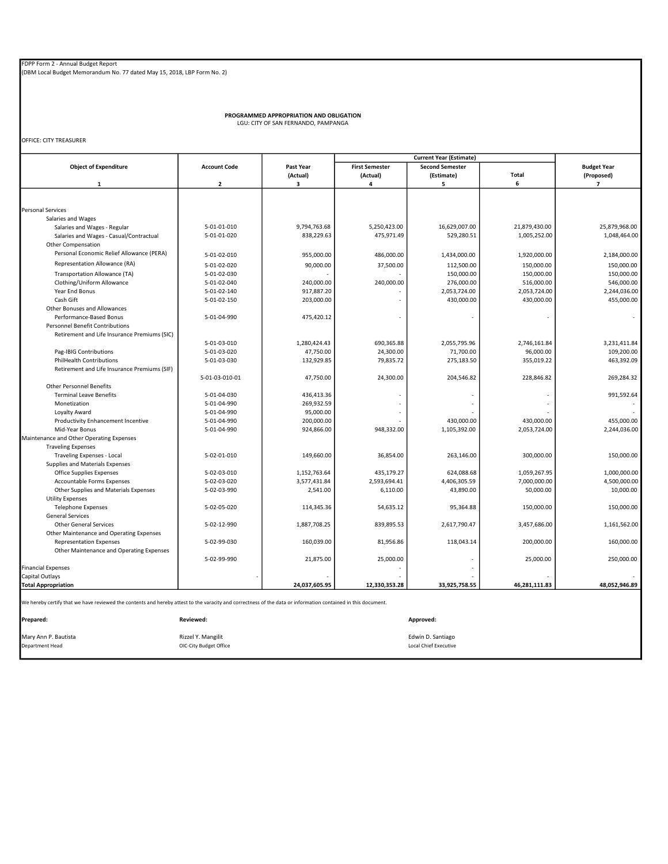PROGRAMMED APPROPRIATION AND OBLIGATION LGU: CITY OF SAN FERNANDO, PAMPANGA

OFFICE: CITY TREASURER

|                                                                                                                                                                            |                     | <b>Current Year (Estimate)</b> |                       |                          |               |                    |
|----------------------------------------------------------------------------------------------------------------------------------------------------------------------------|---------------------|--------------------------------|-----------------------|--------------------------|---------------|--------------------|
| <b>Object of Expenditure</b>                                                                                                                                               | <b>Account Code</b> | Past Year                      | <b>First Semester</b> | <b>Second Semester</b>   |               | <b>Budget Year</b> |
|                                                                                                                                                                            |                     | (Actual)                       | (Actual)              | (Estimate)               | Total         | (Proposed)         |
| $\mathbf{1}$                                                                                                                                                               | $\overline{2}$      | 3                              | 4                     | 5                        | 6             | $\overline{ }$     |
|                                                                                                                                                                            |                     |                                |                       |                          |               |                    |
|                                                                                                                                                                            |                     |                                |                       |                          |               |                    |
| <b>Personal Services</b>                                                                                                                                                   |                     |                                |                       |                          |               |                    |
| Salaries and Wages                                                                                                                                                         |                     |                                |                       |                          |               |                    |
| Salaries and Wages - Regular                                                                                                                                               | 5-01-01-010         | 9,794,763.68                   | 5,250,423.00          | 16,629,007.00            | 21,879,430.00 | 25,879,968.00      |
| Salaries and Wages - Casual/Contractual                                                                                                                                    | 5-01-01-020         | 838,229.63                     | 475,971.49            | 529,280.51               | 1,005,252.00  | 1,048,464.00       |
| Other Compensation                                                                                                                                                         |                     |                                |                       |                          |               |                    |
| Personal Economic Relief Allowance (PERA)                                                                                                                                  | 5-01-02-010         | 955,000.00                     | 486,000.00            | 1,434,000.00             | 1,920,000.00  | 2,184,000.00       |
| Representation Allowance (RA)                                                                                                                                              | 5-01-02-020         | 90,000.00                      | 37,500.00             | 112,500.00               | 150,000.00    | 150,000.00         |
| Transportation Allowance (TA)                                                                                                                                              | 5-01-02-030         |                                |                       | 150,000.00               | 150,000.00    | 150,000.00         |
| Clothing/Uniform Allowance                                                                                                                                                 | 5-01-02-040         | 240,000.00                     | 240,000.00            | 276,000.00               | 516,000.00    | 546,000.00         |
| Year End Bonus                                                                                                                                                             | 5-01-02-140         | 917,887.20                     |                       | 2,053,724.00             | 2,053,724.00  | 2,244,036.00       |
| Cash Gift                                                                                                                                                                  | 5-01-02-150         | 203,000.00                     |                       | 430,000.00               | 430,000.00    | 455,000.00         |
| Other Bonuses and Allowances                                                                                                                                               |                     |                                |                       |                          |               |                    |
| Performance-Based Bonus                                                                                                                                                    | 5-01-04-990         | 475,420.12                     |                       | $\overline{\phantom{a}}$ |               | $\sim$             |
| <b>Personnel Benefit Contributions</b>                                                                                                                                     |                     |                                |                       |                          |               |                    |
| Retirement and Life Insurance Premiums (SIC)                                                                                                                               |                     |                                |                       |                          |               |                    |
|                                                                                                                                                                            | 5-01-03-010         | 1,280,424.43                   | 690,365.88            | 2,055,795.96             | 2,746,161.84  | 3,231,411.84       |
| Pag-IBIG Contributions                                                                                                                                                     | 5-01-03-020         | 47,750.00                      | 24,300.00             | 71,700.00                | 96,000.00     | 109,200.00         |
| <b>PhilHealth Contributions</b>                                                                                                                                            | 5-01-03-030         | 132,929.85                     | 79,835.72             | 275,183.50               | 355,019.22    | 463,392.09         |
| Retirement and Life Insurance Premiums (SIF)                                                                                                                               |                     |                                |                       |                          |               |                    |
|                                                                                                                                                                            | 5-01-03-010-01      | 47,750.00                      | 24,300.00             | 204,546.82               | 228,846.82    | 269,284.32         |
| <b>Other Personnel Benefits</b>                                                                                                                                            |                     |                                |                       |                          |               |                    |
|                                                                                                                                                                            |                     |                                |                       |                          |               |                    |
| <b>Terminal Leave Benefits</b>                                                                                                                                             | 5-01-04-030         | 436,413.36                     |                       |                          |               | 991,592.64         |
| Monetization                                                                                                                                                               | 5-01-04-990         | 269,932.59                     |                       |                          |               |                    |
| Loyalty Award                                                                                                                                                              | 5-01-04-990         | 95,000.00                      |                       |                          |               |                    |
| Productivity Enhancement Incentive                                                                                                                                         | 5-01-04-990         | 200,000.00                     |                       | 430,000.00               | 430,000.00    | 455,000.00         |
| Mid-Year Bonus                                                                                                                                                             | 5-01-04-990         | 924,866.00                     | 948,332.00            | 1,105,392.00             | 2,053,724.00  | 2,244,036.00       |
| Maintenance and Other Operating Expenses                                                                                                                                   |                     |                                |                       |                          |               |                    |
| <b>Traveling Expenses</b>                                                                                                                                                  |                     |                                |                       |                          |               |                    |
| Traveling Expenses - Local                                                                                                                                                 | 5-02-01-010         | 149,660.00                     | 36,854.00             | 263,146.00               | 300,000.00    | 150,000.00         |
| Supplies and Materials Expenses                                                                                                                                            |                     |                                |                       |                          |               |                    |
| Office Supplies Expenses                                                                                                                                                   | 5-02-03-010         | 1,152,763.64                   | 435,179.27            | 624,088.68               | 1,059,267.95  | 1,000,000.00       |
| Accountable Forms Expenses                                                                                                                                                 | 5-02-03-020         | 3,577,431.84                   | 2,593,694.41          | 4,406,305.59             | 7,000,000.00  | 4,500,000.00       |
| Other Supplies and Materials Expenses                                                                                                                                      | 5-02-03-990         | 2,541.00                       | 6,110.00              | 43,890.00                | 50,000.00     | 10,000.00          |
| <b>Utility Expenses</b>                                                                                                                                                    |                     |                                |                       |                          |               |                    |
| <b>Telephone Expenses</b>                                                                                                                                                  | 5-02-05-020         | 114,345.36                     | 54,635.12             | 95,364.88                | 150,000.00    | 150,000.00         |
| <b>General Services</b>                                                                                                                                                    |                     |                                |                       |                          |               |                    |
| <b>Other General Services</b>                                                                                                                                              | 5-02-12-990         | 1,887,708.25                   | 839,895.53            | 2,617,790.47             | 3,457,686.00  | 1,161,562.00       |
| Other Maintenance and Operating Expenses                                                                                                                                   |                     |                                |                       |                          |               |                    |
| <b>Representation Expenses</b>                                                                                                                                             | 5-02-99-030         | 160.039.00                     | 81,956.86             | 118.043.14               | 200.000.00    | 160.000.00         |
| Other Maintenance and Operating Expenses                                                                                                                                   |                     |                                |                       |                          |               |                    |
|                                                                                                                                                                            | 5-02-99-990         | 21,875.00                      | 25,000.00             |                          | 25,000.00     | 250,000.00         |
| <b>Financial Expenses</b>                                                                                                                                                  |                     |                                |                       |                          |               |                    |
| Capital Outlays                                                                                                                                                            |                     |                                |                       |                          |               |                    |
| <b>Total Appropriation</b>                                                                                                                                                 |                     | 24,037,605.95                  | 12,330,353.28         | 33,925,758.55            | 46,281,111.83 | 48,052,946.89      |
| We hereby certify that we have reviewed the contents and hereby attest to the varacity and correctness of the data or information contained in this document.<br>Prepared: | <b>Reviewed:</b>    |                                |                       | Approved:                |               |                    |
|                                                                                                                                                                            |                     |                                |                       |                          |               |                    |

Mary Ann P. Bautista<br>
Department Head
Contained Consulting Consulting Consulting Consulting Consulting Consulting Consulting Consulting Consulting Consulting Consulting Consulting Consulting Consulting Consulting Consultin Rizzel Y. Mangilit<br>OIC-City Budget Office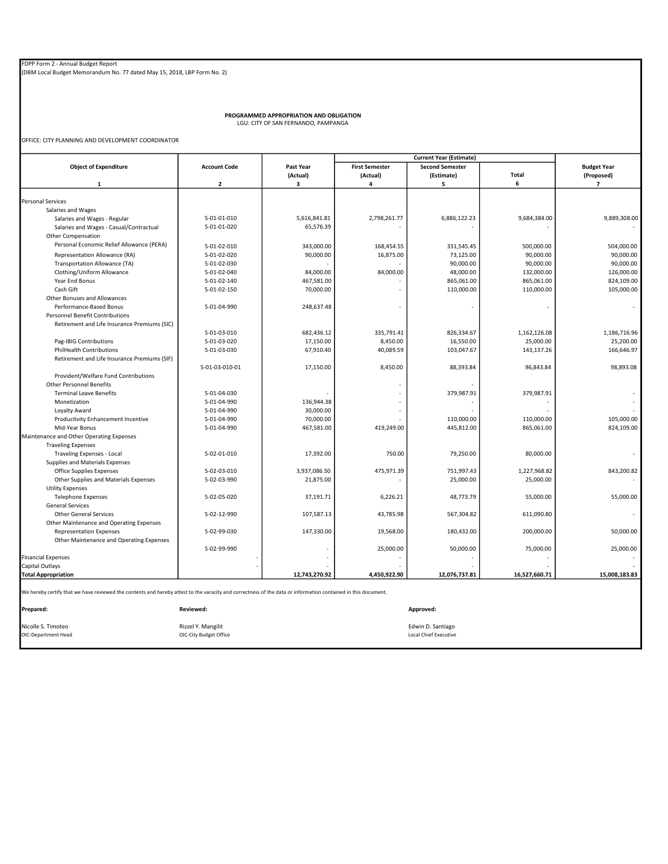PROGRAMMED APPROPRIATION AND OBLIGATION LGU: CITY OF SAN FERNANDO, PAMPANGA

OFFICE: CITY PLANNING AND DEVELOPMENT COORDINATOR

|                                                                                                                                                               |                         |               |                       | <b>Current Year (Estimate)</b> |               |                    |
|---------------------------------------------------------------------------------------------------------------------------------------------------------------|-------------------------|---------------|-----------------------|--------------------------------|---------------|--------------------|
| <b>Object of Expenditure</b>                                                                                                                                  | <b>Account Code</b>     | Past Year     | <b>First Semester</b> | <b>Second Semester</b>         |               | <b>Budget Year</b> |
|                                                                                                                                                               |                         | (Actual)      | (Actual)              | (Estimate)                     | Total         | (Proposed)         |
| $\mathbf{1}$                                                                                                                                                  | $\overline{\mathbf{2}}$ | 3             | 4                     | 5                              | 6             | $\overline{7}$     |
| <b>Personal Services</b>                                                                                                                                      |                         |               |                       |                                |               |                    |
| Salaries and Wages                                                                                                                                            |                         |               |                       |                                |               |                    |
| Salaries and Wages - Regular                                                                                                                                  | 5-01-01-010             | 5,616,841.81  | 2,798,261.77          | 6,886,122.23                   | 9,684,384.00  | 9,889,308.00       |
| Salaries and Wages - Casual/Contractual                                                                                                                       | 5-01-01-020             | 65,576.39     |                       |                                |               |                    |
| Other Compensation                                                                                                                                            |                         |               |                       |                                |               |                    |
| Personal Economic Relief Allowance (PERA)                                                                                                                     |                         |               |                       |                                |               |                    |
|                                                                                                                                                               | 5-01-02-010             | 343,000.00    | 168,454.55            | 331,545.45                     | 500,000.00    | 504,000.00         |
| Representation Allowance (RA)                                                                                                                                 | 5-01-02-020             | 90,000.00     | 16,875.00             | 73,125.00                      | 90.000.00     | 90.000.00          |
| Transportation Allowance (TA)                                                                                                                                 | 5-01-02-030             |               |                       | 90,000.00                      | 90,000.00     | 90,000.00          |
| Clothing/Uniform Allowance                                                                                                                                    | 5-01-02-040             | 84,000.00     | 84,000.00             | 48,000.00                      | 132,000.00    | 126,000.00         |
| Year End Bonus                                                                                                                                                | 5-01-02-140             | 467,581.00    |                       | 865,061.00                     | 865,061.00    | 824,109.00         |
| Cash Gift                                                                                                                                                     | 5-01-02-150             | 70,000.00     |                       | 110,000.00                     | 110,000.00    | 105,000.00         |
| Other Bonuses and Allowances                                                                                                                                  |                         |               |                       |                                |               |                    |
| Performance-Based Bonus                                                                                                                                       | 5-01-04-990             | 248,637.48    |                       |                                |               |                    |
| <b>Personnel Benefit Contributions</b>                                                                                                                        |                         |               |                       |                                |               |                    |
| Retirement and Life Insurance Premiums (SIC)                                                                                                                  |                         |               |                       |                                |               |                    |
|                                                                                                                                                               | 5-01-03-010             | 682,436.12    | 335,791.41            | 826,334.67                     | 1,162,126.08  | 1,186,716.96       |
| Pag-IBIG Contributions                                                                                                                                        | 5-01-03-020             | 17,150.00     | 8,450.00              | 16,550.00                      | 25,000.00     | 25,200.00          |
| <b>PhilHealth Contributions</b>                                                                                                                               | 5-01-03-030             | 67,910.40     | 40,089.59             | 103,047.67                     | 143,137.26    | 166,646.97         |
| Retirement and Life Insurance Premiums (SIF)                                                                                                                  |                         |               |                       |                                |               |                    |
|                                                                                                                                                               | 5-01-03-010-01          | 17,150.00     | 8,450.00              | 88,393.84                      | 96,843.84     | 98,893.08          |
| Provident/Welfare Fund Contributions                                                                                                                          |                         |               |                       |                                |               |                    |
| <b>Other Personnel Benefits</b>                                                                                                                               |                         |               |                       |                                |               |                    |
| <b>Terminal Leave Benefits</b>                                                                                                                                | 5-01-04-030             |               |                       | 379,987.91                     | 379,987.91    |                    |
| Monetization                                                                                                                                                  | 5-01-04-990             | 136,944.38    |                       |                                |               |                    |
| Loyalty Award                                                                                                                                                 | 5-01-04-990             | 30,000.00     |                       |                                |               |                    |
| Productivity Enhancement Incentive                                                                                                                            | 5-01-04-990             | 70,000.00     |                       | 110,000.00                     | 110,000.00    | 105,000.00         |
| Mid-Year Bonus                                                                                                                                                | 5-01-04-990             | 467,581.00    | 419,249.00            | 445,812.00                     | 865,061.00    | 824,109.00         |
| Maintenance and Other Operating Expenses                                                                                                                      |                         |               |                       |                                |               |                    |
| <b>Traveling Expenses</b>                                                                                                                                     |                         |               |                       |                                |               |                    |
| Traveling Expenses - Local                                                                                                                                    | 5-02-01-010             | 17,392.00     | 750.00                | 79,250.00                      | 80,000.00     |                    |
| Supplies and Materials Expenses                                                                                                                               |                         |               |                       |                                |               |                    |
| Office Supplies Expenses                                                                                                                                      | 5-02-03-010             | 3,937,086.50  | 475,971.39            | 751,997.43                     | 1,227,968.82  | 843,200.82         |
| Other Supplies and Materials Expenses                                                                                                                         | 5-02-03-990             | 21,875.00     |                       | 25,000.00                      | 25,000.00     |                    |
| <b>Utility Expenses</b>                                                                                                                                       |                         |               |                       |                                |               |                    |
| <b>Telephone Expenses</b>                                                                                                                                     | 5-02-05-020             | 37,191.71     | 6,226.21              | 48.773.79                      | 55,000.00     | 55,000.00          |
| <b>General Services</b>                                                                                                                                       |                         |               |                       |                                |               |                    |
| <b>Other General Services</b>                                                                                                                                 | 5-02-12-990             | 107,587.13    | 43,785.98             | 567,304.82                     | 611,090.80    |                    |
| Other Maintenance and Operating Expenses                                                                                                                      |                         |               |                       |                                |               |                    |
| <b>Representation Expenses</b>                                                                                                                                | 5-02-99-030             | 147,330.00    | 19,568.00             | 180,432.00                     | 200,000.00    | 50,000.00          |
| Other Maintenance and Operating Expenses                                                                                                                      |                         |               |                       |                                |               |                    |
|                                                                                                                                                               | 5-02-99-990             |               | 25,000.00             | 50,000.00                      | 75,000.00     | 25,000.00          |
| <b>Financial Expenses</b>                                                                                                                                     |                         |               |                       |                                |               |                    |
| Capital Outlays                                                                                                                                               |                         |               |                       |                                |               |                    |
| <b>Total Appropriation</b>                                                                                                                                    |                         | 12,743,270.92 | 4,450,922.90          | 12,076,737.81                  | 16,527,660.71 | 15,008,183.83      |
| We hereby certify that we have reviewed the contents and hereby attest to the varacity and correctness of the data or information contained in this document. |                         |               |                       |                                |               |                    |
|                                                                                                                                                               |                         |               |                       |                                |               |                    |
| Prepared:                                                                                                                                                     | Reviewed:               |               |                       | Approved:                      |               |                    |
|                                                                                                                                                               |                         |               |                       |                                |               |                    |

Nicolle S. Timoteo **Edwin D. Santiago** Rizzel Y. Mangilit **Edwin D. Santiago** Rizzel Y. Mangilit **Edwin D. Santiago** OIC-City Budget Office<br>
OIC-City Budget Office<br>
Corporation of Construction Contract Local Chief Executive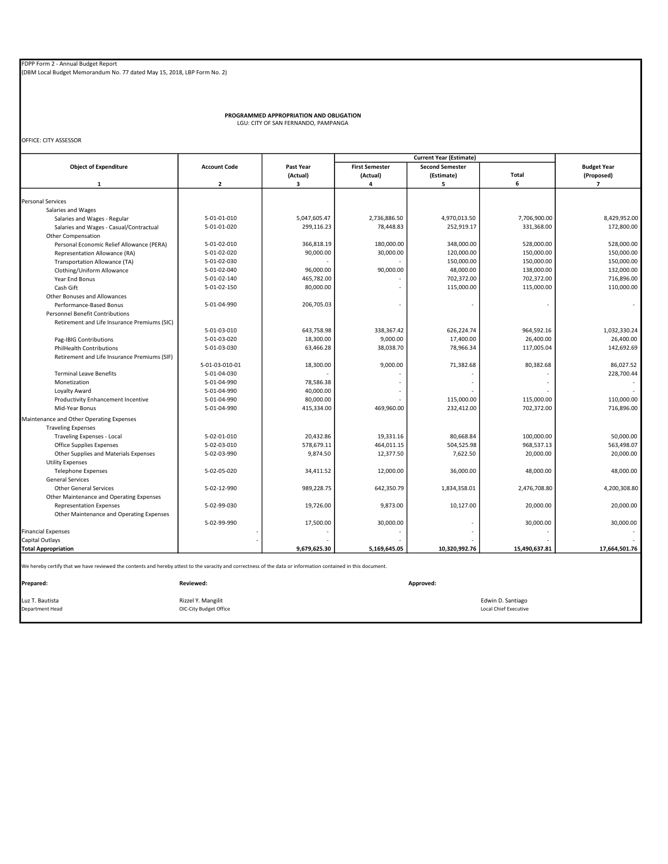PROGRAMMED APPROPRIATION AND OBLIGATION LGU: CITY OF SAN FERNANDO, PAMPANGA

OFFICE: CITY ASSESSOR

|                                                          |                     |              |                       | <b>Current Year (Estimate)</b> |               |                          |
|----------------------------------------------------------|---------------------|--------------|-----------------------|--------------------------------|---------------|--------------------------|
| <b>Object of Expenditure</b>                             | <b>Account Code</b> | Past Year    | <b>First Semester</b> | <b>Second Semester</b>         |               | <b>Budget Year</b>       |
|                                                          |                     | (Actual)     | (Actual)              | (Estimate)                     | Total         | (Proposed)               |
| $\mathbf{1}$                                             | $\overline{2}$      | з            | 4                     | 5                              | 6             | $\overline{\phantom{a}}$ |
| <b>Personal Services</b>                                 |                     |              |                       |                                |               |                          |
|                                                          |                     |              |                       |                                |               |                          |
| Salaries and Wages                                       | 5-01-01-010         | 5,047,605.47 | 2,736,886.50          | 4,970,013.50                   | 7,706,900.00  | 8,429,952.00             |
| Salaries and Wages - Regular                             |                     |              |                       |                                |               |                          |
| Salaries and Wages - Casual/Contractual                  | 5-01-01-020         | 299,116.23   | 78,448.83             | 252,919.17                     | 331,368.00    | 172,800.00               |
| Other Compensation                                       |                     |              |                       |                                |               |                          |
| Personal Economic Relief Allowance (PERA)                | 5-01-02-010         | 366,818.19   | 180,000.00            | 348,000.00                     | 528,000.00    | 528,000.00               |
| Representation Allowance (RA)                            | 5-01-02-020         | 90,000.00    | 30,000.00             | 120,000.00                     | 150,000.00    | 150,000.00               |
| Transportation Allowance (TA)                            | 5-01-02-030         |              |                       | 150,000.00                     | 150,000.00    | 150,000.00               |
| Clothing/Uniform Allowance                               | 5-01-02-040         | 96,000.00    | 90,000.00             | 48,000.00                      | 138,000.00    | 132,000.00               |
| Year End Bonus                                           | 5-01-02-140         | 465,782.00   |                       | 702,372.00                     | 702,372.00    | 716,896.00               |
| Cash Gift                                                | 5-01-02-150         | 80,000.00    |                       | 115,000.00                     | 115,000.00    | 110,000.00               |
| Other Bonuses and Allowances                             |                     |              |                       |                                |               |                          |
| Performance-Based Bonus                                  | 5-01-04-990         | 206,705.03   |                       |                                |               | $\overline{\phantom{a}}$ |
| <b>Personnel Benefit Contributions</b>                   |                     |              |                       |                                |               |                          |
| Retirement and Life Insurance Premiums (SIC)             |                     |              |                       |                                |               |                          |
|                                                          | 5-01-03-010         | 643,758.98   | 338,367.42            | 626,224.74                     | 964,592.16    | 1,032,330.24             |
| Pag-IBIG Contributions                                   | 5-01-03-020         | 18,300.00    | 9,000.00              | 17,400.00                      | 26,400.00     | 26,400.00                |
| <b>PhilHealth Contributions</b>                          | 5-01-03-030         | 63,466.28    | 38,038.70             | 78,966.34                      | 117,005.04    | 142,692.69               |
| Retirement and Life Insurance Premiums (SIF)             |                     |              |                       |                                |               |                          |
|                                                          | 5-01-03-010-01      | 18,300.00    | 9,000.00              | 71,382.68                      | 80,382.68     | 86,027.52                |
| <b>Terminal Leave Benefits</b>                           | 5-01-04-030         |              |                       |                                |               | 228,700.44               |
| Monetization                                             | 5-01-04-990         | 78,586.38    |                       |                                |               |                          |
| Loyalty Award                                            | 5-01-04-990         | 40,000.00    |                       |                                |               |                          |
| Productivity Enhancement Incentive                       | 5-01-04-990         | 80,000.00    |                       | 115,000.00                     | 115,000.00    | 110,000.00               |
| Mid-Year Bonus                                           | 5-01-04-990         | 415,334.00   | 469,960.00            | 232,412.00                     | 702,372.00    | 716,896.00               |
| Maintenance and Other Operating Expenses                 |                     |              |                       |                                |               |                          |
| <b>Traveling Expenses</b>                                |                     |              |                       |                                |               |                          |
| Traveling Expenses - Local                               | 5-02-01-010         | 20,432.86    | 19,331.16             | 80,668.84                      | 100,000.00    | 50,000.00                |
| Office Supplies Expenses                                 | 5-02-03-010         | 578,679.11   | 464,011.15            | 504,525.98                     | 968,537.13    | 563,498.07               |
| Other Supplies and Materials Expenses                    | 5-02-03-990         | 9,874.50     | 12,377.50             | 7,622.50                       | 20,000.00     | 20,000.00                |
| <b>Utility Expenses</b>                                  |                     |              |                       |                                |               |                          |
| <b>Telephone Expenses</b>                                | 5-02-05-020         | 34,411.52    | 12,000.00             | 36,000.00                      | 48,000.00     | 48,000.00                |
|                                                          |                     |              |                       |                                |               |                          |
| <b>General Services</b><br><b>Other General Services</b> | 5-02-12-990         |              |                       |                                |               |                          |
|                                                          |                     | 989,228.75   | 642,350.79            | 1,834,358.01                   | 2,476,708.80  | 4,200,308.80             |
| Other Maintenance and Operating Expenses                 |                     |              |                       |                                |               |                          |
| <b>Representation Expenses</b>                           | 5-02-99-030         | 19,726.00    | 9,873.00              | 10,127.00                      | 20,000.00     | 20,000.00                |
| Other Maintenance and Operating Expenses                 |                     |              |                       |                                |               |                          |
|                                                          | 5-02-99-990         | 17,500.00    | 30,000.00             |                                | 30,000.00     | 30,000.00                |
| <b>Financial Expenses</b>                                |                     |              |                       |                                |               |                          |
| Capital Outlays                                          |                     |              |                       |                                |               |                          |
| <b>Total Appropriation</b>                               |                     | 9,679,625.30 | 5,169,645.05          | 10,320,992.76                  | 15,490,637.81 | 17,664,501.76            |

| Prepared:       | Reviewed:              | Approved:             |
|-----------------|------------------------|-----------------------|
| Luz T. Bautista | Rizzel Y. Mangilit     | Edwin D. Santiago     |
| Department Head | OIC-City Budget Office | Local Chief Executive |
|                 |                        |                       |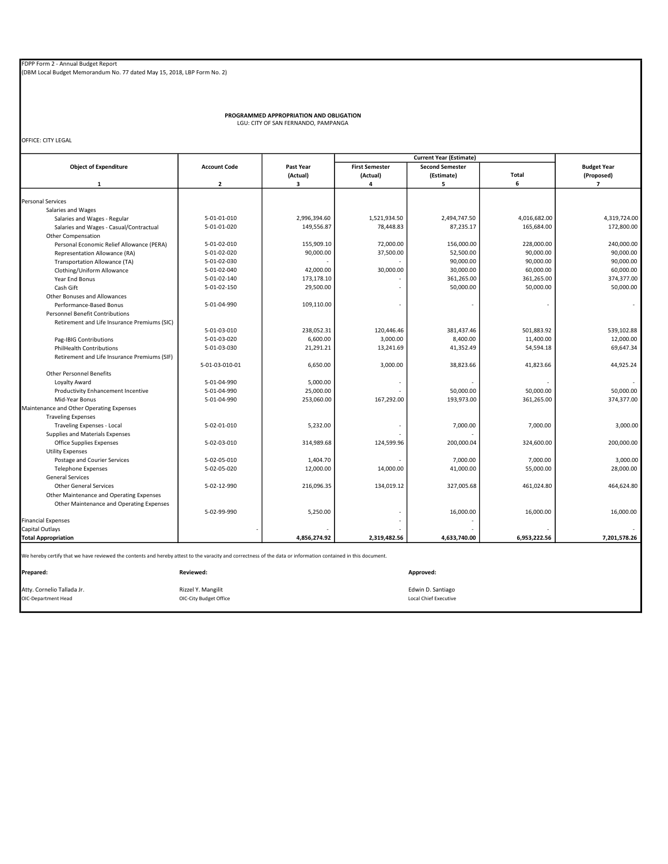PROGRAMMED APPROPRIATION AND OBLIGATION LGU: CITY OF SAN FERNANDO, PAMPANGA

OFFICE: CITY LEGAL

|                                                                                                                                                               |                        |              |                       | <b>Current Year (Estimate)</b> |              |                    |
|---------------------------------------------------------------------------------------------------------------------------------------------------------------|------------------------|--------------|-----------------------|--------------------------------|--------------|--------------------|
| <b>Object of Expenditure</b>                                                                                                                                  | <b>Account Code</b>    | Past Year    | <b>First Semester</b> | <b>Second Semester</b>         |              | <b>Budget Year</b> |
|                                                                                                                                                               |                        | (Actual)     | (Actual)              | (Estimate)                     | <b>Total</b> | (Proposed)         |
| $\mathbf{1}$                                                                                                                                                  | $\overline{2}$         | 3            | 4                     | 5                              | 6            | $\overline{7}$     |
|                                                                                                                                                               |                        |              |                       |                                |              |                    |
| <b>Personal Services</b>                                                                                                                                      |                        |              |                       |                                |              |                    |
| Salaries and Wages                                                                                                                                            |                        |              |                       |                                |              |                    |
| Salaries and Wages - Regular                                                                                                                                  | 5-01-01-010            | 2,996,394.60 | 1,521,934.50          | 2,494,747.50                   | 4,016,682.00 | 4,319,724.00       |
| Salaries and Wages - Casual/Contractual                                                                                                                       | 5-01-01-020            | 149,556.87   | 78,448.83             | 87,235.17                      | 165,684.00   | 172,800.00         |
| Other Compensation                                                                                                                                            |                        |              |                       |                                |              |                    |
| Personal Economic Relief Allowance (PERA)                                                                                                                     | 5-01-02-010            | 155,909.10   | 72,000.00             | 156,000.00                     | 228,000.00   | 240,000.00         |
| Representation Allowance (RA)                                                                                                                                 | 5-01-02-020            | 90,000.00    | 37,500.00             | 52,500.00                      | 90,000.00    | 90,000.00          |
| Transportation Allowance (TA)                                                                                                                                 | 5-01-02-030            |              |                       | 90,000.00                      | 90,000.00    | 90,000.00          |
| Clothing/Uniform Allowance                                                                                                                                    | 5-01-02-040            | 42,000.00    | 30,000.00             | 30,000.00                      | 60,000.00    | 60,000.00          |
| Year End Bonus                                                                                                                                                | 5-01-02-140            | 173,178.10   |                       | 361,265.00                     | 361,265.00   | 374,377.00         |
| Cash Gift                                                                                                                                                     | 5-01-02-150            | 29,500.00    |                       | 50,000.00                      | 50,000.00    | 50,000.00          |
| Other Bonuses and Allowances                                                                                                                                  |                        |              |                       |                                |              |                    |
| Performance-Based Bonus                                                                                                                                       | 5-01-04-990            | 109,110.00   |                       |                                |              | ٠                  |
| <b>Personnel Benefit Contributions</b>                                                                                                                        |                        |              |                       |                                |              |                    |
| Retirement and Life Insurance Premiums (SIC)                                                                                                                  |                        |              |                       |                                |              |                    |
|                                                                                                                                                               | 5-01-03-010            | 238,052.31   | 120,446.46            | 381,437.46                     | 501,883.92   | 539,102.88         |
| Pag-IBIG Contributions                                                                                                                                        | 5-01-03-020            | 6,600.00     | 3,000.00              | 8,400.00                       | 11,400.00    | 12,000.00          |
| <b>PhilHealth Contributions</b>                                                                                                                               | 5-01-03-030            | 21,291.21    | 13,241.69             | 41,352.49                      | 54,594.18    | 69,647.34          |
| Retirement and Life Insurance Premiums (SIF)                                                                                                                  |                        |              |                       |                                |              |                    |
|                                                                                                                                                               | 5-01-03-010-01         | 6,650.00     | 3,000.00              | 38,823.66                      | 41,823.66    | 44,925.24          |
| <b>Other Personnel Benefits</b>                                                                                                                               |                        |              |                       |                                |              |                    |
| Loyalty Award                                                                                                                                                 | 5-01-04-990            | 5,000.00     |                       |                                |              |                    |
|                                                                                                                                                               |                        |              |                       |                                |              |                    |
| Productivity Enhancement Incentive                                                                                                                            | 5-01-04-990            | 25,000.00    |                       | 50,000.00                      | 50,000.00    | 50,000.00          |
| Mid-Year Bonus                                                                                                                                                | 5-01-04-990            | 253,060.00   | 167,292.00            | 193,973.00                     | 361,265.00   | 374,377.00         |
| Maintenance and Other Operating Expenses                                                                                                                      |                        |              |                       |                                |              |                    |
| <b>Traveling Expenses</b>                                                                                                                                     |                        |              |                       |                                |              |                    |
| Traveling Expenses - Local                                                                                                                                    | 5-02-01-010            | 5,232.00     |                       | 7,000.00                       | 7,000.00     | 3.000.00           |
| Supplies and Materials Expenses                                                                                                                               |                        |              |                       |                                |              |                    |
| <b>Office Supplies Expenses</b>                                                                                                                               | 5-02-03-010            | 314,989.68   | 124,599.96            | 200,000.04                     | 324,600.00   | 200,000.00         |
| <b>Utility Expenses</b>                                                                                                                                       |                        |              |                       |                                |              |                    |
| Postage and Courier Services                                                                                                                                  | 5-02-05-010            | 1,404.70     |                       | 7,000.00                       | 7,000.00     | 3,000.00           |
| <b>Telephone Expenses</b>                                                                                                                                     | 5-02-05-020            | 12,000.00    | 14,000.00             | 41,000.00                      | 55,000.00    | 28,000.00          |
| <b>General Services</b>                                                                                                                                       |                        |              |                       |                                |              |                    |
| <b>Other General Services</b>                                                                                                                                 | 5-02-12-990            | 216,096.35   | 134,019.12            | 327,005.68                     | 461,024.80   | 464,624.80         |
| Other Maintenance and Operating Expenses                                                                                                                      |                        |              |                       |                                |              |                    |
| Other Maintenance and Operating Expenses                                                                                                                      |                        |              |                       |                                |              |                    |
|                                                                                                                                                               | 5-02-99-990            | 5,250.00     |                       | 16,000.00                      | 16,000.00    | 16,000.00          |
| <b>Financial Expenses</b>                                                                                                                                     |                        |              |                       |                                |              |                    |
| Capital Outlays                                                                                                                                               |                        |              |                       |                                |              |                    |
| <b>Total Appropriation</b>                                                                                                                                    |                        | 4,856,274.92 | 2,319,482.56          | 4,633,740.00                   | 6,953,222.56 | 7,201,578.26       |
| We hereby certify that we have reviewed the contents and hereby attest to the varacity and correctness of the data or information contained in this document. |                        |              |                       |                                |              |                    |
| Prepared:                                                                                                                                                     | <b>Reviewed:</b>       |              |                       | Approved:                      |              |                    |
|                                                                                                                                                               |                        |              |                       |                                |              |                    |
| Atty. Cornelio Tallada Jr.                                                                                                                                    | Rizzel Y. Mangilit     |              |                       | Edwin D. Santiago              |              |                    |
| OIC-Department Head                                                                                                                                           | OIC-City Budget Office |              |                       | <b>Local Chief Executive</b>   |              |                    |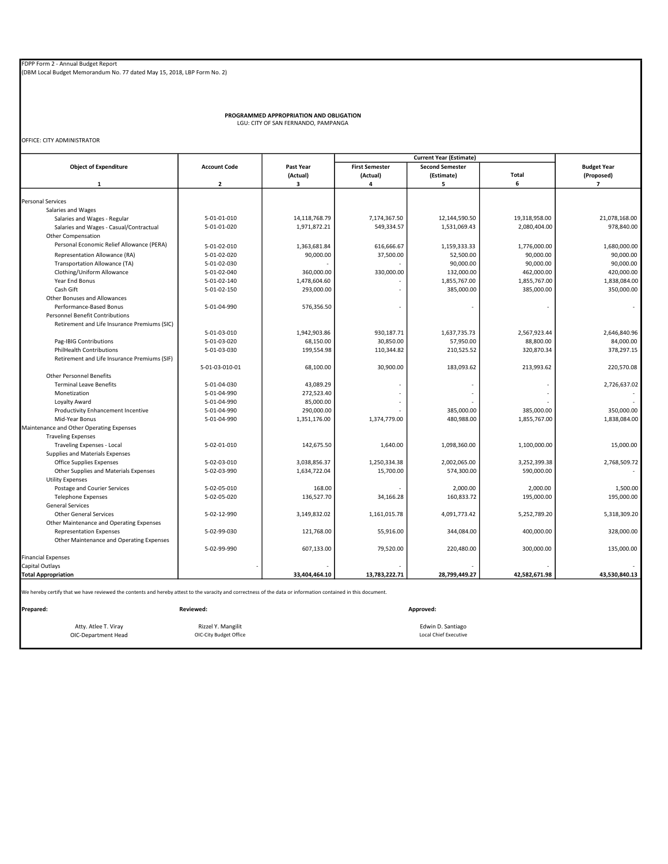PROGRAMMED APPROPRIATION AND OBLIGATION LGU: CITY OF SAN FERNANDO, PAMPANGA

OFFICE: CITY ADMINISTRATOR

|                                                                                                                                                               |                     |               |                       | <b>Current Year (Estimate)</b> |               |                    |
|---------------------------------------------------------------------------------------------------------------------------------------------------------------|---------------------|---------------|-----------------------|--------------------------------|---------------|--------------------|
| <b>Object of Expenditure</b>                                                                                                                                  | <b>Account Code</b> | Past Year     | <b>First Semester</b> | <b>Second Semester</b>         |               | <b>Budget Year</b> |
|                                                                                                                                                               |                     | (Actual)      | (Actual)              | (Estimate)                     | Total         | (Proposed)         |
| $\mathbf{1}$                                                                                                                                                  | $\overline{2}$      | 3             | 4                     | 5                              | 6             | $\overline{7}$     |
|                                                                                                                                                               |                     |               |                       |                                |               |                    |
| <b>Personal Services</b>                                                                                                                                      |                     |               |                       |                                |               |                    |
| Salaries and Wages                                                                                                                                            |                     |               |                       |                                |               |                    |
| Salaries and Wages - Regular                                                                                                                                  | 5-01-01-010         | 14,118,768.79 | 7,174,367.50          | 12,144,590.50                  | 19,318,958.00 | 21,078,168.00      |
| Salaries and Wages - Casual/Contractual                                                                                                                       | 5-01-01-020         | 1,971,872.21  | 549,334.57            | 1,531,069.43                   | 2,080,404.00  | 978,840.00         |
| <b>Other Compensation</b>                                                                                                                                     |                     |               |                       |                                |               |                    |
| Personal Economic Relief Allowance (PERA)                                                                                                                     | 5-01-02-010         | 1,363,681.84  | 616,666.67            | 1,159,333.33                   | 1,776,000.00  | 1,680,000.00       |
| Representation Allowance (RA)                                                                                                                                 | 5-01-02-020         | 90,000.00     | 37,500.00             | 52,500.00                      | 90,000.00     | 90,000.00          |
| Transportation Allowance (TA)                                                                                                                                 | 5-01-02-030         |               |                       | 90,000.00                      | 90,000.00     | 90,000.00          |
| Clothing/Uniform Allowance                                                                                                                                    | 5-01-02-040         | 360,000.00    | 330,000.00            | 132,000.00                     | 462,000.00    | 420,000.00         |
| Year End Bonus                                                                                                                                                | 5-01-02-140         | 1,478,604.60  |                       | 1,855,767.00                   | 1,855,767.00  | 1,838,084.00       |
| Cash Gift                                                                                                                                                     | 5-01-02-150         | 293,000.00    |                       | 385,000.00                     | 385,000.00    | 350,000.00         |
| Other Bonuses and Allowances                                                                                                                                  |                     |               |                       |                                |               |                    |
| Performance-Based Bonus                                                                                                                                       | 5-01-04-990         | 576,356.50    |                       |                                |               |                    |
| <b>Personnel Benefit Contributions</b>                                                                                                                        |                     |               |                       |                                |               |                    |
| Retirement and Life Insurance Premiums (SIC)                                                                                                                  |                     |               |                       |                                |               |                    |
|                                                                                                                                                               | 5-01-03-010         | 1,942,903.86  | 930,187.71            | 1,637,735.73                   | 2,567,923.44  | 2,646,840.96       |
| Pag-IBIG Contributions                                                                                                                                        | 5-01-03-020         | 68,150.00     | 30,850.00             | 57,950.00                      | 88,800.00     | 84,000.00          |
| <b>PhilHealth Contributions</b>                                                                                                                               | 5-01-03-030         | 199,554.98    | 110,344.82            | 210,525.52                     | 320,870.34    | 378,297.15         |
| Retirement and Life Insurance Premiums (SIF)                                                                                                                  |                     |               |                       |                                |               |                    |
|                                                                                                                                                               | 5-01-03-010-01      | 68,100.00     | 30,900.00             | 183,093.62                     | 213,993.62    | 220,570.08         |
| <b>Other Personnel Benefits</b>                                                                                                                               |                     |               |                       |                                |               |                    |
| <b>Terminal Leave Benefits</b>                                                                                                                                | 5-01-04-030         | 43,089.29     |                       |                                |               | 2,726,637.02       |
| Monetization                                                                                                                                                  | 5-01-04-990         | 272,523.40    |                       |                                |               |                    |
| Loyalty Award                                                                                                                                                 | 5-01-04-990         | 85,000.00     |                       |                                |               |                    |
| Productivity Enhancement Incentive                                                                                                                            | 5-01-04-990         | 290,000.00    |                       | 385,000.00                     | 385,000.00    | 350,000.00         |
| Mid-Year Bonus                                                                                                                                                | 5-01-04-990         | 1,351,176.00  | 1,374,779.00          | 480,988.00                     | 1,855,767.00  | 1,838,084.00       |
| Maintenance and Other Operating Expenses                                                                                                                      |                     |               |                       |                                |               |                    |
| <b>Traveling Expenses</b>                                                                                                                                     |                     |               |                       |                                |               |                    |
| Traveling Expenses - Local                                                                                                                                    | 5-02-01-010         | 142,675.50    | 1,640.00              | 1,098,360.00                   | 1,100,000.00  | 15,000.00          |
| Supplies and Materials Expenses                                                                                                                               |                     |               |                       |                                |               |                    |
| Office Supplies Expenses                                                                                                                                      | 5-02-03-010         | 3,038,856.37  | 1,250,334.38          | 2,002,065.00                   | 3,252,399.38  | 2,768,509.72       |
| Other Supplies and Materials Expenses                                                                                                                         | 5-02-03-990         | 1,634,722.04  | 15,700.00             | 574,300.00                     | 590,000.00    |                    |
| <b>Utility Expenses</b>                                                                                                                                       |                     |               |                       |                                |               |                    |
| Postage and Courier Services                                                                                                                                  | 5-02-05-010         | 168.00        |                       | 2,000.00                       | 2,000.00      | 1,500.00           |
| <b>Telephone Expenses</b>                                                                                                                                     | 5-02-05-020         | 136,527.70    | 34,166.28             | 160,833.72                     | 195,000.00    | 195,000.00         |
| <b>General Services</b>                                                                                                                                       |                     |               |                       |                                |               |                    |
| <b>Other General Services</b>                                                                                                                                 | 5-02-12-990         | 3,149,832.02  | 1,161,015.78          | 4,091,773.42                   | 5,252,789.20  | 5,318,309.20       |
| Other Maintenance and Operating Expenses                                                                                                                      |                     |               |                       |                                |               |                    |
| <b>Representation Expenses</b>                                                                                                                                | 5-02-99-030         | 121,768.00    | 55,916.00             | 344,084.00                     | 400,000.00    | 328,000.00         |
| Other Maintenance and Operating Expenses                                                                                                                      |                     |               |                       |                                |               |                    |
|                                                                                                                                                               | 5-02-99-990         | 607,133.00    | 79,520.00             | 220,480.00                     | 300,000.00    | 135,000.00         |
| <b>Financial Expenses</b>                                                                                                                                     |                     |               |                       |                                |               |                    |
| Capital Outlays                                                                                                                                               |                     |               |                       |                                |               |                    |
| <b>Total Appropriation</b>                                                                                                                                    |                     | 33,404,464.10 | 13,783,222.71         | 28,799,449.27                  | 42,582,671.98 | 43,530,840.13      |
| We hereby certify that we have reviewed the contents and hereby attest to the varacity and correctness of the data or information contained in this document. |                     |               |                       |                                |               |                    |
| Prepared:                                                                                                                                                     | <b>Reviewed:</b>    |               |                       | Approved:                      |               |                    |

Atty. Atlee T. Viray **Edwin D. Santiago** Rizzel Y. Mangilit **Edwin D. Santiago** Edwin D. Santiago OIC-Department Head **COUC-City Budget Office COUC-City Budget Office** Local Chief Executive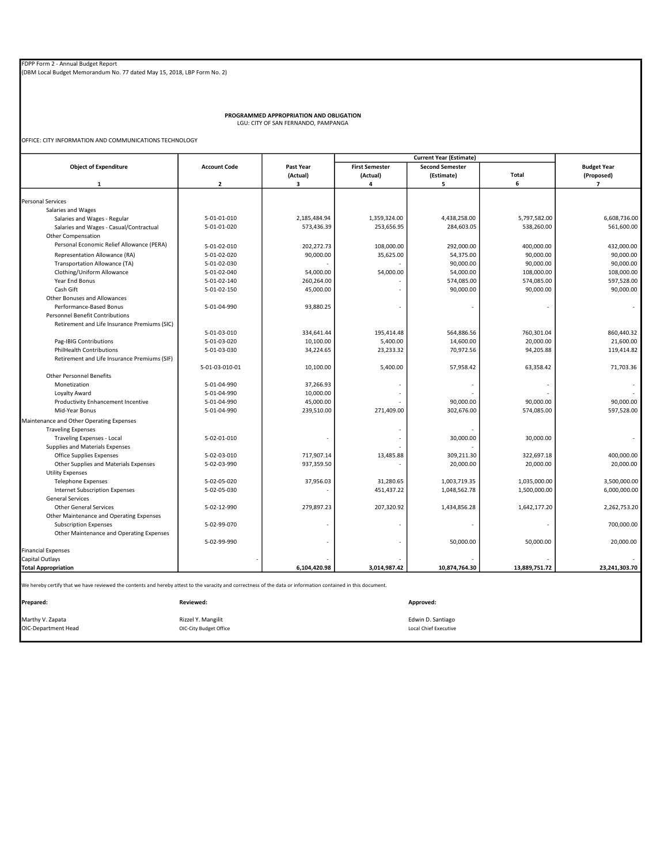PROGRAMMED APPROPRIATION AND OBLIGATION LGU: CITY OF SAN FERNANDO, PAMPANGA

OFFICE: CITY INFORMATION AND COMMUNICATIONS TECHNOLOGY

|                                                                                                                                                               |                        |              |                       | <b>Current Year (Estimate)</b> |               |                    |
|---------------------------------------------------------------------------------------------------------------------------------------------------------------|------------------------|--------------|-----------------------|--------------------------------|---------------|--------------------|
| <b>Object of Expenditure</b>                                                                                                                                  | <b>Account Code</b>    | Past Year    | <b>First Semester</b> | <b>Second Semester</b>         |               | <b>Budget Year</b> |
|                                                                                                                                                               |                        | (Actual)     | (Actual)              | (Estimate)                     | Total         | (Proposed)         |
| $\mathbf{1}$                                                                                                                                                  | $\overline{2}$         | 3            | 4                     | 5                              | 6             | $\overline{ }$     |
|                                                                                                                                                               |                        |              |                       |                                |               |                    |
| <b>Personal Services</b>                                                                                                                                      |                        |              |                       |                                |               |                    |
| Salaries and Wages                                                                                                                                            |                        |              |                       |                                |               |                    |
| Salaries and Wages - Regular                                                                                                                                  | 5-01-01-010            | 2,185,484.94 | 1,359,324.00          | 4,438,258.00                   | 5,797,582.00  | 6,608,736.00       |
| Salaries and Wages - Casual/Contractual                                                                                                                       | 5-01-01-020            | 573,436.39   | 253,656.95            | 284,603.05                     | 538,260.00    | 561,600.00         |
| Other Compensation                                                                                                                                            |                        |              |                       |                                |               |                    |
| Personal Economic Relief Allowance (PERA)                                                                                                                     | 5-01-02-010            | 202,272.73   | 108,000.00            | 292,000.00                     | 400,000.00    | 432,000.00         |
| Representation Allowance (RA)                                                                                                                                 | 5-01-02-020            | 90,000.00    | 35,625.00             | 54,375.00                      | 90,000.00     | 90,000.00          |
| Transportation Allowance (TA)                                                                                                                                 | 5-01-02-030            |              |                       | 90,000.00                      | 90,000.00     | 90,000.00          |
| Clothing/Uniform Allowance                                                                                                                                    | 5-01-02-040            | 54,000.00    | 54,000.00             | 54,000.00                      | 108,000.00    | 108,000.00         |
| Year End Bonus                                                                                                                                                | 5-01-02-140            | 260,264.00   |                       | 574,085.00                     | 574,085.00    | 597,528.00         |
| Cash Gift                                                                                                                                                     | 5-01-02-150            | 45,000.00    |                       | 90,000.00                      | 90,000.00     | 90,000.00          |
| Other Bonuses and Allowances                                                                                                                                  |                        |              |                       |                                |               |                    |
| Performance-Based Bonus                                                                                                                                       | 5-01-04-990            | 93,880.25    |                       |                                |               |                    |
| <b>Personnel Benefit Contributions</b>                                                                                                                        |                        |              |                       |                                |               |                    |
| Retirement and Life Insurance Premiums (SIC)                                                                                                                  |                        |              |                       |                                |               |                    |
|                                                                                                                                                               | 5-01-03-010            | 334,641.44   | 195,414.48            | 564,886.56                     | 760,301.04    | 860,440.32         |
| Pag-IBIG Contributions                                                                                                                                        | 5-01-03-020            | 10,100.00    | 5,400.00              | 14,600.00                      | 20,000.00     | 21,600.00          |
| <b>PhilHealth Contributions</b>                                                                                                                               | 5-01-03-030            | 34,224.65    | 23,233.32             | 70,972.56                      | 94,205.88     | 119,414.82         |
| Retirement and Life Insurance Premiums (SIF)                                                                                                                  |                        |              |                       |                                |               |                    |
|                                                                                                                                                               | 5-01-03-010-01         | 10,100.00    | 5,400.00              | 57,958.42                      | 63,358.42     | 71,703.36          |
| <b>Other Personnel Benefits</b>                                                                                                                               |                        |              |                       |                                |               |                    |
| Monetization                                                                                                                                                  | 5-01-04-990            | 37,266.93    |                       |                                |               |                    |
| Loyalty Award                                                                                                                                                 | 5-01-04-990            | 10,000.00    |                       |                                |               |                    |
| Productivity Enhancement Incentive                                                                                                                            | 5-01-04-990            | 45,000.00    |                       | 90,000.00                      | 90,000.00     | 90,000.00          |
| Mid-Year Bonus                                                                                                                                                | 5-01-04-990            | 239,510.00   | 271,409.00            | 302,676.00                     | 574,085.00    | 597,528.00         |
| Maintenance and Other Operating Expenses                                                                                                                      |                        |              |                       |                                |               |                    |
| <b>Traveling Expenses</b>                                                                                                                                     |                        |              |                       |                                |               |                    |
| Traveling Expenses - Local                                                                                                                                    | 5-02-01-010            |              |                       | 30,000.00                      | 30,000.00     |                    |
| Supplies and Materials Expenses                                                                                                                               |                        |              |                       |                                |               |                    |
| Office Supplies Expenses                                                                                                                                      | 5-02-03-010            | 717,907.14   | 13,485.88             | 309,211.30                     | 322,697.18    | 400,000.00         |
| Other Supplies and Materials Expenses                                                                                                                         | 5-02-03-990            | 937,359.50   |                       | 20,000.00                      | 20,000.00     | 20,000.00          |
| <b>Utility Expenses</b>                                                                                                                                       |                        |              |                       |                                |               |                    |
| <b>Telephone Expenses</b>                                                                                                                                     | 5-02-05-020            | 37,956.03    | 31,280.65             | 1,003,719.35                   | 1,035,000.00  | 3,500,000.00       |
| <b>Internet Subscription Expenses</b>                                                                                                                         | 5-02-05-030            |              | 451,437.22            | 1,048,562.78                   | 1,500,000.00  | 6,000,000.00       |
| <b>General Services</b>                                                                                                                                       |                        |              |                       |                                |               |                    |
| <b>Other General Services</b>                                                                                                                                 | 5-02-12-990            | 279,897.23   | 207,320.92            | 1,434,856.28                   | 1,642,177.20  | 2,262,753.20       |
| Other Maintenance and Operating Expenses                                                                                                                      |                        |              |                       |                                |               |                    |
| <b>Subscription Expenses</b>                                                                                                                                  | 5-02-99-070            |              |                       | ä,                             | ٠             | 700,000.00         |
| Other Maintenance and Operating Expenses                                                                                                                      |                        |              |                       |                                |               |                    |
|                                                                                                                                                               | 5-02-99-990            |              |                       | 50,000.00                      | 50,000.00     | 20,000.00          |
| <b>Financial Expenses</b>                                                                                                                                     |                        |              |                       |                                |               |                    |
| <b>Capital Outlays</b>                                                                                                                                        |                        |              |                       |                                |               |                    |
| <b>Total Appropriation</b>                                                                                                                                    |                        | 6,104,420.98 | 3,014,987.42          | 10,874,764.30                  | 13,889,751.72 | 23,241,303.70      |
| We hereby certify that we have reviewed the contents and hereby attest to the varacity and correctness of the data or information contained in this document. |                        |              |                       |                                |               |                    |
| Prepared:                                                                                                                                                     | Reviewed:              |              |                       | Approved:                      |               |                    |
|                                                                                                                                                               |                        |              |                       |                                |               |                    |
| Marthy V. Zapata                                                                                                                                              | Rizzel Y. Mangilit     |              |                       | Edwin D. Santiago              |               |                    |
| OIC-Department Head                                                                                                                                           | OIC-City Budget Office |              |                       | <b>Local Chief Executive</b>   |               |                    |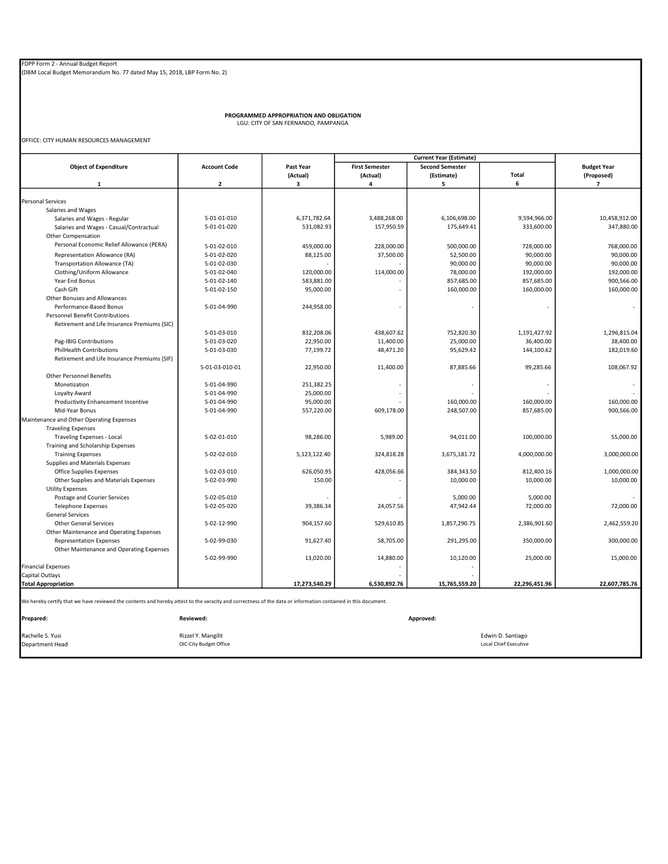PROGRAMMED APPROPRIATION AND OBLIGATION LGU: CITY OF SAN FERNANDO, PAMPANGA

OFFICE: CITY HUMAN RESOURCES MANAGEMENT

|                                                                                                                                                               |                         |               |                       | <b>Current Year (Estimate)</b> |                              |                          |
|---------------------------------------------------------------------------------------------------------------------------------------------------------------|-------------------------|---------------|-----------------------|--------------------------------|------------------------------|--------------------------|
| <b>Object of Expenditure</b>                                                                                                                                  | <b>Account Code</b>     | Past Year     | <b>First Semester</b> | <b>Second Semester</b>         |                              | <b>Budget Year</b>       |
|                                                                                                                                                               |                         | (Actual)      | (Actual)              | (Estimate)                     | Total                        | (Proposed)               |
| $\mathbf{1}$                                                                                                                                                  | $\overline{\mathbf{z}}$ | 3             | 4                     | 5                              | 6                            | $\overline{7}$           |
| <b>Personal Services</b>                                                                                                                                      |                         |               |                       |                                |                              |                          |
| Salaries and Wages                                                                                                                                            |                         |               |                       |                                |                              |                          |
| Salaries and Wages - Regular                                                                                                                                  | 5-01-01-010             | 6,371,782.64  | 3,488,268.00          | 6,106,698.00                   | 9,594,966.00                 | 10,458,912.00            |
|                                                                                                                                                               | 5-01-01-020             | 531,082.93    | 157,950.59            | 175,649.41                     | 333,600.00                   | 347,880.00               |
| Salaries and Wages - Casual/Contractual                                                                                                                       |                         |               |                       |                                |                              |                          |
| Other Compensation                                                                                                                                            |                         |               |                       |                                |                              |                          |
| Personal Economic Relief Allowance (PERA)                                                                                                                     | 5-01-02-010             | 459,000.00    | 228,000.00            | 500,000.00                     | 728,000.00                   | 768,000.00               |
| Representation Allowance (RA)                                                                                                                                 | 5-01-02-020             | 88,125.00     | 37,500.00             | 52,500.00                      | 90,000.00                    | 90,000.00                |
| Transportation Allowance (TA)                                                                                                                                 | 5-01-02-030             |               |                       | 90,000.00                      | 90,000.00                    | 90,000.00                |
| Clothing/Uniform Allowance                                                                                                                                    | 5-01-02-040             | 120,000.00    | 114,000.00            | 78,000.00                      | 192,000.00                   | 192,000.00               |
| Year End Bonus                                                                                                                                                | 5-01-02-140             | 583,881.00    |                       | 857,685.00                     | 857,685.00                   | 900,566.00               |
| Cash Gift                                                                                                                                                     | 5-01-02-150             | 95,000.00     |                       | 160,000.00                     | 160,000.00                   | 160,000.00               |
| Other Bonuses and Allowances                                                                                                                                  |                         |               |                       |                                |                              |                          |
| Performance-Based Bonus                                                                                                                                       | 5-01-04-990             | 244,958.00    |                       |                                |                              | $\overline{\phantom{a}}$ |
| <b>Personnel Benefit Contributions</b>                                                                                                                        |                         |               |                       |                                |                              |                          |
| Retirement and Life Insurance Premiums (SIC)                                                                                                                  |                         |               |                       |                                |                              |                          |
|                                                                                                                                                               | 5-01-03-010             | 832,208.06    | 438,607.62            | 752,820.30                     | 1,191,427.92                 | 1,296,815.04             |
| Pag-IBIG Contributions                                                                                                                                        | 5-01-03-020             | 22,950.00     | 11,400.00             | 25,000.00                      | 36,400.00                    | 38,400.00                |
| PhilHealth Contributions                                                                                                                                      | 5-01-03-030             | 77,199.72     | 48,471.20             | 95,629.42                      | 144,100.62                   | 182,019.60               |
| Retirement and Life Insurance Premiums (SIF)                                                                                                                  |                         |               |                       |                                |                              |                          |
|                                                                                                                                                               | 5-01-03-010-01          | 22,950.00     | 11,400.00             | 87,885.66                      | 99,285.66                    | 108,067.92               |
| <b>Other Personnel Benefits</b>                                                                                                                               |                         |               |                       |                                |                              |                          |
|                                                                                                                                                               |                         |               |                       |                                |                              |                          |
| Monetization                                                                                                                                                  | 5-01-04-990             | 251,382.25    |                       | ÷,                             |                              |                          |
| Loyalty Award                                                                                                                                                 | 5-01-04-990             | 25,000.00     |                       |                                |                              |                          |
| Productivity Enhancement Incentive                                                                                                                            | 5-01-04-990             | 95,000.00     |                       | 160,000.00                     | 160,000.00                   | 160,000.00               |
| Mid-Year Bonus                                                                                                                                                | 5-01-04-990             | 557,220.00    | 609,178.00            | 248,507.00                     | 857,685.00                   | 900,566.00               |
| Maintenance and Other Operating Expenses                                                                                                                      |                         |               |                       |                                |                              |                          |
| <b>Traveling Expenses</b>                                                                                                                                     |                         |               |                       |                                |                              |                          |
| Traveling Expenses - Local                                                                                                                                    | 5-02-01-010             | 98,286.00     | 5,989.00              | 94,011.00                      | 100,000.00                   | 55,000.00                |
| Training and Scholarship Expenses                                                                                                                             |                         |               |                       |                                |                              |                          |
| <b>Training Expenses</b>                                                                                                                                      | 5-02-02-010             | 5,123,122.40  | 324,818.28            | 3,675,181.72                   | 4,000,000.00                 | 3,000,000.00             |
| Supplies and Materials Expenses                                                                                                                               |                         |               |                       |                                |                              |                          |
| Office Supplies Expenses                                                                                                                                      | 5-02-03-010             | 626,050.95    | 428,056.66            | 384,343.50                     | 812,400.16                   | 1,000,000.00             |
| Other Supplies and Materials Expenses                                                                                                                         | 5-02-03-990             | 150.00        |                       | 10,000.00                      | 10,000.00                    | 10,000.00                |
| <b>Utility Expenses</b>                                                                                                                                       |                         |               |                       |                                |                              |                          |
| Postage and Courier Services                                                                                                                                  | 5-02-05-010             |               |                       | 5,000.00                       | 5,000.00                     |                          |
| <b>Telephone Expenses</b>                                                                                                                                     | 5-02-05-020             | 39,386.34     | 24,057.56             | 47,942.44                      | 72,000.00                    | 72,000.00                |
| <b>General Services</b>                                                                                                                                       |                         |               |                       |                                |                              |                          |
| <b>Other General Services</b>                                                                                                                                 | 5-02-12-990             | 904,157.60    | 529,610.85            | 1,857,290.75                   | 2,386,901.60                 | 2,462,559.20             |
| Other Maintenance and Operating Expenses                                                                                                                      |                         |               |                       |                                |                              |                          |
|                                                                                                                                                               | 5-02-99-030             | 91,627.40     | 58,705.00             | 291,295.00                     | 350.000.00                   | 300,000.00               |
| <b>Representation Expenses</b>                                                                                                                                |                         |               |                       |                                |                              |                          |
| Other Maintenance and Operating Expenses                                                                                                                      |                         |               |                       |                                |                              |                          |
|                                                                                                                                                               | 5-02-99-990             | 13,020.00     | 14,880.00             | 10,120.00                      | 25,000.00                    | 15,000.00                |
| <b>Financial Expenses</b>                                                                                                                                     |                         |               |                       |                                |                              |                          |
| Capital Outlays                                                                                                                                               |                         |               |                       |                                |                              |                          |
| <b>Total Appropriation</b>                                                                                                                                    |                         | 17,273,540.29 | 6,530,892.76          | 15,765,559.20                  | 22,296,451.96                | 22,607,785.76            |
| We hereby certify that we have reviewed the contents and hereby attest to the varacity and correctness of the data or information contained in this document. |                         |               |                       |                                |                              |                          |
| Prepared:                                                                                                                                                     | Reviewed:               |               |                       | Approved:                      |                              |                          |
|                                                                                                                                                               |                         |               |                       |                                |                              |                          |
| Rachelle S. Yusi                                                                                                                                              | Rizzel Y. Mangilit      |               |                       |                                | Edwin D. Santiago            |                          |
| <b>Department Head</b>                                                                                                                                        | OIC-City Budget Office  |               |                       |                                | <b>Local Chief Executive</b> |                          |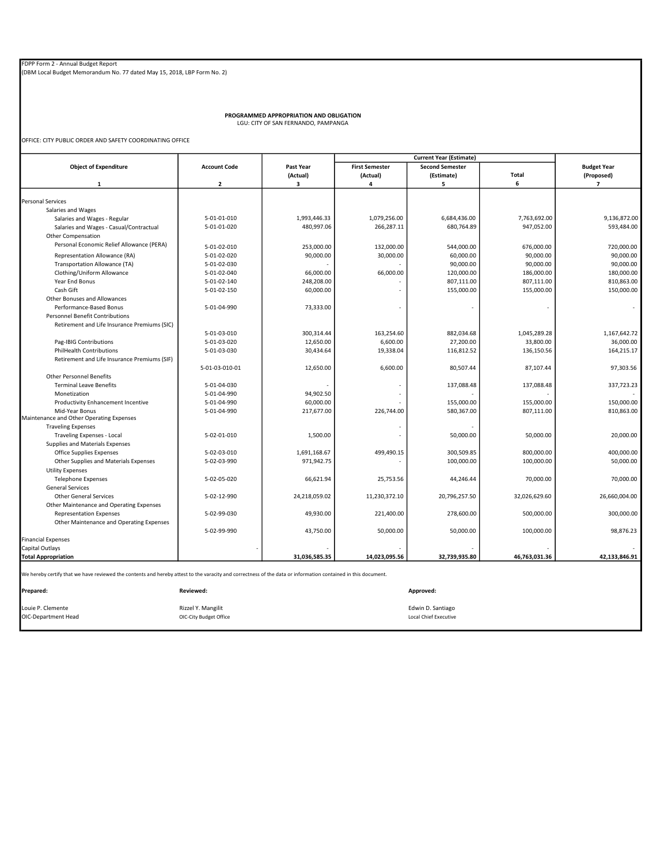PROGRAMMED APPROPRIATION AND OBLIGATION LGU: CITY OF SAN FERNANDO, PAMPANGA

OFFICE: CITY PUBLIC ORDER AND SAFETY COORDINATING OFFICE

|                                                                                                                                                                            |                         |               |                       | <b>Current Year (Estimate)</b> |               |                          |
|----------------------------------------------------------------------------------------------------------------------------------------------------------------------------|-------------------------|---------------|-----------------------|--------------------------------|---------------|--------------------------|
| <b>Object of Expenditure</b>                                                                                                                                               | <b>Account Code</b>     | Past Year     | <b>First Semester</b> | <b>Second Semester</b>         |               | <b>Budget Year</b>       |
|                                                                                                                                                                            |                         | (Actual)      | (Actual)              | (Estimate)                     | <b>Total</b>  | (Proposed)               |
| $\mathbf{1}$                                                                                                                                                               | $\overline{\mathbf{2}}$ | 3             | 4                     | 5                              | 6             | $\overline{7}$           |
|                                                                                                                                                                            |                         |               |                       |                                |               |                          |
| <b>Personal Services</b>                                                                                                                                                   |                         |               |                       |                                |               |                          |
| Salaries and Wages                                                                                                                                                         |                         |               |                       |                                |               |                          |
| Salaries and Wages - Regular                                                                                                                                               | 5-01-01-010             | 1,993,446.33  | 1,079,256.00          | 6,684,436.00                   | 7,763,692.00  | 9,136,872.00             |
| Salaries and Wages - Casual/Contractual                                                                                                                                    | 5-01-01-020             | 480,997.06    | 266,287.11            | 680,764.89                     | 947,052.00    | 593,484.00               |
| Other Compensation                                                                                                                                                         |                         |               |                       |                                |               |                          |
| Personal Economic Relief Allowance (PERA)                                                                                                                                  | 5-01-02-010             | 253,000.00    | 132,000.00            | 544,000.00                     | 676,000.00    | 720,000.00               |
| Representation Allowance (RA)                                                                                                                                              | 5-01-02-020             | 90,000.00     | 30,000.00             | 60,000.00                      | 90,000.00     | 90,000.00                |
| Transportation Allowance (TA)                                                                                                                                              | 5-01-02-030             |               |                       | 90,000.00                      | 90,000.00     | 90,000.00                |
| Clothing/Uniform Allowance                                                                                                                                                 | 5-01-02-040             | 66,000.00     | 66,000.00             | 120,000.00                     | 186,000.00    | 180,000.00               |
| Year End Bonus                                                                                                                                                             | 5-01-02-140             | 248,208.00    |                       | 807,111.00                     | 807,111.00    | 810,863.00               |
| Cash Gift                                                                                                                                                                  | 5-01-02-150             | 60,000.00     |                       | 155,000.00                     | 155,000.00    | 150,000.00               |
| Other Bonuses and Allowances                                                                                                                                               |                         |               |                       |                                |               |                          |
| Performance-Based Bonus                                                                                                                                                    | 5-01-04-990             | 73,333.00     |                       |                                |               | $\overline{\phantom{a}}$ |
| <b>Personnel Benefit Contributions</b>                                                                                                                                     |                         |               |                       |                                |               |                          |
| Retirement and Life Insurance Premiums (SIC)                                                                                                                               |                         |               |                       |                                |               |                          |
|                                                                                                                                                                            | 5-01-03-010             | 300,314.44    | 163,254.60            | 882.034.68                     | 1,045,289.28  | 1.167.642.72             |
| Pag-IBIG Contributions                                                                                                                                                     | 5-01-03-020             | 12,650.00     | 6,600.00              | 27,200.00                      | 33,800.00     | 36,000.00                |
| <b>PhilHealth Contributions</b>                                                                                                                                            | 5-01-03-030             | 30,434.64     | 19,338.04             | 116,812.52                     | 136,150.56    | 164,215.17               |
| Retirement and Life Insurance Premiums (SIF)                                                                                                                               |                         |               |                       |                                |               |                          |
|                                                                                                                                                                            | 5-01-03-010-01          | 12,650.00     | 6,600.00              | 80,507.44                      | 87,107.44     | 97,303.56                |
| <b>Other Personnel Benefits</b>                                                                                                                                            |                         |               |                       |                                |               |                          |
| <b>Terminal Leave Benefits</b>                                                                                                                                             | 5-01-04-030             |               |                       | 137,088.48                     | 137,088.48    | 337,723.23               |
| Monetization                                                                                                                                                               | 5-01-04-990             | 94,902.50     |                       |                                |               |                          |
| Productivity Enhancement Incentive                                                                                                                                         | 5-01-04-990             | 60,000.00     |                       | 155,000.00                     | 155,000.00    | 150,000.00               |
| Mid-Year Bonus                                                                                                                                                             | 5-01-04-990             | 217,677.00    | 226,744.00            | 580,367.00                     | 807,111.00    | 810,863.00               |
| Maintenance and Other Operating Expenses                                                                                                                                   |                         |               |                       |                                |               |                          |
| <b>Traveling Expenses</b>                                                                                                                                                  |                         |               |                       |                                |               |                          |
| <b>Traveling Expenses - Local</b>                                                                                                                                          | 5-02-01-010             | 1,500.00      |                       | 50,000.00                      | 50,000.00     | 20,000.00                |
| Supplies and Materials Expenses                                                                                                                                            |                         |               |                       |                                |               |                          |
| Office Supplies Expenses                                                                                                                                                   | 5-02-03-010             | 1,691,168.67  | 499,490.15            | 300,509.85                     | 800,000.00    | 400,000.00               |
| Other Supplies and Materials Expenses                                                                                                                                      | 5-02-03-990             | 971,942.75    |                       | 100,000.00                     | 100,000.00    | 50,000.00                |
| <b>Utility Expenses</b>                                                                                                                                                    |                         |               |                       |                                |               |                          |
| <b>Telephone Expenses</b>                                                                                                                                                  | 5-02-05-020             | 66,621.94     | 25,753.56             | 44,246.44                      | 70,000.00     | 70,000.00                |
| <b>General Services</b>                                                                                                                                                    |                         |               |                       |                                |               |                          |
| <b>Other General Services</b>                                                                                                                                              | 5-02-12-990             | 24,218,059.02 | 11,230,372.10         | 20,796,257.50                  | 32,026,629.60 | 26,660,004.00            |
| Other Maintenance and Operating Expenses                                                                                                                                   |                         |               |                       |                                |               |                          |
| <b>Representation Expenses</b>                                                                                                                                             | 5-02-99-030             | 49,930.00     | 221,400.00            | 278,600.00                     | 500.000.00    | 300.000.00               |
| Other Maintenance and Operating Expenses                                                                                                                                   |                         |               |                       |                                |               |                          |
|                                                                                                                                                                            | 5-02-99-990             | 43,750.00     | 50,000.00             | 50,000.00                      | 100,000.00    | 98,876.23                |
| <b>Financial Expenses</b>                                                                                                                                                  |                         |               |                       |                                |               |                          |
| Capital Outlays                                                                                                                                                            |                         |               |                       |                                |               |                          |
| <b>Total Appropriation</b>                                                                                                                                                 |                         | 31,036,585.35 | 14,023,095.56         | 32,739,935.80                  | 46,763,031.36 | 42,133,846.91            |
| We hereby certify that we have reviewed the contents and hereby attest to the varacity and correctness of the data or information contained in this document.<br>Prepared: | Reviewed:               |               |                       | Approved:                      |               |                          |
|                                                                                                                                                                            |                         |               |                       |                                |               |                          |
| Louie P. Clemente                                                                                                                                                          | Rizzel Y. Mangilit      |               |                       | Edwin D. Santiago              |               |                          |
| OIC-Department Head                                                                                                                                                        | OIC-City Budget Office  |               |                       | <b>Local Chief Executive</b>   |               |                          |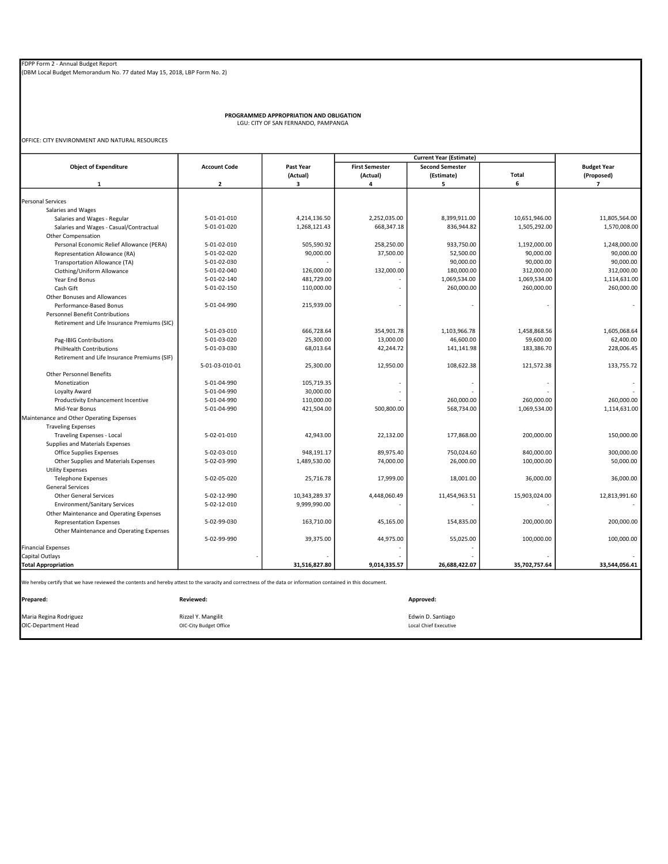PROGRAMMED APPROPRIATION AND OBLIGATION LGU: CITY OF SAN FERNANDO, PAMPANGA

OFFICE: CITY ENVIRONMENT AND NATURAL RESOURCES

|                                                                                                                                                               |                     |               | <b>Current Year (Estimate)</b> |                        |               |                    |
|---------------------------------------------------------------------------------------------------------------------------------------------------------------|---------------------|---------------|--------------------------------|------------------------|---------------|--------------------|
| <b>Object of Expenditure</b>                                                                                                                                  | <b>Account Code</b> | Past Year     | <b>First Semester</b>          | <b>Second Semester</b> |               | <b>Budget Year</b> |
|                                                                                                                                                               |                     | (Actual)      | (Actual)                       | (Estimate)             | <b>Total</b>  | (Proposed)         |
| $\mathbf{1}$                                                                                                                                                  | $\overline{2}$      | з             | 4                              | 5                      | 6             | $\overline{7}$     |
|                                                                                                                                                               |                     |               |                                |                        |               |                    |
| <b>Personal Services</b>                                                                                                                                      |                     |               |                                |                        |               |                    |
| Salaries and Wages                                                                                                                                            |                     |               |                                |                        |               |                    |
| Salaries and Wages - Regular                                                                                                                                  | 5-01-01-010         | 4,214,136.50  | 2,252,035.00                   | 8,399,911.00           | 10,651,946.00 | 11,805,564.00      |
| Salaries and Wages - Casual/Contractual                                                                                                                       | 5-01-01-020         | 1,268,121.43  | 668,347.18                     | 836,944.82             | 1,505,292.00  | 1,570,008.00       |
| Other Compensation                                                                                                                                            |                     |               |                                |                        |               |                    |
| Personal Economic Relief Allowance (PERA)                                                                                                                     | 5-01-02-010         | 505,590.92    | 258,250.00                     | 933,750.00             | 1,192,000.00  | 1,248,000.00       |
| Representation Allowance (RA)                                                                                                                                 | 5-01-02-020         | 90,000.00     | 37,500.00                      | 52,500.00              | 90,000.00     | 90,000.00          |
| Transportation Allowance (TA)                                                                                                                                 | 5-01-02-030         |               |                                | 90,000.00              | 90,000.00     | 90,000.00          |
| Clothing/Uniform Allowance                                                                                                                                    | 5-01-02-040         | 126,000.00    | 132,000.00                     | 180,000.00             | 312,000.00    | 312,000.00         |
| Year End Bonus                                                                                                                                                | 5-01-02-140         | 481,729.00    |                                | 1,069,534.00           | 1,069,534.00  | 1,114,631.00       |
| Cash Gift                                                                                                                                                     | 5-01-02-150         | 110,000.00    |                                | 260,000.00             | 260,000.00    | 260,000.00         |
| Other Bonuses and Allowances                                                                                                                                  |                     |               |                                |                        |               |                    |
| Performance-Based Bonus                                                                                                                                       | 5-01-04-990         | 215,939.00    |                                |                        |               | $\sim$             |
| <b>Personnel Benefit Contributions</b>                                                                                                                        |                     |               |                                |                        |               |                    |
| Retirement and Life Insurance Premiums (SIC)                                                                                                                  |                     |               |                                |                        |               |                    |
|                                                                                                                                                               | 5-01-03-010         | 666,728.64    | 354,901.78                     | 1,103,966.78           | 1,458,868.56  | 1,605,068.64       |
| Pag-IBIG Contributions                                                                                                                                        | 5-01-03-020         | 25,300.00     | 13,000.00                      | 46,600.00              | 59,600.00     | 62,400.00          |
| <b>PhilHealth Contributions</b>                                                                                                                               | 5-01-03-030         | 68,013.64     | 42,244.72                      | 141,141.98             | 183,386.70    | 228,006.45         |
| Retirement and Life Insurance Premiums (SIF)                                                                                                                  |                     |               |                                |                        |               |                    |
|                                                                                                                                                               | 5-01-03-010-01      | 25,300.00     | 12,950.00                      | 108,622.38             | 121,572.38    | 133,755.72         |
| <b>Other Personnel Benefits</b>                                                                                                                               |                     |               |                                |                        |               |                    |
| Monetization                                                                                                                                                  | 5-01-04-990         | 105,719.35    |                                |                        |               |                    |
| Loyalty Award                                                                                                                                                 | 5-01-04-990         | 30,000.00     |                                |                        |               |                    |
| Productivity Enhancement Incentive                                                                                                                            | 5-01-04-990         | 110,000.00    |                                | 260,000.00             | 260,000.00    | 260.000.00         |
| Mid-Year Bonus                                                                                                                                                | 5-01-04-990         | 421,504.00    | 500,800.00                     | 568,734.00             | 1,069,534.00  | 1,114,631.00       |
| Maintenance and Other Operating Expenses                                                                                                                      |                     |               |                                |                        |               |                    |
| <b>Traveling Expenses</b>                                                                                                                                     |                     |               |                                |                        |               |                    |
| Traveling Expenses - Local                                                                                                                                    | 5-02-01-010         | 42,943.00     | 22,132.00                      | 177,868.00             | 200.000.00    | 150,000.00         |
| Supplies and Materials Expenses                                                                                                                               |                     |               |                                |                        |               |                    |
| <b>Office Supplies Expenses</b>                                                                                                                               | 5-02-03-010         | 948,191.17    | 89,975.40                      | 750,024.60             | 840,000.00    | 300,000.00         |
|                                                                                                                                                               |                     |               |                                |                        |               |                    |
| Other Supplies and Materials Expenses                                                                                                                         | 5-02-03-990         | 1,489,530.00  | 74,000.00                      | 26,000.00              | 100,000.00    | 50,000.00          |
| <b>Utility Expenses</b>                                                                                                                                       |                     |               |                                |                        |               |                    |
| <b>Telephone Expenses</b>                                                                                                                                     | 5-02-05-020         | 25,716.78     | 17,999.00                      | 18,001.00              | 36.000.00     | 36,000,00          |
| <b>General Services</b>                                                                                                                                       |                     |               |                                |                        |               |                    |
| <b>Other General Services</b>                                                                                                                                 | 5-02-12-990         | 10,343,289.37 | 4,448,060.49                   | 11,454,963.51          | 15,903,024.00 | 12,813,991.60      |
| <b>Environment/Sanitary Services</b>                                                                                                                          | 5-02-12-010         | 9,999,990.00  |                                |                        |               |                    |
| Other Maintenance and Operating Expenses                                                                                                                      |                     |               |                                |                        |               |                    |
| <b>Representation Expenses</b>                                                                                                                                | 5-02-99-030         | 163,710.00    | 45,165.00                      | 154,835.00             | 200,000.00    | 200,000.00         |
| Other Maintenance and Operating Expenses                                                                                                                      |                     |               |                                |                        |               |                    |
|                                                                                                                                                               | 5-02-99-990         | 39,375.00     | 44,975.00                      | 55,025.00              | 100,000.00    | 100,000.00         |
| <b>Financial Expenses</b>                                                                                                                                     |                     |               |                                |                        |               |                    |
| Capital Outlays                                                                                                                                               |                     |               |                                |                        |               |                    |
| <b>Total Appropriation</b>                                                                                                                                    |                     | 31,516,827.80 | 9,014,335.57                   | 26,688,422.07          | 35,702,757.64 | 33,544,056.41      |
| We hereby certify that we have reviewed the contents and hereby attest to the varacity and correctness of the data or information contained in this document. |                     |               |                                |                        |               |                    |
| Prepared:                                                                                                                                                     | Reviewed:           |               |                                | Approved:              |               |                    |

Maria Regina Rodriguez Rizzel Y. Mangilit Edwin D. Santiago OIC-Department Head OIC-City Budget Office Local Chief Executive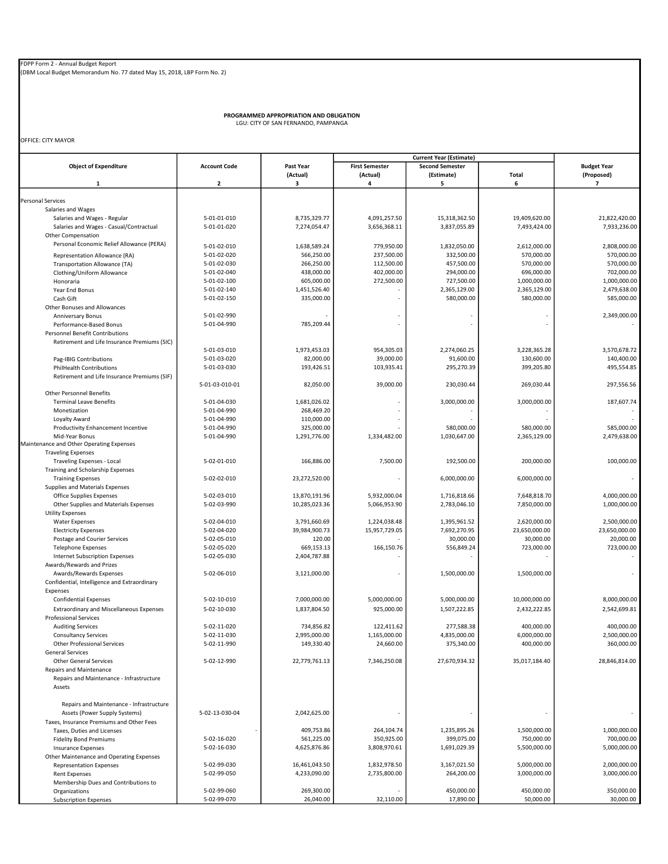(DBM Local Budget Memorandum No. 77 dated May 15, 2018, LBP Form No. 2)

PROGRAMMED APPROPRIATION AND OBLIGATION LGU: CITY OF SAN FERNANDO, PAMPANGA

OFFICE: CITY MAYOR

|                                                            |                            |               | <b>Current Year (Estimate)</b> |                        |               |                              |
|------------------------------------------------------------|----------------------------|---------------|--------------------------------|------------------------|---------------|------------------------------|
| <b>Object of Expenditure</b>                               | <b>Account Code</b>        | Past Year     | <b>First Semester</b>          | <b>Second Semester</b> | Total         | <b>Budget Year</b>           |
| 1                                                          | $\mathbf{2}$               | (Actual)<br>3 | (Actual)<br>4                  | (Estimate)<br>5        | 6             | (Proposed)<br>$\overline{7}$ |
|                                                            |                            |               |                                |                        |               |                              |
| Personal Services                                          |                            |               |                                |                        |               |                              |
| Salaries and Wages                                         |                            |               |                                |                        |               |                              |
| Salaries and Wages - Regular                               | 5-01-01-010                | 8,735,329.77  | 4,091,257.50                   | 15,318,362.50          | 19,409,620.00 | 21,822,420.00                |
| Salaries and Wages - Casual/Contractual                    | 5-01-01-020                | 7,274,054.47  | 3,656,368.11                   | 3,837,055.89           | 7,493,424.00  | 7,933,236.00                 |
| <b>Other Compensation</b>                                  |                            |               |                                |                        |               |                              |
| Personal Economic Relief Allowance (PERA)                  | 5-01-02-010                | 1,638,589.24  | 779,950.00                     | 1,832,050.00           | 2,612,000.00  | 2,808,000.00                 |
| Representation Allowance (RA)                              | 5-01-02-020                | 566,250.00    | 237,500.00                     | 332,500.00             | 570,000.00    | 570,000.00                   |
| Transportation Allowance (TA)                              | 5-01-02-030                | 266,250.00    | 112,500.00                     | 457,500.00             | 570,000.00    | 570,000.00                   |
| Clothing/Uniform Allowance                                 | 5-01-02-040                | 438,000.00    | 402,000.00                     | 294,000.00             | 696,000.00    | 702,000.00                   |
| Honoraria                                                  | 5-01-02-100                | 605,000.00    | 272,500.00                     | 727,500.00             | 1,000,000.00  | 1,000,000.00                 |
| Year End Bonus                                             | 5-01-02-140                | 1,451,526.40  |                                | 2,365,129.00           | 2,365,129.00  | 2,479,638.00                 |
| Cash Gift                                                  | 5-01-02-150                | 335,000.00    |                                | 580,000.00             | 580,000.00    | 585,000.00                   |
| Other Bonuses and Allowances                               |                            |               |                                |                        |               |                              |
| Anniversary Bonus                                          | 5-01-02-990                |               |                                |                        |               | 2,349,000.00                 |
| Performance-Based Bonus                                    | 5-01-04-990                | 785,209.44    |                                |                        |               |                              |
| <b>Personnel Benefit Contributions</b>                     |                            |               |                                |                        |               |                              |
| Retirement and Life Insurance Premiums (SIC)               |                            |               |                                |                        |               |                              |
|                                                            | 5-01-03-010                | 1,973,453.03  | 954,305.03                     | 2,274,060.25           | 3,228,365.28  | 3,570,678.72                 |
| Pag-IBIG Contributions                                     | 5-01-03-020                | 82,000.00     | 39,000.00                      | 91,600.00              | 130,600.00    | 140,400.00                   |
| <b>PhilHealth Contributions</b>                            | 5-01-03-030                | 193,426.51    | 103,935.41                     | 295,270.39             | 399,205.80    | 495,554.85                   |
| Retirement and Life Insurance Premiums (SIF)               |                            |               |                                |                        |               |                              |
|                                                            | 5-01-03-010-01             | 82,050.00     | 39,000.00                      | 230,030.44             | 269,030.44    | 297,556.56                   |
| <b>Other Personnel Benefits</b>                            |                            |               |                                |                        |               |                              |
| <b>Terminal Leave Benefits</b>                             | 5-01-04-030                | 1,681,026.02  |                                | 3,000,000.00           | 3,000,000.00  | 187,607.74                   |
| Monetization                                               | 5-01-04-990                | 268,469.20    |                                |                        |               |                              |
| Loyalty Award                                              | 5-01-04-990                | 110,000.00    |                                |                        |               |                              |
| Productivity Enhancement Incentive                         | 5-01-04-990<br>5-01-04-990 | 325,000.00    |                                | 580,000.00             | 580,000.00    | 585,000.00                   |
| Mid-Year Bonus<br>Maintenance and Other Operating Expenses |                            | 1,291,776.00  | 1,334,482.00                   | 1,030,647.00           | 2,365,129.00  | 2,479,638.00                 |
| <b>Traveling Expenses</b>                                  |                            |               |                                |                        |               |                              |
| Traveling Expenses - Local                                 | 5-02-01-010                | 166.886.00    | 7,500.00                       | 192,500.00             | 200,000.00    | 100,000.00                   |
| Training and Scholarship Expenses                          |                            |               |                                |                        |               |                              |
| <b>Training Expenses</b>                                   | 5-02-02-010                | 23,272,520.00 |                                | 6,000,000.00           | 6,000,000.00  |                              |
| Supplies and Materials Expenses                            |                            |               |                                |                        |               |                              |
| Office Supplies Expenses                                   | 5-02-03-010                | 13,870,191.96 | 5,932,000.04                   | 1,716,818.66           | 7,648,818.70  | 4,000,000.00                 |
| Other Supplies and Materials Expenses                      | 5-02-03-990                | 10,285,023.36 | 5,066,953.90                   | 2,783,046.10           | 7,850,000.00  | 1,000,000.00                 |
| <b>Utility Expenses</b>                                    |                            |               |                                |                        |               |                              |
| <b>Water Expenses</b>                                      | 5-02-04-010                | 3,791,660.69  | 1,224,038.48                   | 1,395,961.52           | 2,620,000.00  | 2,500,000.00                 |
| <b>Electricity Expenses</b>                                | 5-02-04-020                | 39,984,900.73 | 15,957,729.05                  | 7,692,270.95           | 23,650,000.00 | 23,650,000.00                |
| Postage and Courier Services                               | 5-02-05-010                | 120.00        |                                | 30,000.00              | 30,000.00     | 20,000.00                    |
| <b>Telephone Expenses</b>                                  | 5-02-05-020                | 669,153.13    | 166,150.76                     | 556,849.24             | 723,000.00    | 723,000.00                   |
| <b>Internet Subscription Expenses</b>                      | 5-02-05-030                | 2,404,787.88  |                                |                        |               |                              |
| Awards/Rewards and Prizes                                  |                            |               |                                |                        |               |                              |
| Awards/Rewards Expenses                                    | 5-02-06-010                | 3,121,000.00  |                                | 1,500,000.00           | 1,500,000.00  |                              |
| Confidential, Intelligence and Extraordinary               |                            |               |                                |                        |               |                              |
| Expenses                                                   |                            |               |                                |                        |               |                              |
| <b>Confidential Expenses</b>                               | 5-02-10-010                | 7,000,000.00  | 5,000,000.00                   | 5,000,000.00           | 10,000,000.00 | 8,000,000.00                 |
| <b>Extraordinary and Miscellaneous Expenses</b>            | 5-02-10-030                | 1,837,804.50  | 925,000.00                     | 1,507,222.85           | 2,432,222.85  | 2,542,699.81                 |
| <b>Professional Services</b>                               |                            |               |                                |                        |               |                              |
| <b>Auditing Services</b>                                   | 5-02-11-020                | 734,856.82    | 122,411.62                     | 277,588.38             | 400,000.00    | 400,000.00                   |
| <b>Consultancy Services</b>                                | 5-02-11-030                | 2,995,000.00  | 1,165,000.00                   | 4,835,000.00           | 6,000,000.00  | 2,500,000.00                 |
| <b>Other Professional Services</b>                         | 5-02-11-990                | 149,330.40    | 24,660.00                      | 375,340.00             | 400,000.00    | 360.000.00                   |
| <b>General Services</b>                                    |                            |               |                                |                        |               |                              |
| <b>Other General Services</b>                              | 5-02-12-990                | 22,779,761.13 | 7,346,250.08                   | 27,670,934.32          | 35,017,184.40 | 28,846,814.00                |
| <b>Repairs and Maintenance</b>                             |                            |               |                                |                        |               |                              |
| Repairs and Maintenance - Infrastructure                   |                            |               |                                |                        |               |                              |
| Assets                                                     |                            |               |                                |                        |               |                              |
|                                                            |                            |               |                                |                        |               |                              |
| Repairs and Maintenance - Infrastructure                   |                            |               |                                |                        |               |                              |
| Assets (Power Supply Systems)                              | 5-02-13-030-04             | 2,042,625.00  |                                |                        |               |                              |
| Taxes, Insurance Premiums and Other Fees                   |                            |               |                                |                        |               |                              |
| Taxes, Duties and Licenses                                 |                            | 409,753.86    | 264,104.74                     | 1,235,895.26           | 1,500,000.00  | 1,000,000.00                 |
| <b>Fidelity Bond Premiums</b>                              | 5-02-16-020                | 561,225.00    | 350,925.00                     | 399,075.00             | 750,000.00    | 700,000.00                   |
| <b>Insurance Expenses</b>                                  | 5-02-16-030                | 4,625,876.86  | 3,808,970.61                   | 1,691,029.39           | 5,500,000.00  | 5,000,000.00                 |
| Other Maintenance and Operating Expenses                   |                            |               |                                |                        |               |                              |
| <b>Representation Expenses</b>                             | 5-02-99-030                | 16,461,043.50 | 1,832,978.50                   | 3,167,021.50           | 5,000,000.00  | 2,000,000.00                 |
| <b>Rent Expenses</b>                                       | 5-02-99-050                | 4,233,090.00  | 2,735,800.00                   | 264,200.00             | 3,000,000.00  | 3,000,000.00                 |
| Membership Dues and Contributions to                       |                            |               |                                |                        |               |                              |
| Organizations                                              | 5-02-99-060                | 269,300.00    |                                | 450,000.00             | 450,000.00    | 350,000.00                   |
| <b>Subscription Expenses</b>                               | 5-02-99-070                | 26,040.00     | 32,110.00                      | 17,890.00              | 50,000.00     | 30,000.00                    |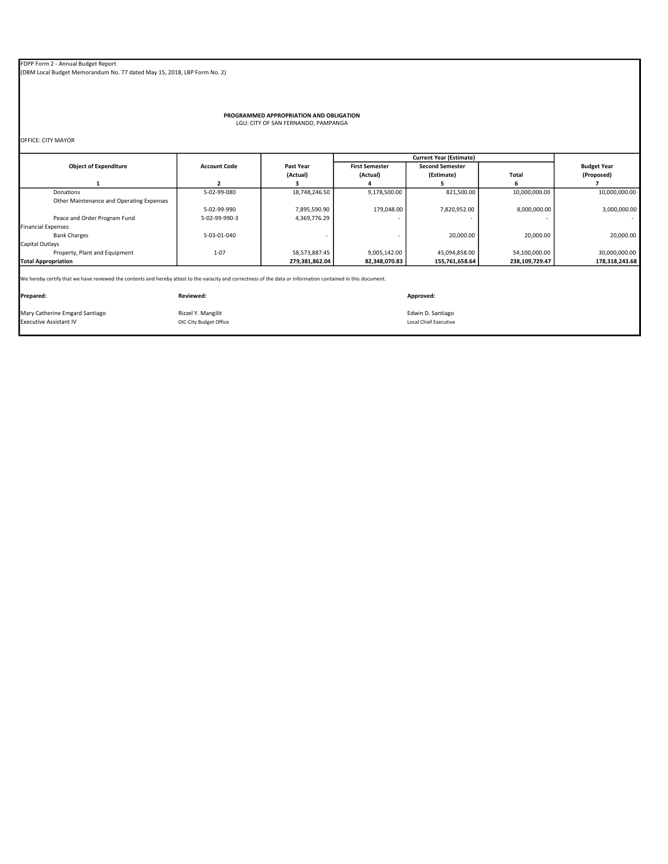(DBM Local Budget Memorandum No. 77 dated May 15, 2018, LBP Form No. 2)

PROGRAMMED APPROPRIATION AND OBLIGATION LGU: CITY OF SAN FERNANDO, PAMPANGA

OFFICE: CITY MAYOR

| <b>Object of Expenditure</b>                                                                                                                                  | <b>Account Code</b> | <b>Past Year</b> | <b>First Semester</b> | <b>Second Semester</b> |                | <b>Budget Year</b> |
|---------------------------------------------------------------------------------------------------------------------------------------------------------------|---------------------|------------------|-----------------------|------------------------|----------------|--------------------|
|                                                                                                                                                               |                     | (Actual)         | (Actual)              | (Estimate)             | Total          | (Proposed)         |
|                                                                                                                                                               |                     |                  |                       |                        |                |                    |
| Donations                                                                                                                                                     | 5-02-99-080         | 18,748,246.50    | 9,178,500.00          | 821.500.00             | 10,000,000.00  | 10,000,000.00      |
| Other Maintenance and Operating Expenses                                                                                                                      |                     |                  |                       |                        |                |                    |
|                                                                                                                                                               | 5-02-99-990         | 7,895,590.90     | 179,048.00            | 7,820,952.00           | 8,000,000.00   | 3,000,000.00       |
| Peace and Order Program Fund                                                                                                                                  | 5-02-99-990-3       | 4,369,776.29     |                       |                        |                | <b>COL</b>         |
| <b>Financial Expenses</b>                                                                                                                                     |                     |                  |                       |                        |                |                    |
| <b>Bank Charges</b>                                                                                                                                           | 5-03-01-040         |                  |                       | 20,000.00              | 20,000.00      | 20,000.00          |
| Capital Outlays                                                                                                                                               |                     |                  |                       |                        |                |                    |
| Property, Plant and Equipment                                                                                                                                 | $1 - 07$            | 58,573,887.45    | 9,005,142.00          | 45,094,858.00          | 54,100,000.00  | 30,000,000.00      |
| <b>Total Appropriation</b>                                                                                                                                    |                     | 279,381,862.04   | 82,348,070.83         | 155,761,658.64         | 238,109,729.47 | 178,318,243.68     |
|                                                                                                                                                               |                     |                  |                       |                        |                |                    |
| We hereby certify that we have reviewed the contents and hereby attest to the varacity and correctness of the data or information contained in this document. |                     |                  |                       |                        |                |                    |
|                                                                                                                                                               |                     |                  |                       |                        |                |                    |

Prepared: Reviewed: Approved: Mary Catherine Emgard Santiago **Rizzel Y. Mangilit Communisty Catherine** Edwin D. Santiago Executive Assistant IV<br>Executive Assistant IV Communisty **Communisty Communisty Communisty Communisty** Communisty Communisty Commun Executive Assistant IV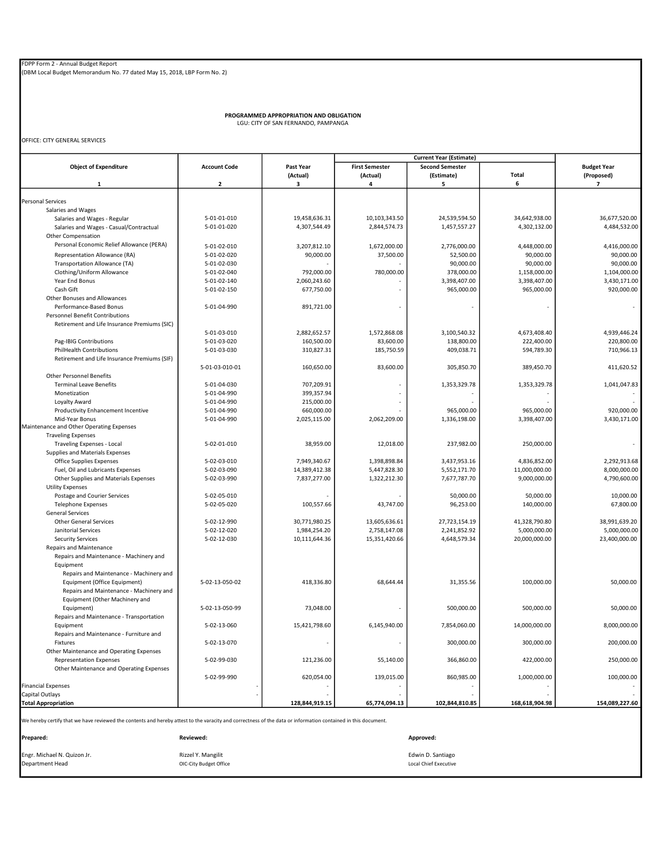PROGRAMMED APPROPRIATION AND OBLIGATION LGU: CITY OF SAN FERNANDO, PAMPANGA

OFFICE: CITY GENERAL SERVICES

|                                                                                                                                                               |                            |                |                       | <b>Current Year (Estimate)</b> |                         |                        |
|---------------------------------------------------------------------------------------------------------------------------------------------------------------|----------------------------|----------------|-----------------------|--------------------------------|-------------------------|------------------------|
| <b>Object of Expenditure</b>                                                                                                                                  | <b>Account Code</b>        | Past Year      | <b>First Semester</b> | <b>Second Semester</b>         |                         | <b>Budget Year</b>     |
|                                                                                                                                                               |                            | (Actual)       | (Actual)              | (Estimate)                     | <b>Total</b>            | (Proposed)             |
| 1                                                                                                                                                             | $\overline{\mathbf{2}}$    | 3              | 4                     | 5                              | 6                       | $\overline{7}$         |
| <b>Personal Services</b>                                                                                                                                      |                            |                |                       |                                |                         |                        |
| Salaries and Wages                                                                                                                                            |                            |                |                       |                                |                         |                        |
| Salaries and Wages - Regular                                                                                                                                  | 5-01-01-010                | 19,458,636.31  | 10,103,343.50         | 24,539,594.50                  | 34,642,938.00           | 36,677,520.00          |
| Salaries and Wages - Casual/Contractual                                                                                                                       | 5-01-01-020                | 4,307,544.49   | 2,844,574.73          | 1,457,557.27                   | 4,302,132.00            | 4,484,532.00           |
| Other Compensation                                                                                                                                            |                            |                |                       |                                |                         |                        |
| Personal Economic Relief Allowance (PERA)                                                                                                                     | 5-01-02-010                | 3,207,812.10   | 1,672,000.00          | 2,776,000.00                   | 4,448,000.00            | 4,416,000.00           |
| Representation Allowance (RA)                                                                                                                                 | 5-01-02-020                | 90,000.00      | 37,500.00             | 52,500.00                      | 90,000.00               | 90,000.00              |
| Transportation Allowance (TA)                                                                                                                                 | 5-01-02-030                |                |                       | 90,000.00                      | 90,000.00               | 90,000.00              |
| Clothing/Uniform Allowance                                                                                                                                    | 5-01-02-040                | 792,000.00     | 780,000.00            | 378,000.00                     | 1,158,000.00            | 1,104,000.00           |
| Year End Bonus                                                                                                                                                | 5-01-02-140                | 2,060,243.60   |                       | 3,398,407.00                   | 3,398,407.00            | 3,430,171.00           |
| Cash Gift                                                                                                                                                     | 5-01-02-150                | 677,750.00     |                       | 965,000.00                     | 965,000.00              | 920,000.00             |
| Other Bonuses and Allowances                                                                                                                                  |                            |                |                       |                                |                         |                        |
| Performance-Based Bonus                                                                                                                                       | 5-01-04-990                | 891,721.00     |                       |                                |                         | $\sim$                 |
| <b>Personnel Benefit Contributions</b>                                                                                                                        |                            |                |                       |                                |                         |                        |
| Retirement and Life Insurance Premiums (SIC)                                                                                                                  |                            |                |                       |                                |                         |                        |
|                                                                                                                                                               | 5-01-03-010                | 2,882,652.57   | 1,572,868.08          | 3,100,540.32                   | 4,673,408.40            | 4,939,446.24           |
| Pag-IBIG Contributions                                                                                                                                        | 5-01-03-020                | 160,500.00     | 83,600.00             | 138,800.00                     | 222,400.00              | 220,800.00             |
| <b>PhilHealth Contributions</b>                                                                                                                               | 5-01-03-030                | 310,827.31     | 185,750.59            | 409,038.71                     | 594,789.30              | 710,966.13             |
| Retirement and Life Insurance Premiums (SIF)                                                                                                                  |                            |                |                       |                                |                         |                        |
|                                                                                                                                                               | 5-01-03-010-01             | 160,650.00     | 83,600.00             | 305,850.70                     | 389,450.70              | 411,620.52             |
| <b>Other Personnel Benefits</b>                                                                                                                               |                            |                |                       |                                |                         |                        |
| <b>Terminal Leave Benefits</b>                                                                                                                                | 5-01-04-030                | 707,209.91     |                       | 1,353,329.78                   | 1,353,329.78            | 1,041,047.83           |
| Monetization                                                                                                                                                  | 5-01-04-990                | 399,357.94     |                       |                                |                         |                        |
| Loyalty Award                                                                                                                                                 | 5-01-04-990                | 215,000.00     |                       |                                |                         |                        |
| Productivity Enhancement Incentive                                                                                                                            | 5-01-04-990                | 660,000.00     |                       | 965,000.00                     | 965,000.00              | 920,000.00             |
| Mid-Year Bonus                                                                                                                                                | 5-01-04-990                | 2,025,115.00   | 2,062,209.00          | 1,336,198.00                   | 3,398,407.00            | 3,430,171.00           |
| Maintenance and Other Operating Expenses                                                                                                                      |                            |                |                       |                                |                         |                        |
| <b>Traveling Expenses</b>                                                                                                                                     |                            |                |                       |                                |                         |                        |
| Traveling Expenses - Local                                                                                                                                    | 5-02-01-010                | 38,959.00      | 12,018.00             | 237,982.00                     | 250,000.00              |                        |
| Supplies and Materials Expenses                                                                                                                               |                            |                |                       |                                |                         |                        |
| Office Supplies Expenses                                                                                                                                      | 5-02-03-010                | 7,949,340.67   | 1,398,898.84          | 3,437,953.16                   | 4,836,852.00            | 2,292,913.68           |
| Fuel, Oil and Lubricants Expenses                                                                                                                             | 5-02-03-090                | 14,389,412.38  | 5,447,828.30          | 5,552,171.70                   | 11,000,000.00           | 8,000,000.00           |
| Other Supplies and Materials Expenses                                                                                                                         | 5-02-03-990                | 7,837,277.00   | 1,322,212.30          | 7,677,787.70                   | 9,000,000.00            | 4,790,600.00           |
| <b>Utility Expenses</b>                                                                                                                                       |                            |                |                       |                                |                         |                        |
| Postage and Courier Services<br><b>Telephone Expenses</b>                                                                                                     | 5-02-05-010<br>5-02-05-020 | 100,557.66     | 43,747.00             | 50,000.00<br>96,253.00         | 50,000.00<br>140,000.00 | 10,000.00<br>67,800.00 |
| <b>General Services</b>                                                                                                                                       |                            |                |                       |                                |                         |                        |
| <b>Other General Services</b>                                                                                                                                 | 5-02-12-990                | 30,771,980.25  | 13,605,636.61         | 27,723,154.19                  | 41,328,790.80           | 38,991,639.20          |
| Janitorial Services                                                                                                                                           | 5-02-12-020                | 1,984,254.20   | 2,758,147.08          | 2,241,852.92                   | 5,000,000.00            | 5,000,000.00           |
| <b>Security Services</b>                                                                                                                                      | 5-02-12-030                | 10,111,644.36  | 15,351,420.66         | 4,648,579.34                   | 20,000,000.00           | 23,400,000.00          |
| Repairs and Maintenance                                                                                                                                       |                            |                |                       |                                |                         |                        |
| Repairs and Maintenance - Machinery and                                                                                                                       |                            |                |                       |                                |                         |                        |
| Equipment                                                                                                                                                     |                            |                |                       |                                |                         |                        |
| Repairs and Maintenance - Machinery and                                                                                                                       |                            |                |                       |                                |                         |                        |
| Equipment (Office Equipment)                                                                                                                                  | 5-02-13-050-02             | 418,336.80     | 68,644.44             | 31,355.56                      | 100,000.00              | 50,000.00              |
| Repairs and Maintenance - Machinery and                                                                                                                       |                            |                |                       |                                |                         |                        |
| Equipment (Other Machinery and                                                                                                                                |                            |                |                       |                                |                         |                        |
| Equipment)                                                                                                                                                    | 5-02-13-050-99             | 73,048.00      |                       | 500,000.00                     | 500,000.00              | 50,000.00              |
| Repairs and Maintenance - Transportation                                                                                                                      |                            |                |                       |                                |                         |                        |
| Equipment                                                                                                                                                     | 5-02-13-060                | 15,421,798.60  | 6,145,940.00          | 7,854,060.00                   | 14,000,000.00           | 8,000,000.00           |
| Repairs and Maintenance - Furniture and                                                                                                                       |                            |                |                       |                                |                         |                        |
| Fixtures                                                                                                                                                      | 5-02-13-070                |                |                       | 300,000.00                     | 300,000.00              | 200,000.00             |
| Other Maintenance and Operating Expenses                                                                                                                      |                            |                |                       |                                |                         |                        |
| <b>Representation Expenses</b>                                                                                                                                | 5-02-99-030                | 121,236.00     | 55,140.00             | 366,860.00                     | 422,000.00              | 250,000.00             |
| Other Maintenance and Operating Expenses                                                                                                                      |                            |                |                       |                                |                         |                        |
|                                                                                                                                                               | 5-02-99-990                | 620,054.00     | 139,015.00            | 860,985.00                     | 1,000,000.00            | 100,000.00             |
| <b>Financial Expenses</b>                                                                                                                                     |                            |                |                       |                                |                         |                        |
| Capital Outlays                                                                                                                                               |                            |                |                       |                                |                         |                        |
| <b>Total Appropriation</b>                                                                                                                                    |                            | 128,844,919.15 | 65,774,094.13         | 102,844,810.85                 | 168,618,904.98          | 154,089,227.60         |
|                                                                                                                                                               |                            |                |                       |                                |                         |                        |
| We hereby certify that we have reviewed the contents and hereby attest to the varacity and correctness of the data or information contained in this document. |                            |                |                       |                                |                         |                        |
|                                                                                                                                                               |                            |                |                       |                                |                         |                        |
| Prepared:                                                                                                                                                     | Reviewed:                  |                |                       | Approved:                      |                         |                        |

Engr. Michael N. Quizon Jr. **Election Constant Constant Constant Constant** Edwin D. Santiago Constant Constant Constant Constant Constant Constant Constant Constant Constant Constant Constant Constant Constant Constant Con OIC-City Budget Office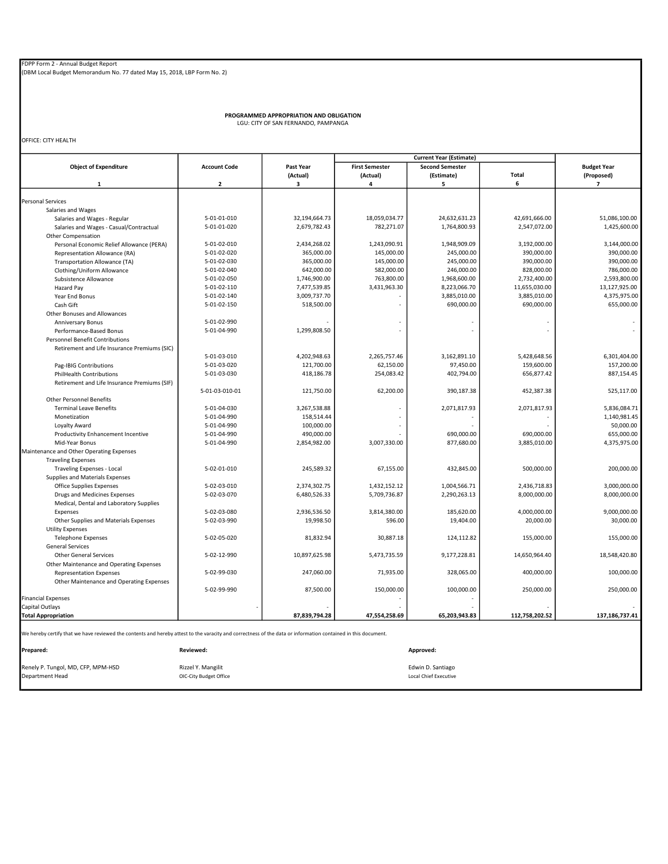PROGRAMMED APPROPRIATION AND OBLIGATION LGU: CITY OF SAN FERNANDO, PAMPANGA

OFFICE: CITY HEALTH

|                                                                                                                                                               |                         |               |                       | <b>Current Year (Estimate)</b> |                |                         |
|---------------------------------------------------------------------------------------------------------------------------------------------------------------|-------------------------|---------------|-----------------------|--------------------------------|----------------|-------------------------|
| <b>Object of Expenditure</b>                                                                                                                                  | <b>Account Code</b>     | Past Year     | <b>First Semester</b> | <b>Second Semester</b>         |                | <b>Budget Year</b>      |
|                                                                                                                                                               |                         | (Actual)      | (Actual)              | (Estimate)                     | Total          | (Proposed)              |
| 1                                                                                                                                                             | $\overline{\mathbf{2}}$ | 3             | 4                     | 5                              | 6              | $\overline{\mathbf{z}}$ |
|                                                                                                                                                               |                         |               |                       |                                |                |                         |
| <b>Personal Services</b>                                                                                                                                      |                         |               |                       |                                |                |                         |
| Salaries and Wages                                                                                                                                            |                         |               |                       |                                |                |                         |
| Salaries and Wages - Regular                                                                                                                                  | 5-01-01-010             | 32,194,664.73 | 18,059,034.77         | 24,632,631.23                  | 42,691,666.00  | 51,086,100.00           |
| Salaries and Wages - Casual/Contractual                                                                                                                       | 5-01-01-020             | 2,679,782.43  | 782,271.07            | 1,764,800.93                   | 2,547,072.00   | 1,425,600.00            |
| Other Compensation                                                                                                                                            |                         |               |                       |                                |                |                         |
| Personal Economic Relief Allowance (PERA)                                                                                                                     | 5-01-02-010             | 2,434,268.02  | 1,243,090.91          | 1,948,909.09                   | 3,192,000.00   | 3,144,000.00            |
| Representation Allowance (RA)                                                                                                                                 | 5-01-02-020             | 365,000.00    | 145,000.00            | 245,000.00                     | 390,000.00     | 390,000.00              |
| Transportation Allowance (TA)                                                                                                                                 | 5-01-02-030             | 365,000.00    | 145,000.00            | 245,000.00                     | 390,000.00     | 390.000.00              |
| Clothing/Uniform Allowance                                                                                                                                    | 5-01-02-040             | 642,000.00    | 582,000.00            | 246,000.00                     | 828,000.00     | 786,000.00              |
| Subsistence Allowance                                                                                                                                         | 5-01-02-050             | 1,746,900.00  | 763,800.00            | 1,968,600.00                   | 2,732,400.00   | 2,593,800.00            |
| Hazard Pay                                                                                                                                                    | 5-01-02-110             | 7,477,539.85  | 3,431,963.30          | 8,223,066.70                   | 11,655,030.00  | 13,127,925.00           |
| Year End Bonus                                                                                                                                                | 5-01-02-140             | 3,009,737.70  |                       | 3,885,010.00                   | 3,885,010.00   | 4,375,975.00            |
| Cash Gift                                                                                                                                                     | 5-01-02-150             | 518,500.00    |                       | 690,000.00                     | 690,000.00     | 655,000.00              |
| Other Bonuses and Allowances                                                                                                                                  |                         |               |                       |                                |                |                         |
| Anniversary Bonus                                                                                                                                             | 5-01-02-990             |               |                       |                                |                |                         |
| Performance-Based Bonus                                                                                                                                       | 5-01-04-990             | 1,299,808.50  |                       |                                |                |                         |
| <b>Personnel Benefit Contributions</b>                                                                                                                        |                         |               |                       |                                |                |                         |
| Retirement and Life Insurance Premiums (SIC)                                                                                                                  |                         |               |                       |                                |                |                         |
|                                                                                                                                                               | 5-01-03-010             | 4,202,948.63  | 2,265,757.46          | 3,162,891.10                   | 5,428,648.56   | 6,301,404.00            |
| Pag-IBIG Contributions                                                                                                                                        | 5-01-03-020             | 121,700.00    | 62,150.00             | 97,450.00                      | 159,600.00     | 157,200.00              |
| <b>PhilHealth Contributions</b>                                                                                                                               | 5-01-03-030             | 418,186.78    | 254,083.42            | 402,794.00                     | 656,877.42     | 887,154.45              |
| Retirement and Life Insurance Premiums (SIF)                                                                                                                  |                         |               |                       |                                |                |                         |
|                                                                                                                                                               | 5-01-03-010-01          | 121,750.00    | 62,200.00             | 390,187.38                     | 452,387.38     | 525,117.00              |
| <b>Other Personnel Benefits</b>                                                                                                                               |                         |               |                       |                                |                |                         |
| <b>Terminal Leave Benefits</b>                                                                                                                                | 5-01-04-030             | 3,267,538.88  |                       | 2,071,817.93                   | 2,071,817.93   | 5,836,084.71            |
| Monetization                                                                                                                                                  | 5-01-04-990             | 158,514.44    |                       |                                |                | 1,140,981.45            |
| Loyalty Award                                                                                                                                                 | 5-01-04-990             | 100,000.00    |                       |                                |                | 50,000.00               |
| Productivity Enhancement Incentive                                                                                                                            | 5-01-04-990             | 490,000.00    |                       | 690,000.00                     | 690,000.00     | 655,000.00              |
|                                                                                                                                                               |                         |               |                       |                                |                | 4,375,975.00            |
| Mid-Year Bonus                                                                                                                                                | 5-01-04-990             | 2,854,982.00  | 3,007,330.00          | 877,680.00                     | 3,885,010.00   |                         |
| Maintenance and Other Operating Expenses                                                                                                                      |                         |               |                       |                                |                |                         |
| <b>Traveling Expenses</b>                                                                                                                                     |                         |               |                       |                                |                |                         |
| Traveling Expenses - Local                                                                                                                                    | 5-02-01-010             | 245,589.32    | 67,155.00             | 432,845.00                     | 500,000.00     | 200,000.00              |
| Supplies and Materials Expenses                                                                                                                               |                         |               |                       |                                |                |                         |
| Office Supplies Expenses                                                                                                                                      | 5-02-03-010             | 2,374,302.75  | 1,432,152.12          | 1,004,566.71                   | 2,436,718.83   | 3,000,000.00            |
| Drugs and Medicines Expenses                                                                                                                                  | 5-02-03-070             | 6,480,526.33  | 5,709,736.87          | 2,290,263.13                   | 8,000,000.00   | 8,000,000.00            |
| Medical, Dental and Laboratory Supplies                                                                                                                       |                         |               |                       |                                |                |                         |
| Expenses                                                                                                                                                      | 5-02-03-080             | 2,936,536.50  | 3,814,380.00          | 185,620.00                     | 4,000,000.00   | 9,000,000.00            |
| Other Supplies and Materials Expenses                                                                                                                         | 5-02-03-990             | 19,998.50     | 596.00                | 19,404.00                      | 20,000.00      | 30,000.00               |
| <b>Utility Expenses</b>                                                                                                                                       |                         |               |                       |                                |                |                         |
| <b>Telephone Expenses</b>                                                                                                                                     | 5-02-05-020             | 81,832.94     | 30,887.18             | 124,112.82                     | 155,000.00     | 155,000.00              |
| <b>General Services</b>                                                                                                                                       |                         |               |                       |                                |                |                         |
| <b>Other General Services</b>                                                                                                                                 | 5-02-12-990             | 10,897,625.98 | 5,473,735.59          | 9,177,228.81                   | 14,650,964.40  | 18,548,420.80           |
| Other Maintenance and Operating Expenses                                                                                                                      |                         |               |                       |                                |                |                         |
| <b>Representation Expenses</b>                                                                                                                                | 5-02-99-030             | 247,060.00    | 71,935.00             | 328,065.00                     | 400,000.00     | 100,000.00              |
| Other Maintenance and Operating Expenses                                                                                                                      |                         |               |                       |                                |                |                         |
|                                                                                                                                                               | 5-02-99-990             | 87,500.00     | 150,000.00            | 100,000.00                     | 250,000.00     | 250,000.00              |
| <b>Financial Expenses</b>                                                                                                                                     |                         |               |                       |                                |                |                         |
| <b>Capital Outlays</b>                                                                                                                                        |                         |               |                       |                                |                |                         |
| <b>Total Appropriation</b>                                                                                                                                    |                         | 87,839,794.28 | 47,554,258.69         | 65,203,943.83                  | 112,758,202.52 | 137, 186, 737. 41       |
|                                                                                                                                                               |                         |               |                       |                                |                |                         |
| We hereby certify that we have reviewed the contents and hereby attest to the varacity and correctness of the data or information contained in this document. |                         |               |                       |                                |                |                         |
|                                                                                                                                                               |                         |               |                       |                                |                |                         |
| Prepared:                                                                                                                                                     | Reviewed:               |               |                       | Approved:                      |                |                         |
|                                                                                                                                                               |                         |               |                       |                                |                |                         |

Renely P. Tungol, MD, CFP, MPM-HSD Rizzel Y. Mangilit Edwin D. Santiago Department Head OIC-City Budget Office Local Chief Executive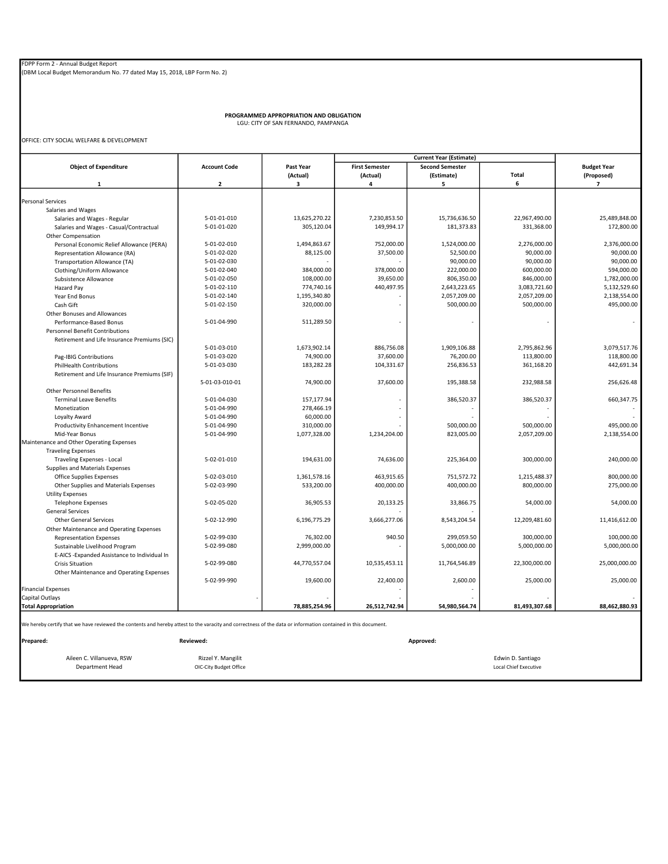PROGRAMMED APPROPRIATION AND OBLIGATION LGU: CITY OF SAN FERNANDO, PAMPANGA

OFFICE: CITY SOCIAL WELFARE & DEVELOPMENT

|                                                                                                                                                               |                         |               | <b>Current Year (Estimate)</b> |                        |               |                          |
|---------------------------------------------------------------------------------------------------------------------------------------------------------------|-------------------------|---------------|--------------------------------|------------------------|---------------|--------------------------|
| <b>Object of Expenditure</b>                                                                                                                                  | <b>Account Code</b>     | Past Year     | <b>First Semester</b>          | <b>Second Semester</b> |               | <b>Budget Year</b>       |
|                                                                                                                                                               |                         | (Actual)      | (Actual)                       | (Estimate)             | <b>Total</b>  | (Proposed)               |
| $\mathbf{1}$                                                                                                                                                  | $\overline{\mathbf{2}}$ | з             | 4                              | 5                      | 6             | $\overline{7}$           |
| <b>Personal Services</b>                                                                                                                                      |                         |               |                                |                        |               |                          |
| Salaries and Wages                                                                                                                                            |                         |               |                                |                        |               |                          |
|                                                                                                                                                               | 5-01-01-010             | 13,625,270.22 | 7,230,853.50                   | 15,736,636.50          | 22,967,490.00 | 25.489.848.00            |
| Salaries and Wages - Regular                                                                                                                                  | 5-01-01-020             | 305,120.04    | 149,994.17                     | 181,373.83             | 331,368.00    | 172,800.00               |
| Salaries and Wages - Casual/Contractual                                                                                                                       |                         |               |                                |                        |               |                          |
| <b>Other Compensation</b>                                                                                                                                     |                         |               |                                |                        |               |                          |
| Personal Economic Relief Allowance (PERA)                                                                                                                     | 5-01-02-010             | 1,494,863.67  | 752,000.00                     | 1,524,000.00           | 2,276,000.00  | 2,376,000.00             |
| Representation Allowance (RA)                                                                                                                                 | 5-01-02-020             | 88,125.00     | 37,500.00                      | 52,500.00              | 90,000.00     | 90,000.00                |
| Transportation Allowance (TA)                                                                                                                                 | 5-01-02-030             |               |                                | 90,000.00              | 90,000.00     | 90,000.00                |
| Clothing/Uniform Allowance                                                                                                                                    | 5-01-02-040             | 384,000.00    | 378,000.00                     | 222,000.00             | 600,000.00    | 594,000.00               |
| Subsistence Allowance                                                                                                                                         | 5-01-02-050             | 108,000.00    | 39,650.00                      | 806,350.00             | 846,000.00    | 1,782,000.00             |
| Hazard Pay                                                                                                                                                    | 5-01-02-110             | 774,740.16    | 440,497.95                     | 2,643,223.65           | 3,083,721.60  | 5,132,529.60             |
| Year End Bonus                                                                                                                                                | 5-01-02-140             | 1,195,340.80  |                                | 2,057,209.00           | 2,057,209.00  | 2,138,554.00             |
| Cash Gift                                                                                                                                                     | 5-01-02-150             | 320,000.00    |                                | 500,000.00             | 500,000.00    | 495,000.00               |
| Other Bonuses and Allowances                                                                                                                                  |                         |               |                                |                        |               |                          |
| Performance-Based Bonus                                                                                                                                       | 5-01-04-990             | 511,289.50    |                                |                        |               | $\overline{\phantom{a}}$ |
| <b>Personnel Benefit Contributions</b>                                                                                                                        |                         |               |                                |                        |               |                          |
| Retirement and Life Insurance Premiums (SIC)                                                                                                                  |                         |               |                                |                        |               |                          |
|                                                                                                                                                               | 5-01-03-010             | 1,673,902.14  | 886,756.08                     | 1,909,106.88           | 2,795,862.96  | 3,079,517.76             |
| Pag-IBIG Contributions                                                                                                                                        | 5-01-03-020             | 74,900.00     | 37,600.00                      | 76,200.00              | 113,800.00    | 118,800.00               |
| <b>PhilHealth Contributions</b>                                                                                                                               | 5-01-03-030             | 183,282.28    | 104,331.67                     | 256,836.53             | 361,168.20    | 442,691.34               |
| Retirement and Life Insurance Premiums (SIF)                                                                                                                  |                         |               |                                |                        |               |                          |
|                                                                                                                                                               | 5-01-03-010-01          | 74,900.00     | 37,600.00                      | 195,388.58             | 232,988.58    | 256,626.48               |
| <b>Other Personnel Benefits</b>                                                                                                                               |                         |               |                                |                        |               |                          |
| <b>Terminal Leave Benefits</b>                                                                                                                                | 5-01-04-030             | 157,177.94    |                                | 386,520.37             | 386,520.37    | 660,347.75               |
| Monetization                                                                                                                                                  | 5-01-04-990             | 278,466.19    |                                |                        |               |                          |
| Loyalty Award                                                                                                                                                 | 5-01-04-990             | 60,000.00     |                                |                        |               |                          |
| Productivity Enhancement Incentive                                                                                                                            | 5-01-04-990             | 310,000.00    |                                | 500,000.00             | 500,000.00    | 495,000.00               |
| Mid-Year Bonus                                                                                                                                                | 5-01-04-990             | 1,077,328.00  | 1,234,204.00                   | 823,005.00             | 2,057,209.00  | 2,138,554.00             |
| Maintenance and Other Operating Expenses                                                                                                                      |                         |               |                                |                        |               |                          |
| <b>Traveling Expenses</b>                                                                                                                                     |                         |               |                                |                        |               |                          |
| Traveling Expenses - Local                                                                                                                                    | 5-02-01-010             | 194,631.00    | 74,636.00                      | 225,364.00             | 300,000.00    | 240,000.00               |
| Supplies and Materials Expenses                                                                                                                               |                         |               |                                |                        |               |                          |
| Office Supplies Expenses                                                                                                                                      | 5-02-03-010             | 1,361,578.16  | 463,915.65                     | 751,572.72             | 1,215,488.37  | 800,000.00               |
| Other Supplies and Materials Expenses                                                                                                                         | 5-02-03-990             | 533,200.00    | 400,000.00                     | 400,000.00             | 800,000.00    | 275,000.00               |
| <b>Utility Expenses</b>                                                                                                                                       |                         |               |                                |                        |               |                          |
| <b>Telephone Expenses</b>                                                                                                                                     | 5-02-05-020             | 36,905.53     | 20,133.25                      | 33,866.75              | 54,000.00     | 54,000.00                |
| <b>General Services</b>                                                                                                                                       |                         |               |                                |                        |               |                          |
| <b>Other General Services</b>                                                                                                                                 | 5-02-12-990             | 6,196,775.29  | 3,666,277.06                   | 8,543,204.54           | 12,209,481.60 | 11,416,612.00            |
| Other Maintenance and Operating Expenses                                                                                                                      |                         |               |                                |                        |               |                          |
| <b>Representation Expenses</b>                                                                                                                                | 5-02-99-030             | 76,302.00     | 940.50                         | 299,059.50             | 300,000.00    | 100,000.00               |
| Sustainable Livelihood Program                                                                                                                                | 5-02-99-080             | 2,999,000.00  |                                | 5,000,000.00           | 5,000,000.00  | 5,000,000.00             |
| E-AICS -Expanded Assistance to Individual In                                                                                                                  |                         |               |                                |                        |               |                          |
| <b>Crisis Situation</b>                                                                                                                                       | 5-02-99-080             | 44,770,557.04 | 10,535,453.11                  | 11,764,546.89          | 22,300,000.00 | 25,000,000.00            |
| Other Maintenance and Operating Expenses                                                                                                                      |                         |               |                                |                        |               |                          |
|                                                                                                                                                               | 5-02-99-990             | 19,600.00     | 22,400.00                      | 2,600.00               | 25,000.00     | 25,000.00                |
| <b>Financial Expenses</b>                                                                                                                                     |                         |               |                                |                        |               |                          |
| <b>Capital Outlays</b>                                                                                                                                        |                         |               |                                |                        |               |                          |
| <b>Total Appropriation</b>                                                                                                                                    |                         |               |                                | 54,980,564.74          | 81,493,307.68 | 88,462,880.93            |
|                                                                                                                                                               |                         | 78,885,254.96 | 26,512,742.94                  |                        |               |                          |
| We hereby certify that we have reviewed the contents and hereby attest to the varacity and correctness of the data or information contained in this document. |                         |               |                                |                        |               |                          |
| Prepared:                                                                                                                                                     | <b>Reviewed:</b>        |               |                                | Approved:              |               |                          |
|                                                                                                                                                               |                         |               |                                |                        |               |                          |

Aileen C. Villanueva, RSW Rizzel Y. Mangilit Rizzel Y. Mangilit Edwin D. Santiago (Edwin D. Santiago (Edwin D. Santiago (Edwin D. Santiago (Edwin D. Santiago (Edwin D. Santiago (Eduit Prizzel Y. Mangilit Prizzel V. Cocal C OIC-City Budget Office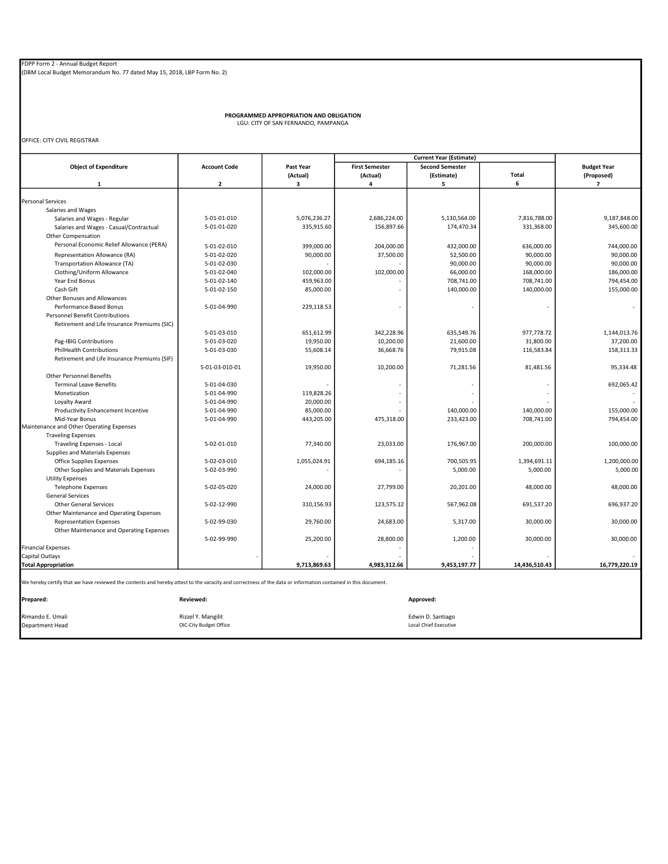PROGRAMMED APPROPRIATION AND OBLIGATION LGU: CITY OF SAN FERNANDO, PAMPANGA

OFFICE: CITY CIVIL REGISTRAR

|                                                                                                                                                               |                         |              | <b>Current Year (Estimate)</b> |                        |               |                          |
|---------------------------------------------------------------------------------------------------------------------------------------------------------------|-------------------------|--------------|--------------------------------|------------------------|---------------|--------------------------|
| <b>Object of Expenditure</b>                                                                                                                                  | <b>Account Code</b>     | Past Year    | <b>First Semester</b>          | <b>Second Semester</b> |               | <b>Budget Year</b>       |
|                                                                                                                                                               |                         | (Actual)     | (Actual)                       | (Estimate)             | <b>Total</b>  | (Proposed)               |
| 1                                                                                                                                                             | $\overline{\mathbf{2}}$ | з            | 4                              | 5                      | 6             | $\overline{ }$           |
| <b>Personal Services</b>                                                                                                                                      |                         |              |                                |                        |               |                          |
|                                                                                                                                                               |                         |              |                                |                        |               |                          |
| Salaries and Wages                                                                                                                                            | 5-01-01-010             | 5,076,236.27 | 2,686,224.00                   | 5,130,564.00           | 7,816,788.00  | 9,187,848.00             |
| Salaries and Wages - Regular<br>Salaries and Wages - Casual/Contractual                                                                                       | 5-01-01-020             | 335,915.60   | 156,897.66                     | 174,470.34             | 331,368.00    | 345,600.00               |
| Other Compensation                                                                                                                                            |                         |              |                                |                        |               |                          |
| Personal Economic Relief Allowance (PERA)                                                                                                                     |                         |              |                                |                        |               |                          |
|                                                                                                                                                               | 5-01-02-010             | 399,000.00   | 204,000.00                     | 432,000.00             | 636,000.00    | 744,000.00               |
| Representation Allowance (RA)                                                                                                                                 | 5-01-02-020             | 90,000.00    | 37,500.00                      | 52,500.00              | 90,000.00     | 90,000.00                |
| Transportation Allowance (TA)                                                                                                                                 | 5-01-02-030             |              |                                | 90,000.00              | 90,000.00     | 90,000.00                |
| Clothing/Uniform Allowance                                                                                                                                    | 5-01-02-040             | 102,000.00   | 102,000.00                     | 66,000.00              | 168,000.00    | 186,000.00               |
| Year End Bonus                                                                                                                                                | 5-01-02-140             | 459,963.00   |                                | 708,741.00             | 708,741.00    | 794,454.00               |
| Cash Gift                                                                                                                                                     | 5-01-02-150             | 85,000.00    |                                | 140,000.00             | 140,000.00    | 155,000.00               |
| <b>Other Bonuses and Allowances</b>                                                                                                                           |                         |              |                                |                        |               |                          |
| Performance-Based Bonus                                                                                                                                       | 5-01-04-990             | 229,118.53   |                                |                        |               | $\overline{\phantom{a}}$ |
| <b>Personnel Benefit Contributions</b>                                                                                                                        |                         |              |                                |                        |               |                          |
| Retirement and Life Insurance Premiums (SIC)                                                                                                                  |                         |              |                                |                        |               |                          |
|                                                                                                                                                               | 5-01-03-010             | 651,612.99   | 342,228.96                     | 635,549.76             | 977,778.72    | 1,144,013.76             |
| Pag-IBIG Contributions                                                                                                                                        | 5-01-03-020             | 19,950.00    | 10,200.00                      | 21,600.00              | 31,800.00     | 37,200.00                |
| <b>PhilHealth Contributions</b>                                                                                                                               | 5-01-03-030             | 55,608.14    | 36,668.76                      | 79,915.08              | 116,583.84    | 158,313.33               |
| Retirement and Life Insurance Premiums (SIF)                                                                                                                  |                         |              |                                |                        |               |                          |
|                                                                                                                                                               | 5-01-03-010-01          | 19,950.00    | 10,200.00                      | 71,281.56              | 81,481.56     | 95,334.48                |
| <b>Other Personnel Benefits</b>                                                                                                                               |                         |              |                                |                        |               |                          |
| <b>Terminal Leave Benefits</b>                                                                                                                                | 5-01-04-030             |              |                                |                        |               | 692,065.42               |
| Monetization                                                                                                                                                  | 5-01-04-990             | 119,828.26   |                                |                        |               |                          |
| Loyalty Award                                                                                                                                                 | 5-01-04-990             | 20,000.00    |                                |                        |               |                          |
| Productivity Enhancement Incentive                                                                                                                            | 5-01-04-990             | 85,000.00    |                                | 140,000.00             | 140,000.00    | 155,000.00               |
| Mid-Year Bonus                                                                                                                                                | 5-01-04-990             | 443,205.00   | 475,318.00                     | 233,423.00             | 708,741.00    | 794,454.00               |
| Maintenance and Other Operating Expenses                                                                                                                      |                         |              |                                |                        |               |                          |
| <b>Traveling Expenses</b>                                                                                                                                     |                         |              |                                |                        |               |                          |
| Traveling Expenses - Local                                                                                                                                    | 5-02-01-010             | 77,340.00    | 23,033.00                      | 176,967.00             | 200,000.00    | 100,000.00               |
| Supplies and Materials Expenses                                                                                                                               |                         |              |                                |                        |               |                          |
| Office Supplies Expenses                                                                                                                                      | 5-02-03-010             | 1,055,024.91 | 694,185.16                     | 700,505.95             | 1,394,691.11  | 1,200,000.00             |
| Other Supplies and Materials Expenses                                                                                                                         | 5-02-03-990             |              |                                | 5,000.00               | 5,000.00      | 5,000.00                 |
| <b>Utility Expenses</b>                                                                                                                                       |                         |              |                                |                        |               |                          |
| <b>Telephone Expenses</b>                                                                                                                                     | 5-02-05-020             | 24,000.00    | 27,799.00                      | 20,201.00              | 48,000.00     | 48,000.00                |
| <b>General Services</b>                                                                                                                                       |                         |              |                                |                        |               |                          |
| <b>Other General Services</b>                                                                                                                                 | 5-02-12-990             | 310,156.93   | 123,575.12                     | 567,962.08             | 691,537.20    | 696,937.20               |
| Other Maintenance and Operating Expenses                                                                                                                      |                         |              |                                |                        |               |                          |
| <b>Representation Expenses</b>                                                                                                                                | 5-02-99-030             | 29,760.00    | 24,683.00                      | 5,317.00               | 30,000.00     | 30,000.00                |
| Other Maintenance and Operating Expenses                                                                                                                      |                         |              |                                |                        |               |                          |
|                                                                                                                                                               | 5-02-99-990             | 25,200.00    | 28,800.00                      | 1,200.00               | 30,000.00     | 30,000.00                |
| <b>Financial Expenses</b>                                                                                                                                     |                         |              |                                |                        |               |                          |
| Capital Outlays                                                                                                                                               |                         |              |                                |                        |               |                          |
| <b>Total Appropriation</b>                                                                                                                                    |                         | 9,713,869.63 | 4,983,312.66                   | 9,453,197.77           | 14,436,510.43 | 16,779,220.19            |
| We hereby certify that we have reviewed the contents and hereby attest to the varacity and correctness of the data or information contained in this document. |                         |              |                                |                        |               |                          |
| Prepared:                                                                                                                                                     | <b>Reviewed:</b>        |              |                                | Approved:              |               |                          |
|                                                                                                                                                               |                         |              |                                |                        |               |                          |

Rimando E. Umali **Edwin D. Santiago**<br>1999 - Department Head **Manual Richard Burgel Concerned According Concerned According Concerned According Concerne**<br>1999 - Local Chief Executive  $OIC-City$  Budget Office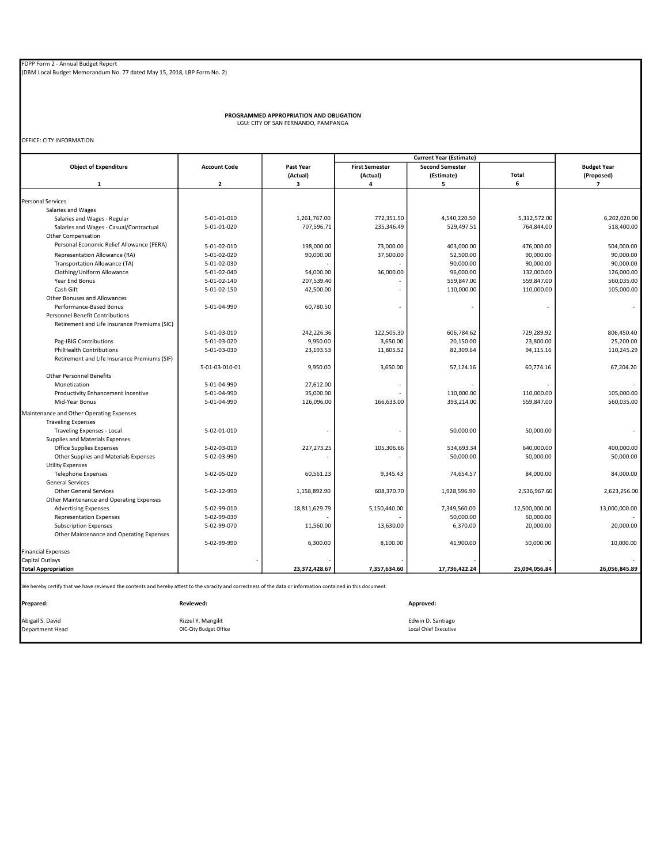PROGRAMMED APPROPRIATION AND OBLIGATION LGU: CITY OF SAN FERNANDO, PAMPANGA

OFFICE: CITY INFORMATION

|                                                                                                                                                               |                     |               |                       | <b>Current Year (Estimate)</b> |               |                    |
|---------------------------------------------------------------------------------------------------------------------------------------------------------------|---------------------|---------------|-----------------------|--------------------------------|---------------|--------------------|
| <b>Object of Expenditure</b>                                                                                                                                  | <b>Account Code</b> | Past Year     | <b>First Semester</b> | <b>Second Semester</b>         |               | <b>Budget Year</b> |
|                                                                                                                                                               |                     | (Actual)      | (Actual)              | (Estimate)                     | Total         | (Proposed)         |
| $\mathbf{1}$                                                                                                                                                  | $\overline{2}$      | з             | 4                     | 5                              | 6             | $\overline{ }$     |
|                                                                                                                                                               |                     |               |                       |                                |               |                    |
| <b>Personal Services</b>                                                                                                                                      |                     |               |                       |                                |               |                    |
| Salaries and Wages                                                                                                                                            |                     |               |                       |                                |               |                    |
| Salaries and Wages - Regular                                                                                                                                  | 5-01-01-010         | 1,261,767.00  | 772,351.50            | 4,540,220.50                   | 5,312,572.00  | 6,202,020.00       |
| Salaries and Wages - Casual/Contractual                                                                                                                       | 5-01-01-020         | 707,596.71    | 235,346.49            | 529,497.51                     | 764,844.00    | 518,400.00         |
| <b>Other Compensation</b>                                                                                                                                     |                     |               |                       |                                |               |                    |
| Personal Economic Relief Allowance (PERA)                                                                                                                     | 5-01-02-010         | 198,000.00    | 73,000.00             | 403,000.00                     | 476,000.00    | 504,000.00         |
| Representation Allowance (RA)                                                                                                                                 | 5-01-02-020         | 90,000.00     | 37,500.00             | 52,500.00                      | 90,000.00     | 90,000.00          |
| Transportation Allowance (TA)                                                                                                                                 | 5-01-02-030         |               |                       | 90,000.00                      | 90,000.00     | 90,000.00          |
| Clothing/Uniform Allowance                                                                                                                                    | 5-01-02-040         | 54,000.00     | 36,000.00             | 96,000.00                      | 132,000.00    | 126,000.00         |
| Year End Bonus                                                                                                                                                | 5-01-02-140         | 207,539.40    |                       | 559,847.00                     | 559,847.00    | 560,035.00         |
| Cash Gift                                                                                                                                                     | 5-01-02-150         | 42,500.00     |                       | 110,000.00                     | 110,000.00    | 105,000.00         |
| Other Bonuses and Allowances                                                                                                                                  |                     |               |                       |                                |               |                    |
| Performance-Based Bonus                                                                                                                                       | 5-01-04-990         | 60,780.50     |                       |                                |               |                    |
| <b>Personnel Benefit Contributions</b>                                                                                                                        |                     |               |                       |                                |               |                    |
| Retirement and Life Insurance Premiums (SIC)                                                                                                                  |                     |               |                       |                                |               |                    |
|                                                                                                                                                               | 5-01-03-010         | 242,226.36    | 122,505.30            | 606,784.62                     | 729,289.92    | 806,450.40         |
| Pag-IBIG Contributions                                                                                                                                        | 5-01-03-020         | 9,950.00      | 3,650.00              | 20,150.00                      | 23,800.00     | 25,200.00          |
| <b>PhilHealth Contributions</b>                                                                                                                               | 5-01-03-030         | 23,193.53     | 11,805.52             | 82,309.64                      | 94,115.16     | 110,245.29         |
| Retirement and Life Insurance Premiums (SIF)                                                                                                                  |                     |               |                       |                                |               |                    |
|                                                                                                                                                               | 5-01-03-010-01      | 9,950.00      | 3,650.00              | 57,124.16                      | 60,774.16     | 67,204.20          |
| <b>Other Personnel Benefits</b>                                                                                                                               |                     |               |                       |                                |               |                    |
| Monetization                                                                                                                                                  | 5-01-04-990         | 27,612.00     |                       |                                |               |                    |
| Productivity Enhancement Incentive                                                                                                                            | 5-01-04-990         | 35,000.00     |                       | 110,000.00                     | 110,000.00    | 105,000.00         |
| Mid-Year Bonus                                                                                                                                                | 5-01-04-990         |               |                       |                                |               | 560,035.00         |
|                                                                                                                                                               |                     | 126,096.00    | 166,633.00            | 393,214.00                     | 559,847.00    |                    |
| Maintenance and Other Operating Expenses                                                                                                                      |                     |               |                       |                                |               |                    |
| <b>Traveling Expenses</b>                                                                                                                                     |                     |               |                       |                                |               |                    |
| Traveling Expenses - Local                                                                                                                                    | 5-02-01-010         |               |                       | 50,000.00                      | 50,000.00     |                    |
| Supplies and Materials Expenses                                                                                                                               |                     |               |                       |                                |               |                    |
| Office Supplies Expenses                                                                                                                                      | 5-02-03-010         | 227,273.25    | 105,306.66            | 534,693.34                     | 640,000.00    | 400,000.00         |
| Other Supplies and Materials Expenses                                                                                                                         | 5-02-03-990         |               |                       | 50,000.00                      | 50,000.00     | 50,000.00          |
| <b>Utility Expenses</b>                                                                                                                                       |                     |               |                       |                                |               |                    |
| <b>Telephone Expenses</b>                                                                                                                                     | 5-02-05-020         | 60,561.23     | 9,345.43              | 74,654.57                      | 84,000.00     | 84,000.00          |
| <b>General Services</b>                                                                                                                                       |                     |               |                       |                                |               |                    |
| <b>Other General Services</b>                                                                                                                                 | 5-02-12-990         | 1,158,892.90  | 608,370.70            | 1,928,596.90                   | 2,536,967.60  | 2,623,256.00       |
| Other Maintenance and Operating Expenses                                                                                                                      |                     |               |                       |                                |               |                    |
| <b>Advertising Expenses</b>                                                                                                                                   | 5-02-99-010         | 18,811,629.79 | 5,150,440.00          | 7,349,560.00                   | 12,500,000.00 | 13,000,000.00      |
| <b>Representation Expenses</b>                                                                                                                                | 5-02-99-030         |               |                       | 50,000.00                      | 50,000.00     |                    |
| <b>Subscription Expenses</b>                                                                                                                                  | 5-02-99-070         | 11,560.00     | 13,630.00             | 6,370.00                       | 20,000.00     | 20,000.00          |
| Other Maintenance and Operating Expenses                                                                                                                      |                     |               |                       |                                |               |                    |
|                                                                                                                                                               | 5-02-99-990         | 6,300.00      | 8,100.00              | 41,900.00                      | 50,000.00     | 10,000.00          |
| <b>Financial Expenses</b>                                                                                                                                     |                     |               |                       |                                |               |                    |
| Capital Outlays                                                                                                                                               |                     |               |                       |                                |               |                    |
| <b>Total Appropriation</b>                                                                                                                                    |                     | 23,372,428.67 | 7,357,634.60          | 17,736,422.24                  | 25,094,056.84 | 26,056,845.89      |
|                                                                                                                                                               |                     |               |                       |                                |               |                    |
| We hereby certify that we have reviewed the contents and hereby attest to the varacity and correctness of the data or information contained in this document. |                     |               |                       |                                |               |                    |
|                                                                                                                                                               |                     |               |                       |                                |               |                    |
| Prepared:                                                                                                                                                     | <b>Reviewed:</b>    |               |                       | Approved:                      |               |                    |
|                                                                                                                                                               |                     |               |                       |                                |               |                    |

Abigail S. David **Edwin D. Santiago** Rizzel Y. Mangilit Rizzel Y. Mangilit **Rizzel Y. Mangilit** Edwin D. Santiago Department Head OIC-City Budget Office Local Chief Executive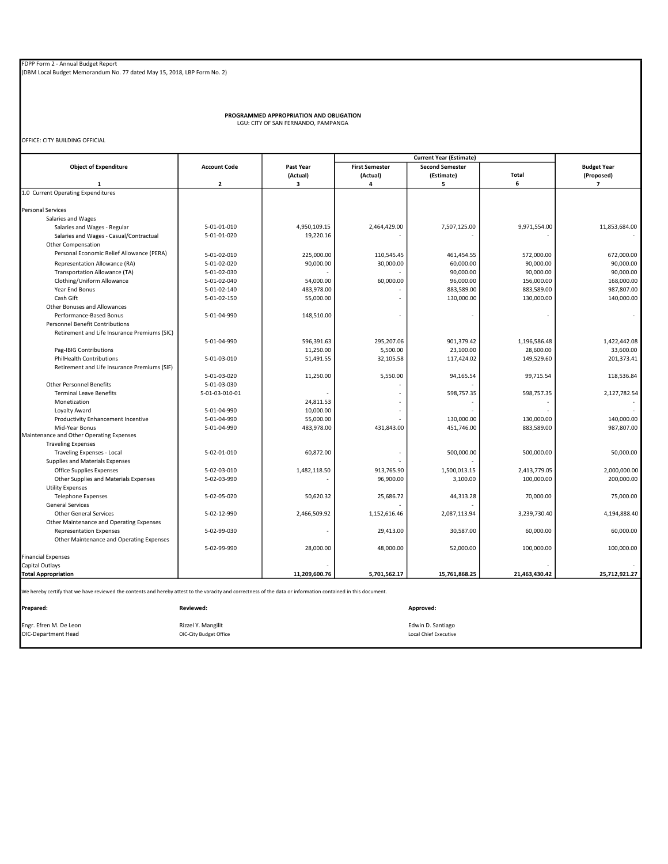PROGRAMMED APPROPRIATION AND OBLIGATION LGU: CITY OF SAN FERNANDO, PAMPANGA

OFFICE: CITY BUILDING OFFICIAL

|                                                                                                                                                               |                         | Past Year     |                       |                        |               |                          |
|---------------------------------------------------------------------------------------------------------------------------------------------------------------|-------------------------|---------------|-----------------------|------------------------|---------------|--------------------------|
| <b>Object of Expenditure</b>                                                                                                                                  | <b>Account Code</b>     |               | <b>First Semester</b> | <b>Second Semester</b> |               | <b>Budget Year</b>       |
|                                                                                                                                                               |                         | (Actual)      | (Actual)              | (Estimate)             | Total         | (Proposed)               |
| 1                                                                                                                                                             | $\overline{\mathbf{2}}$ | 3             | 4                     | 5                      | 6             | $\overline{\phantom{a}}$ |
| 1.0 Current Operating Expenditures                                                                                                                            |                         |               |                       |                        |               |                          |
|                                                                                                                                                               |                         |               |                       |                        |               |                          |
| <b>Personal Services</b>                                                                                                                                      |                         |               |                       |                        |               |                          |
| Salaries and Wages                                                                                                                                            |                         |               |                       |                        |               |                          |
| Salaries and Wages - Regular                                                                                                                                  | 5-01-01-010             | 4,950,109.15  | 2,464,429.00          | 7,507,125.00           | 9,971,554.00  | 11,853,684.00            |
| Salaries and Wages - Casual/Contractual                                                                                                                       | 5-01-01-020             | 19,220.16     |                       |                        |               |                          |
| <b>Other Compensation</b>                                                                                                                                     |                         |               |                       |                        |               |                          |
| Personal Economic Relief Allowance (PERA)                                                                                                                     | 5-01-02-010             | 225,000.00    | 110,545.45            | 461,454.55             | 572,000.00    | 672,000.00               |
| Representation Allowance (RA)                                                                                                                                 | 5-01-02-020             | 90,000.00     | 30,000.00             | 60,000.00              | 90,000.00     | 90,000.00                |
| Transportation Allowance (TA)                                                                                                                                 | 5-01-02-030             |               |                       | 90,000.00              | 90,000.00     | 90,000.00                |
| Clothing/Uniform Allowance                                                                                                                                    | 5-01-02-040             | 54,000.00     | 60,000.00             | 96,000.00              | 156,000.00    | 168,000.00               |
| Year End Bonus                                                                                                                                                | 5-01-02-140             | 483,978.00    |                       | 883,589.00             | 883,589.00    | 987,807.00               |
| Cash Gift                                                                                                                                                     | 5-01-02-150             | 55,000.00     |                       | 130,000.00             | 130,000.00    | 140,000.00               |
| Other Bonuses and Allowances                                                                                                                                  |                         |               |                       |                        |               |                          |
| Performance-Based Bonus                                                                                                                                       | 5-01-04-990             | 148,510.00    |                       | ×,                     |               | $\overline{\phantom{a}}$ |
| <b>Personnel Benefit Contributions</b>                                                                                                                        |                         |               |                       |                        |               |                          |
| Retirement and Life Insurance Premiums (SIC)                                                                                                                  |                         |               |                       |                        |               |                          |
|                                                                                                                                                               | 5-01-04-990             | 596,391.63    | 295,207.06            | 901,379.42             | 1,196,586.48  | 1,422,442.08             |
| Pag-IBIG Contributions                                                                                                                                        |                         | 11,250.00     | 5,500.00              | 23,100.00              | 28,600.00     | 33,600.00                |
| <b>PhilHealth Contributions</b>                                                                                                                               | 5-01-03-010             | 51,491.55     | 32,105.58             | 117,424.02             | 149,529.60    | 201,373.41               |
| Retirement and Life Insurance Premiums (SIF)                                                                                                                  |                         |               |                       |                        |               |                          |
|                                                                                                                                                               | 5-01-03-020             | 11,250.00     | 5,550.00              | 94,165.54              | 99,715.54     | 118,536.84               |
| <b>Other Personnel Benefits</b>                                                                                                                               | 5-01-03-030             |               |                       |                        |               |                          |
| <b>Terminal Leave Benefits</b>                                                                                                                                | 5-01-03-010-01          |               |                       | 598,757.35             | 598,757.35    | 2,127,782.54             |
| Monetization                                                                                                                                                  |                         | 24,811.53     |                       |                        |               |                          |
| Loyalty Award                                                                                                                                                 | 5-01-04-990             | 10,000.00     |                       |                        |               |                          |
| Productivity Enhancement Incentive                                                                                                                            | 5-01-04-990             | 55,000.00     |                       | 130,000.00             | 130,000.00    | 140,000.00               |
| Mid-Year Bonus                                                                                                                                                | 5-01-04-990             | 483,978.00    | 431,843.00            | 451,746.00             | 883,589.00    | 987,807.00               |
| Maintenance and Other Operating Expenses                                                                                                                      |                         |               |                       |                        |               |                          |
| <b>Traveling Expenses</b>                                                                                                                                     |                         |               |                       |                        |               |                          |
| <b>Traveling Expenses - Local</b>                                                                                                                             | 5-02-01-010             | 60,872.00     |                       | 500,000.00             | 500,000.00    | 50,000.00                |
| Supplies and Materials Expenses                                                                                                                               |                         |               |                       |                        |               |                          |
| Office Supplies Expenses                                                                                                                                      | 5-02-03-010             | 1,482,118.50  | 913,765.90            | 1,500,013.15           | 2,413,779.05  | 2,000,000.00             |
| Other Supplies and Materials Expenses                                                                                                                         | 5-02-03-990             |               | 96,900.00             | 3,100.00               | 100,000.00    | 200,000.00               |
| <b>Utility Expenses</b>                                                                                                                                       |                         |               |                       |                        |               |                          |
| <b>Telephone Expenses</b>                                                                                                                                     | 5-02-05-020             | 50,620.32     | 25,686.72             | 44,313.28              | 70,000.00     | 75,000.00                |
| <b>General Services</b>                                                                                                                                       |                         |               |                       |                        |               |                          |
| <b>Other General Services</b>                                                                                                                                 | 5-02-12-990             | 2,466,509.92  | 1,152,616.46          | 2,087,113.94           | 3,239,730.40  | 4,194,888.40             |
| Other Maintenance and Operating Expenses                                                                                                                      |                         |               |                       |                        |               |                          |
| <b>Representation Expenses</b>                                                                                                                                | 5-02-99-030             |               | 29,413.00             | 30,587.00              | 60,000.00     | 60.000.00                |
| Other Maintenance and Operating Expenses                                                                                                                      |                         |               |                       |                        |               |                          |
|                                                                                                                                                               | 5-02-99-990             | 28,000.00     | 48,000.00             | 52,000.00              | 100,000.00    | 100,000.00               |
| <b>Financial Expenses</b>                                                                                                                                     |                         |               |                       |                        |               |                          |
| Capital Outlays                                                                                                                                               |                         |               |                       |                        |               |                          |
|                                                                                                                                                               |                         |               |                       | 15,761,868.25          |               | 25,712,921.27            |
| <b>Total Appropriation</b>                                                                                                                                    |                         | 11,209,600.76 | 5,701,562.17          |                        | 21,463,430.42 |                          |
| We hereby certify that we have reviewed the contents and hereby attest to the varacity and correctness of the data or information contained in this document. |                         |               |                       |                        |               |                          |
|                                                                                                                                                               |                         |               |                       |                        |               |                          |
| Prepared:                                                                                                                                                     | Reviewed:               |               |                       | Approved:              |               |                          |

Engr. Efren M. De Leon **Edwin D. Santiago (Edwin D. Santiago (Edwin D. Santiago (Edwin D. Santiago (Edwin D. Santiago (Edwin D. Santiago (Edwin D. Santiago (Edwin D. Santiago (Edwin D. Santiago (Edwin D. Santiago (Edwin D.** OIC-Department Head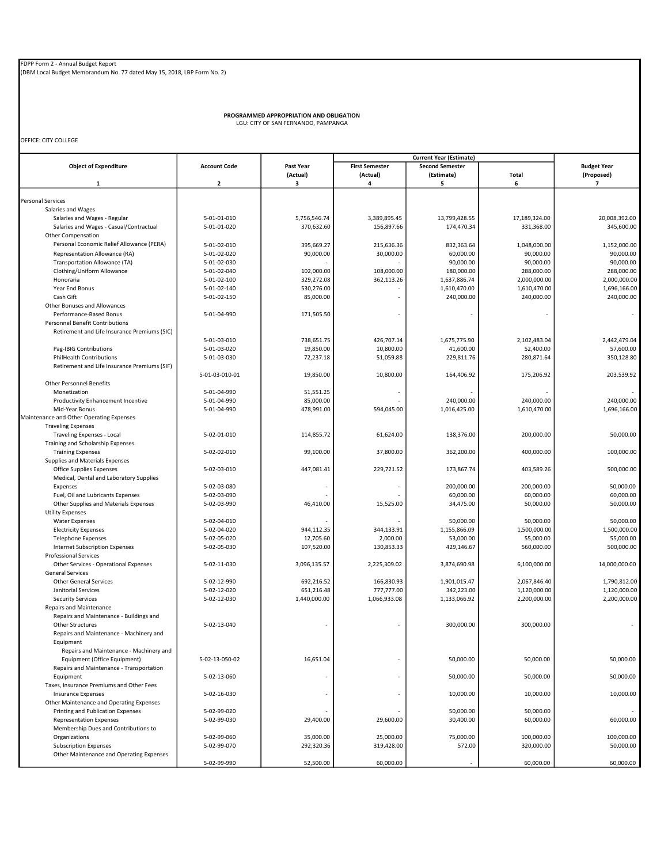(DBM Local Budget Memorandum No. 77 dated May 15, 2018, LBP Form No. 2)

PROGRAMMED APPROPRIATION AND OBLIGATION LGU: CITY OF SAN FERNANDO, PAMPANGA

OFFICE: CITY COLLEGE

| <b>Object of Expenditure</b>                       | <b>Account Code</b><br>$\overline{\mathbf{2}}$ | Past Year     | <b>First Semester</b> | <b>Second Semester</b> |               | <b>Budget Year</b>           |  |
|----------------------------------------------------|------------------------------------------------|---------------|-----------------------|------------------------|---------------|------------------------------|--|
| 1                                                  |                                                | (Actual)<br>3 | (Actual)<br>4         | (Estimate)<br>5        | Total<br>6    | (Proposed)<br>$\overline{7}$ |  |
|                                                    |                                                |               |                       |                        |               |                              |  |
| Personal Services                                  |                                                |               |                       |                        |               |                              |  |
| Salaries and Wages                                 |                                                |               |                       |                        |               |                              |  |
| Salaries and Wages - Regular                       | 5-01-01-010                                    | 5,756,546.74  | 3,389,895.45          | 13,799,428.55          | 17,189,324.00 | 20.008.392.00                |  |
| Salaries and Wages - Casual/Contractual            | 5-01-01-020                                    | 370,632.60    | 156,897.66            | 174,470.34             | 331,368.00    | 345,600.00                   |  |
| <b>Other Compensation</b>                          |                                                |               |                       |                        |               |                              |  |
| Personal Economic Relief Allowance (PERA)          | 5-01-02-010                                    | 395,669.27    | 215,636.36            | 832,363.64             | 1,048,000.00  | 1,152,000.00                 |  |
| Representation Allowance (RA)                      | 5-01-02-020                                    | 90,000.00     | 30,000.00             | 60,000.00              | 90,000.00     | 90,000.00                    |  |
| Transportation Allowance (TA)                      | 5-01-02-030                                    |               |                       | 90,000.00              | 90,000.00     | 90.000.00                    |  |
| Clothing/Uniform Allowance                         | 5-01-02-040                                    | 102,000.00    | 108,000.00            | 180,000.00             | 288,000.00    | 288,000.00                   |  |
| Honoraria                                          | 5-01-02-100                                    | 329,272.08    | 362,113.26            | 1,637,886.74           | 2,000,000.00  | 2,000,000.00                 |  |
| Year End Bonus                                     | 5-01-02-140                                    | 530,276.00    |                       | 1,610,470.00           | 1,610,470.00  | 1,696,166.00                 |  |
| Cash Gift                                          | 5-01-02-150                                    | 85,000.00     |                       | 240,000.00             | 240,000.00    | 240,000.00                   |  |
| Other Bonuses and Allowances                       |                                                |               |                       |                        |               |                              |  |
| Performance-Based Bonus                            | 5-01-04-990                                    | 171,505.50    |                       |                        |               |                              |  |
| <b>Personnel Benefit Contributions</b>             |                                                |               |                       |                        |               |                              |  |
| Retirement and Life Insurance Premiums (SIC)       |                                                |               |                       |                        |               |                              |  |
|                                                    | 5-01-03-010                                    | 738,651.75    | 426,707.14            | 1,675,775.90           | 2,102,483.04  | 2,442,479.04                 |  |
|                                                    | 5-01-03-020                                    | 19,850.00     | 10,800.00             | 41,600.00              | 52,400.00     | 57,600.00                    |  |
| Pag-IBIG Contributions<br>PhilHealth Contributions | 5-01-03-030                                    | 72,237.18     | 51,059.88             | 229,811.76             | 280,871.64    | 350,128.80                   |  |
|                                                    |                                                |               |                       |                        |               |                              |  |
| Retirement and Life Insurance Premiums (SIF)       | 5-01-03-010-01                                 | 19,850.00     | 10,800.00             | 164,406.92             | 175,206.92    | 203,539.92                   |  |
|                                                    |                                                |               |                       |                        |               |                              |  |
| <b>Other Personnel Benefits</b>                    |                                                |               |                       |                        |               |                              |  |
| Monetization                                       | 5-01-04-990                                    | 51,551.25     |                       |                        |               |                              |  |
| Productivity Enhancement Incentive                 | 5-01-04-990                                    | 85,000.00     |                       | 240,000.00             | 240,000.00    | 240,000.00                   |  |
| Mid-Year Bonus                                     | 5-01-04-990                                    | 478,991.00    | 594,045.00            | 1,016,425.00           | 1,610,470.00  | 1,696,166.00                 |  |
| Maintenance and Other Operating Expenses           |                                                |               |                       |                        |               |                              |  |
| <b>Traveling Expenses</b>                          |                                                |               |                       |                        |               |                              |  |
| Traveling Expenses - Local                         | 5-02-01-010                                    | 114,855.72    | 61,624.00             | 138,376.00             | 200,000.00    | 50,000.00                    |  |
| Training and Scholarship Expenses                  |                                                |               |                       |                        |               |                              |  |
| <b>Training Expenses</b>                           | 5-02-02-010                                    | 99,100.00     | 37,800.00             | 362,200.00             | 400,000.00    | 100,000.00                   |  |
| Supplies and Materials Expenses                    |                                                |               |                       |                        |               |                              |  |
| <b>Office Supplies Expenses</b>                    | 5-02-03-010                                    | 447,081.41    | 229,721.52            | 173,867.74             | 403,589.26    | 500,000.00                   |  |
| Medical, Dental and Laboratory Supplies            |                                                |               |                       |                        |               |                              |  |
| Expenses                                           | 5-02-03-080                                    |               |                       | 200,000.00             | 200,000.00    | 50,000.00                    |  |
| Fuel, Oil and Lubricants Expenses                  | 5-02-03-090                                    |               |                       | 60,000.00              | 60,000.00     | 60,000.00                    |  |
| Other Supplies and Materials Expenses              | 5-02-03-990                                    | 46,410.00     | 15,525.00             | 34,475.00              | 50,000.00     | 50,000.00                    |  |
| <b>Utility Expenses</b>                            |                                                |               |                       |                        |               |                              |  |
| <b>Water Expenses</b>                              | 5-02-04-010                                    |               |                       | 50,000.00              | 50,000.00     | 50,000.00                    |  |
| <b>Electricity Expenses</b>                        | 5-02-04-020                                    | 944,112.35    | 344,133.91            | 1,155,866.09           | 1,500,000.00  | 1,500,000.00                 |  |
| <b>Telephone Expenses</b>                          | 5-02-05-020                                    | 12,705.60     | 2,000.00              | 53,000.00              | 55,000.00     | 55,000.00                    |  |
| <b>Internet Subscription Expenses</b>              | 5-02-05-030                                    | 107,520.00    | 130,853.33            | 429,146.67             | 560,000.00    | 500,000.00                   |  |
| <b>Professional Services</b>                       |                                                |               |                       |                        |               |                              |  |
| Other Services - Operational Expenses              | 5-02-11-030                                    | 3,096,135.57  | 2,225,309.02          | 3,874,690.98           | 6,100,000.00  | 14,000,000.00                |  |
| <b>General Services</b>                            |                                                |               |                       |                        |               |                              |  |
| <b>Other General Services</b>                      | 5-02-12-990                                    | 692,216.52    | 166.830.93            | 1,901,015.47           | 2,067,846.40  | 1,790,812.00                 |  |
| Janitorial Services                                | 5-02-12-020                                    | 651,216.48    | 777,777.00            | 342,223.00             | 1,120,000.00  | 1,120,000.00                 |  |
| <b>Security Services</b>                           | 5-02-12-030                                    | 1,440,000.00  | 1,066,933.08          | 1,133,066.92           | 2,200,000.00  | 2,200,000.00                 |  |
| Repairs and Maintenance                            |                                                |               |                       |                        |               |                              |  |
| Repairs and Maintenance - Buildings and            |                                                |               |                       |                        |               |                              |  |
| <b>Other Structures</b>                            | 5-02-13-040                                    |               |                       | 300,000.00             | 300.000.00    |                              |  |
| Repairs and Maintenance - Machinery and            |                                                |               |                       |                        |               |                              |  |
| Equipment                                          |                                                |               |                       |                        |               |                              |  |
| Repairs and Maintenance - Machinery and            |                                                |               |                       |                        |               |                              |  |
| Equipment (Office Equipment)                       | 5-02-13-050-02                                 | 16,651.04     |                       | 50,000.00              | 50,000.00     | 50,000.00                    |  |
| Repairs and Maintenance - Transportation           |                                                |               |                       |                        |               |                              |  |
| Equipment                                          | 5-02-13-060                                    |               |                       | 50,000.00              | 50,000.00     | 50.000.00                    |  |
| Taxes, Insurance Premiums and Other Fees           |                                                |               |                       |                        |               |                              |  |
| <b>Insurance Expenses</b>                          | 5-02-16-030                                    |               |                       | 10,000.00              | 10,000.00     | 10,000.00                    |  |
| Other Maintenance and Operating Expenses           |                                                |               |                       |                        |               |                              |  |
|                                                    | 5-02-99-020                                    |               |                       | 50,000.00              | 50,000.00     |                              |  |
| Printing and Publication Expenses                  | 5-02-99-030                                    | 29,400.00     | 29,600.00             | 30,400.00              | 60,000.00     | 60,000.00                    |  |
| <b>Representation Expenses</b>                     |                                                |               |                       |                        |               |                              |  |
| Membership Dues and Contributions to               |                                                |               |                       |                        |               |                              |  |
| Organizations                                      | 5-02-99-060                                    | 35,000.00     | 25,000.00             | 75,000.00              | 100,000.00    | 100,000.00                   |  |
| <b>Subscription Expenses</b>                       | 5-02-99-070                                    | 292,320.36    | 319,428.00            | 572.00                 | 320,000.00    | 50,000.00                    |  |
| Other Maintenance and Operating Expenses           |                                                |               |                       |                        |               |                              |  |
|                                                    | 5-02-99-990                                    | 52,500.00     | 60,000.00             |                        | 60,000.00     | 60,000.00                    |  |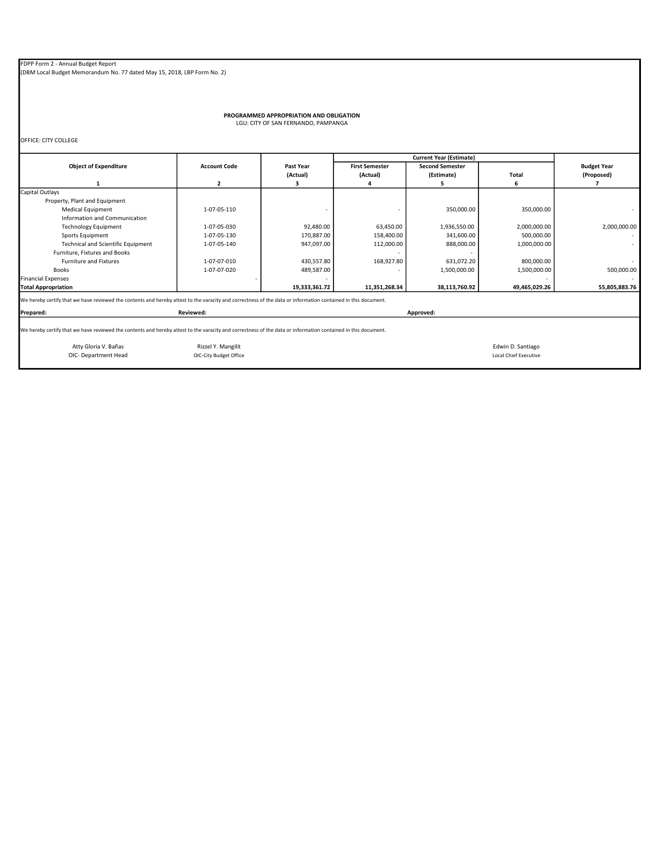(DBM Local Budget Memorandum No. 77 dated May 15, 2018, LBP Form No. 2)

# PROGRAMMED APPROPRIATION AND OBLIGATION LGU: CITY OF SAN FERNANDO, PAMPANGA

OFFICE: CITY COLLEGE

|                                                                                                                                                                            |                        |               |                       | <b>Current Year (Estimate)</b> |                              |                    |
|----------------------------------------------------------------------------------------------------------------------------------------------------------------------------|------------------------|---------------|-----------------------|--------------------------------|------------------------------|--------------------|
| <b>Object of Expenditure</b>                                                                                                                                               | <b>Account Code</b>    | Past Year     | <b>First Semester</b> | <b>Second Semester</b>         |                              | <b>Budget Year</b> |
|                                                                                                                                                                            |                        | (Actual)      | (Actual)              | (Estimate)                     | <b>Total</b>                 | (Proposed)         |
| 1                                                                                                                                                                          | $\overline{2}$         | з             |                       |                                | 6                            |                    |
| Capital Outlays                                                                                                                                                            |                        |               |                       |                                |                              |                    |
| Property, Plant and Equipment                                                                                                                                              |                        |               |                       |                                |                              |                    |
| <b>Medical Equipment</b>                                                                                                                                                   | 1-07-05-110            |               |                       | 350,000.00                     | 350,000.00                   |                    |
| Information and Communication                                                                                                                                              |                        |               |                       |                                |                              |                    |
| <b>Technology Equipment</b>                                                                                                                                                | 1-07-05-030            | 92,480.00     | 63,450.00             | 1,936,550.00                   | 2,000,000.00                 | 2,000,000.00       |
| Sports Equipment                                                                                                                                                           | 1-07-05-130            | 170,887.00    | 158,400.00            | 341,600.00                     | 500,000.00                   |                    |
| <b>Technical and Scientific Equipment</b>                                                                                                                                  | 1-07-05-140            | 947,097.00    | 112,000.00            | 888,000.00                     | 1,000,000.00                 |                    |
| Furniture, Fixtures and Books                                                                                                                                              |                        |               |                       |                                |                              |                    |
| <b>Furniture and Fixtures</b>                                                                                                                                              | 1-07-07-010            | 430,557.80    | 168,927.80            | 631,072.20                     | 800,000.00                   |                    |
| <b>Books</b>                                                                                                                                                               | 1-07-07-020            | 489,587.00    |                       | 1,500,000.00                   | 1,500,000.00                 | 500,000.00         |
| <b>Financial Expenses</b>                                                                                                                                                  |                        |               |                       |                                |                              |                    |
| <b>Total Appropriation</b>                                                                                                                                                 |                        | 19,333,361.72 | 11,351,268.34         | 38,113,760.92                  | 49,465,029.26                | 55,805,883.76      |
| We hereby certify that we have reviewed the contents and hereby attest to the varacity and correctness of the data or information contained in this document.<br>Prepared: | Reviewed:              |               |                       | Approved:                      |                              |                    |
|                                                                                                                                                                            |                        |               |                       |                                |                              |                    |
| We hereby certify that we have reviewed the contents and hereby attest to the varacity and correctness of the data or information contained in this document.              |                        |               |                       |                                |                              |                    |
| Atty Gloria V. Bañas                                                                                                                                                       | Rizzel Y. Mangilit     |               |                       |                                | Edwin D. Santiago            |                    |
| OIC- Department Head                                                                                                                                                       | OIC-City Budget Office |               |                       |                                | <b>Local Chief Executive</b> |                    |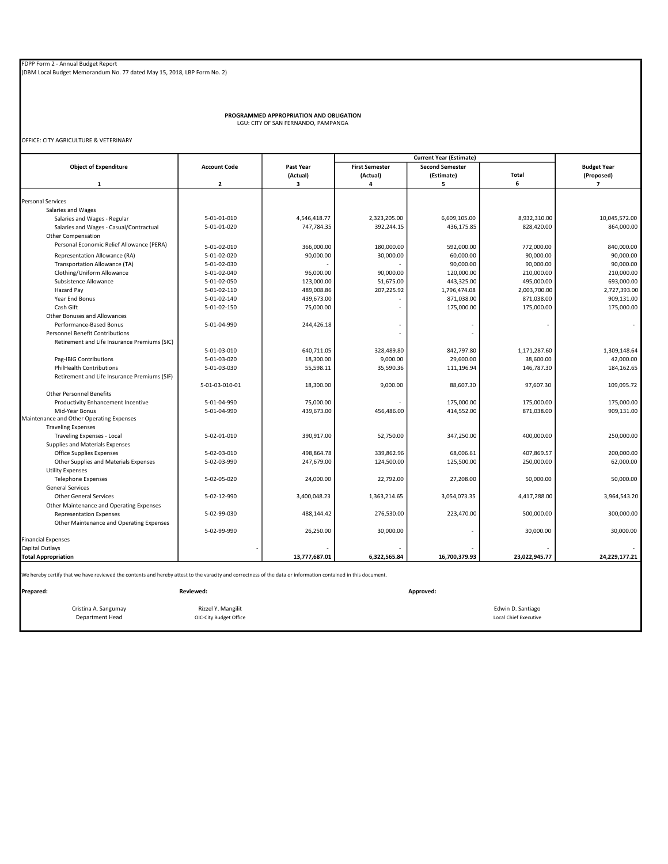PROGRAMMED APPROPRIATION AND OBLIGATION LGU: CITY OF SAN FERNANDO, PAMPANGA

OFFICE: CITY AGRICULTURE & VETERINARY

|                                                                                                                                                               |                         |               | <b>Current Year (Estimate)</b> |                        |                              |                          |
|---------------------------------------------------------------------------------------------------------------------------------------------------------------|-------------------------|---------------|--------------------------------|------------------------|------------------------------|--------------------------|
| <b>Object of Expenditure</b>                                                                                                                                  | <b>Account Code</b>     | Past Year     | <b>First Semester</b>          | <b>Second Semester</b> |                              | <b>Budget Year</b>       |
|                                                                                                                                                               |                         | (Actual)      | (Actual)                       | (Estimate)             | Total                        | (Proposed)               |
| $\mathbf{1}$                                                                                                                                                  | $\overline{\mathbf{2}}$ | 3             | 4                              | 5                      | 6                            | $\overline{7}$           |
|                                                                                                                                                               |                         |               |                                |                        |                              |                          |
| <b>Personal Services</b>                                                                                                                                      |                         |               |                                |                        |                              |                          |
| Salaries and Wages                                                                                                                                            |                         |               |                                |                        |                              |                          |
| Salaries and Wages - Regular                                                                                                                                  | 5-01-01-010             | 4,546,418.77  | 2,323,205.00                   | 6,609,105.00           | 8,932,310.00                 | 10,045,572.00            |
| Salaries and Wages - Casual/Contractual                                                                                                                       | 5-01-01-020             | 747,784.35    | 392,244.15                     | 436,175.85             | 828,420.00                   | 864,000.00               |
| Other Compensation                                                                                                                                            |                         |               |                                |                        |                              |                          |
| Personal Economic Relief Allowance (PERA)                                                                                                                     | 5-01-02-010             | 366,000.00    | 180,000.00                     | 592,000.00             | 772,000.00                   | 840,000.00               |
| Representation Allowance (RA)                                                                                                                                 | 5-01-02-020             | 90,000.00     | 30,000.00                      | 60,000.00              | 90,000.00                    | 90,000.00                |
| Transportation Allowance (TA)                                                                                                                                 | 5-01-02-030             |               |                                | 90,000.00              | 90,000.00                    | 90,000.00                |
| Clothing/Uniform Allowance                                                                                                                                    | 5-01-02-040             | 96,000.00     | 90,000.00                      | 120,000.00             | 210,000.00                   | 210,000.00               |
| Subsistence Allowance                                                                                                                                         | 5-01-02-050             | 123,000.00    | 51,675.00                      | 443,325.00             | 495,000.00                   | 693,000.00               |
| Hazard Pay                                                                                                                                                    | 5-01-02-110             | 489,008.86    | 207,225.92                     | 1,796,474.08           | 2,003,700.00                 | 2,727,393.00             |
| Year End Bonus                                                                                                                                                | 5-01-02-140             | 439,673.00    |                                | 871,038.00             | 871,038.00                   | 909,131.00               |
| Cash Gift                                                                                                                                                     | 5-01-02-150             | 75,000.00     |                                | 175,000.00             | 175,000.00                   | 175,000.00               |
| Other Bonuses and Allowances                                                                                                                                  |                         |               |                                |                        |                              |                          |
| Performance-Based Bonus                                                                                                                                       | 5-01-04-990             | 244,426.18    |                                |                        |                              | $\overline{\phantom{a}}$ |
| <b>Personnel Benefit Contributions</b>                                                                                                                        |                         |               | ä,                             |                        |                              |                          |
| Retirement and Life Insurance Premiums (SIC)                                                                                                                  |                         |               |                                |                        |                              |                          |
|                                                                                                                                                               | 5-01-03-010             | 640,711.05    | 328,489.80                     | 842,797.80             | 1,171,287.60                 | 1,309,148.64             |
| Pag-IBIG Contributions                                                                                                                                        | 5-01-03-020             | 18,300.00     | 9,000.00                       | 29,600.00              | 38,600.00                    | 42,000.00                |
| <b>PhilHealth Contributions</b>                                                                                                                               | 5-01-03-030             | 55,598.11     | 35,590.36                      | 111,196.94             | 146,787.30                   | 184,162.65               |
| Retirement and Life Insurance Premiums (SIF)                                                                                                                  |                         |               |                                |                        |                              |                          |
|                                                                                                                                                               | 5-01-03-010-01          | 18,300.00     | 9,000.00                       | 88,607.30              | 97,607.30                    | 109,095.72               |
| <b>Other Personnel Benefits</b>                                                                                                                               |                         |               |                                |                        |                              |                          |
| Productivity Enhancement Incentive                                                                                                                            | 5-01-04-990             | 75,000.00     |                                | 175,000.00             | 175,000.00                   | 175,000.00               |
| Mid-Year Bonus                                                                                                                                                | 5-01-04-990             | 439,673.00    | 456,486.00                     | 414,552.00             | 871,038.00                   | 909,131.00               |
| Maintenance and Other Operating Expenses                                                                                                                      |                         |               |                                |                        |                              |                          |
| <b>Traveling Expenses</b>                                                                                                                                     |                         |               |                                |                        |                              |                          |
| <b>Traveling Expenses - Local</b>                                                                                                                             | 5-02-01-010             | 390,917.00    | 52,750.00                      | 347,250.00             | 400,000.00                   | 250,000.00               |
| Supplies and Materials Expenses                                                                                                                               |                         |               |                                |                        |                              |                          |
| <b>Office Supplies Expenses</b>                                                                                                                               | 5-02-03-010             | 498,864.78    | 339,862.96                     | 68,006.61              | 407,869.57                   | 200,000.00               |
| Other Supplies and Materials Expenses                                                                                                                         | 5-02-03-990             | 247,679.00    | 124,500.00                     | 125,500.00             | 250,000.00                   | 62,000.00                |
| <b>Utility Expenses</b>                                                                                                                                       |                         |               |                                |                        |                              | 50,000.00                |
| <b>Telephone Expenses</b><br><b>General Services</b>                                                                                                          | 5-02-05-020             | 24,000.00     | 22,792.00                      | 27,208.00              | 50,000.00                    |                          |
| <b>Other General Services</b>                                                                                                                                 | 5-02-12-990             | 3,400,048.23  | 1,363,214.65                   | 3,054,073.35           | 4,417,288.00                 | 3,964,543.20             |
| Other Maintenance and Operating Expenses                                                                                                                      |                         |               |                                |                        |                              |                          |
| <b>Representation Expenses</b>                                                                                                                                | 5-02-99-030             | 488,144.42    | 276,530.00                     | 223,470.00             | 500,000.00                   | 300,000.00               |
| Other Maintenance and Operating Expenses                                                                                                                      |                         |               |                                |                        |                              |                          |
|                                                                                                                                                               | 5-02-99-990             | 26,250.00     | 30,000.00                      |                        | 30,000.00                    | 30,000.00                |
| <b>Financial Expenses</b>                                                                                                                                     |                         |               |                                |                        |                              |                          |
| Capital Outlays                                                                                                                                               |                         |               |                                |                        |                              |                          |
| <b>Total Appropriation</b>                                                                                                                                    |                         | 13,777,687.01 | 6,322,565.84                   | 16,700,379.93          | 23,022,945.77                | 24,229,177.21            |
|                                                                                                                                                               |                         |               |                                |                        |                              |                          |
| We hereby certify that we have reviewed the contents and hereby attest to the varacity and correctness of the data or information contained in this document. |                         |               |                                |                        |                              |                          |
| Prepared:                                                                                                                                                     | Reviewed:               |               |                                | Approved:              |                              |                          |
| Cristina A. Sangumay                                                                                                                                          | Rizzel Y. Mangilit      |               |                                |                        | Edwin D. Santiago            |                          |
| <b>Department Head</b>                                                                                                                                        | OIC-City Budget Office  |               |                                |                        | <b>Local Chief Executive</b> |                          |
|                                                                                                                                                               |                         |               |                                |                        |                              |                          |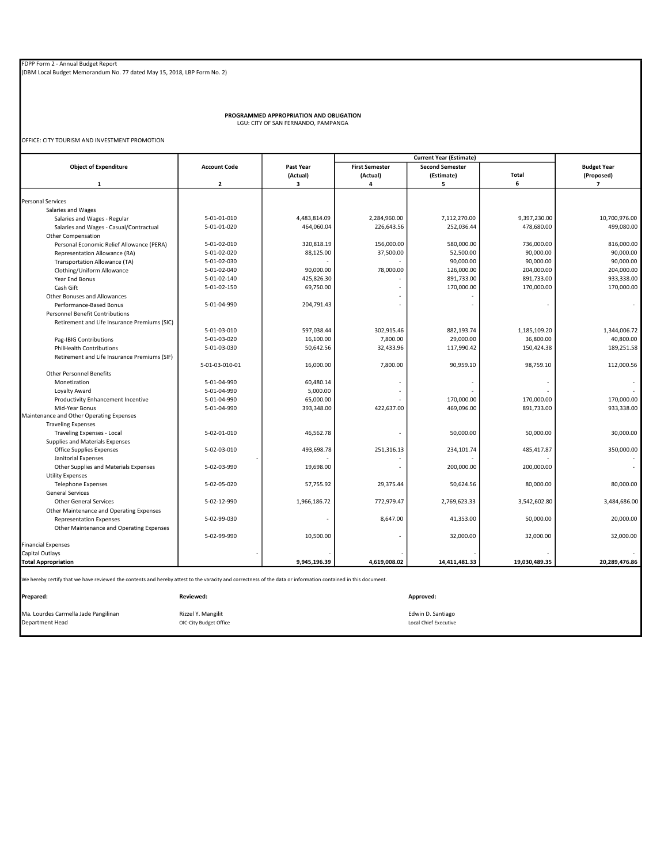PROGRAMMED APPROPRIATION AND OBLIGATION LGU: CITY OF SAN FERNANDO, PAMPANGA

OFFICE: CITY TOURISM AND INVESTMENT PROMOTION

|                                                                                                                                                               |                         |              |                       | <b>Current Year (Estimate)</b> |               |                    |
|---------------------------------------------------------------------------------------------------------------------------------------------------------------|-------------------------|--------------|-----------------------|--------------------------------|---------------|--------------------|
| <b>Object of Expenditure</b>                                                                                                                                  | <b>Account Code</b>     | Past Year    | <b>First Semester</b> | <b>Second Semester</b>         |               | <b>Budget Year</b> |
|                                                                                                                                                               |                         | (Actual)     | (Actual)              | (Estimate)                     | Total         | (Proposed)         |
| $\mathbf{1}$                                                                                                                                                  | $\overline{\mathbf{2}}$ | з            | 4                     | 5                              | 6             | $\overline{7}$     |
|                                                                                                                                                               |                         |              |                       |                                |               |                    |
| <b>Personal Services</b>                                                                                                                                      |                         |              |                       |                                |               |                    |
| Salaries and Wages                                                                                                                                            |                         |              |                       |                                |               |                    |
| Salaries and Wages - Regular                                                                                                                                  | 5-01-01-010             | 4,483,814.09 | 2,284,960.00          | 7,112,270.00                   | 9,397,230.00  | 10,700,976.00      |
| Salaries and Wages - Casual/Contractual                                                                                                                       | 5-01-01-020             | 464,060.04   | 226,643.56            | 252,036.44                     | 478,680.00    | 499,080.00         |
| Other Compensation                                                                                                                                            |                         |              |                       |                                |               |                    |
| Personal Economic Relief Allowance (PERA)                                                                                                                     | 5-01-02-010             | 320,818.19   | 156,000.00            | 580,000.00                     | 736,000.00    | 816,000.00         |
| Representation Allowance (RA)                                                                                                                                 | 5-01-02-020             | 88,125.00    | 37,500.00             | 52,500.00                      | 90,000.00     | 90,000.00          |
| Transportation Allowance (TA)                                                                                                                                 | 5-01-02-030             |              |                       | 90,000.00                      | 90,000.00     | 90,000.00          |
| Clothing/Uniform Allowance                                                                                                                                    | 5-01-02-040             | 90,000.00    | 78,000.00             | 126,000.00                     | 204,000.00    | 204,000.00         |
| Year End Bonus                                                                                                                                                | 5-01-02-140             | 425,826.30   |                       | 891,733.00                     | 891,733.00    | 933,338.00         |
| Cash Gift                                                                                                                                                     | 5-01-02-150             | 69,750.00    |                       | 170,000.00                     | 170,000.00    | 170,000.00         |
| Other Bonuses and Allowances                                                                                                                                  |                         |              |                       |                                |               |                    |
| Performance-Based Bonus                                                                                                                                       | 5-01-04-990             | 204,791.43   |                       |                                |               |                    |
| <b>Personnel Benefit Contributions</b>                                                                                                                        |                         |              |                       |                                |               |                    |
| Retirement and Life Insurance Premiums (SIC)                                                                                                                  |                         |              |                       |                                |               |                    |
|                                                                                                                                                               | 5-01-03-010             | 597,038.44   | 302,915.46            | 882,193.74                     | 1,185,109.20  | 1,344,006.72       |
| Pag-IBIG Contributions                                                                                                                                        | 5-01-03-020             | 16,100.00    | 7,800.00              | 29,000.00                      | 36,800.00     | 40,800.00          |
| <b>PhilHealth Contributions</b>                                                                                                                               | 5-01-03-030             | 50,642.56    | 32,433.96             | 117,990.42                     | 150,424.38    | 189,251.58         |
| Retirement and Life Insurance Premiums (SIF)                                                                                                                  |                         |              |                       |                                |               |                    |
|                                                                                                                                                               | 5-01-03-010-01          | 16,000.00    | 7,800.00              | 90,959.10                      | 98,759.10     | 112,000.56         |
| <b>Other Personnel Benefits</b>                                                                                                                               |                         |              |                       |                                |               |                    |
| Monetization                                                                                                                                                  | 5-01-04-990             | 60,480.14    |                       |                                |               |                    |
| Loyalty Award                                                                                                                                                 | 5-01-04-990             | 5,000.00     |                       |                                |               |                    |
| Productivity Enhancement Incentive                                                                                                                            | 5-01-04-990             | 65,000.00    |                       | 170,000.00                     | 170,000.00    | 170,000.00         |
| Mid-Year Bonus                                                                                                                                                | 5-01-04-990             | 393,348.00   | 422,637.00            | 469,096.00                     | 891,733.00    | 933,338.00         |
| Maintenance and Other Operating Expenses                                                                                                                      |                         |              |                       |                                |               |                    |
| <b>Traveling Expenses</b>                                                                                                                                     | 5-02-01-010             | 46,562.78    |                       | 50,000.00                      | 50,000.00     | 30,000.00          |
| Traveling Expenses - Local                                                                                                                                    |                         |              |                       |                                |               |                    |
| Supplies and Materials Expenses<br><b>Office Supplies Expenses</b>                                                                                            | 5-02-03-010             | 493,698.78   | 251,316.13            | 234,101.74                     | 485,417.87    | 350,000.00         |
| Janitorial Expenses                                                                                                                                           |                         |              |                       |                                |               |                    |
| Other Supplies and Materials Expenses                                                                                                                         | 5-02-03-990             | 19,698.00    |                       | 200,000.00                     | 200,000.00    |                    |
| <b>Utility Expenses</b>                                                                                                                                       |                         |              |                       |                                |               |                    |
| <b>Telephone Expenses</b>                                                                                                                                     | 5-02-05-020             | 57,755.92    | 29,375.44             | 50,624.56                      | 80.000.00     | 80.000.00          |
| <b>General Services</b>                                                                                                                                       |                         |              |                       |                                |               |                    |
| <b>Other General Services</b>                                                                                                                                 | 5-02-12-990             | 1,966,186.72 | 772,979.47            | 2,769,623.33                   | 3,542,602.80  | 3,484,686.00       |
| Other Maintenance and Operating Expenses                                                                                                                      |                         |              |                       |                                |               |                    |
| <b>Representation Expenses</b>                                                                                                                                | 5-02-99-030             |              | 8,647.00              | 41,353.00                      | 50,000.00     | 20,000.00          |
| Other Maintenance and Operating Expenses                                                                                                                      |                         |              |                       |                                |               |                    |
|                                                                                                                                                               | 5-02-99-990             | 10,500.00    |                       | 32,000.00                      | 32,000.00     | 32,000.00          |
| <b>Financial Expenses</b>                                                                                                                                     |                         |              |                       |                                |               |                    |
| Capital Outlays                                                                                                                                               |                         |              |                       |                                |               |                    |
| <b>Total Appropriation</b>                                                                                                                                    |                         | 9,945,196.39 | 4,619,008.02          | 14,411,481.33                  | 19,030,489.35 | 20,289,476.86      |
| We hereby certify that we have reviewed the contents and hereby attest to the varacity and correctness of the data or information contained in this document. |                         |              |                       |                                |               |                    |
| Prepared:                                                                                                                                                     | Reviewed:               |              |                       | Approved:                      |               |                    |
| Ma. Lourdes Carmella Jade Pangilinan                                                                                                                          | Rizzel Y. Mangilit      |              |                       | Edwin D. Santiago              |               |                    |
| Department Head                                                                                                                                               | OIC-City Budget Office  |              |                       | <b>Local Chief Executive</b>   |               |                    |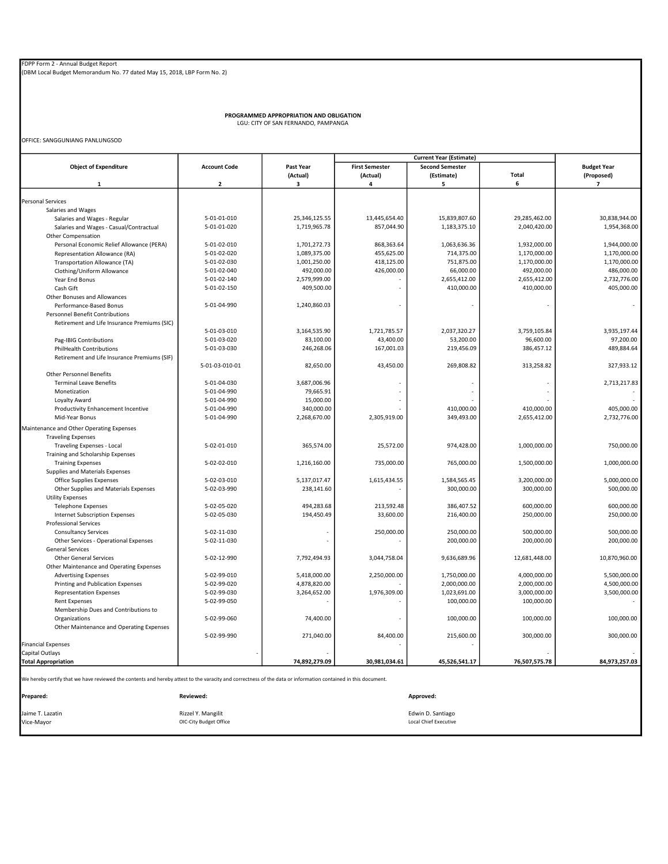PROGRAMMED APPROPRIATION AND OBLIGATION LGU: CITY OF SAN FERNANDO, PAMPANGA

OFFICE: SANGGUNIANG PANLUNGSOD

|                                                                                                                                                               |                         |               |                       | <b>Current Year (Estimate)</b> |               |                    |
|---------------------------------------------------------------------------------------------------------------------------------------------------------------|-------------------------|---------------|-----------------------|--------------------------------|---------------|--------------------|
| <b>Object of Expenditure</b>                                                                                                                                  | <b>Account Code</b>     | Past Year     | <b>First Semester</b> | <b>Second Semester</b>         |               | <b>Budget Year</b> |
|                                                                                                                                                               |                         | (Actual)      | (Actual)              | (Estimate)                     | <b>Total</b>  | (Proposed)         |
| $\mathbf{1}$                                                                                                                                                  | $\overline{\mathbf{2}}$ | 3             | 4                     | 5                              | 6             | $\overline{7}$     |
|                                                                                                                                                               |                         |               |                       |                                |               |                    |
| <b>Personal Services</b>                                                                                                                                      |                         |               |                       |                                |               |                    |
| Salaries and Wages                                                                                                                                            |                         |               |                       |                                |               |                    |
| Salaries and Wages - Regular                                                                                                                                  | 5-01-01-010             | 25,346,125.55 | 13,445,654.40         | 15,839,807.60                  | 29,285,462.00 | 30,838,944.00      |
| Salaries and Wages - Casual/Contractual                                                                                                                       | 5-01-01-020             | 1,719,965.78  | 857,044.90            | 1,183,375.10                   | 2,040,420.00  | 1,954,368.00       |
| <b>Other Compensation</b>                                                                                                                                     |                         |               |                       |                                |               |                    |
| Personal Economic Relief Allowance (PERA)                                                                                                                     | 5-01-02-010             | 1,701,272.73  | 868,363.64            | 1,063,636.36                   | 1,932,000.00  | 1,944,000.00       |
| Representation Allowance (RA)                                                                                                                                 | 5-01-02-020             | 1,089,375.00  | 455,625.00            | 714,375.00                     | 1,170,000.00  | 1,170,000.00       |
| Transportation Allowance (TA)                                                                                                                                 | 5-01-02-030             | 1,001,250.00  | 418,125.00            | 751,875.00                     | 1,170,000.00  | 1,170,000.00       |
| Clothing/Uniform Allowance                                                                                                                                    | 5-01-02-040             | 492,000.00    | 426,000.00            | 66,000.00                      | 492,000.00    | 486,000.00         |
| Year End Bonus                                                                                                                                                | 5-01-02-140             | 2,579,999.00  |                       | 2,655,412.00                   | 2,655,412.00  | 2,732,776.00       |
| Cash Gift                                                                                                                                                     | 5-01-02-150             | 409,500.00    |                       | 410,000.00                     | 410,000.00    | 405,000.00         |
| Other Bonuses and Allowances                                                                                                                                  |                         |               |                       |                                |               |                    |
| Performance-Based Bonus                                                                                                                                       | 5-01-04-990             | 1,240,860.03  |                       |                                |               |                    |
| <b>Personnel Benefit Contributions</b>                                                                                                                        |                         |               |                       |                                |               |                    |
| Retirement and Life Insurance Premiums (SIC)                                                                                                                  |                         |               |                       |                                |               |                    |
|                                                                                                                                                               | 5-01-03-010             | 3,164,535.90  | 1,721,785.57          | 2,037,320.27                   | 3,759,105.84  | 3,935,197.44       |
| Pag-IBIG Contributions                                                                                                                                        | 5-01-03-020             | 83,100.00     | 43,400.00             | 53,200.00                      | 96,600.00     | 97,200.00          |
| <b>PhilHealth Contributions</b>                                                                                                                               | 5-01-03-030             | 246,268.06    | 167,001.03            | 219,456.09                     | 386,457.12    | 489,884.64         |
| Retirement and Life Insurance Premiums (SIF)                                                                                                                  |                         |               |                       |                                |               |                    |
|                                                                                                                                                               | 5-01-03-010-01          | 82,650.00     | 43,450.00             | 269,808.82                     | 313,258.82    | 327,933.12         |
| <b>Other Personnel Benefits</b>                                                                                                                               |                         |               |                       |                                |               |                    |
| <b>Terminal Leave Benefits</b>                                                                                                                                | 5-01-04-030             | 3,687,006.96  |                       |                                |               | 2,713,217.83       |
| Monetization                                                                                                                                                  | 5-01-04-990             | 79,665.91     |                       | ×,                             | $\sim$        |                    |
| Loyalty Award                                                                                                                                                 | 5-01-04-990             | 15,000.00     |                       |                                |               |                    |
| Productivity Enhancement Incentive                                                                                                                            | 5-01-04-990             | 340,000.00    |                       | 410,000.00                     | 410,000.00    | 405,000.00         |
|                                                                                                                                                               |                         |               |                       |                                |               |                    |
| Mid-Year Bonus                                                                                                                                                | 5-01-04-990             | 2,268,670.00  | 2,305,919.00          | 349,493.00                     | 2,655,412.00  | 2,732,776.00       |
| Maintenance and Other Operating Expenses                                                                                                                      |                         |               |                       |                                |               |                    |
| <b>Traveling Expenses</b>                                                                                                                                     |                         |               |                       |                                |               |                    |
| Traveling Expenses - Local                                                                                                                                    | 5-02-01-010             | 365,574.00    | 25,572.00             | 974,428.00                     | 1,000,000.00  | 750,000.00         |
| Training and Scholarship Expenses                                                                                                                             |                         |               |                       |                                |               |                    |
| <b>Training Expenses</b>                                                                                                                                      | 5-02-02-010             | 1,216,160.00  | 735,000.00            | 765,000.00                     | 1,500,000.00  | 1,000,000.00       |
| Supplies and Materials Expenses                                                                                                                               |                         |               |                       |                                |               |                    |
| Office Supplies Expenses                                                                                                                                      | 5-02-03-010             | 5,137,017.47  | 1,615,434.55          | 1,584,565.45                   | 3,200,000.00  | 5,000,000.00       |
| Other Supplies and Materials Expenses                                                                                                                         | 5-02-03-990             | 238,141.60    |                       | 300.000.00                     | 300,000.00    | 500,000.00         |
| <b>Utility Expenses</b>                                                                                                                                       |                         |               |                       |                                |               |                    |
| <b>Telephone Expenses</b>                                                                                                                                     | 5-02-05-020             | 494,283.68    | 213,592.48            | 386.407.52                     | 600.000.00    | 600,000.00         |
| <b>Internet Subscription Expenses</b>                                                                                                                         | 5-02-05-030             | 194,450.49    | 33,600.00             | 216,400.00                     | 250,000.00    | 250,000.00         |
| <b>Professional Services</b>                                                                                                                                  |                         |               |                       |                                |               |                    |
| <b>Consultancy Services</b>                                                                                                                                   | 5-02-11-030             |               | 250,000.00            | 250,000.00                     | 500,000.00    | 500,000.00         |
| Other Services - Operational Expenses                                                                                                                         | 5-02-11-030             |               |                       | 200,000.00                     | 200,000.00    | 200,000.00         |
| <b>General Services</b>                                                                                                                                       |                         |               |                       |                                |               |                    |
| <b>Other General Services</b>                                                                                                                                 | 5-02-12-990             | 7,792,494.93  | 3,044,758.04          | 9,636,689.96                   | 12,681,448.00 | 10,870,960.00      |
| Other Maintenance and Operating Expenses                                                                                                                      |                         |               |                       |                                |               |                    |
| <b>Advertising Expenses</b>                                                                                                                                   | 5-02-99-010             | 5,418,000.00  | 2,250,000.00          | 1,750,000.00                   | 4,000,000.00  | 5,500,000.00       |
| Printing and Publication Expenses                                                                                                                             | 5-02-99-020             | 4,878,820.00  |                       | 2,000,000.00                   | 2,000,000.00  | 4,500,000.00       |
| <b>Representation Expenses</b>                                                                                                                                | 5-02-99-030             | 3,264,652.00  | 1,976,309.00          | 1,023,691.00                   | 3,000,000.00  | 3,500,000.00       |
| <b>Rent Expenses</b>                                                                                                                                          | 5-02-99-050             |               |                       | 100,000.00                     | 100,000.00    |                    |
| Membership Dues and Contributions to                                                                                                                          |                         |               |                       |                                |               |                    |
| Organizations                                                                                                                                                 | 5-02-99-060             | 74,400.00     |                       | 100,000.00                     | 100,000.00    | 100,000.00         |
|                                                                                                                                                               |                         |               |                       |                                |               |                    |
| Other Maintenance and Operating Expenses                                                                                                                      |                         |               |                       |                                |               |                    |
|                                                                                                                                                               | 5-02-99-990             | 271,040.00    | 84,400.00             | 215,600.00                     | 300,000.00    | 300,000.00         |
| <b>Financial Expenses</b>                                                                                                                                     |                         |               |                       |                                |               |                    |
| Capital Outlays                                                                                                                                               |                         |               |                       |                                |               |                    |
| <b>Total Appropriation</b>                                                                                                                                    |                         | 74,892,279.09 | 30,981,034.61         | 45,526,541.17                  | 76,507,575.78 | 84,973,257.03      |
| We hereby certify that we have reviewed the contents and hereby attest to the varacity and correctness of the data or information contained in this document. |                         |               |                       |                                |               |                    |
| Prepared:                                                                                                                                                     | Reviewed:               |               |                       | Approved:                      |               |                    |
|                                                                                                                                                               |                         |               |                       |                                |               |                    |
| Jaime T. Lazatin                                                                                                                                              | Rizzel Y. Mangilit      |               |                       | Edwin D. Santiago              |               |                    |
| Vice-Mayor                                                                                                                                                    | OIC-City Budget Office  |               |                       | <b>Local Chief Executive</b>   |               |                    |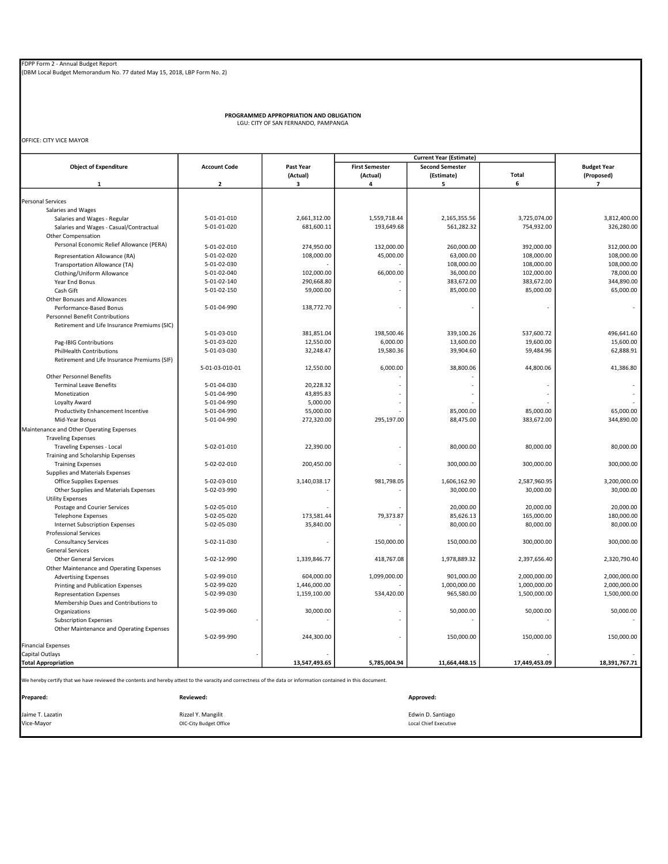PROGRAMMED APPROPRIATION AND OBLIGATION LGU: CITY OF SAN FERNANDO, PAMPANGA

OFFICE: CITY VICE MAYOR

|                                                                                                                                                               |                     |               | <b>Current Year (Estimate)</b> |                        |               |                          |
|---------------------------------------------------------------------------------------------------------------------------------------------------------------|---------------------|---------------|--------------------------------|------------------------|---------------|--------------------------|
| <b>Object of Expenditure</b>                                                                                                                                  | <b>Account Code</b> | Past Year     | <b>First Semester</b>          | <b>Second Semester</b> |               | <b>Budget Year</b>       |
|                                                                                                                                                               |                     | (Actual)      | (Actual)                       | (Estimate)             | <b>Total</b>  | (Proposed)               |
| $\mathbf{1}$                                                                                                                                                  | $\overline{2}$      | з             | 4                              | 5                      | 6             | $\overline{\phantom{a}}$ |
|                                                                                                                                                               |                     |               |                                |                        |               |                          |
| <b>Personal Services</b>                                                                                                                                      |                     |               |                                |                        |               |                          |
| Salaries and Wages                                                                                                                                            |                     |               |                                |                        |               |                          |
| Salaries and Wages - Regular                                                                                                                                  | 5-01-01-010         | 2,661,312.00  | 1,559,718.44                   | 2,165,355.56           | 3,725,074.00  | 3,812,400.00             |
| Salaries and Wages - Casual/Contractual                                                                                                                       | 5-01-01-020         | 681,600.11    | 193,649.68                     | 561,282.32             | 754,932.00    | 326,280.00               |
| Other Compensation                                                                                                                                            |                     |               |                                |                        |               |                          |
| Personal Economic Relief Allowance (PERA)                                                                                                                     | 5-01-02-010         | 274,950.00    | 132,000.00                     | 260,000.00             | 392,000.00    | 312,000.00               |
| Representation Allowance (RA)                                                                                                                                 | 5-01-02-020         | 108,000.00    | 45,000.00                      | 63,000.00              | 108,000.00    | 108,000.00               |
| Transportation Allowance (TA)                                                                                                                                 | 5-01-02-030         |               |                                | 108,000.00             | 108,000.00    | 108,000.00               |
| Clothing/Uniform Allowance                                                                                                                                    | 5-01-02-040         | 102,000.00    | 66,000.00                      | 36,000.00              | 102,000.00    | 78,000.00                |
|                                                                                                                                                               | 5-01-02-140         |               |                                |                        |               | 344,890.00               |
| Year End Bonus                                                                                                                                                |                     | 290,668.80    |                                | 383,672.00             | 383,672.00    |                          |
| Cash Gift                                                                                                                                                     | 5-01-02-150         | 59,000.00     |                                | 85,000.00              | 85,000.00     | 65,000.00                |
| Other Bonuses and Allowances                                                                                                                                  |                     |               |                                |                        |               |                          |
| Performance-Based Bonus                                                                                                                                       | 5-01-04-990         | 138,772.70    |                                |                        |               |                          |
| <b>Personnel Benefit Contributions</b>                                                                                                                        |                     |               |                                |                        |               |                          |
| Retirement and Life Insurance Premiums (SIC)                                                                                                                  |                     |               |                                |                        |               |                          |
|                                                                                                                                                               | 5-01-03-010         | 381,851.04    | 198,500.46                     | 339,100.26             | 537,600.72    | 496,641.60               |
| Pag-IBIG Contributions                                                                                                                                        | 5-01-03-020         | 12,550.00     | 6,000.00                       | 13,600.00              | 19,600.00     | 15,600.00                |
| <b>PhilHealth Contributions</b>                                                                                                                               | 5-01-03-030         | 32,248.47     | 19,580.36                      | 39,904.60              | 59,484.96     | 62,888.91                |
| Retirement and Life Insurance Premiums (SIF)                                                                                                                  |                     |               |                                |                        |               |                          |
|                                                                                                                                                               | 5-01-03-010-01      | 12,550.00     | 6,000.00                       | 38,800.06              | 44,800.06     | 41,386.80                |
| <b>Other Personnel Benefits</b>                                                                                                                               |                     |               |                                |                        |               |                          |
| <b>Terminal Leave Benefits</b>                                                                                                                                | 5-01-04-030         | 20,228.32     |                                |                        |               |                          |
| Monetization                                                                                                                                                  | 5-01-04-990         | 43,895.83     |                                |                        |               |                          |
|                                                                                                                                                               | 5-01-04-990         |               |                                |                        |               |                          |
| Loyalty Award                                                                                                                                                 |                     | 5,000.00      |                                |                        |               |                          |
| Productivity Enhancement Incentive                                                                                                                            | 5-01-04-990         | 55,000.00     |                                | 85,000.00              | 85,000.00     | 65,000.00                |
| Mid-Year Bonus                                                                                                                                                | 5-01-04-990         | 272,320.00    | 295,197.00                     | 88,475.00              | 383,672.00    | 344,890.00               |
| Maintenance and Other Operating Expenses                                                                                                                      |                     |               |                                |                        |               |                          |
| <b>Traveling Expenses</b>                                                                                                                                     |                     |               |                                |                        |               |                          |
| <b>Traveling Expenses - Local</b>                                                                                                                             | 5-02-01-010         | 22,390.00     |                                | 80,000.00              | 80,000.00     | 80,000.00                |
| Training and Scholarship Expenses                                                                                                                             |                     |               |                                |                        |               |                          |
| <b>Training Expenses</b>                                                                                                                                      | 5-02-02-010         | 200,450.00    |                                | 300,000.00             | 300,000.00    | 300,000.00               |
| Supplies and Materials Expenses                                                                                                                               |                     |               |                                |                        |               |                          |
| Office Supplies Expenses                                                                                                                                      | 5-02-03-010         | 3,140,038.17  | 981,798.05                     | 1,606,162.90           | 2,587,960.95  | 3,200,000.00             |
| Other Supplies and Materials Expenses                                                                                                                         | 5-02-03-990         |               |                                | 30,000.00              | 30,000.00     | 30,000.00                |
| <b>Utility Expenses</b>                                                                                                                                       |                     |               |                                |                        |               |                          |
| Postage and Courier Services                                                                                                                                  | 5-02-05-010         |               |                                | 20,000.00              | 20,000.00     | 20,000.00                |
|                                                                                                                                                               | 5-02-05-020         |               |                                |                        |               | 180,000.00               |
| <b>Telephone Expenses</b>                                                                                                                                     |                     | 173,581.44    | 79,373.87                      | 85,626.13              | 165,000.00    |                          |
| <b>Internet Subscription Expenses</b>                                                                                                                         | 5-02-05-030         | 35,840.00     |                                | 80,000.00              | 80,000.00     | 80,000.00                |
| <b>Professional Services</b>                                                                                                                                  |                     |               |                                |                        |               |                          |
| <b>Consultancy Services</b>                                                                                                                                   | 5-02-11-030         |               | 150,000.00                     | 150,000.00             | 300,000.00    | 300,000.00               |
| <b>General Services</b>                                                                                                                                       |                     |               |                                |                        |               |                          |
| Other General Services                                                                                                                                        | 5-02-12-990         | 1,339,846.77  | 418,767.08                     | 1,978,889.32           | 2,397,656.40  | 2,320,790.40             |
| Other Maintenance and Operating Expenses                                                                                                                      |                     |               |                                |                        |               |                          |
| <b>Advertising Expenses</b>                                                                                                                                   | 5-02-99-010         | 604,000.00    | 1,099,000.00                   | 901,000.00             | 2,000,000.00  | 2,000,000.00             |
| Printing and Publication Expenses                                                                                                                             | 5-02-99-020         | 1,446,000.00  |                                | 1,000,000.00           | 1,000,000.00  | 2,000,000.00             |
| <b>Representation Expenses</b>                                                                                                                                | 5-02-99-030         | 1,159,100.00  | 534,420.00                     | 965,580.00             | 1,500,000.00  | 1,500,000.00             |
| Membership Dues and Contributions to                                                                                                                          |                     |               |                                |                        |               |                          |
| Organizations                                                                                                                                                 | 5-02-99-060         | 30,000.00     |                                | 50,000.00              | 50,000.00     | 50,000.00                |
| <b>Subscription Expenses</b>                                                                                                                                  |                     |               |                                |                        |               |                          |
|                                                                                                                                                               |                     |               |                                |                        |               |                          |
| Other Maintenance and Operating Expenses                                                                                                                      |                     |               |                                |                        |               |                          |
|                                                                                                                                                               | 5-02-99-990         | 244,300.00    |                                | 150,000.00             | 150,000.00    | 150,000.00               |
| <b>Financial Expenses</b>                                                                                                                                     |                     |               |                                |                        |               |                          |
| Capital Outlays                                                                                                                                               |                     |               |                                |                        |               |                          |
| <b>Total Appropriation</b>                                                                                                                                    |                     | 13,547,493.65 | 5,785,004.94                   | 11,664,448.15          | 17,449,453.09 | 18,391,767.71            |
|                                                                                                                                                               |                     |               |                                |                        |               |                          |
| We hereby certify that we have reviewed the contents and hereby attest to the varacity and correctness of the data or information contained in this document. |                     |               |                                |                        |               |                          |
| Prepared:                                                                                                                                                     | Reviewed:           |               |                                | Approved:              |               |                          |
|                                                                                                                                                               |                     |               |                                |                        |               |                          |

Jaime T. Lazatin and the Santiago Communication of Rizzel Y. Mangilit Communication and the Santiago Communica<br>1999 - Communication of Communication Discussion Communication of Ricci School Communication and the Executive<br>

OIC-City Budget Office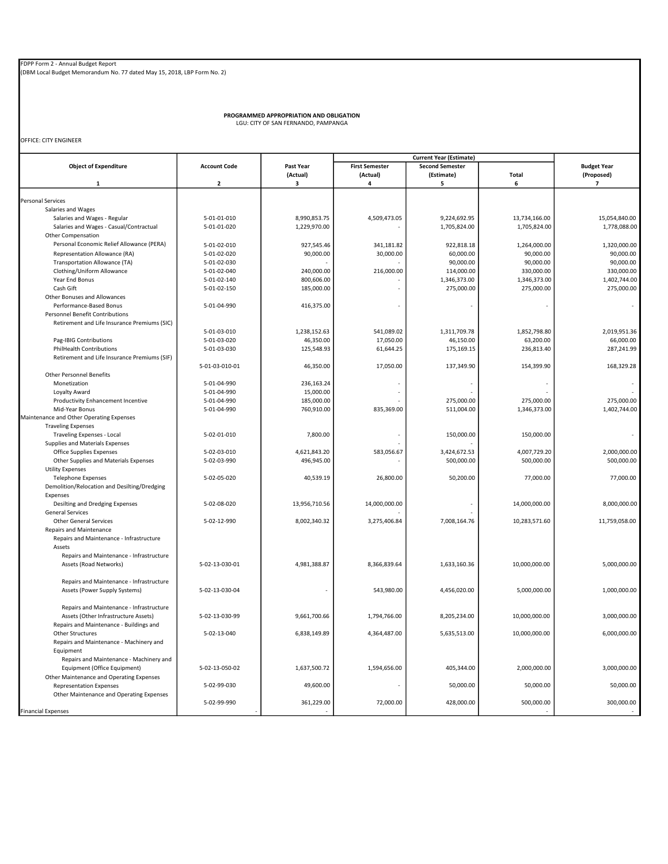(DBM Local Budget Memorandum No. 77 dated May 15, 2018, LBP Form No. 2)

PROGRAMMED APPROPRIATION AND OBLIGATION LGU: CITY OF SAN FERNANDO, PAMPANGA

OFFICE: CITY ENGINEER

|                                              |                     |               |                       | <b>Current Year (Estimate)</b> |               |                         |
|----------------------------------------------|---------------------|---------------|-----------------------|--------------------------------|---------------|-------------------------|
| <b>Object of Expenditure</b>                 | <b>Account Code</b> | Past Year     | <b>First Semester</b> | <b>Second Semester</b>         |               | <b>Budget Year</b>      |
|                                              |                     | (Actual)      | (Actual)              | (Estimate)                     | Total         | (Proposed)              |
| 1                                            | $\mathbf 2$         | 3             | 4                     | 5                              | 6             | $\overline{\mathbf{z}}$ |
|                                              |                     |               |                       |                                |               |                         |
| <b>Personal Services</b>                     |                     |               |                       |                                |               |                         |
| Salaries and Wages                           |                     |               |                       |                                |               |                         |
| Salaries and Wages - Regular                 | 5-01-01-010         | 8,990,853.75  | 4,509,473.05          | 9,224,692.95                   | 13,734,166.00 | 15,054,840.00           |
| Salaries and Wages - Casual/Contractual      | 5-01-01-020         | 1,229,970.00  |                       | 1,705,824.00                   | 1,705,824.00  | 1,778,088.00            |
| Other Compensation                           |                     |               |                       |                                |               |                         |
| Personal Economic Relief Allowance (PERA)    | 5-01-02-010         | 927,545.46    | 341,181.82            | 922,818.18                     | 1,264,000.00  | 1,320,000.00            |
| Representation Allowance (RA)                | 5-01-02-020         | 90,000.00     | 30,000.00             | 60,000.00                      | 90,000.00     | 90,000.00               |
| Transportation Allowance (TA)                | 5-01-02-030         |               |                       | 90,000.00                      | 90,000.00     | 90,000.00               |
| Clothing/Uniform Allowance                   | 5-01-02-040         | 240,000.00    | 216,000.00            | 114,000.00                     | 330,000.00    | 330,000.00              |
| Year End Bonus                               | 5-01-02-140         | 800,606.00    |                       | 1,346,373.00                   | 1,346,373.00  | 1,402,744.00            |
|                                              | 5-01-02-150         | 185,000.00    |                       |                                |               |                         |
| Cash Gift                                    |                     |               |                       | 275,000.00                     | 275,000.00    | 275,000.00              |
| Other Bonuses and Allowances                 |                     |               |                       |                                |               |                         |
| Performance-Based Bonus                      | 5-01-04-990         | 416,375.00    |                       |                                |               |                         |
| Personnel Benefit Contributions              |                     |               |                       |                                |               |                         |
| Retirement and Life Insurance Premiums (SIC) |                     |               |                       |                                |               |                         |
|                                              | 5-01-03-010         | 1,238,152.63  | 541,089.02            | 1,311,709.78                   | 1,852,798.80  | 2,019,951.36            |
| Pag-IBIG Contributions                       | 5-01-03-020         | 46,350.00     | 17,050.00             | 46,150.00                      | 63,200.00     | 66,000.00               |
| <b>PhilHealth Contributions</b>              | 5-01-03-030         | 125,548.93    | 61,644.25             | 175,169.15                     | 236,813.40    | 287,241.99              |
| Retirement and Life Insurance Premiums (SIF) |                     |               |                       |                                |               |                         |
|                                              | 5-01-03-010-01      | 46,350.00     | 17,050.00             | 137,349.90                     | 154,399.90    | 168,329.28              |
| <b>Other Personnel Benefits</b>              |                     |               |                       |                                |               |                         |
| Monetization                                 | 5-01-04-990         | 236,163.24    |                       |                                |               |                         |
|                                              |                     |               |                       |                                |               |                         |
| Loyalty Award                                | 5-01-04-990         | 15,000.00     |                       |                                |               |                         |
| Productivity Enhancement Incentive           | 5-01-04-990         | 185,000.00    |                       | 275,000.00                     | 275,000.00    | 275,000.00              |
| Mid-Year Bonus                               | 5-01-04-990         | 760,910.00    | 835,369.00            | 511,004.00                     | 1,346,373.00  | 1,402,744.00            |
| Maintenance and Other Operating Expenses     |                     |               |                       |                                |               |                         |
| <b>Traveling Expenses</b>                    |                     |               |                       |                                |               |                         |
| Traveling Expenses - Local                   | 5-02-01-010         | 7,800.00      |                       | 150,000.00                     | 150,000.00    |                         |
| Supplies and Materials Expenses              |                     |               |                       |                                |               |                         |
| <b>Office Supplies Expenses</b>              | 5-02-03-010         | 4,621,843.20  | 583,056.67            | 3,424,672.53                   | 4,007,729.20  | 2,000,000.00            |
| Other Supplies and Materials Expenses        | 5-02-03-990         | 496,945.00    |                       | 500,000.00                     | 500,000.00    | 500,000.00              |
| <b>Utility Expenses</b>                      |                     |               |                       |                                |               |                         |
| <b>Telephone Expenses</b>                    | 5-02-05-020         | 40,539.19     | 26,800.00             | 50,200.00                      | 77,000.00     | 77,000.00               |
| Demolition/Relocation and Desilting/Dredging |                     |               |                       |                                |               |                         |
| Expenses                                     |                     |               |                       |                                |               |                         |
| Desilting and Dredging Expenses              | 5-02-08-020         | 13,956,710.56 | 14,000,000.00         |                                | 14,000,000.00 | 8,000,000.00            |
|                                              |                     |               |                       |                                |               |                         |
| <b>General Services</b>                      |                     |               |                       |                                |               |                         |
| <b>Other General Services</b>                | 5-02-12-990         | 8,002,340.32  | 3,275,406.84          | 7,008,164.76                   | 10,283,571.60 | 11,759,058.00           |
| Repairs and Maintenance                      |                     |               |                       |                                |               |                         |
| Repairs and Maintenance - Infrastructure     |                     |               |                       |                                |               |                         |
| Assets                                       |                     |               |                       |                                |               |                         |
| Repairs and Maintenance - Infrastructure     |                     |               |                       |                                |               |                         |
| Assets (Road Networks)                       | 5-02-13-030-01      | 4,981,388.87  | 8,366,839.64          | 1,633,160.36                   | 10,000,000.00 | 5,000,000.00            |
|                                              |                     |               |                       |                                |               |                         |
| Repairs and Maintenance - Infrastructure     |                     |               |                       |                                |               |                         |
| Assets (Power Supply Systems)                | 5-02-13-030-04      |               | 543,980.00            | 4,456,020.00                   | 5,000,000.00  | 1,000,000.00            |
|                                              |                     |               |                       |                                |               |                         |
|                                              |                     |               |                       |                                |               |                         |
| Repairs and Maintenance - Infrastructure     |                     |               |                       |                                |               |                         |
| Assets (Other Infrastructure Assets)         | 5-02-13-030-99      | 9,661,700.66  | 1,794,766.00          | 8,205,234.00                   | 10,000,000.00 | 3,000,000.00            |
| Repairs and Maintenance - Buildings and      |                     |               |                       |                                |               |                         |
| Other Structures                             | 5-02-13-040         | 6,838,149.89  | 4,364,487.00          | 5,635,513.00                   | 10,000,000.00 | 6,000,000.00            |
| Repairs and Maintenance - Machinery and      |                     |               |                       |                                |               |                         |
| Equipment                                    |                     |               |                       |                                |               |                         |
| Repairs and Maintenance - Machinery and      |                     |               |                       |                                |               |                         |
| Equipment (Office Equipment)                 | 5-02-13-050-02      | 1,637,500.72  | 1,594,656.00          | 405,344.00                     | 2,000,000.00  | 3,000,000.00            |
| Other Maintenance and Operating Expenses     |                     |               |                       |                                |               |                         |
| <b>Representation Expenses</b>               | 5-02-99-030         | 49,600.00     |                       | 50,000.00                      | 50,000.00     | 50,000.00               |
| Other Maintenance and Operating Expenses     |                     |               |                       |                                |               |                         |
|                                              | 5-02-99-990         | 361,229.00    | 72,000.00             | 428,000.00                     | 500,000.00    | 300,000.00              |
|                                              |                     |               |                       |                                |               |                         |
| <b>Financial Expenses</b>                    |                     |               |                       |                                |               |                         |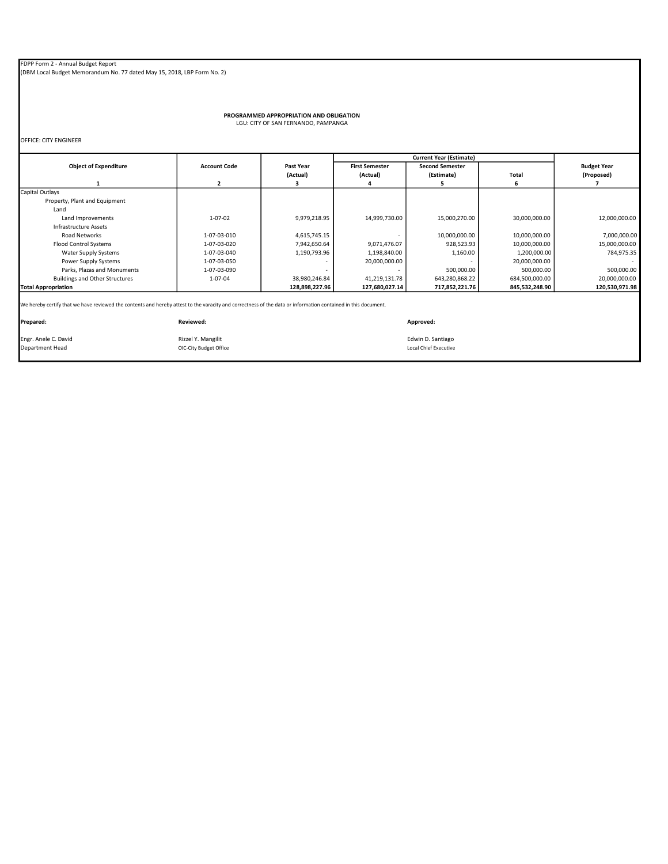(DBM Local Budget Memorandum No. 77 dated May 15, 2018, LBP Form No. 2)

OIC-City Budget Office

PROGRAMMED APPROPRIATION AND OBLIGATION LGU: CITY OF SAN FERNANDO, PAMPANGA

OFFICE: CITY ENGINEER

|                                                                                                                                                               |                        |                  |                       | <b>Current Year (Estimate)</b> |                |                    |  |
|---------------------------------------------------------------------------------------------------------------------------------------------------------------|------------------------|------------------|-----------------------|--------------------------------|----------------|--------------------|--|
| <b>Object of Expenditure</b>                                                                                                                                  | <b>Account Code</b>    | <b>Past Year</b> | <b>First Semester</b> | <b>Second Semester</b>         |                | <b>Budget Year</b> |  |
|                                                                                                                                                               |                        | (Actual)         | (Actual)              | (Estimate)                     | Total          | (Proposed)         |  |
|                                                                                                                                                               | 2                      |                  |                       | 5                              | 6              |                    |  |
| Capital Outlays                                                                                                                                               |                        |                  |                       |                                |                |                    |  |
| Property, Plant and Equipment                                                                                                                                 |                        |                  |                       |                                |                |                    |  |
| Land                                                                                                                                                          |                        |                  |                       |                                |                |                    |  |
| Land Improvements                                                                                                                                             | $1 - 07 - 02$          | 9,979,218.95     | 14,999,730.00         | 15,000,270.00                  | 30,000,000.00  | 12,000,000.00      |  |
| Infrastructure Assets                                                                                                                                         |                        |                  |                       |                                |                |                    |  |
| <b>Road Networks</b>                                                                                                                                          | 1-07-03-010            | 4,615,745.15     |                       | 10,000,000.00                  | 10,000,000.00  | 7,000,000.00       |  |
| <b>Flood Control Systems</b>                                                                                                                                  | 1-07-03-020            | 7,942,650.64     | 9,071,476.07          | 928,523.93                     | 10,000,000.00  | 15,000,000.00      |  |
| Water Supply Systems                                                                                                                                          | 1-07-03-040            | 1,190,793.96     | 1,198,840.00          | 1,160.00                       | 1,200,000.00   | 784,975.35         |  |
| Power Supply Systems                                                                                                                                          | 1-07-03-050            |                  | 20,000,000.00         |                                | 20,000,000.00  |                    |  |
| Parks, Plazas and Monuments                                                                                                                                   | 1-07-03-090            |                  |                       | 500,000.00                     | 500,000.00     | 500,000.00         |  |
| <b>Buildings and Other Structures</b>                                                                                                                         | 1-07-04                | 38,980,246.84    | 41,219,131.78         | 643,280,868.22                 | 684,500,000.00 | 20,000,000.00      |  |
| <b>Total Appropriation</b>                                                                                                                                    |                        | 128,898,227.96   | 127,680,027.14        | 717,852,221.76                 | 845,532,248.90 | 120,530,971.98     |  |
| We hereby certify that we have reviewed the contents and hereby attest to the varacity and correctness of the data or information contained in this document. |                        |                  |                       |                                |                |                    |  |
| Prepared:                                                                                                                                                     | Reviewed:              |                  |                       | Approved:                      |                |                    |  |
| Engr. Anele C. David                                                                                                                                          | Rizzel Y. Mangilit     |                  |                       | Edwin D. Santiago              |                |                    |  |
| Department Head                                                                                                                                               | OIC-City Budget Office |                  |                       | Local Chief Executive          |                |                    |  |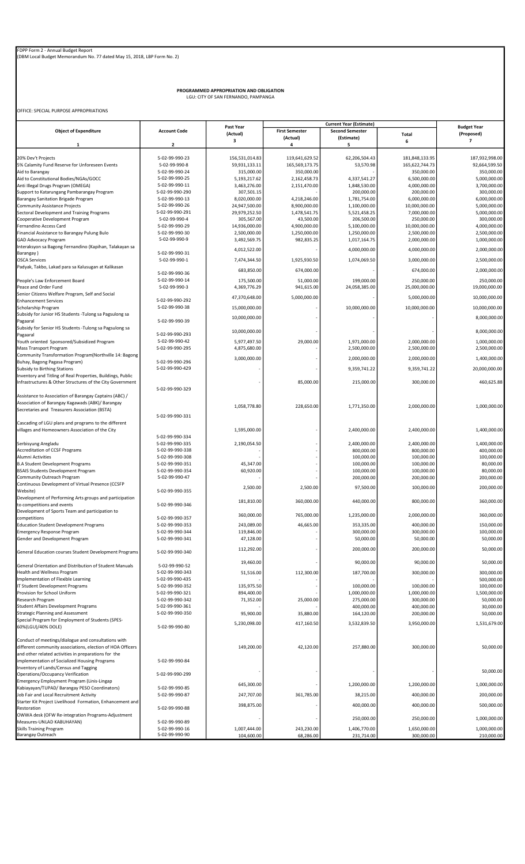PROGRAMMED APPROPRIATION AND OBLIGATION LGU: CITY OF SAN FERNANDO, PAMPANGA

OFFICE: SPECIAL PURPOSE APPROPRIATIONS

|                                                                                               |                                    | Past Year                     |                                   | <b>Current Year (Estimate)</b>       |                               | <b>Budget Year</b>           |
|-----------------------------------------------------------------------------------------------|------------------------------------|-------------------------------|-----------------------------------|--------------------------------------|-------------------------------|------------------------------|
| <b>Object of Expenditure</b>                                                                  | <b>Account Code</b>                | (Actual)                      | <b>First Semester</b><br>(Actual) | <b>Second Semester</b><br>(Estimate) | Total                         | (Proposed)                   |
| 1                                                                                             | 2                                  | 3                             | 4                                 | 5                                    | 6                             | 7                            |
|                                                                                               |                                    |                               |                                   |                                      |                               |                              |
| 20% Dev't Projects                                                                            | 5-02-99-990-23                     | 156,531,014.83                | 119,641,629.52                    | 62,206,504.43                        | 181,848,133.95                | 187,932,998.00               |
| 5% Calamity Fund Reserve for Unforeseen Events                                                | 5-02-99-990-8                      | 59,931,133.11                 | 165,569,173.75                    | 53,570.98                            | 165,622,744.73                | 92,664,599.50                |
| Aid to Barangay                                                                               | 5-02-99-990-24                     | 315,000.00                    | 350,000.00                        |                                      | 350,000.00                    | 350,000.00                   |
| Aid to Constitutional Bodies/NGAs/GOCC<br>Anti Illegal Drugs Program (OMEGA)                  | 5-02-99-990-25<br>5-02-99-990-11   | 5,193,217.62<br>3,463,276.00  | 2,162,458.73<br>2,151,470.00      | 4,337,541.27<br>1,848,530.00         | 6,500,000.00<br>4,000,000.00  | 5,000,000.00<br>3,700,000.00 |
| Support to Katarungang Pambarangay Program                                                    | 5-02-99-990-290                    | 307,501.15                    |                                   | 200,000.00                           | 200,000.00                    | 300,000.00                   |
| Barangay Sanitation Brigade Program                                                           | 5-02-99-990-13                     | 8,020,000.00                  | 4,218,246.00                      | 1,781,754.00                         | 6,000,000.00                  | 6,000,000.00                 |
| Community Assistance Projects                                                                 | 5-02-99-990-26                     | 24,947,500.00                 | 8,900,000.00                      | 1,100,000.00                         | 10,000,000.00                 | 5,000,000.00                 |
| Sectoral Development and Training Programs                                                    | 5-02-99-990-291                    | 29,979,252.50                 | 1,478,541.75                      | 5,521,458.25                         | 7,000,000.00                  | 5,000,000.00                 |
| Cooperative Development Program                                                               | 5-02-99-990-4<br>5-02-99-990-29    | 305,567.00                    | 43,500.00                         | 206,500.00                           | 250,000.00                    | 300,000.00                   |
| Fernandino Access Card<br>Financial Assistance to Barangay Pulung Bulo                        | 5-02-99-990-30                     | 14,936,000.00<br>2,500,000.00 | 4,900,000.00<br>1,250,000.00      | 5,100,000.00<br>1,250,000.00         | 10,000,000.00<br>2,500,000.00 | 4,000,000.00<br>2,500,000.00 |
| <b>GAD Advocacy Program</b>                                                                   | 5-02-99-990-9                      | 3,492,569.75                  | 982,835.25                        | 1,017,164.75                         | 2,000,000.00                  | 1,000,000.00                 |
| Interaksyon sa Bagong Fernandino (Kapihan, Talakayan sa                                       |                                    |                               |                                   |                                      |                               |                              |
| Barangay)                                                                                     | 5-02-99-990-31                     | 4,012,522.00                  |                                   | 4,000,000.00                         | 4,000,000.00                  | 2,000,000.00                 |
| <b>OSCA Services</b>                                                                          | 5-02-99-990-1                      | 7,474,344.50                  | 1,925,930.50                      | 1,074,069.50                         | 3,000,000.00                  | 2,500,000.00                 |
| Padyak, Takbo, Lakad para sa Kalusugan at Kalikasan                                           |                                    | 683,850.00                    | 674,000.00                        |                                      | 674,000.00                    | 2,000,000.00                 |
| People's Law Enforcement Board                                                                | 5-02-99-990-36<br>5-02-99-990-14   | 175,500.00                    | 51,000.00                         | 199,000.00                           | 250,000.00                    | 250,000.00                   |
| Peace and Order Fund                                                                          | 5-02-99-990-3                      | 4,369,776.29                  | 941,615.00                        | 24,058,385.00                        | 25,000,000.00                 | 19,000,000.00                |
| Senior Citizens Welfare Program, Self and Social                                              |                                    |                               |                                   |                                      |                               |                              |
| <b>Enhancement Services</b>                                                                   | 5-02-99-990-292                    | 47,370,648.00                 | 5,000,000.00                      |                                      | 5,000,000.00                  | 10,000,000.00                |
| Scholarship Program                                                                           | 5-02-99-990-38                     | 15,000,000.00                 |                                   | 10,000,000.00                        | 10,000,000.00                 | 10,000,000.00                |
| Subsidy for Junior HS Students - Tulong sa Pagsulong sa                                       |                                    | 10,000,000.00                 |                                   |                                      |                               | 8,000,000.00                 |
| Pagaaral                                                                                      | 5-02-99-990-39                     |                               |                                   |                                      |                               |                              |
| Subsidy for Senior HS Students - Tulong sa Pagsulong sa<br>Pagaaral                           | 5-02-99-990-293                    | 10,000,000.00                 |                                   |                                      |                               | 8,000,000.00                 |
| Youth oriented Sponsored/Subsidized Program                                                   | 5-02-99-990-42                     | 5,977,497.50                  | 29,000.00                         | 1,971,000.00                         | 2,000,000.00                  | 1,000,000.00                 |
| <b>Mass Transport Program</b>                                                                 | 5-02-99-990-295                    | 4,875,680.00                  |                                   | 2,500,000.00                         | 2,500,000.00                  | 2,500,000.00                 |
| Community Transformation Program(Northville 14: Bagong                                        |                                    |                               |                                   |                                      |                               |                              |
| Buhay, Bagong Pagasa Program)                                                                 | 5-02-99-990-296                    | 3,000,000.00                  |                                   | 2,000,000.00                         | 2,000,000.00                  | 1,400,000.00                 |
| Subsidy to Birthing Stations                                                                  | 5-02-99-990-429                    |                               |                                   | 9,359,741.22                         | 9,359,741.22                  | 20,000,000.00                |
| Inventory and Titling of Real Properties, Buildings, Public                                   |                                    |                               | 85,000.00                         |                                      |                               |                              |
| Infrastructures & Other Structures of the City Government                                     | 5-02-99-990-329                    |                               |                                   | 215,000.00                           | 300,000.00                    | 460,625.88                   |
| Assistance to Association of Barangay Captains (ABC) /                                        |                                    |                               |                                   |                                      |                               |                              |
| Association of Barangay Kagawads (ABK)/ Barangay                                              |                                    |                               |                                   |                                      |                               |                              |
| Secretaries and Treasurers Association (BSTA)                                                 |                                    | 1,058,778.80                  | 228,650.00                        | 1,771,350.00                         | 2,000,000.00                  | 1,000,000.00                 |
|                                                                                               | 5-02-99-990-331                    |                               |                                   |                                      |                               |                              |
| Cascading of LGU plans and programs to the different                                          |                                    |                               |                                   |                                      |                               |                              |
| villages and Homeowners Association of the City                                               |                                    | 1,595,000.00                  |                                   | 2,400,000.00                         | 2,400,000.00                  | 1,400,000.00                 |
|                                                                                               | 5-02-99-990-334<br>5-02-99-990-335 |                               |                                   |                                      |                               |                              |
| Serbisyung Aregladu<br>Accreditation of CCSF Programs                                         | 5-02-99-990-338                    | 2,190,054.50                  |                                   | 2,400,000.00<br>800,000.00           | 2,400,000.00<br>800,000.00    | 1,400,000.00<br>400,000.00   |
| Alumni Activities                                                                             | 5-02-99-990-308                    |                               |                                   | 100,000.00                           | 100,000.00                    | 100,000.00                   |
| <b>B.A Student Development Programs</b>                                                       | 5-02-99-990-351                    | 45,347.00                     |                                   | 100,000.00                           | 100,000.00                    | 80,000.00                    |
| <b>BSAIS Students Development Program</b>                                                     | 5-02-99-990-354                    | 60,920.00                     |                                   | 100,000.00                           | 100,000.00                    | 80,000.00                    |
| Community Outreach Program                                                                    | 5-02-99-990-47                     |                               |                                   | 200,000.00                           | 200,000.00                    | 200,000.00                   |
| Continuous Development of Virtual Presence (CCSFP                                             |                                    | 2,500.00                      | 2,500.00                          | 97,500.00                            | 100,000.00                    | 200,000.00                   |
| Website)<br>Development of Performing Arts groups and participation                           | 5-02-99-990-355                    |                               |                                   |                                      |                               |                              |
| to competitions and events                                                                    | 5-02-99-990-346                    | 181,810.00                    | 360,000.00                        | 440,000.00                           | 800,000.00                    | 360,000.00                   |
| Development of Sports Team and participation to                                               |                                    |                               |                                   |                                      |                               |                              |
| competitions                                                                                  | 5-02-99-990-357                    | 360,000.00                    | 765,000.00                        | 1,235,000.00                         | 2,000,000.00                  | 360,000.00                   |
| <b>Education Student Development Programs</b>                                                 | 5-02-99-990-353                    | 243,089.00                    | 46,665.00                         | 353,335.00                           | 400,000.00                    | 150,000.00                   |
| <b>Emergency Response Program</b>                                                             | 5-02-99-990-344                    | 119,846.00                    |                                   | 300,000.00                           | 300,000.00                    | 100,000.00                   |
| Gender and Development Program                                                                | 5-02-99-990-341                    | 47,128.00                     |                                   | 50,000.00                            | 50,000.00                     | 50,000.00                    |
|                                                                                               |                                    | 112,292.00                    |                                   | 200,000.00                           | 200,000.00                    | 50,000.00                    |
| General Education courses Student Development Programs                                        | 5-02-99-990-340                    |                               |                                   |                                      |                               |                              |
| General Orientation and Distribution of Student Manuals                                       | 5-02-99-990-52                     | 19,460.00                     |                                   | 90,000.00                            | 90,000.00                     | 50,000.00                    |
| Health and Wellness Program                                                                   | 5-02-99-990-343                    | 51,516.00                     | 112,300.00                        | 187,700.00                           | 300,000.00                    | 300,000.00                   |
| Implementation of Flexible Learning                                                           | 5-02-99-990-435                    |                               |                                   |                                      |                               | 500,000.00                   |
| IT Student Development Programs                                                               | 5-02-99-990-352                    | 135,975.50                    |                                   | 100,000.00                           | 100,000.00                    | 100,000.00                   |
| Provision for School Uniform                                                                  | 5-02-99-990-321                    | 894,400.00                    |                                   | 1,000,000.00                         | 1,000,000.00                  | 1,500,000.00                 |
| Research Program                                                                              | 5-02-99-990-342                    | 71,352.00                     | 25,000.00                         | 275,000.00                           | 300,000.00                    | 50,000.00                    |
| <b>Student Affairs Development Programs</b>                                                   | 5-02-99-990-361                    |                               |                                   | 400,000.00                           | 400,000.00                    | 30,000.00                    |
| <b>Strategic Planning and Assessment</b><br>Special Program for Employment of Students (SPES- | 5-02-99-990-350                    | 95,900.00                     | 35,880.00                         | 164,120.00                           | 200,000.00                    | 50,000.00                    |
| 60%(LGU)/40% DOLE)                                                                            | 5-02-99-990-80                     | 5,230,098.00                  | 417,160.50                        | 3,532,839.50                         | 3,950,000.00                  | 1,531,679.00                 |
|                                                                                               |                                    |                               |                                   |                                      |                               |                              |
| Conduct of meetings/dialogue and consultations with                                           |                                    |                               |                                   |                                      |                               |                              |
| different community associations, election of HOA Officers                                    |                                    | 149,200.00                    | 42,120.00                         | 257,880.00                           | 300,000.00                    | 50,000.00                    |
| and other related activities in preparations for the                                          |                                    |                               |                                   |                                      |                               |                              |
| implementation of Socialized Housing Programs                                                 | 5-02-99-990-84                     |                               |                                   |                                      |                               |                              |
| Inventory of Lands/Census and Tagging<br>Operations/Occupancy Verification                    | 5-02-99-990-299                    |                               |                                   |                                      |                               | 50,000.00                    |
| Emergency Employment Program (Linis-Lingap                                                    |                                    |                               |                                   |                                      |                               |                              |
| Kabiayayan/TUPAD/ Barangay PESO Coordinators)                                                 | 5-02-99-990-85                     | 645,300.00                    |                                   | 1,200,000.00                         | 1,200,000.00                  | 1,000,000.00                 |
| Job Fair and Local Recruitment Activity                                                       | 5-02-99-990-87                     | 247,707.00                    | 361,785.00                        | 38,215.00                            | 400,000.00                    | 200,000.00                   |
| Starter Kit Project Livelihood Formation, Enhancement and                                     |                                    | 398,875.00                    |                                   | 400,000.00                           | 400,000.00                    | 500,000.00                   |
| Restoration                                                                                   | 5-02-99-990-88                     |                               |                                   |                                      |                               |                              |
| OWWA desk (OFW Re-integration Programs-Adjustment                                             |                                    |                               |                                   | 250,000.00                           | 250,000.00                    | 1,000,000.00                 |
| Measures-UNLAD KABUHAYAN)                                                                     | 5-02-99-990-89                     |                               |                                   |                                      |                               |                              |
| <b>Skills Training Program</b><br><b>Barangay Outreach</b>                                    | 5-02-99-990-16<br>5-02-99-990-90   | 1,007,444.00<br>104,600.00    | 243,230.00<br>68,286.00           | 1,406,770.00<br>231,714.00           | 1,650,000.00<br>300,000.00    | 1,000,000.00<br>210,000.00   |
|                                                                                               |                                    |                               |                                   |                                      |                               |                              |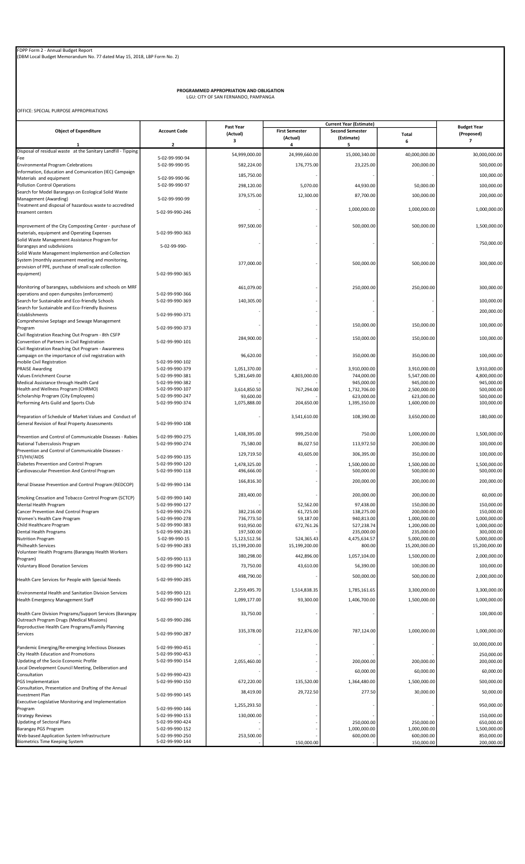PROGRAMMED APPROPRIATION AND OBLIGATION LGU: CITY OF SAN FERNANDO, PAMPANGA

OFFICE: SPECIAL PURPOSE APPROPRIATIONS

|                                                                                                          |                                    | Past Year                | <b>Current Year (Estimate)</b>    |                                      |                            | <b>Budget Year</b>         |
|----------------------------------------------------------------------------------------------------------|------------------------------------|--------------------------|-----------------------------------|--------------------------------------|----------------------------|----------------------------|
| <b>Object of Expenditure</b>                                                                             | <b>Account Code</b>                | (Actual)                 | <b>First Semester</b><br>(Actual) | <b>Second Semester</b><br>(Estimate) | Total                      | (Proposed)                 |
| 1                                                                                                        | $\overline{\mathbf{2}}$            | з                        | 4                                 | 5                                    | 6                          | 7                          |
| Disposal of residual waste at the Sanitary Landfill - Tipping                                            |                                    | 54,999,000.00            | 24,999,660.00                     | 15,000,340.00                        | 40,000,000.00              | 30,000,000.00              |
| Fee                                                                                                      | 5-02-99-990-94                     |                          |                                   |                                      |                            |                            |
| <b>Environmental Program Celebrations</b>                                                                | 5-02-99-990-95                     | 582,224.00               | 176,775.00                        | 23,225.00                            | 200,000.00                 | 500,000.00                 |
| Information, Education and Comunication (IEC) Campaign<br>Materials and equipment                        | 5-02-99-990-96                     | 185,750.00               |                                   |                                      |                            | 100,000.00                 |
| <b>Pollution Control Operations</b>                                                                      | 5-02-99-990-97                     | 298,120.00               | 5,070.00                          | 44,930.00                            | 50,000.00                  | 100,000.00                 |
| Search for Model Barangays on Ecological Solid Waste                                                     |                                    | 379,575.00               | 12,300.00                         | 87,700.00                            | 100,000.00                 | 200,000.00                 |
| Management (Awarding)                                                                                    | 5-02-99-990-99                     |                          |                                   |                                      |                            |                            |
| Treatment and disposal of hazardous waste to accredited<br>treament centers                              | 5-02-99-990-246                    |                          |                                   | 1,000,000.00                         | 1,000,000.00               | 1,000,000.00               |
|                                                                                                          |                                    |                          |                                   |                                      |                            |                            |
| Improvement of the City Composting Center - purchase of                                                  |                                    | 997,500.00               |                                   | 500,000.00                           | 500,000.00                 | 1,500,000.00               |
| materials, equipment and Operating Expenses                                                              | 5-02-99-990-363                    |                          |                                   |                                      |                            |                            |
| Solid Waste Management Assistance Program for                                                            |                                    |                          |                                   |                                      |                            | 750,000.00                 |
| Barangays and subdivisions                                                                               | 5-02-99-990-                       |                          |                                   |                                      |                            |                            |
| Solid Waste Management Implemention and Collection<br>System (monthly assessment meeting and monitoring, |                                    |                          |                                   |                                      |                            |                            |
| provision of PPE, purchase of small scale collection                                                     |                                    | 377,000.00               |                                   | 500,000.00                           | 500,000.00                 | 300,000.00                 |
| equipment)                                                                                               | 5-02-99-990-365                    |                          |                                   |                                      |                            |                            |
|                                                                                                          |                                    |                          |                                   |                                      |                            |                            |
| Monitoring of barangays, subdivisions and schools on MRF<br>operations and open dumpsites (enforcement)  |                                    | 461,079.00               |                                   | 250,000.00                           | 250,000.00                 | 300,000.00                 |
| Search for Sustainable and Eco-friendly Schools                                                          | 5-02-99-990-366<br>5-02-99-990-369 | 140,305.00               |                                   |                                      |                            | 100,000.00                 |
| Search for Sustainable and Eco-Friendly Business                                                         |                                    |                          |                                   |                                      |                            |                            |
| Establishments                                                                                           | 5-02-99-990-371                    |                          |                                   |                                      |                            | 200,000.00                 |
| Comprehensive Septage and Sewage Management                                                              |                                    |                          |                                   | 150,000.00                           | 150,000.00                 | 100,000.00                 |
| Program                                                                                                  | 5-02-99-990-373                    |                          |                                   |                                      |                            |                            |
| Civil Registration Reaching Out Program - 8th CSFP<br>Convention of Partners in Civil Registration       | 5-02-99-990-101                    | 284,900.00               |                                   | 150,000.00                           | 150,000.00                 | 100,000.00                 |
| Civil Registration Reaching Out Program - Awareness                                                      |                                    |                          |                                   |                                      |                            |                            |
| campaign on the importance of civil registration with                                                    |                                    | 96,620.00                |                                   | 350,000.00                           | 350,000.00                 | 100,000.00                 |
| mobile Civil Registration                                                                                | 5-02-99-990-102                    |                          |                                   |                                      |                            |                            |
| <b>PRAISE Awarding</b>                                                                                   | 5-02-99-990-379                    | 1,051,370.00             |                                   | 3,910,000.00                         | 3,910,000.00               | 3,910,000.00               |
| Values Enrichment Course                                                                                 | 5-02-99-990-381<br>5-02-99-990-382 | 5,281,649.00             | 4,803,000.00                      | 744,000.00                           | 5,547,000.00               | 4,800,000.00               |
| Medical Assistance through Health Card<br>Health and Wellness Program (CHRMO)                            | 5-02-99-990-107                    | 3,614,850.50             | 767,294.00                        | 945,000.00<br>1,732,706.00           | 945,000.00<br>2,500,000.00 | 945,000.00<br>500,000.00   |
| Scholarship Program (City Employees)                                                                     | 5-02-99-990-247                    | 93,600.00                |                                   | 623,000.00                           | 623,000.00                 | 500,000.00                 |
| Performing Arts Guild and Sports Club                                                                    | 5-02-99-990-374                    | 1,075,888.00             | 204,650.00                        | 1,395,350.00                         | 1,600,000.00               | 100,000.00                 |
|                                                                                                          |                                    |                          |                                   |                                      |                            |                            |
| Preparation of Schedule of Market Values and Conduct of                                                  |                                    |                          | 3,541,610.00                      | 108,390.00                           | 3,650,000.00               | 180,000.00                 |
| General Revision of Real Property Assessments                                                            | 5-02-99-990-108                    |                          |                                   |                                      |                            |                            |
| Prevention and Control of Communicable Diseases - Rabies                                                 | 5-02-99-990-275                    | 1,438,395.00             | 999,250.00                        | 750.00                               | 1,000,000.00               | 1,500,000.00               |
| National Tuberculosis Program                                                                            | 5-02-99-990-274                    | 75,580.00                | 86,027.50                         | 113,972.50                           | 200,000.00                 | 100,000.00                 |
| Prevention and Control of Communicable Diseases -                                                        |                                    | 129,719.50               | 43,605.00                         | 306,395.00                           | 350,000.00                 | 100,000.00                 |
| STI/HIV/AIDS                                                                                             | 5-02-99-990-135                    |                          |                                   |                                      |                            |                            |
| Diabetes Prevention and Control Program                                                                  | 5-02-99-990-120                    | 1,478,325.00             |                                   | 1,500,000.00                         | 1,500,000.00               | 1,500,000.00               |
| Cardiovascular Prevention And Control Program                                                            | 5-02-99-990-118                    | 496,666.00               |                                   | 500,000.00                           | 500,000.00                 | 500,000.00                 |
| Renal Disease Prevention and Control Program (REDCOP)                                                    | 5-02-99-990-134                    | 166,816.30               |                                   | 200,000.00                           | 200,000.00                 | 200,000.00                 |
|                                                                                                          |                                    |                          |                                   |                                      |                            | 60,000.00                  |
| Smoking Cessation and Tobacco Control Program (SCTCP)                                                    | 5-02-99-990-140                    | 283,400.00               |                                   | 200,000.00                           | 200,000.00                 |                            |
| Mental Health Program                                                                                    | 5-02-99-990-127                    |                          | 52,562.00                         | 97,438.00                            | 150,000.00                 | 150,000.00                 |
| Cancer Prevention And Control Program<br>Women's Health Care Program                                     | 5-02-99-990-276<br>5-02-99-990-278 | 382,216.00<br>736,773.50 | 61,725.00<br>59,187.00            | 138,275.00<br>940,813.00             | 200,000.00<br>1,000,000.00 | 150,000.00<br>1,000,000.00 |
| Child Healthcare Program                                                                                 | 5-02-99-990-383                    | 910,950.00               | 672,761.26                        | 527,238.74                           | 1,200,000.00               | 1,000,000.00               |
| Dental Health Programs                                                                                   | 5-02-99-990-281                    | 197,500.00               |                                   | 235,000.00                           | 235,000.00                 | 300,000.00                 |
| <b>Nutrition Program</b>                                                                                 | 5-02-99-990-15                     | 5,123,512.56             | 524,365.43                        | 4,475,634.57                         | 5,000,000.00               | 5,000,000.00               |
| <b>Philhealth Services</b>                                                                               | 5-02-99-990-283                    | 15,199,200.00            | 15,199,200.00                     | 800.00                               | 15,200,000.00              | 15,200,000.00              |
| Volunteer Health Programs (Barangay Health Workers                                                       |                                    | 380,298.00               | 442,896.00                        | 1,057,104.00                         | 1,500,000.00               | 2,000,000.00               |
| Program)                                                                                                 | 5-02-99-990-113                    |                          |                                   |                                      |                            |                            |
| <b>Voluntary Blood Donation Services</b>                                                                 | 5-02-99-990-142                    | 73,750.00                | 43,610.00                         | 56,390.00                            | 100,000.00                 | 100,000.00                 |
| Health Care Services for People with Special Needs                                                       | 5-02-99-990-285                    | 498,790.00               |                                   | 500,000.00                           | 500,000.00                 | 2,000,000.00               |
|                                                                                                          |                                    |                          |                                   |                                      |                            |                            |
| Environmental Health and Sanitation Division Services                                                    | 5-02-99-990-121                    | 2,259,495.70             | 1,514,838.35                      | 1,785,161.65                         | 3,300,000.00               | 3,300,000.00               |
| Health Emergency Management Staff                                                                        | 5-02-99-990-124                    | 1,099,177.00             | 93,300.00                         | 1,406,700.00                         | 1,500,000.00               | 1,000,000.00               |
|                                                                                                          |                                    |                          |                                   |                                      |                            |                            |
| Health Care Division Programs/Support Services (Barangay<br>Outreach Program Drugs (Medical Missions)    | 5-02-99-990-286                    | 33,750.00                |                                   |                                      |                            | 100,000.00                 |
| Reproductive Health Care Programs/Family Planning                                                        |                                    |                          |                                   |                                      |                            |                            |
| Services                                                                                                 | 5-02-99-990-287                    | 335,378.00               | 212,876.00                        | 787,124.00                           | 1,000,000.00               | 1,000,000.00               |
|                                                                                                          |                                    |                          |                                   |                                      |                            | 10,000,000.00              |
| Pandemic Emerging/Re-emerging Infectious Diseases                                                        | 5-02-99-990-451                    |                          |                                   |                                      |                            |                            |
| City Health Education and Promotions<br>Updating of the Socio Economic Profile                           | 5-02-99-990-453<br>5-02-99-990-154 | 2,055,460.00             |                                   | 200,000.00                           | 200,000.00                 | 250,000.00<br>200,000.00   |
| Local Development Council Meeting, Deliberation and                                                      |                                    |                          |                                   |                                      |                            |                            |
| Consultation                                                                                             | 5-02-99-990-423                    |                          |                                   | 60,000.00                            | 60,000.00                  | 60,000.00                  |
| PGS Implementation                                                                                       | 5-02-99-990-150                    | 672,220.00               | 135,520.00                        | 1,364,480.00                         | 1,500,000.00               | 500,000.00                 |
| Consultation, Presentation and Drafting of the Annual                                                    |                                    | 38,419.00                | 29,722.50                         | 277.50                               | 30,000.00                  | 50,000.00                  |
| Investment Plan<br>Executive-Legislative Monitoring and Implementation                                   | 5-02-99-990-145                    |                          |                                   |                                      |                            |                            |
| Program                                                                                                  | 5-02-99-990-146                    | 1,255,293.50             |                                   |                                      |                            | 950,000.00                 |
| <b>Strategy Reviews</b>                                                                                  | 5-02-99-990-153                    | 130,000.00               |                                   |                                      |                            | 150,000.00                 |
| <b>Updating of Sectoral Plans</b>                                                                        | 5-02-99-990-424                    |                          |                                   | 250,000.00                           | 250,000.00                 | 650,000.00                 |
| Barangay PGS Program                                                                                     | 5-02-99-990-152                    |                          |                                   | 1,000,000.00                         | 1,000,000.00               | 1,500,000.00               |
| Web-based Application System Infrastructure<br><b>Biometrics Time Keeping System</b>                     | 5-02-99-990-250<br>5-02-99-990-144 | 253,500.00               |                                   | 600,000.00                           | 600,000.00                 | 850,000.00                 |
|                                                                                                          |                                    |                          | 150,000.00                        |                                      | 150,000.00                 | 200,000.00                 |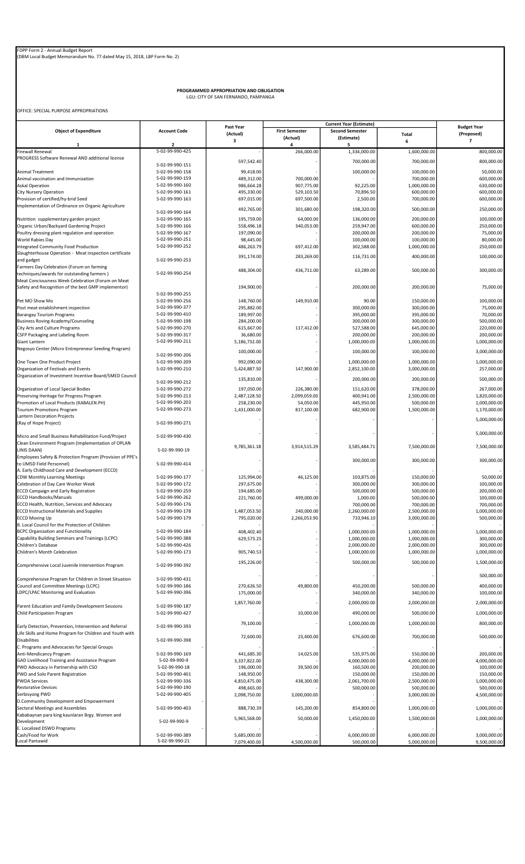PROGRAMMED APPROPRIATION AND OBLIGATION LGU: CITY OF SAN FERNANDO, PAMPANGA

OFFICE: SPECIAL PURPOSE APPROPRIATIONS

|                                                                             |                                    | Past Year                  | <b>Current Year (Estimate)</b> |                              |                              | <b>Budget Year</b>         |
|-----------------------------------------------------------------------------|------------------------------------|----------------------------|--------------------------------|------------------------------|------------------------------|----------------------------|
| <b>Object of Expenditure</b>                                                | <b>Account Code</b>                | (Actual)                   | <b>First Semester</b>          | <b>Second Semester</b>       | Total                        | (Proposed)                 |
| $\mathbf{1}$                                                                | $\overline{2}$                     | 3                          | (Actual)<br>4                  | (Estimate)<br>5              | 6                            | $\overline{\phantom{a}}$   |
| <b>Firewall Renewal</b>                                                     | 5-02-99-990-425                    |                            | 266,000.00                     | 1,334,000.00                 | 1,600,000.00                 | 800,000.00                 |
| PROGRESS Software Renewal AND additional license                            |                                    | 597,542.40                 |                                | 700,000.00                   | 700,000.00                   | 800,000.00                 |
|                                                                             | 5-02-99-990-151                    |                            |                                |                              |                              |                            |
| <b>Animal Treatment</b>                                                     | 5-02-99-990-158                    | 99,418.00                  |                                | 100,000.00                   | 100,000.00                   | 50,000.00                  |
| Animal vaccination and Immunization<br><b>Askal Operation</b>               | 5-02-99-990-159<br>5-02-99-990-160 | 489,312.00                 | 700,000.00<br>907,775.00       |                              | 700,000.00<br>1,000,000.00   | 600,000.00                 |
| <b>City Nursery Operation</b>                                               | 5-02-99-990-161                    | 986,664.28<br>495,330.00   | 529,103.50                     | 92,225.00<br>70,896.50       | 600,000.00                   | 630,000.00<br>600,000.00   |
| Provision of certified/hy-brid Seed                                         | 5-02-99-990-163                    | 697,015.00                 | 697,500.00                     | 2,500.00                     | 700,000.00                   | 600,000.00                 |
| Implementation of Ordinance on Organic Agriculture                          |                                    |                            |                                |                              |                              |                            |
|                                                                             | 5-02-99-990-164                    | 492,765.00                 | 301,680.00                     | 198,320.00                   | 500,000.00                   | 250,000.00                 |
| Nutrition supplementary garden project                                      | 5-02-99-990-165                    | 195,759.00                 | 64,000.00                      | 136,000.00                   | 200,000.00                   | 100,000.00                 |
| Organic Urban/Backyard Gardening Project                                    | 5-02-99-990-166                    | 558,496.18                 | 340,053.00                     | 259,947.00                   | 600,000.00                   | 250,000.00                 |
| Poultry dressing plant regulation and operation                             | 5-02-99-990-167                    | 197,090.00                 |                                | 200,000.00                   | 200,000.00                   | 75,000.00                  |
| World Rabies Day<br>Integrated Community Food Production                    | 5-02-99-990-251<br>5-02-99-990-252 | 98,445.00<br>486,263.79    | 697,412.00                     | 100,000.00<br>302,588.00     | 100,000.00<br>1,000,000.00   | 80,000.00<br>250,000.00    |
| Slaughterhouse Operation - Meat inspection certificate                      |                                    |                            |                                |                              |                              |                            |
| and gadget                                                                  | 5-02-99-990-253                    | 391,174.00                 | 283,269.00                     | 116,731.00                   | 400,000.00                   | 100,000.00                 |
| Farmers Day Celebration (Forum on farming                                   |                                    |                            |                                |                              |                              |                            |
| techniques/awards for outstanding farmers)                                  | 5-02-99-990-254                    | 488,304.00                 | 436,711.00                     | 63,289.00                    | 500,000.00                   | 300,000.00                 |
| Meat Conciousness Week Celebration (Forum on Meat                           |                                    |                            |                                |                              |                              |                            |
| Safety and Recognition of the best GMP implementor)                         |                                    | 194,900.00                 |                                | 200,000.00                   | 200,000.00                   | 75,000.00                  |
|                                                                             | 5-02-99-990-255                    |                            |                                |                              |                              |                            |
| Pet MO Show Mo<br>Post meat establishment inspection                        | 5-02-99-990-256<br>5-02-99-990-377 | 148,760.00<br>295,882.00   | 149,910.00                     | 90.00<br>300,000.00          | 150,000.00<br>300,000.00     | 100,000.00<br>75,000.00    |
| <b>Barangay Tourism Programs</b>                                            | 5-02-99-990-410                    | 189,997.00                 |                                | 395,000.00                   | 395,000.00                   | 70,000.00                  |
| <b>Business Roving Academy/Counseling</b>                                   | 5-02-99-990-198                    | 284,200.00                 |                                | 300,000.00                   | 300,000.00                   | 500,000.00                 |
| City Arts and Culture Programs                                              | 5-02-99-990-270                    | 615,667.00                 | 117,412.00                     | 527,588.00                   | 645,000.00                   | 220,000.00                 |
| CSFP Packaging and Labeling Room                                            | 5-02-99-990-317                    | 36,680.00                  |                                | 200,000.00                   | 200,000.00                   | 200,000.00                 |
| Giant Lantern                                                               | 5-02-99-990-211                    | 5,186,732.00               |                                | 1,000,000.00                 | 1,000,000.00                 | 1,000,000.00               |
| Negosyo Center (Micro Entrepreneur Seeding Program)                         |                                    | 100,000.00                 |                                | 100,000.00                   | 100,000.00                   | 3,000,000.00               |
|                                                                             | 5-02-99-990-206                    |                            |                                |                              |                              |                            |
| One Town One Product Project<br>Organization of Festivals and Events        | 5-02-99-990-209<br>5-02-99-990-210 | 992,090.00<br>5,424,887.50 | 147,900.00                     | 1,000,000.00<br>2,852,100.00 | 1,000,000.00<br>3,000,000.00 | 1,000,000.00<br>257,000.00 |
| Organization of Investment Incentive Board/SMED Council                     |                                    |                            |                                |                              |                              |                            |
|                                                                             | 5-02-99-990-212                    | 135,810.00                 |                                | 200,000.00                   | 200,000.00                   | 500,000.00                 |
| Organization of Local Special Bodies                                        | 5-02-99-990-272                    | 197,050.00                 | 226,380.00                     | 151,620.00                   | 378,000.00                   | 267,000.00                 |
| Preserving Heritage for Progress Program                                    | 5-02-99-990-213                    | 2,487,128.50               | 2,099,059.00                   | 400,941.00                   | 2,500,000.00                 | 1,820,000.00               |
| Promotion of Local Products (KABALEN.PH)                                    | 5-02-99-990-203                    | 258,230.00                 | 54,050.00                      | 445,950.00                   | 500,000.00                   | 1,000,000.00               |
| <b>Tourism Promotions Program</b>                                           | 5-02-99-990-273                    | 1,431,000.00               | 817,100.00                     | 682,900.00                   | 1,500,000.00                 | 1,170,000.00               |
| Lantern Decoration Projects                                                 |                                    |                            |                                |                              |                              | 5,000,000.00               |
| (Ray of Hope Project)                                                       | 5-02-99-990-271                    |                            |                                |                              |                              |                            |
| Micro and Small Business Rehabilitation Fund/Project                        | 5-02-99-990-430                    |                            |                                |                              |                              | 5,000,000.00               |
| Clean Environment Program (Implementation of OPLAN                          |                                    |                            |                                |                              |                              |                            |
| LINIS DAAN)                                                                 | 5-02-99-990-19                     | 9,785,361.18               | 3,914,515.29                   | 3,585,484.71                 | 7,500,000.00                 | 7,500,000.00               |
| Employees Safety & Protection Program (Provision of PPE's                   |                                    |                            |                                | 300,000.00                   | 300,000.00                   | 300,000.00                 |
| to UMSD Field Personnel)                                                    | 5-02-99-990-414                    |                            |                                |                              |                              |                            |
| A. Early Childhood Care and Development (ECCD)                              |                                    |                            |                                |                              |                              |                            |
| <b>CDW Monthly Learning Meetings</b><br>Celebration of Day Care Worker Week | 5-02-99-990-177<br>5-02-99-990-172 | 125,994.00<br>297,675.00   | 46,125.00                      | 103,875.00<br>300,000.00     | 150,000.00<br>300,000.00     | 50,000.00<br>100,000.00    |
| <b>ECCD Campaign and Early Registration</b>                                 | 5-02-99-990-259                    | 194,685.00                 |                                | 500,000.00                   | 500,000.00                   | 200,000.00                 |
| <b>ECCD Handbooks/Manuals</b>                                               | 5-02-99-990-262                    | 221,760.00                 | 499,000.00                     | 1,000.00                     | 500,000.00                   | 100,000.00                 |
| ECCD Health, Nutrition, Services and Advocacy                               | 5-02-99-990-176                    |                            |                                | 700,000.00                   | 700,000.00                   | 700,000.00                 |
| <b>ECCD Instructional Materials and Supplies</b>                            | 5-02-99-990-178                    | 1,487,053.50               | 240,000.00                     | 2,260,000.00                 | 2,500,000.00                 | 1,000,000.00               |
| <b>ECCD Moving Up</b>                                                       | 5-02-99-990-179                    | 795,020.00                 | 2,266,053.90                   | 733,946.10                   | 3,000,000.00                 | 500,000.00                 |
| B. Local Council for the Protection of Children                             |                                    |                            |                                |                              |                              |                            |
| <b>BCPC Organization and Functionality</b>                                  | 5-02-99-990-184                    | 408,402.40                 |                                | 1,000,000.00                 | 1,000,000.00                 | 1,000,000.00               |
| Capability Building Seminars and Trainings (LCPC)<br>Children's Database    | 5-02-99-990-388<br>5-02-99-990-426 | 629,573.25                 |                                | 1,000,000.00<br>2,000,000.00 | 1,000,000.00<br>2,000,000.00 | 300,000.00<br>300,000.00   |
| Children's Month Celebration                                                | 5-02-99-990-173                    | 905,740.53                 |                                | 1,000,000.00                 | 1,000,000.00                 | 1,000,000.00               |
|                                                                             |                                    |                            |                                |                              |                              |                            |
| Comprehensive Local Juvenile Intervention Program                           | 5-02-99-990-392                    | 195,226.00                 |                                | 500,000.00                   | 500,000.00                   | 1,500,000.00               |
|                                                                             |                                    |                            |                                |                              |                              | 500,000.00                 |
| Comprehensive Program for Children in Street Situation                      | 5-02-99-990-431                    |                            |                                |                              |                              |                            |
| Council and Committee Meetings (LCPC)                                       | 5-02-99-990-186                    | 270,626.50                 | 49,800.00                      | 450,200.00                   | 500,000.00                   | 400,000.00                 |
| LDPC/LPAC Monitoring and Evaluation                                         | 5-02-99-990-396                    | 175,000.00                 |                                | 340,000.00                   | 340,000.00                   | 100,000.00                 |
| Parent Education and Family Development Sessions                            | 5-02-99-990-187                    | 1,857,760.00               |                                | 2,000,000.00                 | 2,000,000.00                 | 2,000,000.00               |
| Child Participation Program                                                 | 5-02-99-990-427                    |                            | 10,000.00                      | 490,000.00                   | 500,000.00                   | 1,000,000.00               |
|                                                                             |                                    |                            |                                |                              |                              |                            |
| Early Detection, Prevention, Intervention and Referral                      | 5-02-99-990-393                    | 79,100.00                  |                                | 1,000,000.00                 | 1,000,000.00                 | 800,000.00                 |
| Life Skills and Home Program for Children and Youth with                    |                                    | 72,600.00                  | 23,400.00                      | 676,600.00                   | 700,000.00                   | 500,000.00                 |
| <b>Disabilities</b>                                                         | 5-02-99-990-398                    |                            |                                |                              |                              |                            |
| C. Programs and Advocacies for Special Groups                               |                                    |                            |                                |                              |                              |                            |
| Anti-Mendicancy Program<br>GAD Livelihood Training and Assistance Program   | 5-02-99-990-169<br>5-02-99-990-9   | 441,685.30<br>3,337,822.00 | 14,025.00                      | 535,975.00<br>4,000,000.00   | 550,000.00<br>4,000,000.00   | 200,000.00<br>4,000,000.00 |
| PWD Advocacy in Partnership with CSO                                        | 5-02-99-990-18                     | 196,000.00                 | 39,500.00                      | 160,500.00                   | 200,000.00                   | 100,000.00                 |
| PWD and Solo Parent Registration                                            | 5-02-99-990-401                    | 148,950.00                 |                                | 150,000.00                   | 150,000.00                   | 150,000.00                 |
| <b>PWDA Services</b>                                                        | 5-02-99-990-336                    | 4,810,475.00               | 438,300.00                     | 2,061,700.00                 | 2,500,000.00                 | 1,000,000.00               |
| <b>Restorative Devices</b>                                                  | 5-02-99-990-190                    | 498,665.00                 |                                | 500,000.00                   | 500,000.00                   | 500,000.00                 |
| Serbisyong PWD                                                              | 5-02-99-990-405                    | 2,098,750.00               | 3,000,000.00                   |                              | 3,000,000.00                 | 4,500,000.00               |
| D.Community Development and Empowerment                                     |                                    |                            |                                |                              |                              |                            |
| Sectoral Meetings and Assemblies                                            | 5-02-99-990-403                    | 888,730.39                 | 145,200.00                     | 854,800.00                   | 1,000,000.00                 | 1,000,000.00               |
| Kababaynan para king kaunlaran Brgy. Women and<br>Development               | 5-02-99-990-9                      | 5,965,568.00               | 50,000.00                      | 1,450,000.00                 | 1,500,000.00                 | 1,000,000.00               |
| E. Localized DSWD Programs                                                  |                                    |                            |                                |                              |                              |                            |
| Cash/Food for Work                                                          | 5-02-99-990-389                    | 5,685,000.00               |                                | 6,000,000.00                 | 6,000,000.00                 | 3,000,000.00               |
| Local Pantawid                                                              | 5-02-99-990-21                     | 7,079,400.00               | 4,500,000.00                   | 500,000.00                   | 5,000,000.00                 | 9,500,000.00               |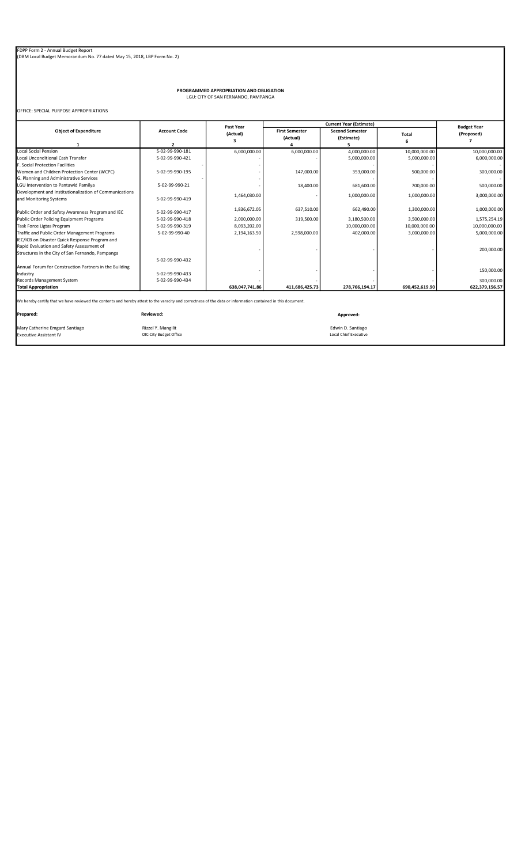PROGRAMMED APPROPRIATION AND OBLIGATION LGU: CITY OF SAN FERNANDO, PAMPANGA

OFFICE: SPECIAL PURPOSE APPROPRIATIONS

|                                                                                  |                 | Past Year      |                                   | <b>Budget Year</b>                   |                |                |
|----------------------------------------------------------------------------------|-----------------|----------------|-----------------------------------|--------------------------------------|----------------|----------------|
| <b>Object of Expenditure</b><br><b>Account Code</b><br>2                         |                 | (Actual)       | <b>First Semester</b><br>(Actual) | <b>Second Semester</b><br>(Estimate) | Total          | (Proposed)     |
| <b>Local Social Pension</b>                                                      | 5-02-99-990-181 | 6,000,000.00   | 6,000,000.00                      | 4,000,000.00                         | 10,000,000.00  | 10,000,000.00  |
| Local Unconditional Cash Transfer                                                | 5-02-99-990-421 |                |                                   | 5,000,000.00                         | 5,000,000.00   | 6,000,000.00   |
| F. Social Protection Facilities                                                  |                 |                |                                   |                                      |                |                |
| Women and Children Protection Center (WCPC)                                      | 5-02-99-990-195 |                | 147,000.00                        | 353,000.00                           | 500,000.00     | 300,000.00     |
| G. Planning and Administrative Services                                          |                 |                |                                   |                                      |                |                |
| LGU Intervention to Pantawid Pamilya                                             | 5-02-99-990-21  |                | 18,400.00                         | 681,600.00                           | 700,000.00     | 500,000.00     |
| Development and institutionalization of Communications<br>and Monitoring Systems | 5-02-99-990-419 | 1,464,030.00   |                                   | 1,000,000.00                         | 1,000,000.00   | 3,000,000.00   |
| Public Order and Safety Awareness Program and IEC                                | 5-02-99-990-417 | 1,836,672.05   | 637,510.00                        | 662,490.00                           | 1,300,000.00   | 1,000,000.00   |
| Public Order Policing Equipment Programs                                         | 5-02-99-990-418 | 2,000,000.00   | 319,500.00                        | 3,180,500.00                         | 3,500,000.00   | 1,575,254.19   |
| Task Force Ligtas Program                                                        | 5-02-99-990-319 | 8,093,202.00   |                                   | 10,000,000.00                        | 10,000,000.00  | 10,000,000.00  |
| Traffic and Public Order Management Programs                                     | 5-02-99-990-40  | 2,194,163.50   | 2,598,000.00                      | 402,000.00                           | 3,000,000.00   | 5,000,000.00   |
| IEC/ICB on Disaster Quick Response Program and                                   |                 |                |                                   |                                      |                |                |
| Rapid Evaluation and Safety Assessment of                                        |                 |                |                                   |                                      |                | 200,000.00     |
| Structures in the City of San Fernando, Pampanga                                 |                 |                |                                   |                                      |                |                |
|                                                                                  | 5-02-99-990-432 |                |                                   |                                      |                |                |
| Annual Forum for Construction Partners in the Building                           |                 |                |                                   |                                      |                |                |
| Industry                                                                         | 5-02-99-990-433 |                |                                   |                                      |                | 150,000.00     |
| Records Management System                                                        | 5-02-99-990-434 |                |                                   |                                      |                | 300,000.00     |
| <b>Total Appropriation</b>                                                       |                 | 638,047,741.86 | 411,686,425.73                    | 278,766,194.17                       | 690,452,619.90 | 622,379,156.57 |

Mary Catherine Emgard Santiago Rizzel Y. Mangilit Edwin D. Santiago Executive Assistant IV OIC-City Budget Office Local Chief Executive

Prepared: Reviewed: Approved: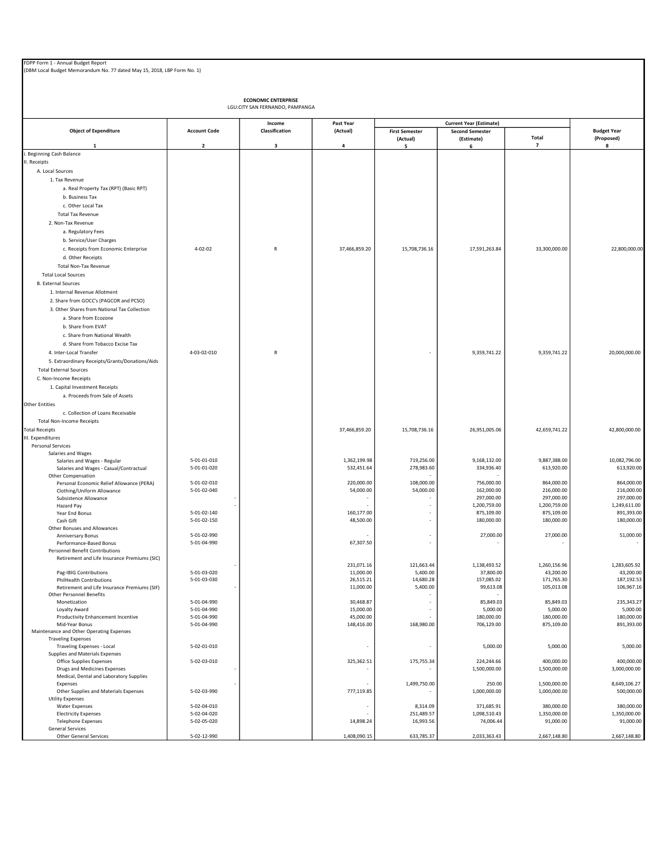| (DBM Local Budget Memorandum No. 77 dated May 15, 2018, LBP Form No. 1)         |                            |                |                            |                                   |                                      |                            |                                  |  |  |
|---------------------------------------------------------------------------------|----------------------------|----------------|----------------------------|-----------------------------------|--------------------------------------|----------------------------|----------------------------------|--|--|
| <b>ECONOMIC ENTERPRISE</b><br>LGU:CITY SAN FERNANDO, PAMPANGA                   |                            |                |                            |                                   |                                      |                            |                                  |  |  |
|                                                                                 |                            | Income         | Past Year                  |                                   | <b>Current Year (Estimate)</b>       |                            |                                  |  |  |
| <b>Object of Expenditure</b>                                                    | <b>Account Code</b>        | Classification | (Actual)                   | <b>First Semester</b><br>(Actual) | <b>Second Semester</b><br>(Estimate) | Total                      | <b>Budget Year</b><br>(Proposed) |  |  |
| $\mathbf{1}$<br>Beginning Cash Balance                                          | $\overline{2}$             | 3              | 4                          | 5                                 | 6                                    | $\overline{\phantom{a}}$   | 8                                |  |  |
| II. Receipts                                                                    |                            |                |                            |                                   |                                      |                            |                                  |  |  |
| A. Local Sources                                                                |                            |                |                            |                                   |                                      |                            |                                  |  |  |
| 1. Tax Revenue                                                                  |                            |                |                            |                                   |                                      |                            |                                  |  |  |
| a. Real Property Tax (RPT) (Basic RPT)                                          |                            |                |                            |                                   |                                      |                            |                                  |  |  |
| b. Business Tax                                                                 |                            |                |                            |                                   |                                      |                            |                                  |  |  |
| c. Other Local Tax                                                              |                            |                |                            |                                   |                                      |                            |                                  |  |  |
| <b>Total Tax Revenue</b>                                                        |                            |                |                            |                                   |                                      |                            |                                  |  |  |
| 2. Non-Tax Revenue                                                              |                            |                |                            |                                   |                                      |                            |                                  |  |  |
| a. Regulatory Fees                                                              |                            |                |                            |                                   |                                      |                            |                                  |  |  |
| b. Service/User Charges                                                         |                            |                |                            |                                   |                                      |                            |                                  |  |  |
| c. Receipts from Economic Enterprise                                            | $4 - 02 - 02$              | ${\sf R}$      | 37,466,859.20              | 15,708,736.16                     | 17,591,263.84                        | 33,300,000.00              | 22,800,000.00                    |  |  |
| d. Other Receipts                                                               |                            |                |                            |                                   |                                      |                            |                                  |  |  |
| <b>Total Non-Tax Revenue</b>                                                    |                            |                |                            |                                   |                                      |                            |                                  |  |  |
| <b>Total Local Sources</b>                                                      |                            |                |                            |                                   |                                      |                            |                                  |  |  |
| <b>B.</b> External Sources<br>1. Internal Revenue Allotment                     |                            |                |                            |                                   |                                      |                            |                                  |  |  |
| 2. Share from GOCC's (PAGCOR and PCSO)                                          |                            |                |                            |                                   |                                      |                            |                                  |  |  |
| 3. Other Shares from National Tax Collection                                    |                            |                |                            |                                   |                                      |                            |                                  |  |  |
| a. Share from Ecozone                                                           |                            |                |                            |                                   |                                      |                            |                                  |  |  |
| b. Share from EVAT                                                              |                            |                |                            |                                   |                                      |                            |                                  |  |  |
| c. Share from National Wealth                                                   |                            |                |                            |                                   |                                      |                            |                                  |  |  |
| d. Share from Tobacco Excise Tax                                                |                            |                |                            |                                   |                                      |                            |                                  |  |  |
| 4. Inter-Local Transfer                                                         | 4-03-02-010                | ${\sf R}$      |                            |                                   | 9,359,741.22                         | 9,359,741.22               | 20,000,000.00                    |  |  |
| 5. Extraordinary Receipts/Grants/Donations/Aids                                 |                            |                |                            |                                   |                                      |                            |                                  |  |  |
| <b>Total External Sources</b>                                                   |                            |                |                            |                                   |                                      |                            |                                  |  |  |
| C. Non-Income Receipts                                                          |                            |                |                            |                                   |                                      |                            |                                  |  |  |
| 1. Capital Investment Receipts                                                  |                            |                |                            |                                   |                                      |                            |                                  |  |  |
| a. Proceeds from Sale of Assets                                                 |                            |                |                            |                                   |                                      |                            |                                  |  |  |
| <b>Other Entities</b>                                                           |                            |                |                            |                                   |                                      |                            |                                  |  |  |
| c. Collection of Loans Receivable<br><b>Total Non-Income Receipts</b>           |                            |                |                            |                                   |                                      |                            |                                  |  |  |
| <b>Total Receipts</b>                                                           |                            |                | 37,466,859.20              | 15,708,736.16                     | 26,951,005.06                        | 42,659,741.22              | 42,800,000.00                    |  |  |
| III. Expenditures                                                               |                            |                |                            |                                   |                                      |                            |                                  |  |  |
| <b>Personal Services</b>                                                        |                            |                |                            |                                   |                                      |                            |                                  |  |  |
| Salaries and Wages                                                              |                            |                |                            |                                   |                                      |                            |                                  |  |  |
| Salaries and Wages - Regular                                                    | 5-01-01-010<br>5-01-01-020 |                | 1,362,199.98<br>532,451.64 | 719,256.00<br>278,983.60          | 9,168,132.00<br>334,936.40           | 9,887,388.00<br>613,920.00 | 10,082,796.00<br>613,920.00      |  |  |
| Salaries and Wages - Casual/Contractual<br>Other Compensation                   |                            |                |                            |                                   |                                      |                            |                                  |  |  |
| Personal Economic Relief Allowance (PERA)                                       | 5-01-02-010                |                | 220,000.00                 | 108,000.00                        | 756,000.00                           | 864,000.00                 | 864,000.00                       |  |  |
| Clothing/Uniform Allowance                                                      | 5-01-02-040                |                | 54,000.00                  | 54,000.00                         | 162,000.00                           | 216,000.00                 | 216,000.00                       |  |  |
| Subsistence Allowance                                                           |                            |                |                            |                                   | 297,000.00                           | 297,000.00                 | 297,000.00                       |  |  |
| Hazard Pay<br>Year End Bonus                                                    | 5-01-02-140                |                | 160,177.00                 |                                   | 1,200,759.00<br>875,109.00           | 1,200,759.00<br>875,109.00 | 1,249,611.00<br>891,393.00       |  |  |
| Cash Gift                                                                       | 5-01-02-150                |                | 48,500.00                  |                                   | 180,000.00                           | 180,000.00                 | 180,000.00                       |  |  |
| Other Bonuses and Allowances                                                    |                            |                |                            |                                   |                                      |                            |                                  |  |  |
| Anniversary Bonus                                                               | 5-01-02-990                |                |                            |                                   | 27,000.00                            | 27,000.00                  | 51,000.00                        |  |  |
| Performance-Based Bonus<br>Personnel Benefit Contributions                      | 5-01-04-990                |                | 67,307.50                  |                                   |                                      |                            |                                  |  |  |
| Retirement and Life Insurance Premiums (SIC)                                    |                            |                |                            |                                   |                                      |                            |                                  |  |  |
|                                                                                 |                            |                | 231,071.16                 | 121,663.44                        | 1,138,493.52                         | 1,260,156.96               | 1,283,605.92                     |  |  |
| Pag-IBIG Contributions                                                          | 5-01-03-020                |                | 11,000.00                  | 5,400.00                          | 37,800.00                            | 43,200.00                  | 43,200.00                        |  |  |
| <b>PhilHealth Contributions</b>                                                 | 5-01-03-030                |                | 26,515.21<br>11,000.00     | 14,680.28<br>5,400.00             | 157,085.02<br>99,613.08              | 171,765.30<br>105,013.08   | 187,192.53<br>106,967.16         |  |  |
| Retirement and Life Insurance Premiums (SIF)<br><b>Other Personnel Benefits</b> |                            |                |                            |                                   |                                      |                            |                                  |  |  |
| Monetization                                                                    | 5-01-04-990                |                | 30,468.87                  |                                   | 85,849.03                            | 85,849.03                  | 235,343.27                       |  |  |
| Loyalty Award                                                                   | 5-01-04-990                |                | 15,000.00                  |                                   | 5,000.00                             | 5,000.00                   | 5,000.00                         |  |  |
| Productivity Enhancement Incentive<br>Mid-Year Bonus                            | 5-01-04-990<br>5-01-04-990 |                | 45,000.00                  |                                   | 180,000.00                           | 180,000.00<br>875,109.00   | 180,000.00<br>891,393.00         |  |  |
| Maintenance and Other Operating Expenses                                        |                            |                | 148,416.00                 | 168,980.00                        | 706,129.00                           |                            |                                  |  |  |
| <b>Traveling Expenses</b>                                                       |                            |                |                            |                                   |                                      |                            |                                  |  |  |
| Traveling Expenses - Local                                                      | 5-02-01-010                |                |                            |                                   | 5,000.00                             | 5,000.00                   | 5,000.00                         |  |  |
| Supplies and Materials Expenses                                                 |                            |                |                            |                                   |                                      |                            |                                  |  |  |
| Office Supplies Expenses<br>Drugs and Medicines Expenses                        | 5-02-03-010                |                | 325,362.51                 | 175,755.34                        | 224,244.66<br>1,500,000.00           | 400,000.00<br>1,500,000.00 | 400,000.00<br>3,000,000.00       |  |  |
| Medical, Dental and Laboratory Supplies                                         |                            |                |                            |                                   |                                      |                            |                                  |  |  |
| Expenses                                                                        |                            |                |                            | 1,499,750.00                      | 250.00                               | 1,500,000.00               | 8,649,106.27                     |  |  |
| Other Supplies and Materials Expenses                                           | 5-02-03-990                |                | 777,119.85                 |                                   | 1,000,000.00                         | 1,000,000.00               | 500,000.00                       |  |  |
| <b>Utility Expenses</b><br><b>Water Expenses</b>                                | 5-02-04-010                |                |                            | 8,314.09                          | 371,685.91                           | 380,000.00                 | 380,000.00                       |  |  |
| <b>Electricity Expenses</b>                                                     | 5-02-04-020                |                |                            | 251,489.57                        | 1,098,510.43                         | 1,350,000.00               | 1,350,000.00                     |  |  |
| <b>Telephone Expenses</b>                                                       | 5-02-05-020                |                | 14,898.24                  | 16,993.56                         | 74,006.44                            | 91,000.00                  | 91,000.00                        |  |  |
| <b>General Services</b>                                                         |                            |                |                            |                                   |                                      |                            |                                  |  |  |
| Other General Services                                                          | 5-02-12-990                |                | 1,408,090.15               | 633,785.37                        | 2,033,363.43                         | 2,667,148.80               | 2,667,148.80                     |  |  |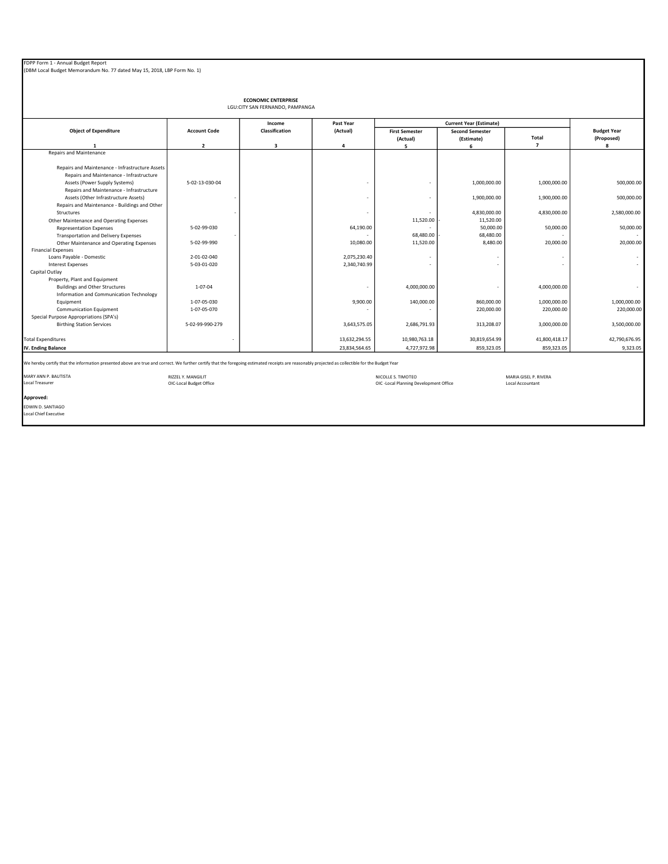| FDPP Form 1 - Annual Budget Report                                      |
|-------------------------------------------------------------------------|
| (DBM Local Budget Memorandum No. 77 dated May 15, 2018, LBP Form No. 1) |

| <b>ECONOMIC ENTERPRISE</b><br>LGU:CITY SAN FERNANDO, PAMPANGA                               |                     |                         |               |                       |                                |                |                    |  |
|---------------------------------------------------------------------------------------------|---------------------|-------------------------|---------------|-----------------------|--------------------------------|----------------|--------------------|--|
|                                                                                             |                     | Income                  | Past Year     |                       | <b>Current Year (Estimate)</b> |                |                    |  |
| <b>Object of Expenditure</b>                                                                | <b>Account Code</b> | Classification          | (Actual)      | <b>First Semester</b> | <b>Second Semester</b>         |                | <b>Budget Year</b> |  |
|                                                                                             |                     |                         |               | (Actual)              | (Estimate)                     | Total          | (Proposed)         |  |
|                                                                                             | $\overline{2}$      | $\overline{\mathbf{3}}$ | 4             | 5                     | 6                              | $\overline{ }$ | 8                  |  |
| Repairs and Maintenance                                                                     |                     |                         |               |                       |                                |                |                    |  |
| Repairs and Maintenance - Infrastructure Assets<br>Repairs and Maintenance - Infrastructure |                     |                         |               |                       |                                |                |                    |  |
| Assets (Power Supply Systems)<br>Repairs and Maintenance - Infrastructure                   | 5-02-13-030-04      |                         |               |                       | 1,000,000.00                   | 1,000,000.00   | 500,000.00         |  |
| Assets (Other Infrastructure Assets)                                                        |                     |                         | ٠             | ٠                     | 1,900,000.00                   | 1,900,000.00   | 500,000.00         |  |
| Repairs and Maintenance - Buildings and Other                                               |                     |                         |               |                       |                                |                |                    |  |
| Structures                                                                                  |                     |                         | ٠             |                       | 4,830,000.00                   | 4,830,000.00   | 2,580,000.00       |  |
| Other Maintenance and Operating Expenses                                                    |                     |                         |               | 11,520.00             | 11,520.00                      |                |                    |  |
| <b>Representation Expenses</b>                                                              | 5-02-99-030         |                         | 64,190.00     | $\sim$                | 50,000.00                      | 50,000.00      | 50,000.00          |  |
| <b>Transportation and Delivery Expenses</b>                                                 |                     |                         | ٠             | 68,480.00             | 68,480.00                      |                |                    |  |
| Other Maintenance and Operating Expenses                                                    | 5-02-99-990         |                         | 10,080.00     | 11,520.00             | 8,480.00                       | 20,000.00      | 20,000.00          |  |
| <b>Financial Expenses</b>                                                                   |                     |                         |               |                       |                                |                |                    |  |
| Loans Payable - Domestic                                                                    | 2-01-02-040         |                         | 2,075,230.40  | $\sim$                |                                | ٠              |                    |  |
| <b>Interest Expenses</b>                                                                    | 5-03-01-020         |                         | 2,340,740.99  | $\sim$                |                                |                |                    |  |
| Capital Outlay                                                                              |                     |                         |               |                       |                                |                |                    |  |
| Property, Plant and Equipment                                                               |                     |                         |               |                       |                                |                |                    |  |
| <b>Buildings and Other Structures</b>                                                       | $1 - 07 - 04$       |                         |               | 4,000,000.00          |                                | 4,000,000.00   |                    |  |
| Information and Communication Technology                                                    |                     |                         |               |                       |                                |                |                    |  |
| Equipment                                                                                   | 1-07-05-030         |                         | 9,900.00      | 140,000.00            | 860,000.00                     | 1,000,000.00   | 1,000,000.00       |  |
| Communication Equipment                                                                     | 1-07-05-070         |                         |               |                       | 220,000.00                     | 220,000.00     | 220,000.00         |  |
| Special Purpose Appropriations (SPA's)                                                      |                     |                         |               |                       |                                |                |                    |  |
| <b>Birthing Station Services</b>                                                            | 5-02-99-990-279     |                         | 3,643,575.05  | 2,686,791.93          | 313,208.07                     | 3,000,000.00   | 3,500,000.00       |  |
| <b>Total Expenditures</b>                                                                   |                     |                         | 13,632,294.55 | 10,980,763.18         | 30,819,654.99                  | 41,800,418.17  | 42,790,676.95      |  |
| IV. Ending Balance                                                                          |                     |                         | 23,834,564.65 | 4,727,972.98          | 859.323.05                     | 859,323.05     | 9,323.05           |  |

We hereby certify that the information presented above are true and correct. We further certify that the foregoing estimated receipts are reasonably projected as collectible for the Budget Year

RIZZEL Y. MANGILIT OIC-Local Budget Office

MARY ANN P. BAUTISTA Local Treasurer

Approved:

 $\overline{\phantom{a}}$ 

EDWIN D. SANTIAGO Local Chief Executive

NICOLLE S. TIMOTEO OIC -Local Planning Development Office

MARIA GISEL P. RIVERA Local Accountant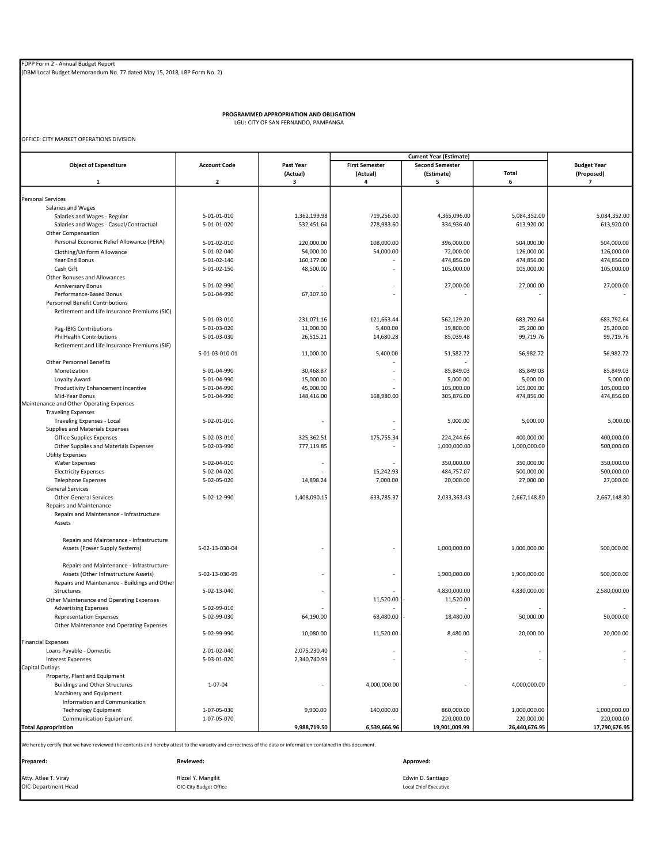(DBM Local Budget Memorandum No. 77 dated May 15, 2018, LBP Form No. 2)

PROGRAMMED APPROPRIATION AND OBLIGATION LGU: CITY OF SAN FERNANDO, PAMPANGA

OFFICE: CITY MARKET OPERATIONS DIVISION

|                                                                                                                                                               |                     | <b>Current Year (Estimate)</b> |                       |                        |               |                              |
|---------------------------------------------------------------------------------------------------------------------------------------------------------------|---------------------|--------------------------------|-----------------------|------------------------|---------------|------------------------------|
| <b>Object of Expenditure</b>                                                                                                                                  | <b>Account Code</b> | Past Year                      | <b>First Semester</b> | <b>Second Semester</b> |               | <b>Budget Year</b>           |
| $\mathbf{1}$                                                                                                                                                  | $\overline{2}$      | (Actual)<br>3                  | (Actual)<br>4         | (Estimate)<br>5        | Total<br>6    | (Proposed)<br>$\overline{7}$ |
|                                                                                                                                                               |                     |                                |                       |                        |               |                              |
| <b>Personal Services</b>                                                                                                                                      |                     |                                |                       |                        |               |                              |
| Salaries and Wages                                                                                                                                            |                     |                                |                       |                        |               |                              |
| Salaries and Wages - Regular                                                                                                                                  | 5-01-01-010         | 1.362.199.98                   | 719,256.00            | 4,365,096.00           | 5,084,352.00  | 5,084,352.00                 |
| Salaries and Wages - Casual/Contractual                                                                                                                       | 5-01-01-020         | 532,451.64                     | 278,983.60            | 334,936.40             | 613,920.00    | 613,920.00                   |
| Other Compensation                                                                                                                                            |                     |                                |                       |                        |               |                              |
| Personal Economic Relief Allowance (PERA)                                                                                                                     | 5-01-02-010         | 220,000.00                     | 108,000.00            | 396,000.00             | 504,000.00    | 504,000.00                   |
|                                                                                                                                                               | 5-01-02-040         | 54,000.00                      | 54,000.00             | 72,000.00              | 126,000.00    | 126,000.00                   |
| Clothing/Uniform Allowance                                                                                                                                    |                     |                                |                       |                        |               |                              |
| Year End Bonus                                                                                                                                                | 5-01-02-140         | 160,177.00                     |                       | 474,856.00             | 474,856.00    | 474,856.00                   |
| Cash Gift                                                                                                                                                     | 5-01-02-150         | 48,500.00                      |                       | 105,000.00             | 105,000.00    | 105,000.00                   |
| Other Bonuses and Allowances                                                                                                                                  |                     |                                |                       |                        |               |                              |
| Anniversary Bonus                                                                                                                                             | 5-01-02-990         |                                |                       | 27,000.00              | 27,000.00     | 27,000.00                    |
| Performance-Based Bonus                                                                                                                                       | 5-01-04-990         | 67,307.50                      |                       |                        |               |                              |
| <b>Personnel Benefit Contributions</b>                                                                                                                        |                     |                                |                       |                        |               |                              |
| Retirement and Life Insurance Premiums (SIC)                                                                                                                  |                     |                                |                       |                        |               |                              |
|                                                                                                                                                               | 5-01-03-010         | 231,071.16                     | 121,663.44            | 562,129.20             | 683,792.64    | 683,792.64                   |
| Pag-IBIG Contributions                                                                                                                                        | 5-01-03-020         | 11,000.00                      | 5,400.00              | 19,800.00              | 25,200.00     | 25,200.00                    |
| <b>PhilHealth Contributions</b>                                                                                                                               | 5-01-03-030         | 26,515.21                      | 14,680.28             | 85,039.48              | 99,719.76     | 99,719.76                    |
| Retirement and Life Insurance Premiums (SIF)                                                                                                                  |                     |                                |                       |                        |               |                              |
|                                                                                                                                                               | 5-01-03-010-01      | 11,000.00                      | 5,400.00              | 51,582.72              | 56,982.72     | 56,982.72                    |
| Other Personnel Benefits                                                                                                                                      |                     |                                |                       |                        |               |                              |
| Monetization                                                                                                                                                  | 5-01-04-990         | 30,468.87                      |                       | 85,849.03              | 85,849.03     | 85,849.03                    |
| Loyalty Award                                                                                                                                                 | 5-01-04-990         | 15,000.00                      |                       | 5,000.00               | 5,000.00      | 5,000.00                     |
| Productivity Enhancement Incentive                                                                                                                            | 5-01-04-990         | 45,000.00                      |                       | 105,000.00             | 105,000.00    | 105,000.00                   |
| Mid-Year Bonus                                                                                                                                                | 5-01-04-990         | 148,416.00                     | 168,980.00            | 305,876.00             | 474,856.00    | 474,856.00                   |
| Maintenance and Other Operating Expenses                                                                                                                      |                     |                                |                       |                        |               |                              |
| <b>Traveling Expenses</b>                                                                                                                                     |                     |                                |                       |                        |               |                              |
| Traveling Expenses - Local                                                                                                                                    | 5-02-01-010         |                                |                       | 5,000.00               | 5,000.00      | 5,000.00                     |
| Supplies and Materials Expenses                                                                                                                               |                     |                                |                       |                        |               |                              |
| Office Supplies Expenses                                                                                                                                      | 5-02-03-010         | 325,362.51                     | 175,755.34            | 224,244.66             | 400,000.00    | 400,000.00                   |
| Other Supplies and Materials Expenses                                                                                                                         | 5-02-03-990         | 777,119.85                     |                       | 1,000,000.00           | 1,000,000.00  | 500,000.00                   |
| <b>Utility Expenses</b>                                                                                                                                       |                     |                                |                       |                        |               |                              |
| <b>Water Expenses</b>                                                                                                                                         | 5-02-04-010         |                                |                       | 350,000.00             | 350,000.00    | 350,000.00                   |
| <b>Electricity Expenses</b>                                                                                                                                   | 5-02-04-020         |                                | 15,242.93             | 484,757.07             | 500,000.00    | 500,000.00                   |
| <b>Telephone Expenses</b>                                                                                                                                     | 5-02-05-020         | 14,898.24                      | 7,000.00              | 20,000.00              | 27,000.00     | 27,000.00                    |
| <b>General Services</b>                                                                                                                                       |                     |                                |                       |                        |               |                              |
| <b>Other General Services</b>                                                                                                                                 | 5-02-12-990         | 1,408,090.15                   | 633,785.37            | 2,033,363.43           | 2,667,148.80  | 2,667,148.80                 |
| Repairs and Maintenance                                                                                                                                       |                     |                                |                       |                        |               |                              |
| Repairs and Maintenance - Infrastructure                                                                                                                      |                     |                                |                       |                        |               |                              |
|                                                                                                                                                               |                     |                                |                       |                        |               |                              |
| Assets                                                                                                                                                        |                     |                                |                       |                        |               |                              |
|                                                                                                                                                               |                     |                                |                       |                        |               |                              |
| Repairs and Maintenance - Infrastructure                                                                                                                      |                     |                                |                       |                        |               |                              |
| Assets (Power Supply Systems)                                                                                                                                 | 5-02-13-030-04      |                                |                       | 1,000,000.00           | 1,000,000.00  | 500,000.00                   |
|                                                                                                                                                               |                     |                                |                       |                        |               |                              |
| Repairs and Maintenance - Infrastructure                                                                                                                      |                     |                                |                       |                        |               |                              |
| Assets (Other Infrastructure Assets)                                                                                                                          | 5-02-13-030-99      |                                |                       | 1,900,000.00           | 1,900,000.00  | 500,000.00                   |
| Repairs and Maintenance - Buildings and Other                                                                                                                 |                     |                                |                       |                        |               |                              |
| Structures                                                                                                                                                    | 5-02-13-040         |                                |                       | 4,830,000.00           | 4,830,000.00  | 2,580,000.00                 |
| Other Maintenance and Operating Expenses                                                                                                                      |                     |                                | 11,520.00             | 11,520.00              |               |                              |
| <b>Advertising Expenses</b>                                                                                                                                   | 5-02-99-010         |                                |                       |                        |               |                              |
| <b>Representation Expenses</b>                                                                                                                                | 5-02-99-030         | 64,190.00                      | 68,480.00             | 18,480.00              | 50,000.00     | 50,000.00                    |
| Other Maintenance and Operating Expenses                                                                                                                      |                     |                                |                       |                        |               |                              |
|                                                                                                                                                               | 5-02-99-990         | 10,080.00                      | 11,520.00             | 8,480.00               | 20,000.00     | 20,000.00                    |
| <b>Financial Expenses</b>                                                                                                                                     |                     |                                |                       |                        |               |                              |
| Loans Payable - Domestic                                                                                                                                      | 2-01-02-040         | 2,075,230.40                   |                       |                        |               |                              |
| <b>Interest Expenses</b>                                                                                                                                      | 5-03-01-020         | 2,340,740.99                   |                       |                        |               |                              |
| Capital Outlays                                                                                                                                               |                     |                                |                       |                        |               |                              |
| Property, Plant and Equipment                                                                                                                                 |                     |                                |                       |                        |               |                              |
| <b>Buildings and Other Structures</b>                                                                                                                         | $1 - 07 - 04$       |                                | 4,000,000.00          |                        | 4,000,000.00  |                              |
| Machinery and Equipment                                                                                                                                       |                     |                                |                       |                        |               |                              |
| Information and Communication                                                                                                                                 |                     |                                |                       |                        |               |                              |
| <b>Technology Equipment</b>                                                                                                                                   | 1-07-05-030         | 9,900.00                       | 140,000.00            | 860,000.00             | 1,000,000.00  | 1,000,000.00                 |
|                                                                                                                                                               | 1-07-05-070         |                                |                       | 220,000.00             | 220,000.00    | 220,000.00                   |
| Communication Equipment                                                                                                                                       |                     |                                |                       | 19,901,009.99          |               |                              |
| <b>Total Appropriation</b>                                                                                                                                    |                     | 9,988,719.50                   | 6,539,666.96          |                        | 26,440,676.95 | 17,790,676.95                |
| We hereby certify that we have reviewed the contents and hereby attest to the varacity and correctness of the data or information contained in this document. |                     |                                |                       |                        |               |                              |
|                                                                                                                                                               |                     |                                |                       |                        |               |                              |
| Prepared:                                                                                                                                                     | Reviewed:           |                                |                       | Approved:              |               |                              |
|                                                                                                                                                               |                     |                                |                       |                        |               |                              |

Atty. Atlee T. Viray Rizzel Y. Mangilit Edwin D. Santiago OIC-Department Head OIC-City Budget Office Local Chief Executive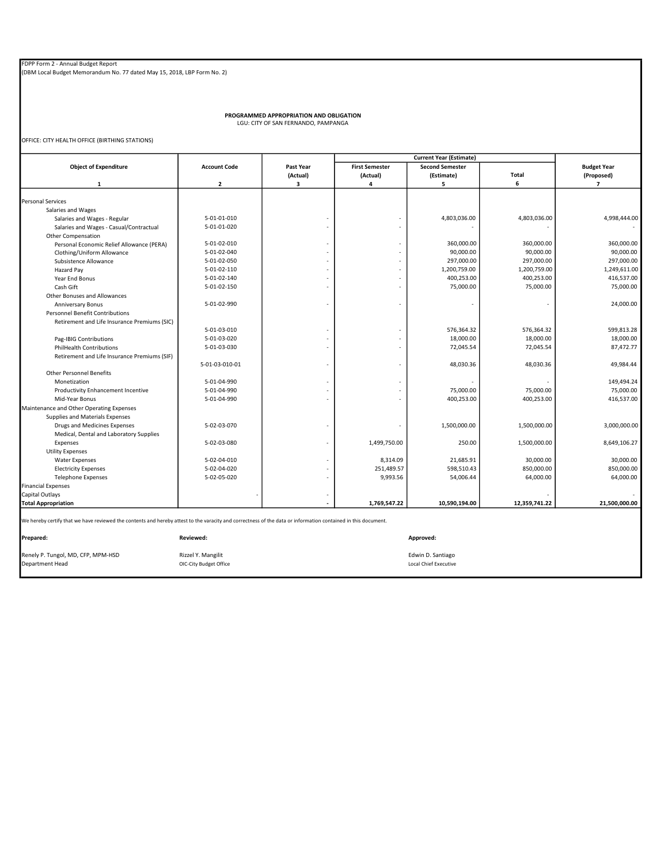PROGRAMMED APPROPRIATION AND OBLIGATION LGU: CITY OF SAN FERNANDO, PAMPANGA

OFFICE: CITY HEALTH OFFICE (BIRTHING STATIONS)

| <b>Object of Expenditure</b>                                                                                                                                  | <b>Account Code</b> | Past Year | <b>First Semester</b> | <b>Second Semester</b> |               | <b>Budget Year</b> |
|---------------------------------------------------------------------------------------------------------------------------------------------------------------|---------------------|-----------|-----------------------|------------------------|---------------|--------------------|
|                                                                                                                                                               |                     | (Actual)  | (Actual)              | (Estimate)             | Total         | (Proposed)         |
| 1                                                                                                                                                             | $\mathbf{2}$        | 3         | 4                     | 5                      | 6             | $\overline{7}$     |
|                                                                                                                                                               |                     |           |                       |                        |               |                    |
| <b>Personal Services</b>                                                                                                                                      |                     |           |                       |                        |               |                    |
| Salaries and Wages                                                                                                                                            |                     |           |                       |                        |               |                    |
| Salaries and Wages - Regular                                                                                                                                  | 5-01-01-010         |           |                       | 4,803,036.00           | 4,803,036.00  | 4,998,444.00       |
| Salaries and Wages - Casual/Contractual                                                                                                                       | 5-01-01-020         |           | ÷.                    |                        |               |                    |
| Other Compensation                                                                                                                                            |                     |           |                       |                        |               |                    |
| Personal Economic Relief Allowance (PERA)                                                                                                                     | 5-01-02-010         |           | ÷.                    | 360,000.00             | 360,000.00    | 360,000.00         |
| Clothing/Uniform Allowance                                                                                                                                    | 5-01-02-040         |           | ä,                    | 90,000.00              | 90,000.00     | 90,000.00          |
| Subsistence Allowance                                                                                                                                         | 5-01-02-050         |           | ÷.                    | 297,000.00             | 297,000.00    | 297,000.00         |
| Hazard Pay                                                                                                                                                    | 5-01-02-110         |           |                       | 1,200,759.00           | 1,200,759.00  | 1,249,611.00       |
| Year End Bonus                                                                                                                                                | 5-01-02-140         |           | ä,                    | 400,253.00             | 400,253.00    | 416,537.00         |
| Cash Gift                                                                                                                                                     | 5-01-02-150         |           | ٠                     | 75,000.00              | 75,000.00     | 75,000.00          |
| Other Bonuses and Allowances                                                                                                                                  |                     |           |                       |                        |               |                    |
| <b>Anniversary Bonus</b>                                                                                                                                      | 5-01-02-990         |           | ٠                     |                        |               | 24,000.00          |
| <b>Personnel Benefit Contributions</b>                                                                                                                        |                     |           |                       |                        |               |                    |
| Retirement and Life Insurance Premiums (SIC)                                                                                                                  |                     |           |                       |                        |               |                    |
|                                                                                                                                                               | 5-01-03-010         |           | ٠                     | 576,364.32             | 576,364.32    | 599,813.28         |
| Pag-IBIG Contributions                                                                                                                                        | 5-01-03-020         |           | ä,                    | 18,000.00              | 18,000.00     | 18,000.00          |
| <b>PhilHealth Contributions</b>                                                                                                                               | 5-01-03-030         |           | $\mathbf{r}$          | 72,045.54              | 72,045.54     | 87,472.77          |
| Retirement and Life Insurance Premiums (SIF)                                                                                                                  |                     |           |                       |                        |               |                    |
|                                                                                                                                                               | 5-01-03-010-01      |           | ä,                    | 48,030.36              | 48,030.36     | 49,984.44          |
| <b>Other Personnel Benefits</b>                                                                                                                               |                     |           |                       |                        |               |                    |
| Monetization                                                                                                                                                  | 5-01-04-990         |           | ä,                    |                        |               | 149.494.24         |
| Productivity Enhancement Incentive                                                                                                                            | 5-01-04-990         |           | ä,                    | 75,000.00              | 75,000.00     | 75,000.00          |
| Mid-Year Bonus                                                                                                                                                | 5-01-04-990         |           |                       | 400,253.00             | 400,253.00    | 416,537.00         |
| Maintenance and Other Operating Expenses                                                                                                                      |                     |           |                       |                        |               |                    |
| Supplies and Materials Expenses                                                                                                                               |                     |           |                       |                        |               |                    |
| Drugs and Medicines Expenses                                                                                                                                  | 5-02-03-070         |           |                       | 1,500,000.00           | 1,500,000.00  | 3,000,000.00       |
| Medical, Dental and Laboratory Supplies                                                                                                                       |                     |           |                       |                        |               |                    |
| Expenses                                                                                                                                                      | 5-02-03-080         |           | 1,499,750.00          | 250.00                 | 1,500,000.00  | 8,649,106.27       |
| <b>Utility Expenses</b>                                                                                                                                       |                     |           |                       |                        |               |                    |
| <b>Water Expenses</b>                                                                                                                                         | 5-02-04-010         |           | 8,314.09              | 21,685.91              | 30,000.00     | 30,000.00          |
| <b>Electricity Expenses</b>                                                                                                                                   | 5-02-04-020         |           | 251,489.57            | 598,510.43             | 850,000.00    | 850,000.00         |
| <b>Telephone Expenses</b>                                                                                                                                     | 5-02-05-020         |           | 9,993.56              | 54,006.44              | 64,000.00     | 64,000.00          |
| <b>Financial Expenses</b>                                                                                                                                     |                     |           |                       |                        |               |                    |
| Capital Outlays                                                                                                                                               |                     |           |                       |                        |               |                    |
| <b>Total Appropriation</b>                                                                                                                                    |                     |           | 1,769,547.22          | 10,590,194.00          | 12,359,741.22 | 21,500,000.00      |
|                                                                                                                                                               |                     |           |                       |                        |               |                    |
| We hereby certify that we have reviewed the contents and hereby attest to the varacity and correctness of the data or information contained in this document. |                     |           |                       |                        |               |                    |
| Prepared:                                                                                                                                                     | Reviewed:           |           |                       | Approved:              |               |                    |
|                                                                                                                                                               |                     |           |                       |                        |               |                    |

Renely P. Tungol, MD, CFP, MPM-HSD<br>
Department Head

Department Head

Cocal Chief Executive

Cocal Chief Executive

Cocal Chief Executive

Cocal Chief Executive

Cocal Chief Executive

Cocal Chief Executive

Cocal Chief Ex

 $OIC-City$  Budget Office